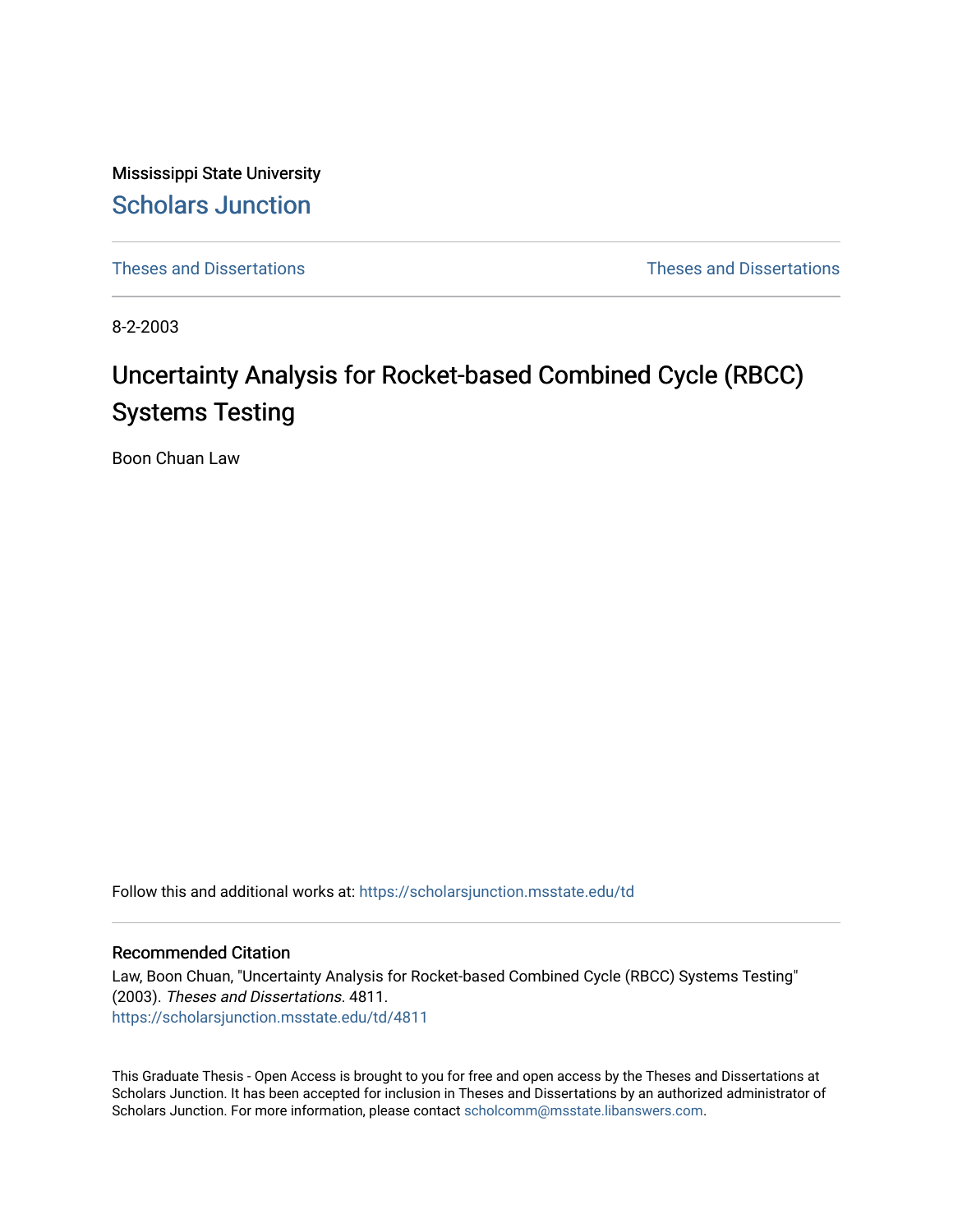Mississippi State University [Scholars Junction](https://scholarsjunction.msstate.edu/) 

[Theses and Dissertations](https://scholarsjunction.msstate.edu/td) [Theses and Dissertations](https://scholarsjunction.msstate.edu/theses-dissertations) 

8-2-2003

# Uncertainty Analysis for Rocket-based Combined Cycle (RBCC) Systems Testing

Boon Chuan Law

Follow this and additional works at: [https://scholarsjunction.msstate.edu/td](https://scholarsjunction.msstate.edu/td?utm_source=scholarsjunction.msstate.edu%2Ftd%2F4811&utm_medium=PDF&utm_campaign=PDFCoverPages) 

#### Recommended Citation

Law, Boon Chuan, "Uncertainty Analysis for Rocket-based Combined Cycle (RBCC) Systems Testing" (2003). Theses and Dissertations. 4811. [https://scholarsjunction.msstate.edu/td/4811](https://scholarsjunction.msstate.edu/td/4811?utm_source=scholarsjunction.msstate.edu%2Ftd%2F4811&utm_medium=PDF&utm_campaign=PDFCoverPages) 

This Graduate Thesis - Open Access is brought to you for free and open access by the Theses and Dissertations at Scholars Junction. It has been accepted for inclusion in Theses and Dissertations by an authorized administrator of Scholars Junction. For more information, please contact [scholcomm@msstate.libanswers.com.](mailto:scholcomm@msstate.libanswers.com)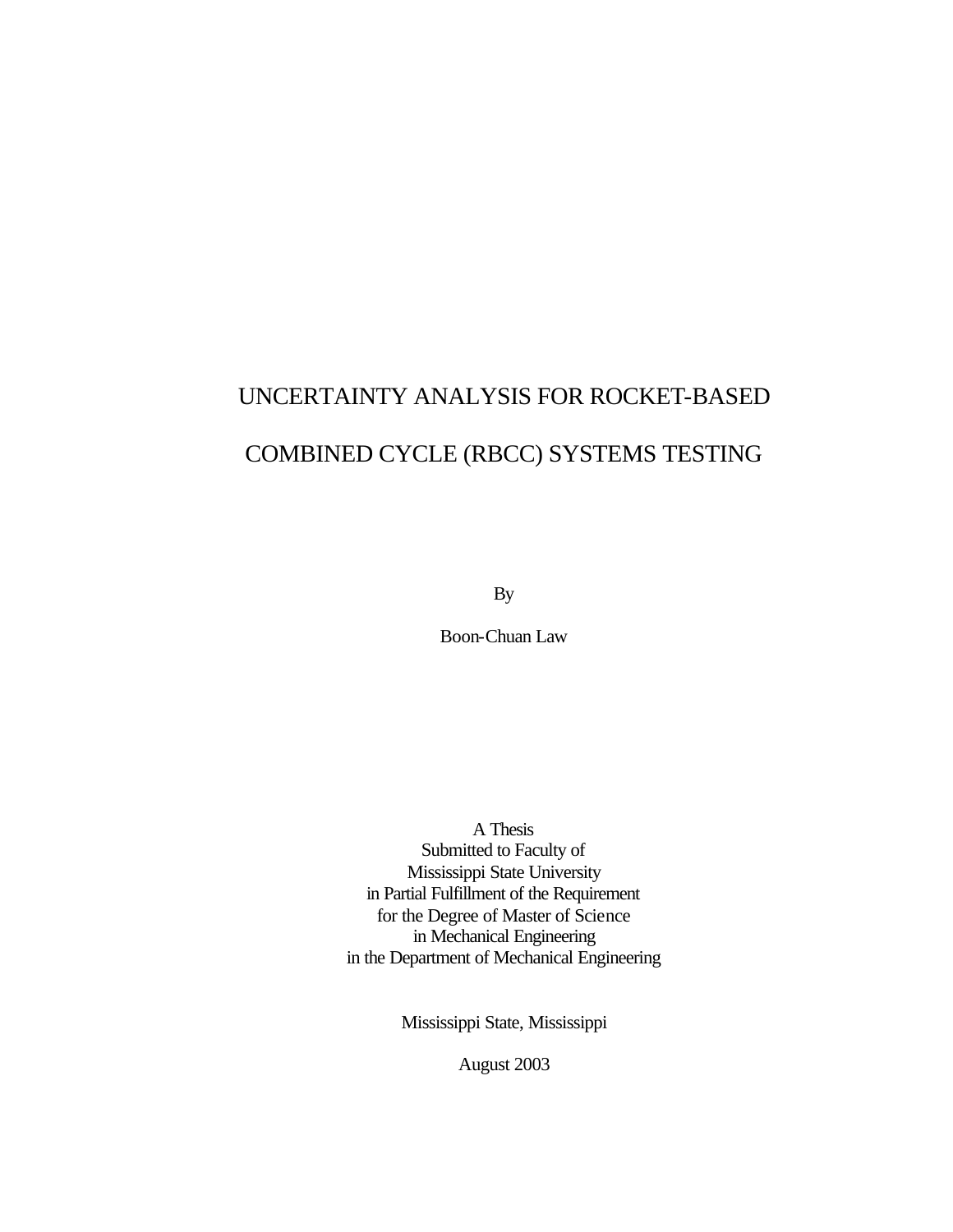# UNCERTAINTY ANALYSIS FOR ROCKET-BASED COMBINED CYCLE (RBCC) SYSTEMS TESTING

By

Boon-Chuan Law

A Thesis Submitted to Faculty of Mississippi State University in Partial Fulfillment of the Requirement for the Degree of Master of Science in Mechanical Engineering in the Department of Mechanical Engineering

Mississippi State, Mississippi

August 2003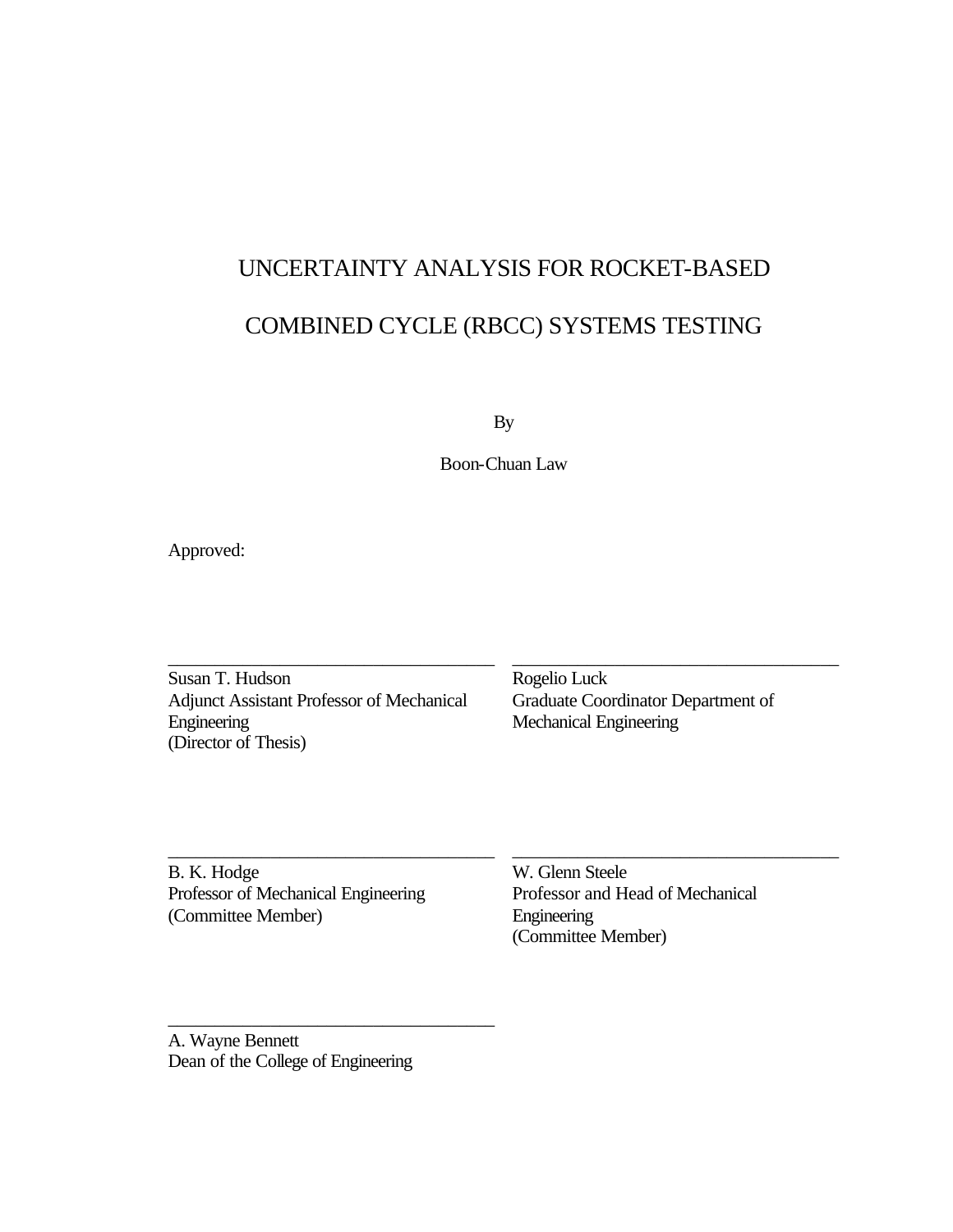# UNCERTAINTY ANALYSIS FOR ROCKET-BASED COMBINED CYCLE (RBCC) SYSTEMS TESTING

By

Boon-Chuan Law

Approved:

Susan T. Hudson Adjunct Assistant Professor of Mechanical Engineering (Director of Thesis)

\_\_\_\_\_\_\_\_\_\_\_\_\_\_\_\_\_\_\_\_\_\_\_\_\_\_\_\_\_\_\_\_\_\_\_

\_\_\_\_\_\_\_\_\_\_\_\_\_\_\_\_\_\_\_\_\_\_\_\_\_\_\_\_\_\_\_\_\_\_\_

\_\_\_\_\_\_\_\_\_\_\_\_\_\_\_\_\_\_\_\_\_\_\_\_\_\_\_\_\_\_\_\_\_\_\_

Rogelio Luck Graduate Coordinator Department of Mechanical Engineering

\_\_\_\_\_\_\_\_\_\_\_\_\_\_\_\_\_\_\_\_\_\_\_\_\_\_\_\_\_\_\_\_\_\_\_

\_\_\_\_\_\_\_\_\_\_\_\_\_\_\_\_\_\_\_\_\_\_\_\_\_\_\_\_\_\_\_\_\_\_\_

B. K. Hodge Professor of Mechanical Engineering (Committee Member)

W. Glenn Steele Professor and Head of Mechanical Engineering (Committee Member)

A. Wayne Bennett Dean of the College of Engineering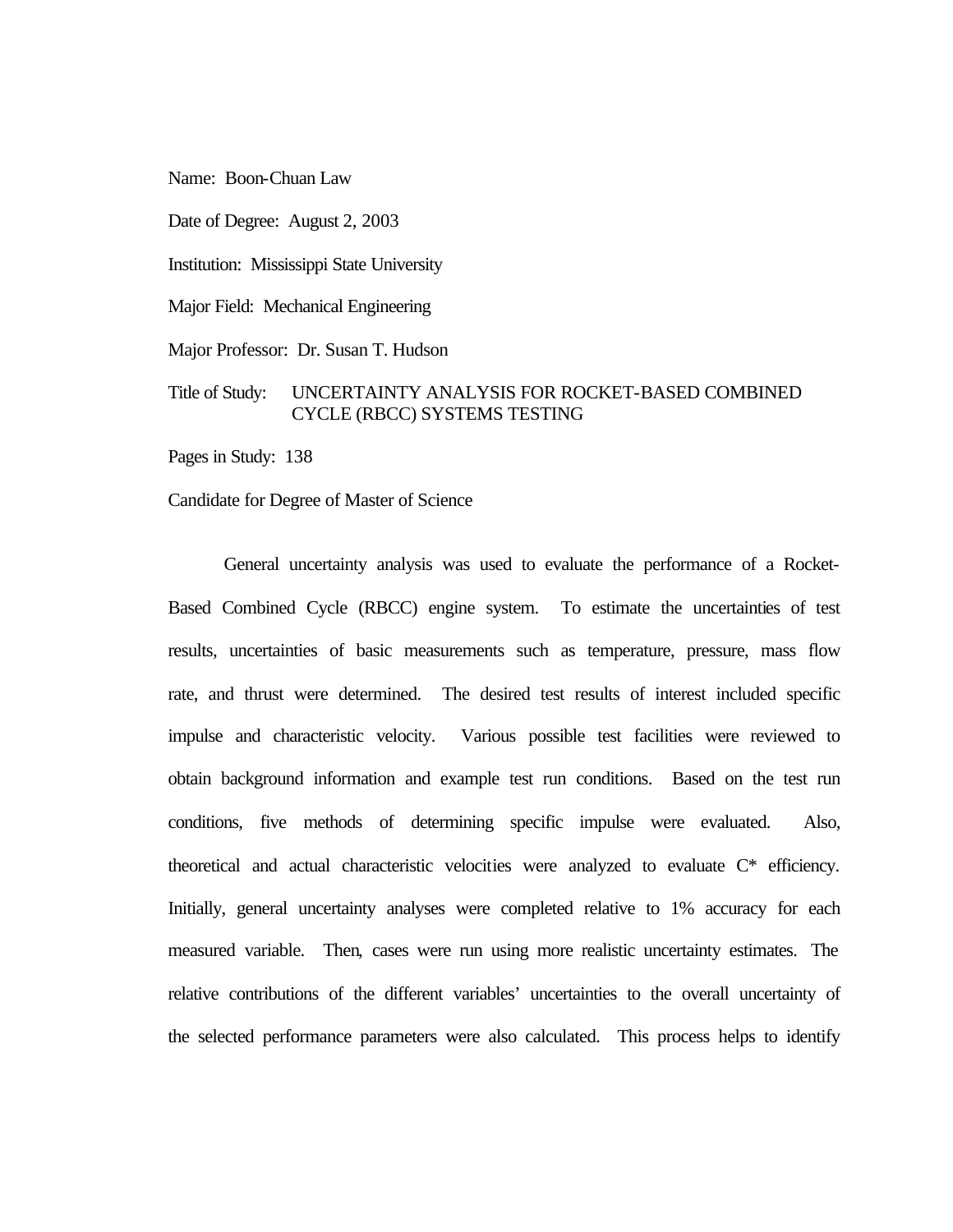Name: Boon-Chuan Law

Date of Degree: August 2, 2003

Institution: Mississippi State University

Major Field: Mechanical Engineering

Major Professor: Dr. Susan T. Hudson

### Title of Study: UNCERTAINTY ANALYSIS FOR ROCKET-BASED COMBINED CYCLE (RBCC) SYSTEMS TESTING

Pages in Study: 138

Candidate for Degree of Master of Science

General uncertainty analysis was used to evaluate the performance of a Rocket-Based Combined Cycle (RBCC) engine system. To estimate the uncertainties of test results, uncertainties of basic measurements such as temperature, pressure, mass flow rate, and thrust were determined. The desired test results of interest included specific impulse and characteristic velocity. Various possible test facilities were reviewed to obtain background information and example test run conditions. Based on the test run conditions, five methods of determining specific impulse were evaluated. Also, theoretical and actual characteristic velocities were analyzed to evaluate C\* efficiency. Initially, general uncertainty analyses were completed relative to 1% accuracy for each measured variable. Then, cases were run using more realistic uncertainty estimates. The relative contributions of the different variables' uncertainties to the overall uncertainty of the selected performance parameters were also calculated. This process helps to identify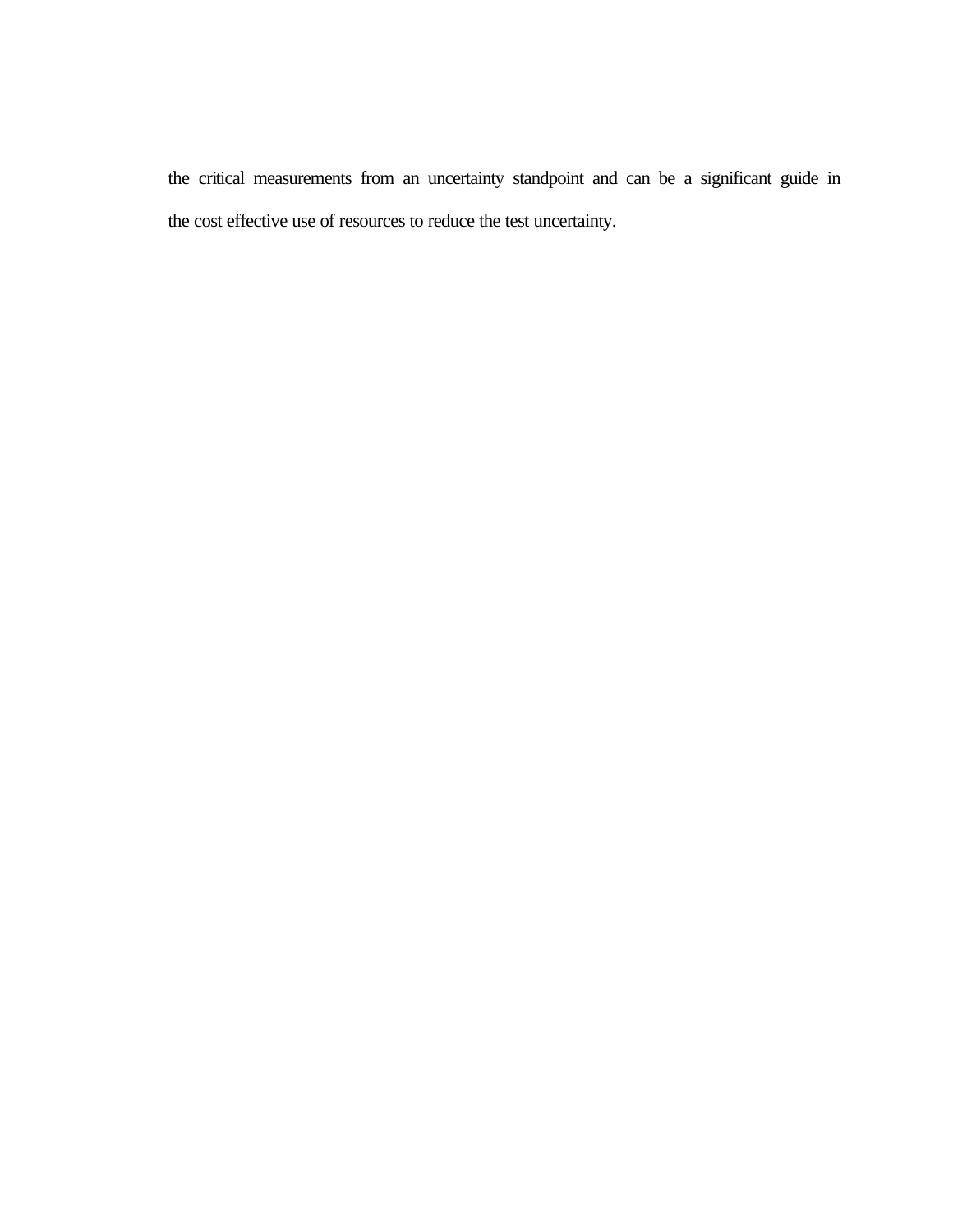the critical measurements from an uncertainty standpoint and can be a significant guide in the cost effective use of resources to reduce the test uncertainty.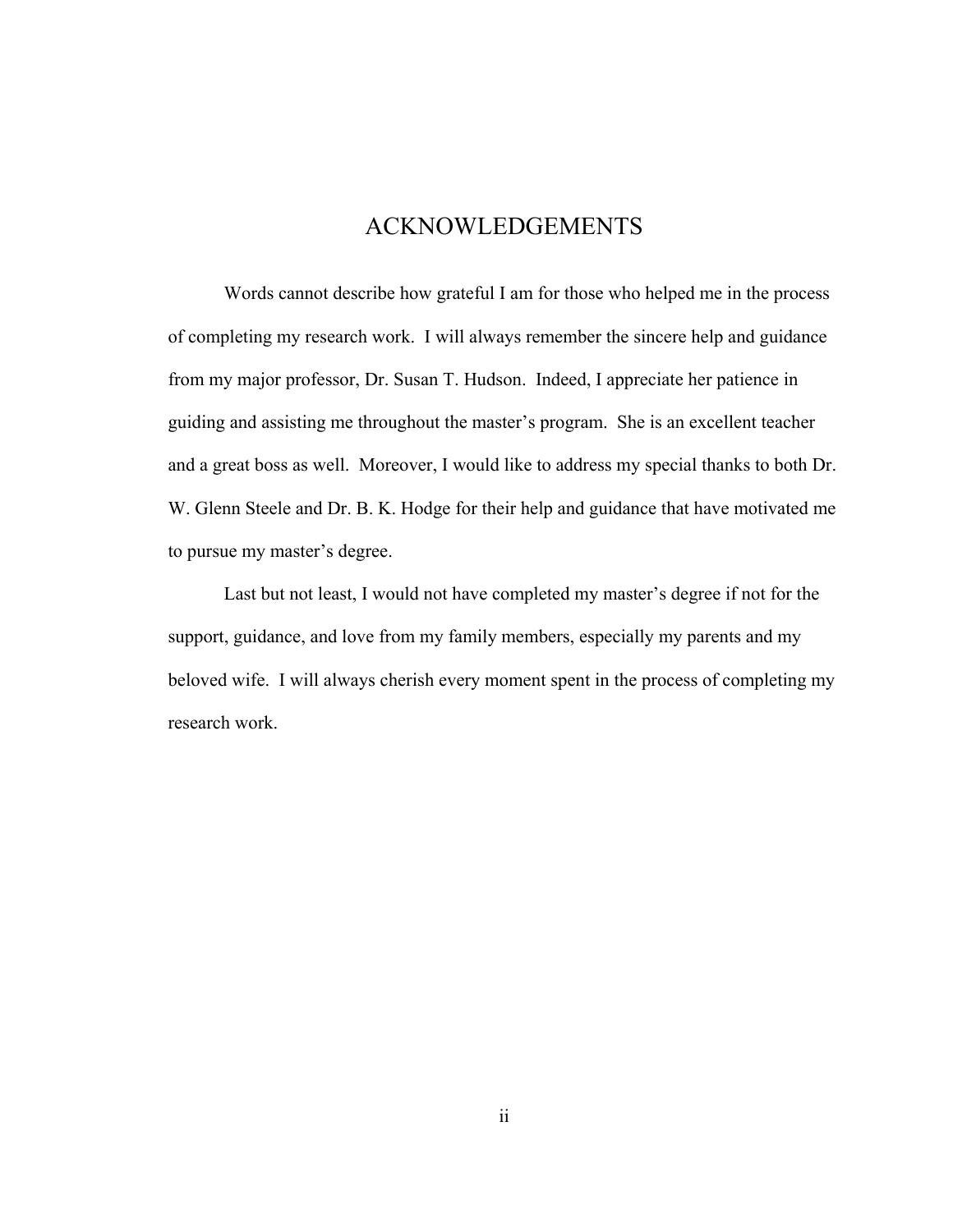### ACKNOWLEDGEMENTS

Words cannot describe how grateful I am for those who helped me in the process of completing my research work. I will always remember the sincere help and guidance from my major professor, Dr. Susan T. Hudson. Indeed, I appreciate her patience in guiding and assisting me throughout the master's program. She is an excellent teacher and a great boss as well. Moreover, I would like to address my special thanks to both Dr. W. Glenn Steele and Dr. B. K. Hodge for their help and guidance that have motivated me to pursue my master's degree.

Last but not least, I would not have completed my master's degree if not for the support, guidance, and love from my family members, especially my parents and my beloved wife. I will always cherish every moment spent in the process of completing my research work.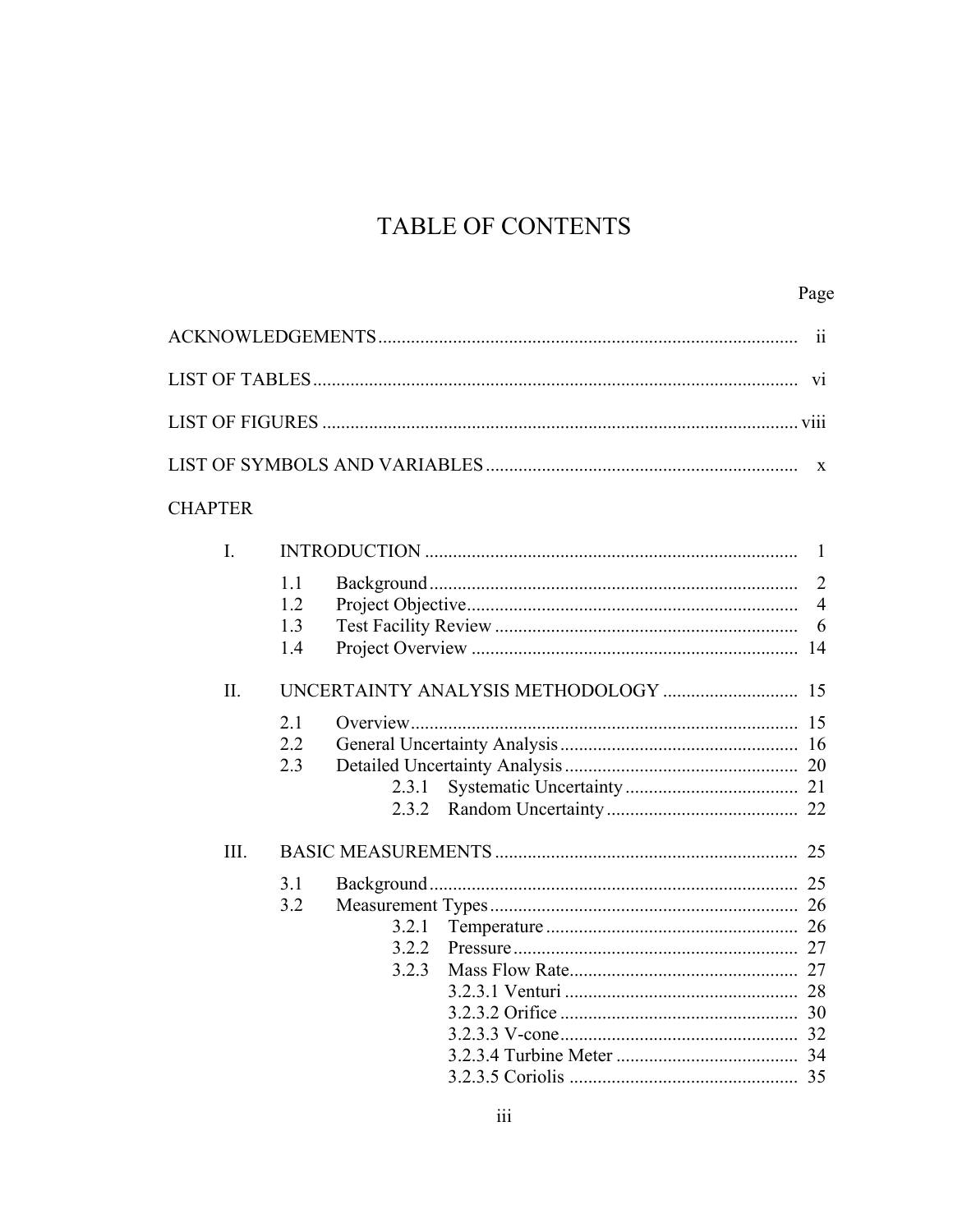# TABLE OF CONTENTS

|                |                                       | 11                                    |
|----------------|---------------------------------------|---------------------------------------|
|                |                                       |                                       |
|                |                                       |                                       |
|                |                                       |                                       |
| <b>CHAPTER</b> |                                       |                                       |
| $I_{\cdot}$    |                                       | -1                                    |
|                | 1.1<br>1.2<br>1.3<br>1.4              | $\overline{2}$<br>$\overline{4}$<br>6 |
| II.            | 2.1<br>2.2<br>2.3<br>2.3.1<br>2.3.2   |                                       |
| III.           | 3.1<br>3.2<br>3.2.1<br>3.2.2<br>3.2.3 |                                       |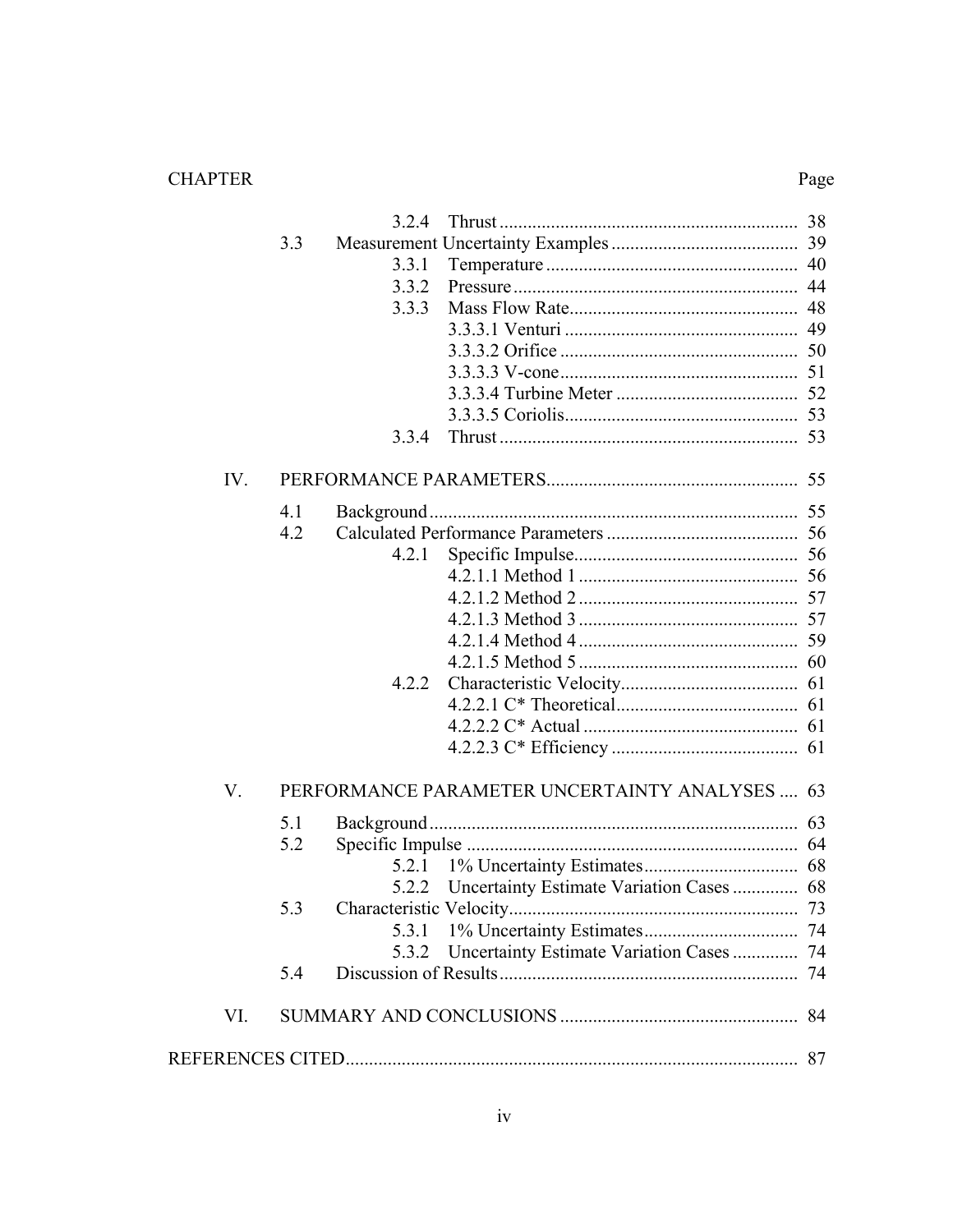### **CHAPTER**

## $\rm Page$

|     |     | 3.2.4 |                                                |  |
|-----|-----|-------|------------------------------------------------|--|
|     | 3.3 |       |                                                |  |
|     |     | 3.3.1 |                                                |  |
|     |     | 3.3.2 |                                                |  |
|     |     | 3.3.3 |                                                |  |
|     |     |       |                                                |  |
|     |     |       |                                                |  |
|     |     |       |                                                |  |
|     |     |       |                                                |  |
|     |     |       |                                                |  |
|     |     | 3.3.4 |                                                |  |
| IV. |     |       |                                                |  |
|     | 4.1 |       |                                                |  |
|     | 4.2 |       |                                                |  |
|     |     | 4.2.1 |                                                |  |
|     |     |       |                                                |  |
|     |     |       |                                                |  |
|     |     |       |                                                |  |
|     |     |       |                                                |  |
|     |     |       |                                                |  |
|     |     | 4.2.2 |                                                |  |
|     |     |       |                                                |  |
|     |     |       |                                                |  |
|     |     |       |                                                |  |
| V.  |     |       | PERFORMANCE PARAMETER UNCERTAINTY ANALYSES  63 |  |
|     | 5.1 |       |                                                |  |
|     | 5.2 |       |                                                |  |
|     |     | 5.2.1 |                                                |  |
|     |     |       | 5.2.2 Uncertainty Estimate Variation Cases  68 |  |
|     | 5.3 |       |                                                |  |
|     |     | 5.3.1 |                                                |  |
|     |     | 5.3.2 | Uncertainty Estimate Variation Cases  74       |  |
|     | 5.4 |       |                                                |  |
| VI. |     |       |                                                |  |
|     |     |       |                                                |  |
|     |     |       |                                                |  |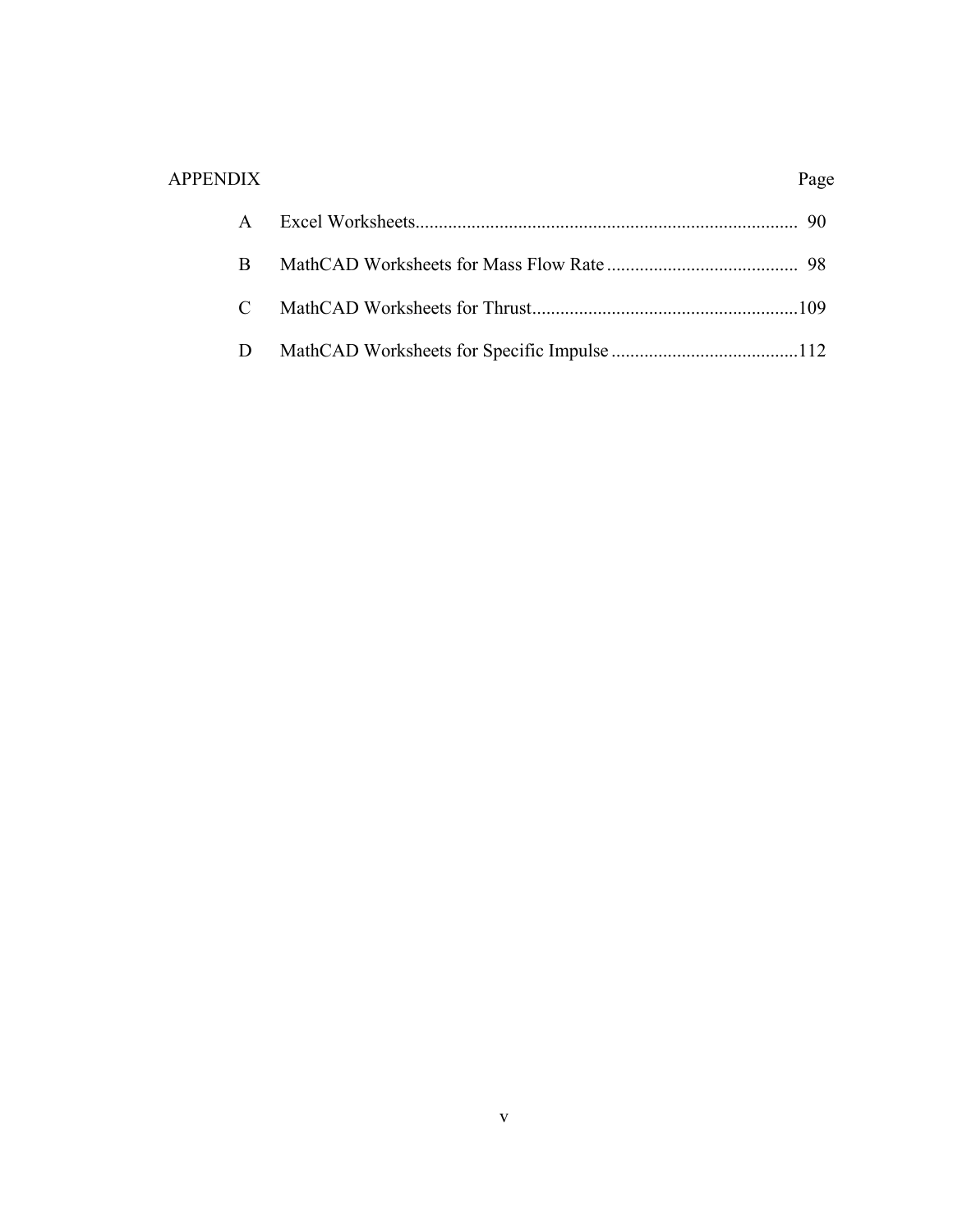# APPENDIX Page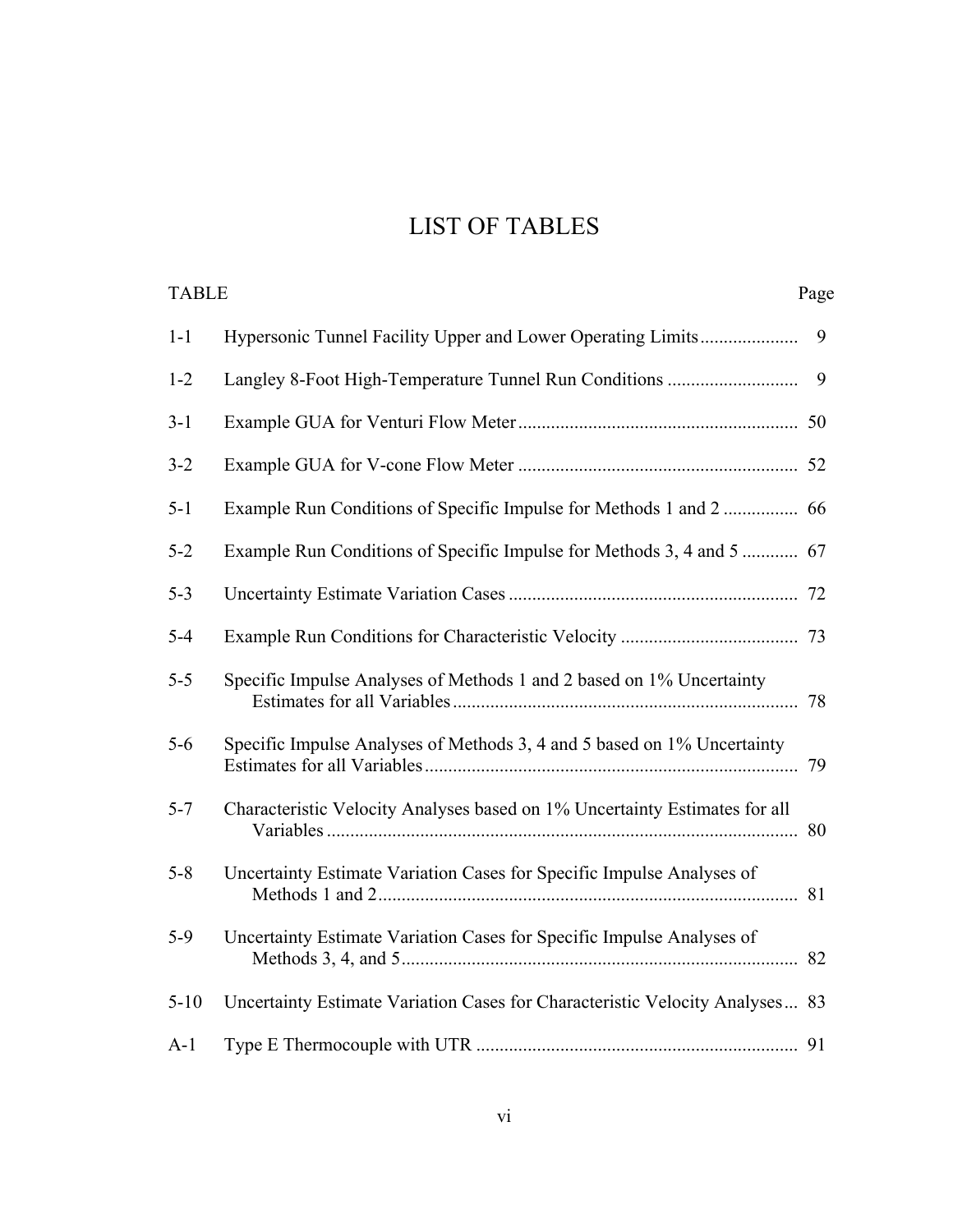# LIST OF TABLES

| <b>TABLE</b> |                                                                              | Page |
|--------------|------------------------------------------------------------------------------|------|
| $1 - 1$      | Hypersonic Tunnel Facility Upper and Lower Operating Limits                  | 9    |
| $1 - 2$      | Langley 8-Foot High-Temperature Tunnel Run Conditions                        | 9    |
| $3-1$        |                                                                              |      |
| $3 - 2$      |                                                                              |      |
| $5 - 1$      | Example Run Conditions of Specific Impulse for Methods 1 and 2  66           |      |
| $5 - 2$      | Example Run Conditions of Specific Impulse for Methods 3, 4 and 5  67        |      |
| $5 - 3$      |                                                                              |      |
| $5 - 4$      |                                                                              |      |
| $5 - 5$      | Specific Impulse Analyses of Methods 1 and 2 based on 1% Uncertainty         |      |
| $5-6$        | Specific Impulse Analyses of Methods 3, 4 and 5 based on 1% Uncertainty      |      |
| $5 - 7$      | Characteristic Velocity Analyses based on 1% Uncertainty Estimates for all   |      |
| $5 - 8$      | Uncertainty Estimate Variation Cases for Specific Impulse Analyses of        |      |
| $5-9$        | Uncertainty Estimate Variation Cases for Specific Impulse Analyses of        |      |
| $5 - 10$     | Uncertainty Estimate Variation Cases for Characteristic Velocity Analyses 83 |      |
| $A-1$        |                                                                              |      |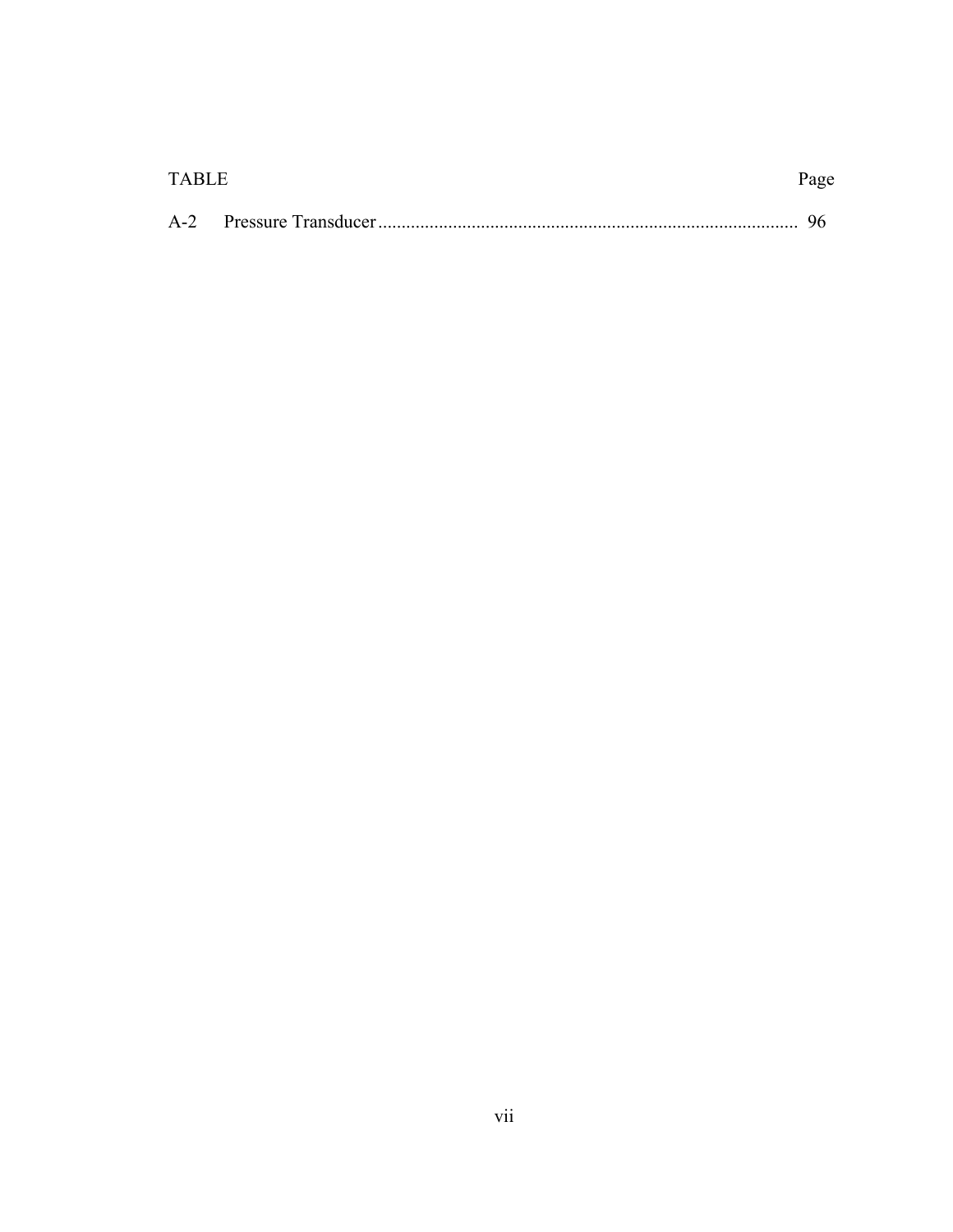| TABLE | Page |
|-------|------|
| $A-2$ |      |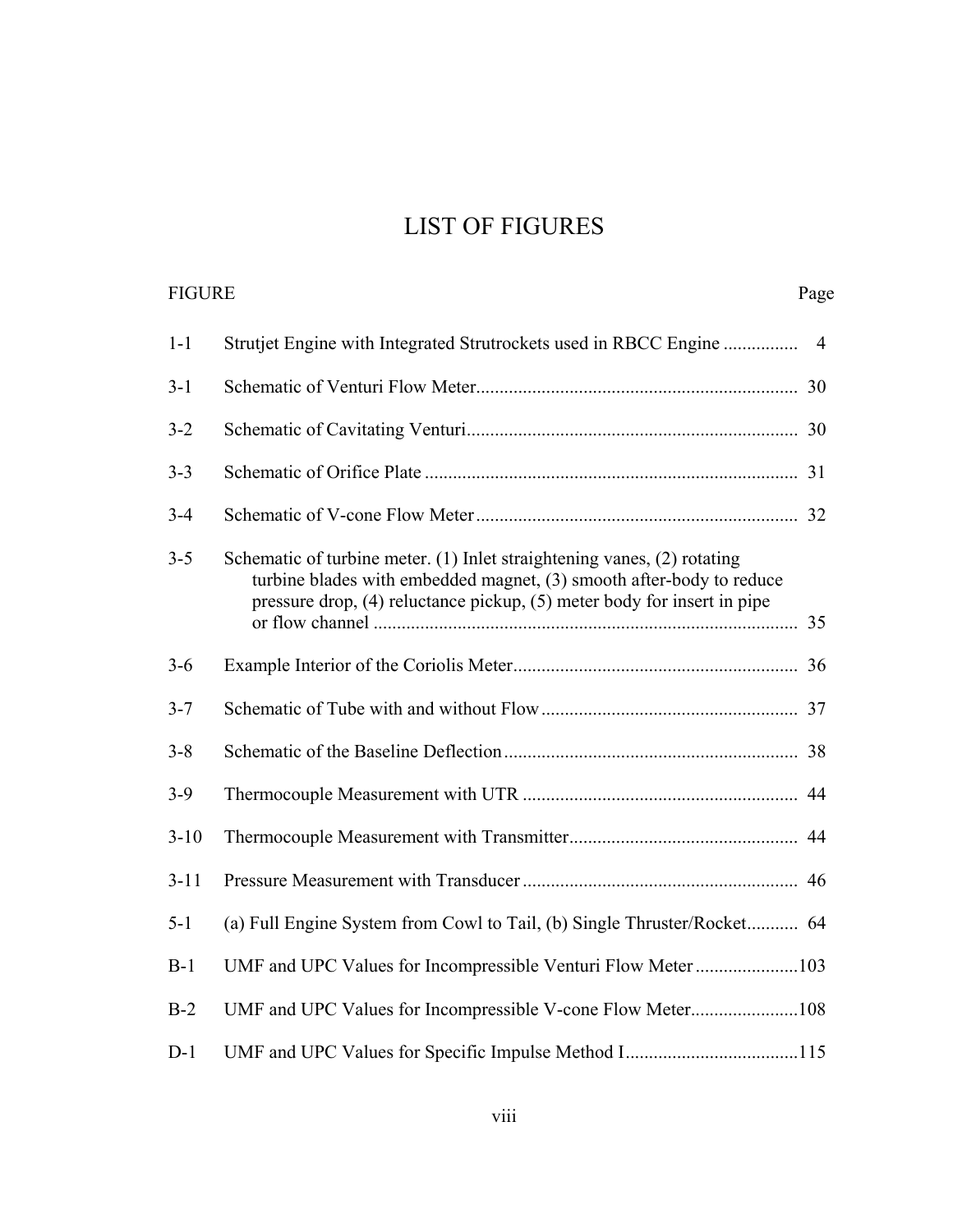# LIST OF FIGURES

| <b>FIGURE</b> |                                                                                                                                                                                                                            | Page           |
|---------------|----------------------------------------------------------------------------------------------------------------------------------------------------------------------------------------------------------------------------|----------------|
| $1-1$         | Strutjet Engine with Integrated Strutrockets used in RBCC Engine                                                                                                                                                           | $\overline{4}$ |
| $3 - 1$       |                                                                                                                                                                                                                            |                |
| $3 - 2$       |                                                                                                                                                                                                                            |                |
| $3 - 3$       |                                                                                                                                                                                                                            |                |
| $3 - 4$       |                                                                                                                                                                                                                            |                |
| $3 - 5$       | Schematic of turbine meter. (1) Inlet straightening vanes, (2) rotating<br>turbine blades with embedded magnet, (3) smooth after-body to reduce<br>pressure drop, (4) reluctance pickup, (5) meter body for insert in pipe |                |
| $3 - 6$       |                                                                                                                                                                                                                            |                |
| $3 - 7$       |                                                                                                                                                                                                                            |                |
| $3 - 8$       |                                                                                                                                                                                                                            |                |
| $3-9$         |                                                                                                                                                                                                                            |                |
| $3 - 10$      |                                                                                                                                                                                                                            |                |
| $3 - 11$      |                                                                                                                                                                                                                            |                |
| $5 - 1$       | (a) Full Engine System from Cowl to Tail, (b) Single Thruster/Rocket 64                                                                                                                                                    |                |
| $B-1$         | UMF and UPC Values for Incompressible Venturi Flow Meter 103                                                                                                                                                               |                |
| $B-2$         | UMF and UPC Values for Incompressible V-cone Flow Meter108                                                                                                                                                                 |                |
| $D-1$         |                                                                                                                                                                                                                            |                |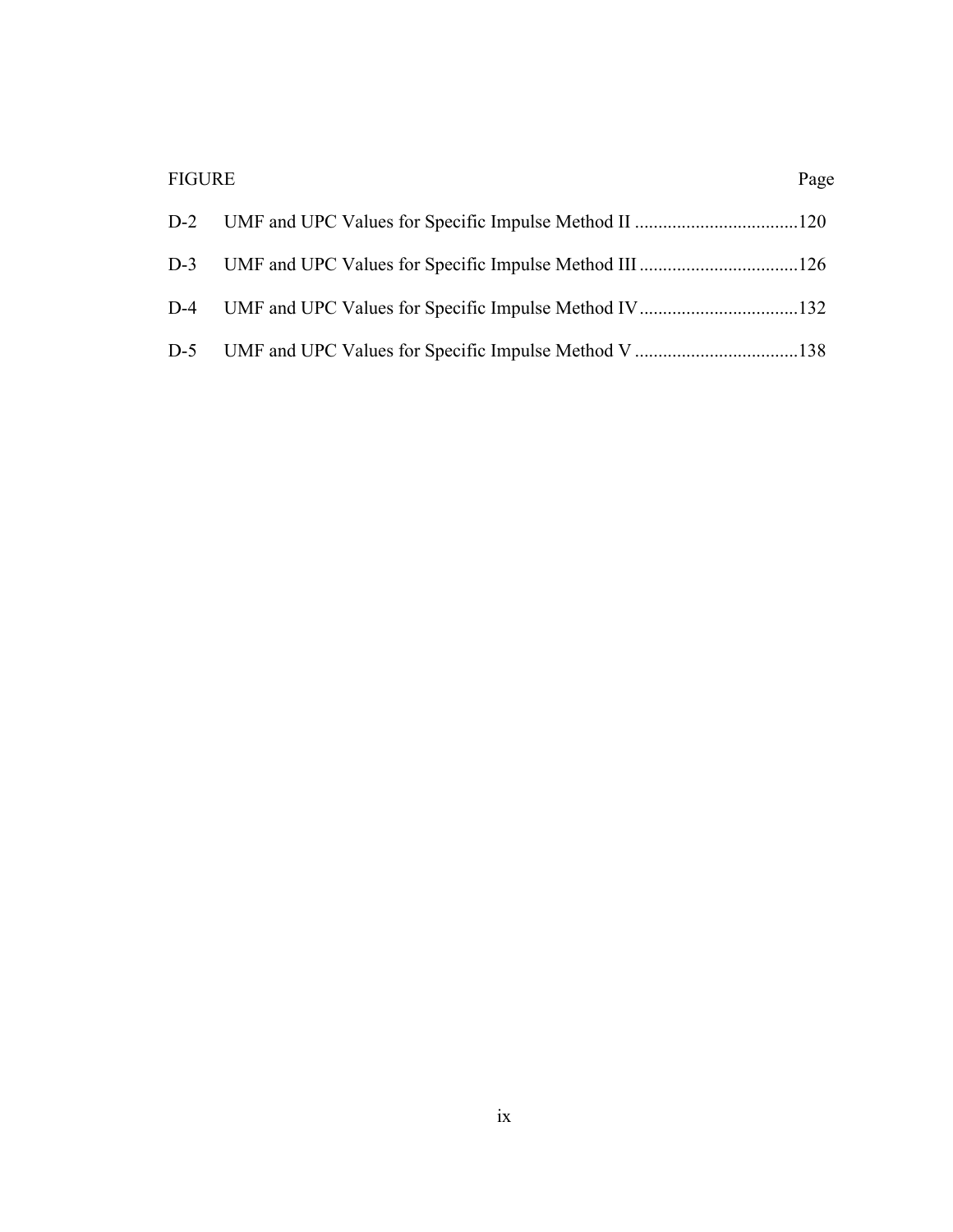| <b>FIGURE</b> | Page |
|---------------|------|
|               |      |
|               |      |
|               |      |
|               |      |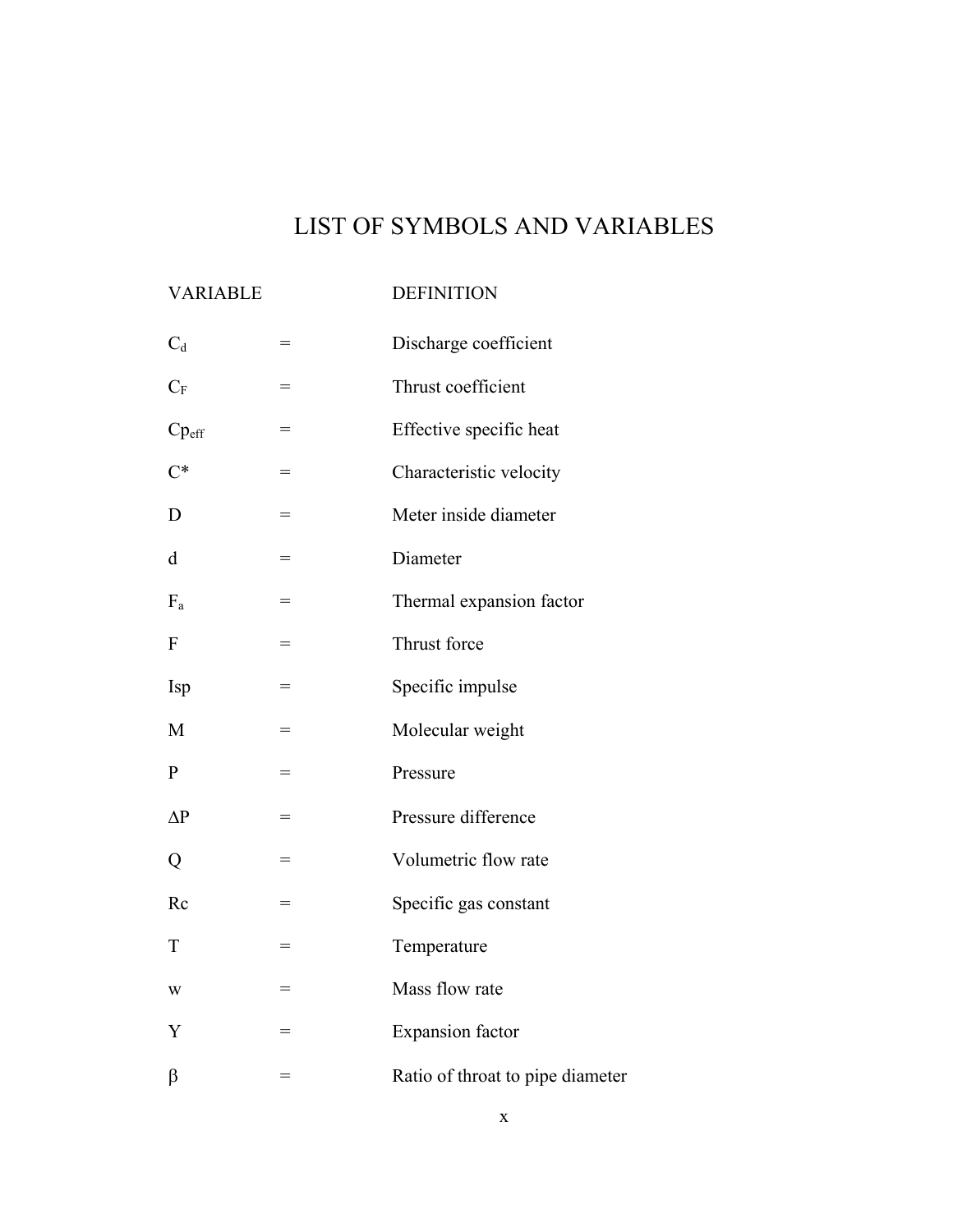# LIST OF SYMBOLS AND VARIABLES

## VARIABLE DEFINITION

| $C_d$             | $=$ | Discharge coefficient            |  |  |  |
|-------------------|-----|----------------------------------|--|--|--|
| $C_F$             | $=$ | Thrust coefficient               |  |  |  |
| $Cp_{\text{eff}}$ | $=$ | Effective specific heat          |  |  |  |
| $C^*$             | $=$ | Characteristic velocity          |  |  |  |
| D                 | $=$ | Meter inside diameter            |  |  |  |
| d                 | =   | Diameter                         |  |  |  |
| $F_a$             | $=$ | Thermal expansion factor         |  |  |  |
| ${\bf F}$         | $=$ | Thrust force                     |  |  |  |
| <b>Isp</b>        | $=$ | Specific impulse                 |  |  |  |
| M                 | =   | Molecular weight                 |  |  |  |
| $\mathbf{P}$      | $=$ | Pressure                         |  |  |  |
| $\Delta P$        | $=$ | Pressure difference              |  |  |  |
| Q                 | $=$ | Volumetric flow rate             |  |  |  |
| Rc                | $=$ | Specific gas constant            |  |  |  |
| $\mathbf T$       | $=$ | Temperature                      |  |  |  |
| W                 | $=$ | Mass flow rate                   |  |  |  |
| Y                 | $=$ | <b>Expansion</b> factor          |  |  |  |
| β                 | $=$ | Ratio of throat to pipe diameter |  |  |  |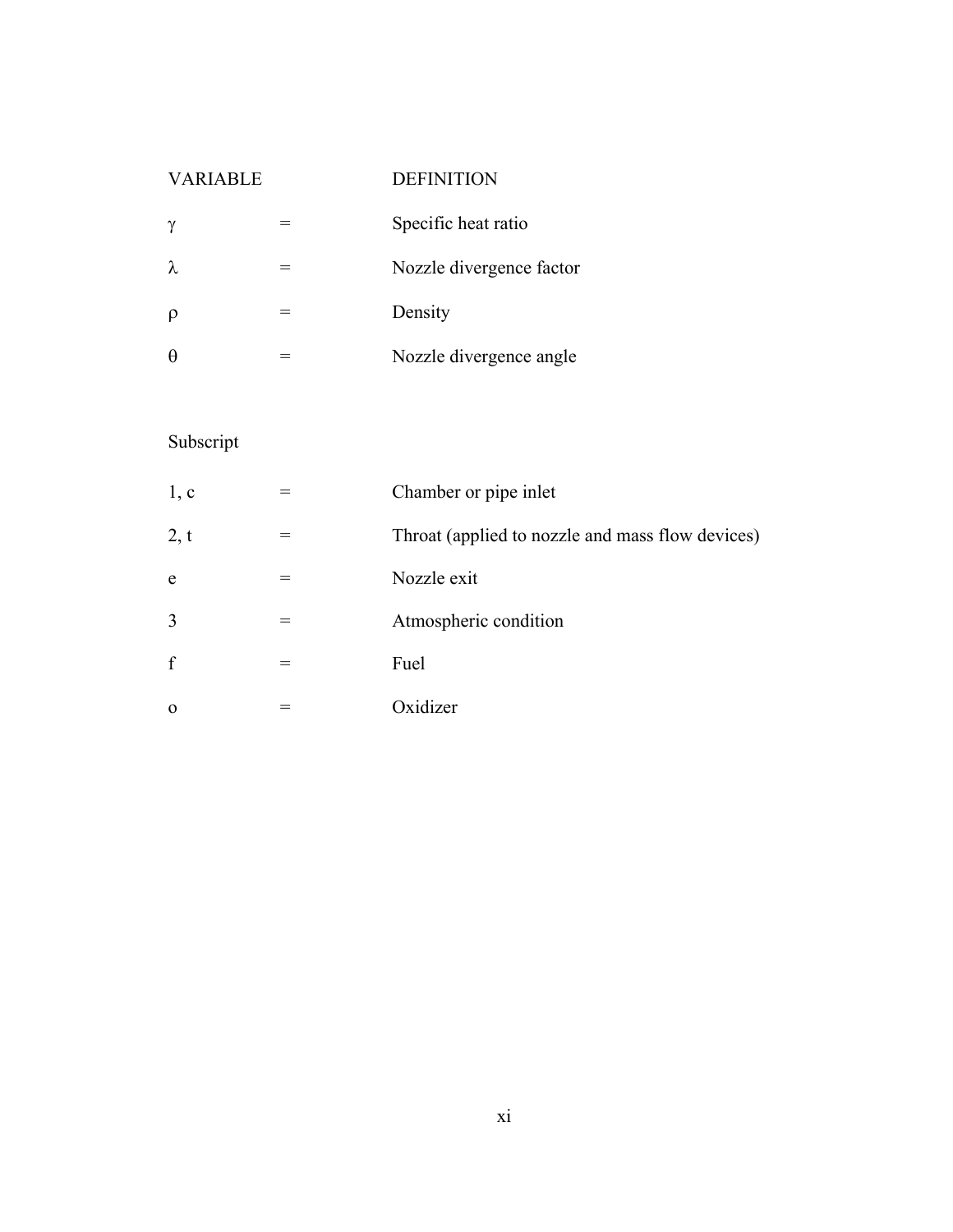### VARIABLE DEFINITION

| $\gamma$  | Specific heat ratio      |  |  |
|-----------|--------------------------|--|--|
| $\lambda$ | Nozzle divergence factor |  |  |
|           | Density                  |  |  |
|           | Nozzle divergence angle  |  |  |

# Subscript

| 1, c           | Chamber or pipe inlet                            |
|----------------|--------------------------------------------------|
| 2, t           | Throat (applied to nozzle and mass flow devices) |
| e              | Nozzle exit                                      |
| $\overline{3}$ | Atmospheric condition                            |
| $\mathbf f$    | Fuel                                             |
| $\Omega$       | Oxidizer                                         |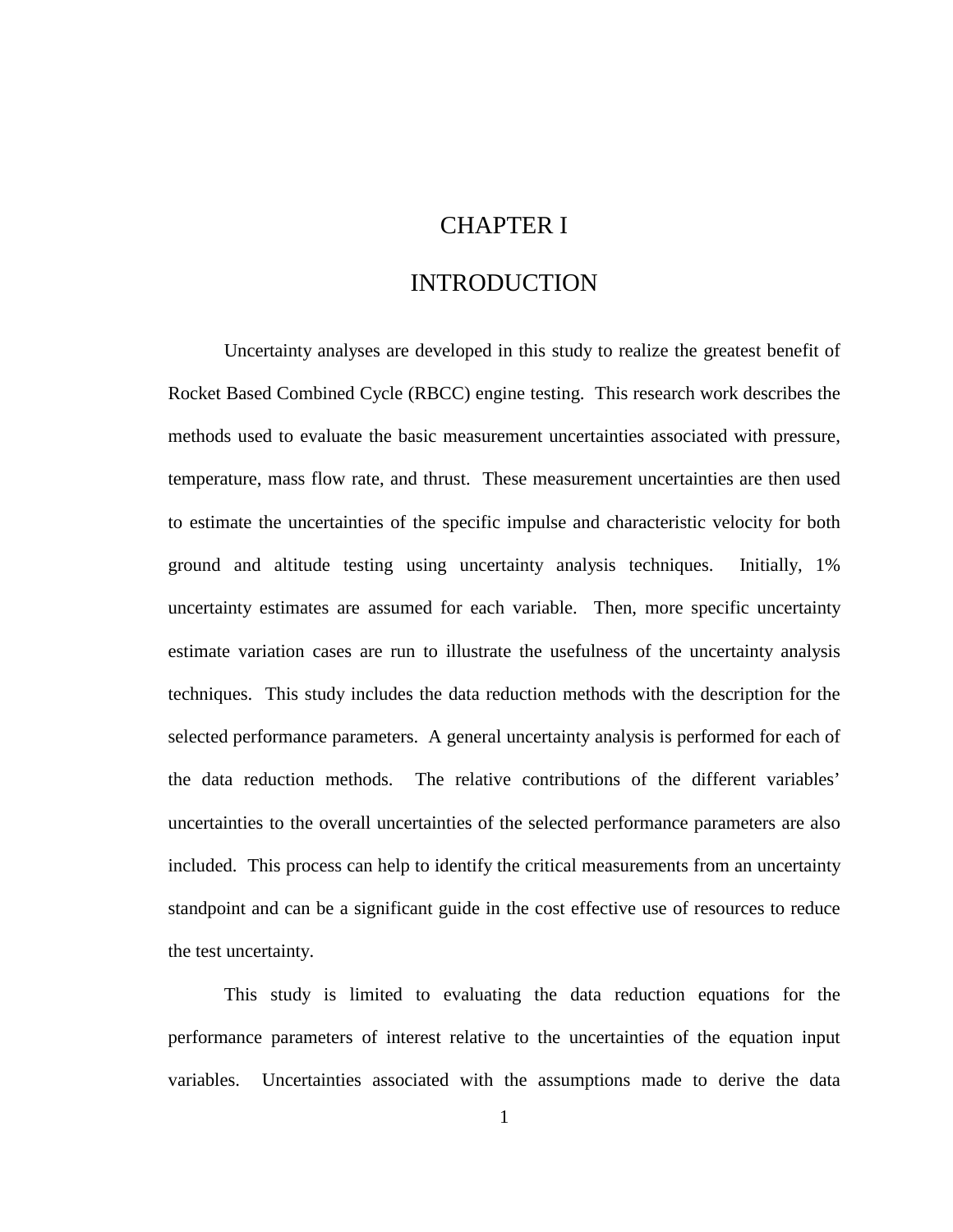### CHAPTER I

### INTRODUCTION

 Uncertainty analyses are developed in this study to realize the greatest benefit of Rocket Based Combined Cycle (RBCC) engine testing. This research work describes the methods used to evaluate the basic measurement uncertainties associated with pressure, temperature, mass flow rate, and thrust. These measurement uncertainties are then used to estimate the uncertainties of the specific impulse and characteristic velocity for both ground and altitude testing using uncertainty analysis techniques. Initially, 1% uncertainty estimates are assumed for each variable. Then, more specific uncertainty estimate variation cases are run to illustrate the usefulness of the uncertainty analysis techniques. This study includes the data reduction methods with the description for the selected performance parameters. A general uncertainty analysis is performed for each of the data reduction methods. The relative contributions of the different variables' uncertainties to the overall uncertainties of the selected performance parameters are also included. This process can help to identify the critical measurements from an uncertainty standpoint and can be a significant guide in the cost effective use of resources to reduce the test uncertainty.

This study is limited to evaluating the data reduction equations for the performance parameters of interest relative to the uncertainties of the equation input variables. Uncertainties associated with the assumptions made to derive the data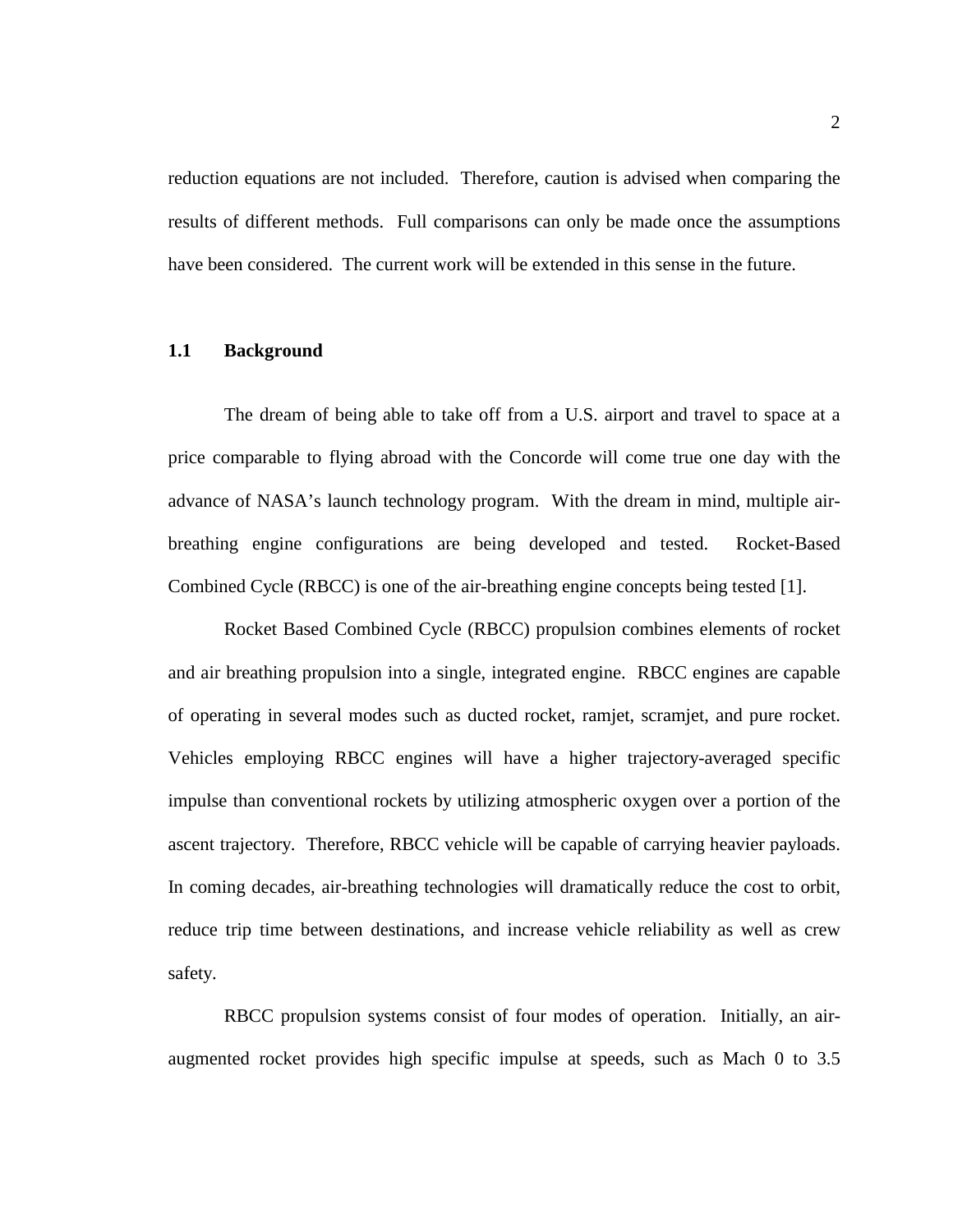reduction equations are not included. Therefore, caution is advised when comparing the results of different methods. Full comparisons can only be made once the assumptions have been considered. The current work will be extended in this sense in the future.

### **1.1 Background**

The dream of being able to take off from a U.S. airport and travel to space at a price comparable to flying abroad with the Concorde will come true one day with the advance of NASA's launch technology program. With the dream in mind, multiple airbreathing engine configurations are being developed and tested. Rocket-Based Combined Cycle (RBCC) is one of the air-breathing engine concepts being tested [1].

Rocket Based Combined Cycle (RBCC) propulsion combines elements of rocket and air breathing propulsion into a single, integrated engine. RBCC engines are capable of operating in several modes such as ducted rocket, ramjet, scramjet, and pure rocket. Vehicles employing RBCC engines will have a higher trajectory-averaged specific impulse than conventional rockets by utilizing atmospheric oxygen over a portion of the ascent trajectory. Therefore, RBCC vehicle will be capable of carrying heavier payloads. In coming decades, air-breathing technologies will dramatically reduce the cost to orbit, reduce trip time between destinations, and increase vehicle reliability as well as crew safety.

RBCC propulsion systems consist of four modes of operation. Initially, an airaugmented rocket provides high specific impulse at speeds, such as Mach 0 to 3.5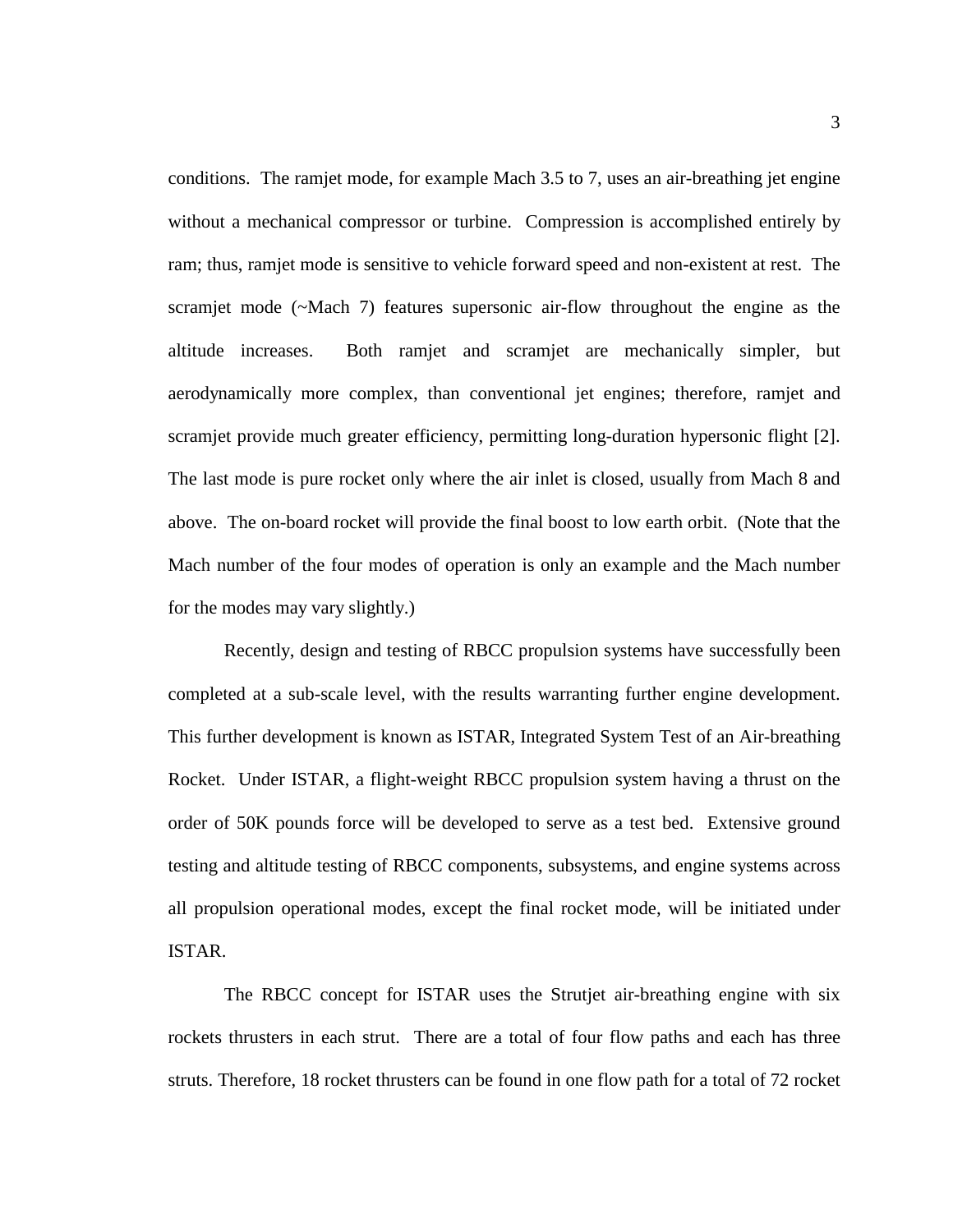conditions. The ramjet mode, for example Mach 3.5 to 7, uses an air-breathing jet engine without a mechanical compressor or turbine. Compression is accomplished entirely by ram; thus, ramjet mode is sensitive to vehicle forward speed and non-existent at rest. The scramjet mode (~Mach 7) features supersonic air-flow throughout the engine as the altitude increases. Both ramjet and scramjet are mechanically simpler, but aerodynamically more complex, than conventional jet engines; therefore, ramjet and scramjet provide much greater efficiency, permitting long-duration hypersonic flight [2]. The last mode is pure rocket only where the air inlet is closed, usually from Mach 8 and above. The on-board rocket will provide the final boost to low earth orbit. (Note that the Mach number of the four modes of operation is only an example and the Mach number for the modes may vary slightly.)

Recently, design and testing of RBCC propulsion systems have successfully been completed at a sub-scale level, with the results warranting further engine development. This further development is known as ISTAR, Integrated System Test of an Air-breathing Rocket. Under ISTAR, a flight-weight RBCC propulsion system having a thrust on the order of 50K pounds force will be developed to serve as a test bed. Extensive ground testing and altitude testing of RBCC components, subsystems, and engine systems across all propulsion operational modes, except the final rocket mode, will be initiated under ISTAR.

The RBCC concept for ISTAR uses the Strutjet air-breathing engine with six rockets thrusters in each strut. There are a total of four flow paths and each has three struts. Therefore, 18 rocket thrusters can be found in one flow path for a total of 72 rocket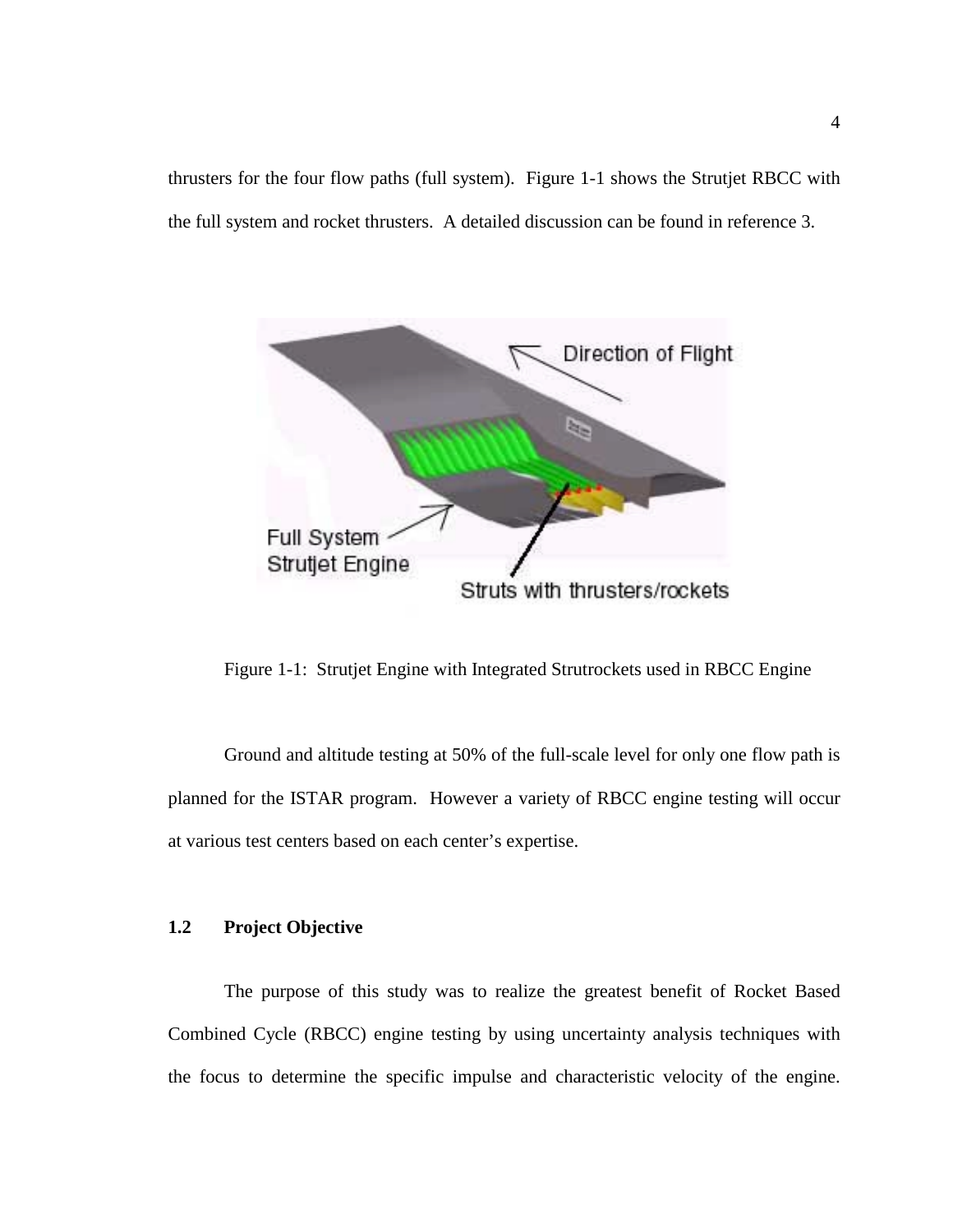thrusters for the four flow paths (full system). Figure 1-1 shows the Strutjet RBCC with the full system and rocket thrusters. A detailed discussion can be found in reference 3.



Figure 1-1: Strutjet Engine with Integrated Strutrockets used in RBCC Engine

Ground and altitude testing at 50% of the full-scale level for only one flow path is planned for the ISTAR program. However a variety of RBCC engine testing will occur at various test centers based on each center's expertise.

### **1.2 Project Objective**

The purpose of this study was to realize the greatest benefit of Rocket Based Combined Cycle (RBCC) engine testing by using uncertainty analysis techniques with the focus to determine the specific impulse and characteristic velocity of the engine.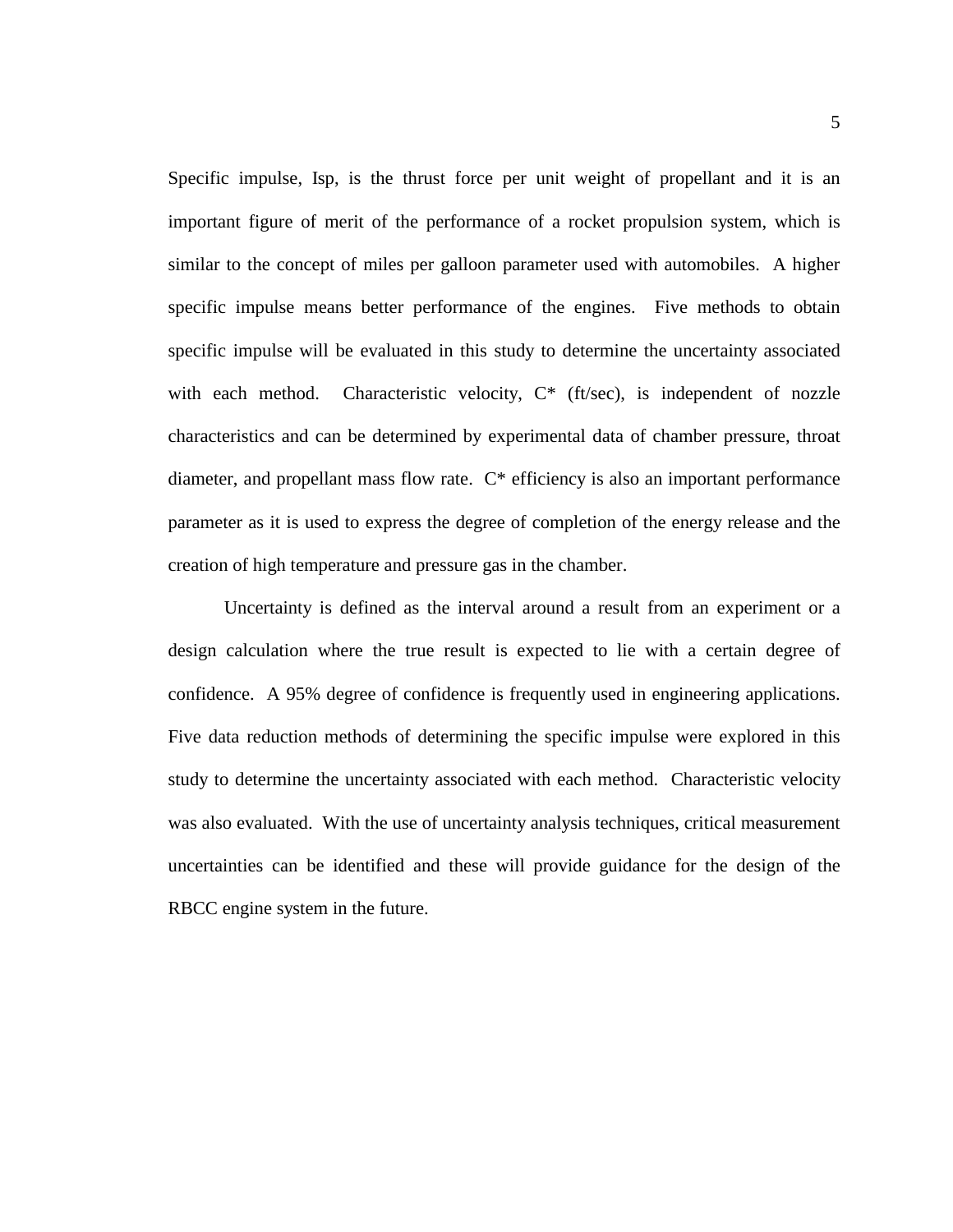Specific impulse, Isp, is the thrust force per unit weight of propellant and it is an important figure of merit of the performance of a rocket propulsion system, which is similar to the concept of miles per galloon parameter used with automobiles. A higher specific impulse means better performance of the engines. Five methods to obtain specific impulse will be evaluated in this study to determine the uncertainty associated with each method. Characteristic velocity,  $C^*$  (ft/sec), is independent of nozzle characteristics and can be determined by experimental data of chamber pressure, throat diameter, and propellant mass flow rate. C\* efficiency is also an important performance parameter as it is used to express the degree of completion of the energy release and the creation of high temperature and pressure gas in the chamber.

Uncertainty is defined as the interval around a result from an experiment or a design calculation where the true result is expected to lie with a certain degree of confidence. A 95% degree of confidence is frequently used in engineering applications. Five data reduction methods of determining the specific impulse were explored in this study to determine the uncertainty associated with each method. Characteristic velocity was also evaluated. With the use of uncertainty analysis techniques, critical measurement uncertainties can be identified and these will provide guidance for the design of the RBCC engine system in the future.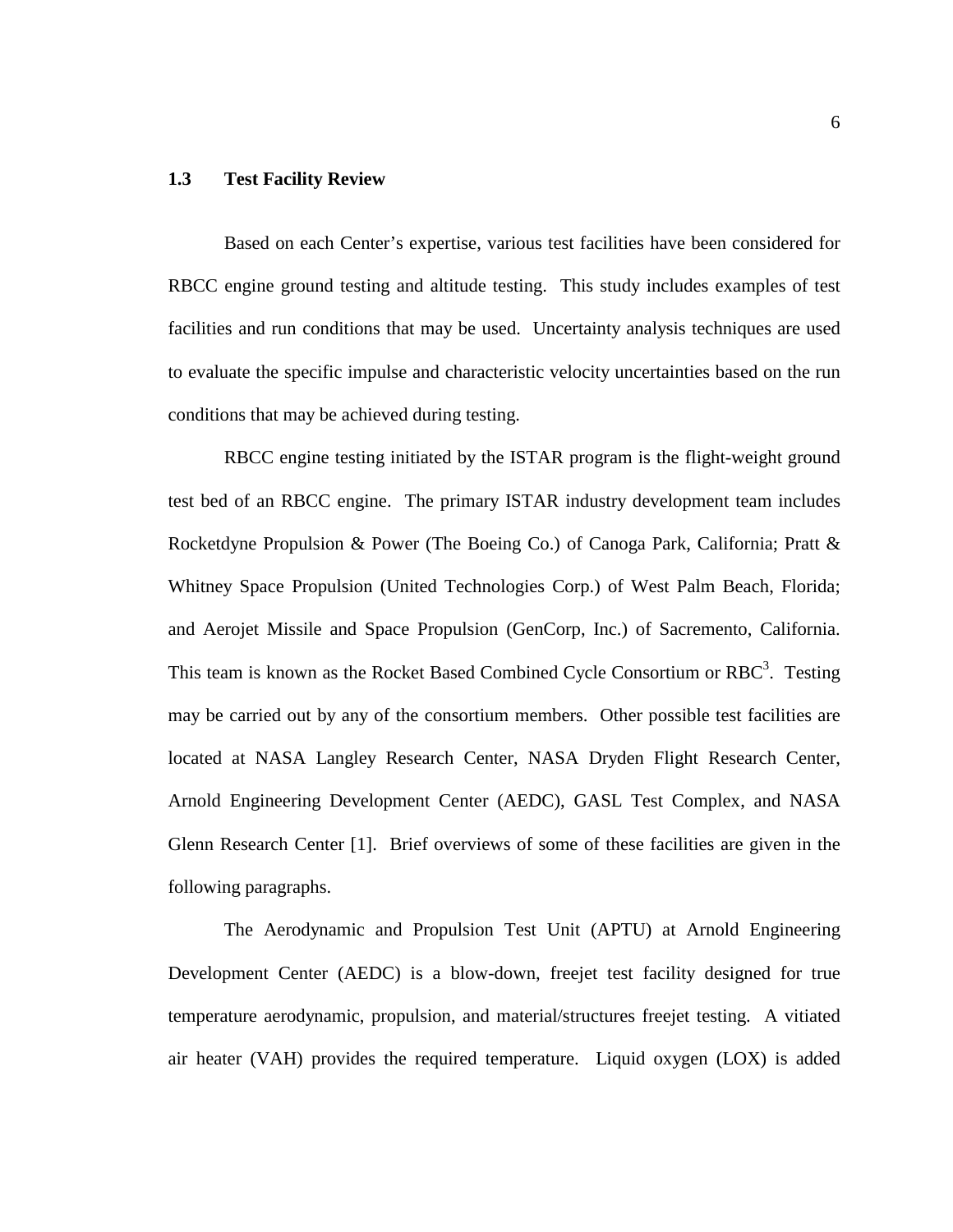#### **1.3 Test Facility Review**

Based on each Center's expertise, various test facilities have been considered for RBCC engine ground testing and altitude testing. This study includes examples of test facilities and run conditions that may be used. Uncertainty analysis techniques are used to evaluate the specific impulse and characteristic velocity uncertainties based on the run conditions that may be achieved during testing.

RBCC engine testing initiated by the ISTAR program is the flight-weight ground test bed of an RBCC engine. The primary ISTAR industry development team includes Rocketdyne Propulsion & Power (The Boeing Co.) of Canoga Park, California; Pratt & Whitney Space Propulsion (United Technologies Corp.) of West Palm Beach, Florida; and Aerojet Missile and Space Propulsion (GenCorp, Inc.) of Sacremento, California. This team is known as the Rocket Based Combined Cycle Consortium or  $RBC<sup>3</sup>$ . Testing may be carried out by any of the consortium members. Other possible test facilities are located at NASA Langley Research Center, NASA Dryden Flight Research Center, Arnold Engineering Development Center (AEDC), GASL Test Complex, and NASA Glenn Research Center [1]. Brief overviews of some of these facilities are given in the following paragraphs.

The Aerodynamic and Propulsion Test Unit (APTU) at Arnold Engineering Development Center (AEDC) is a blow-down, freejet test facility designed for true temperature aerodynamic, propulsion, and material/structures freejet testing. A vitiated air heater (VAH) provides the required temperature. Liquid oxygen (LOX) is added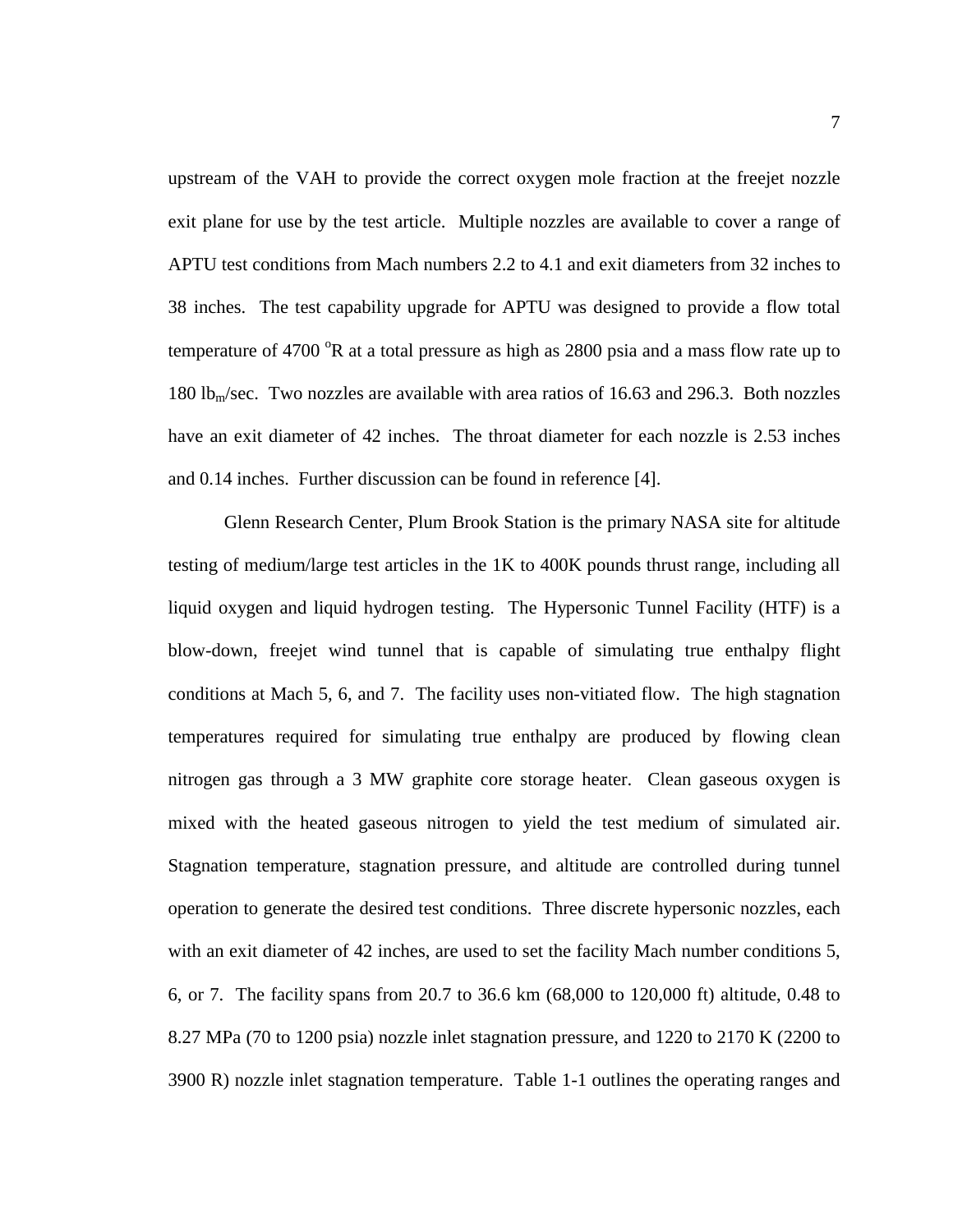upstream of the VAH to provide the correct oxygen mole fraction at the freejet nozzle exit plane for use by the test article. Multiple nozzles are available to cover a range of APTU test conditions from Mach numbers 2.2 to 4.1 and exit diameters from 32 inches to 38 inches. The test capability upgrade for APTU was designed to provide a flow total temperature of 4700  $\mathrm{R}$  at a total pressure as high as 2800 psia and a mass flow rate up to 180 lb<sub>m</sub>/sec. Two nozzles are available with area ratios of 16.63 and 296.3. Both nozzles have an exit diameter of 42 inches. The throat diameter for each nozzle is 2.53 inches and 0.14 inches. Further discussion can be found in reference [4].

Glenn Research Center, Plum Brook Station is the primary NASA site for altitude testing of medium/large test articles in the 1K to 400K pounds thrust range, including all liquid oxygen and liquid hydrogen testing. The Hypersonic Tunnel Facility (HTF) is a blow-down, freejet wind tunnel that is capable of simulating true enthalpy flight conditions at Mach 5, 6, and 7. The facility uses non-vitiated flow. The high stagnation temperatures required for simulating true enthalpy are produced by flowing clean nitrogen gas through a 3 MW graphite core storage heater. Clean gaseous oxygen is mixed with the heated gaseous nitrogen to yield the test medium of simulated air. Stagnation temperature, stagnation pressure, and altitude are controlled during tunnel operation to generate the desired test conditions. Three discrete hypersonic nozzles, each with an exit diameter of 42 inches, are used to set the facility Mach number conditions 5, 6, or 7. The facility spans from 20.7 to 36.6 km (68,000 to 120,000 ft) altitude, 0.48 to 8.27 MPa (70 to 1200 psia) nozzle inlet stagnation pressure, and 1220 to 2170 K (2200 to 3900 R) nozzle inlet stagnation temperature. Table 1-1 outlines the operating ranges and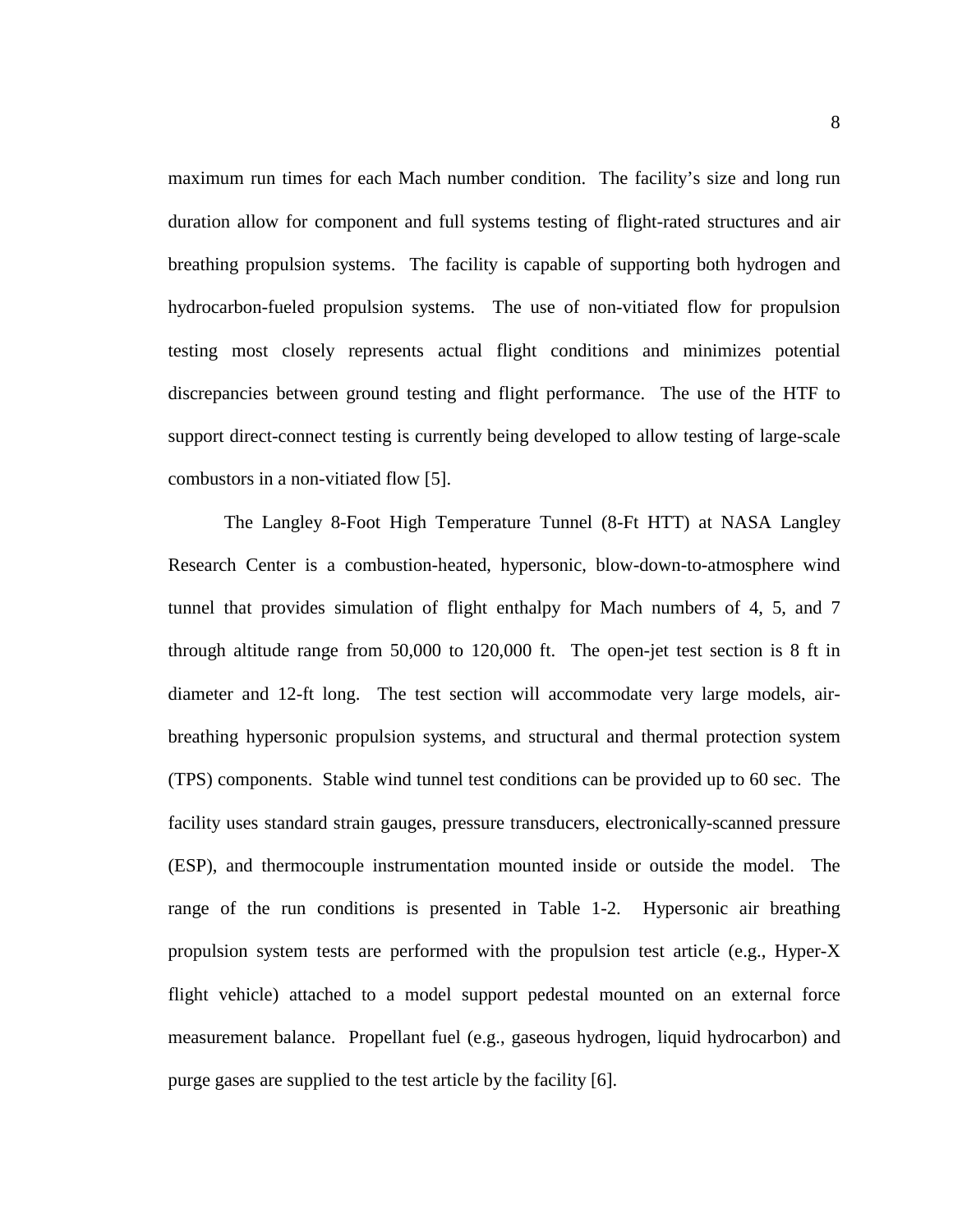maximum run times for each Mach number condition. The facility's size and long run duration allow for component and full systems testing of flight-rated structures and air breathing propulsion systems. The facility is capable of supporting both hydrogen and hydrocarbon-fueled propulsion systems. The use of non-vitiated flow for propulsion testing most closely represents actual flight conditions and minimizes potential discrepancies between ground testing and flight performance. The use of the HTF to support direct-connect testing is currently being developed to allow testing of large-scale combustors in a non-vitiated flow [5].

The Langley 8-Foot High Temperature Tunnel (8-Ft HTT) at NASA Langley Research Center is a combustion-heated, hypersonic, blow-down-to-atmosphere wind tunnel that provides simulation of flight enthalpy for Mach numbers of 4, 5, and 7 through altitude range from 50,000 to 120,000 ft. The open-jet test section is 8 ft in diameter and 12-ft long. The test section will accommodate very large models, airbreathing hypersonic propulsion systems, and structural and thermal protection system (TPS) components. Stable wind tunnel test conditions can be provided up to 60 sec. The facility uses standard strain gauges, pressure transducers, electronically-scanned pressure (ESP), and thermocouple instrumentation mounted inside or outside the model. The range of the run conditions is presented in Table 1-2. Hypersonic air breathing propulsion system tests are performed with the propulsion test article (e.g., Hyper-X flight vehicle) attached to a model support pedestal mounted on an external force measurement balance. Propellant fuel (e.g., gaseous hydrogen, liquid hydrocarbon) and purge gases are supplied to the test article by the facility [6].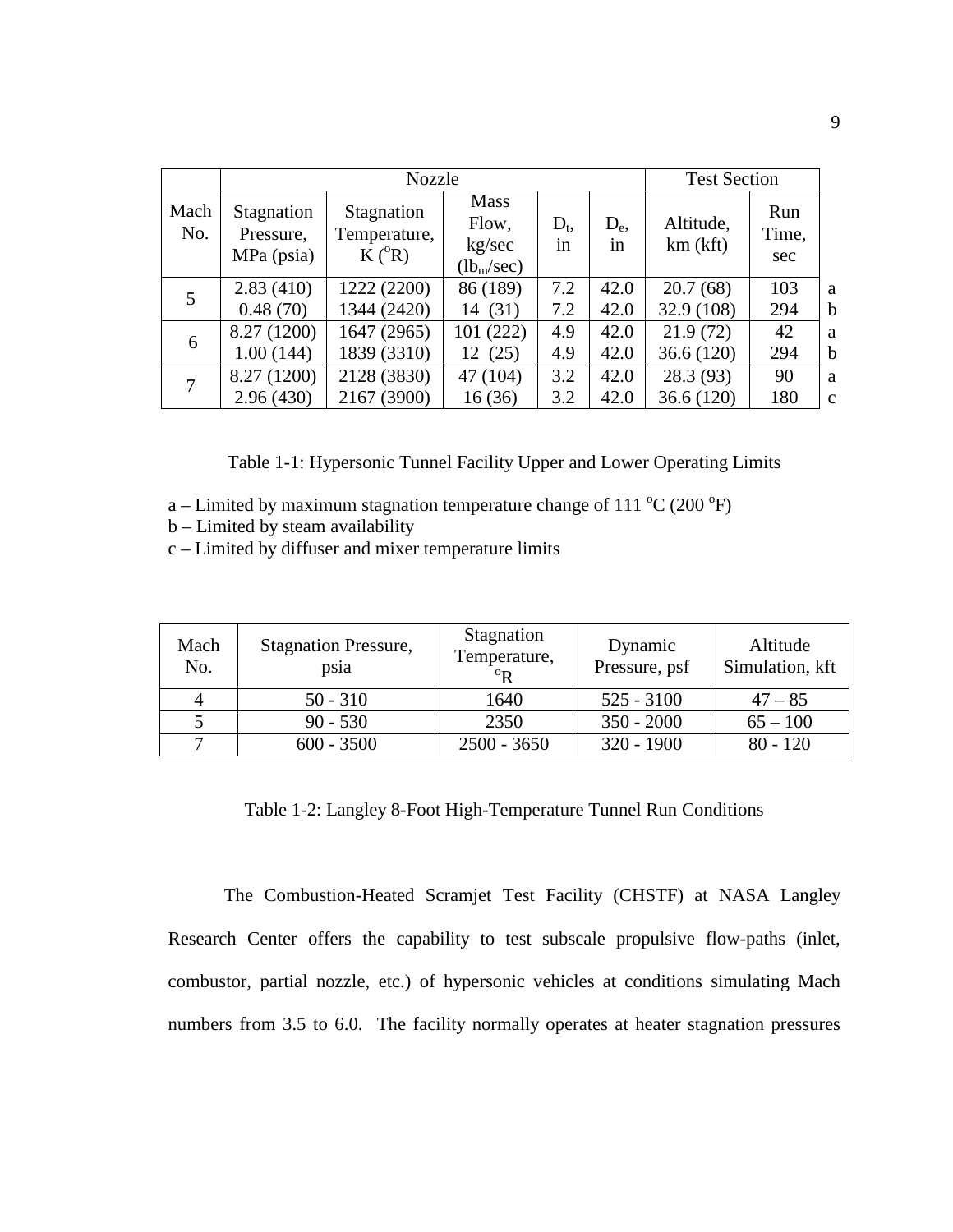| <b>Nozzle</b> |                                         |                                        |                                                          | <b>Test Section</b> |               |                       |                     |              |
|---------------|-----------------------------------------|----------------------------------------|----------------------------------------------------------|---------------------|---------------|-----------------------|---------------------|--------------|
| Mach<br>No.   | Stagnation<br>Pressure,<br>$MPa$ (psia) | Stagnation<br>Temperature,<br>$K(^oR)$ | <b>Mass</b><br>Flow,<br>kg/sec<br>(lb <sub>m</sub> /sec) | $D_t$<br>in         | $D_{e}$<br>1n | Altitude,<br>km (kft) | Run<br>Time,<br>sec |              |
| 5             | 2.83(410)                               | 1222 (2200)                            | 86 (189)                                                 | 7.2                 | 42.0          | 20.7(68)              | 103                 | a            |
|               | 0.48(70)                                | 1344 (2420)                            | 14 (31)                                                  | 7.2                 | 42.0          | 32.9 (108)            | 294                 | $\mathbf b$  |
| 6             | 8.27 (1200)                             | 1647 (2965)                            | 101(222)                                                 | 4.9                 | 42.0          | 21.9(72)              | 42                  | a            |
|               | 1.00(144)                               | 1839 (3310)                            | 12(25)                                                   | 4.9                 | 42.0          | 36.6(120)             | 294                 | $\mathbf b$  |
| 7             | 8.27 (1200)                             | 2128 (3830)                            | 47 (104)                                                 | 3.2                 | 42.0          | 28.3(93)              | 90                  | a            |
|               | 2.96(430)                               | 2167 (3900)                            | 16(36)                                                   | 3.2                 | 42.0          | 36.6(120)             | 180                 | $\mathbf{c}$ |

Table 1-1: Hypersonic Tunnel Facility Upper and Lower Operating Limits

- a Limited by maximum stagnation temperature change of 111  $^{\circ}$ C (200  $^{\circ}$ F)
- b Limited by steam availability
- c Limited by diffuser and mixer temperature limits

| Mach<br>No. | <b>Stagnation Pressure,</b><br>psia | Stagnation<br>Temperature,<br>$^{\rm o}$ <sub>R</sub> | Dynamic<br>Pressure, psf | Altitude<br>Simulation, kft |
|-------------|-------------------------------------|-------------------------------------------------------|--------------------------|-----------------------------|
|             | $50 - 310$                          | 1640                                                  | $525 - 3100$             | $47 - 85$                   |
|             | $90 - 530$                          | 2350                                                  | $350 - 2000$             | $65 - 100$                  |
|             | $600 - 3500$                        | $2500 - 3650$                                         | $320 - 1900$             | $80 - 120$                  |

Table 1-2: Langley 8-Foot High-Temperature Tunnel Run Conditions

The Combustion-Heated Scramjet Test Facility (CHSTF) at NASA Langley Research Center offers the capability to test subscale propulsive flow-paths (inlet, combustor, partial nozzle, etc.) of hypersonic vehicles at conditions simulating Mach numbers from 3.5 to 6.0. The facility normally operates at heater stagnation pressures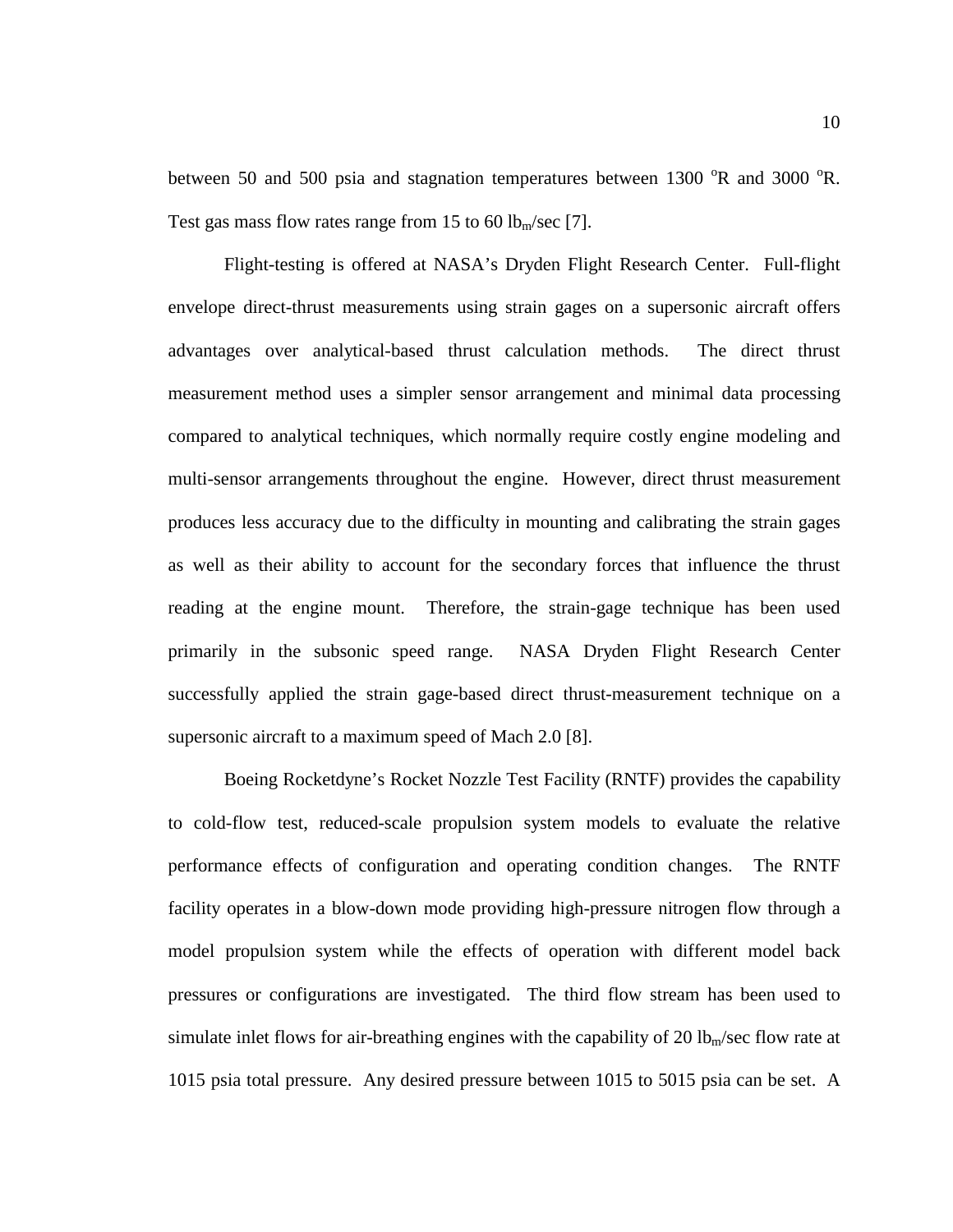between 50 and 500 psia and stagnation temperatures between  $1300 \text{ °R}$  and  $3000 \text{ °R}$ . Test gas mass flow rates range from 15 to 60 lb<sub>m</sub>/sec [7].

Flight-testing is offered at NASA's Dryden Flight Research Center. Full-flight envelope direct-thrust measurements using strain gages on a supersonic aircraft offers advantages over analytical-based thrust calculation methods. The direct thrust measurement method uses a simpler sensor arrangement and minimal data processing compared to analytical techniques, which normally require costly engine modeling and multi-sensor arrangements throughout the engine. However, direct thrust measurement produces less accuracy due to the difficulty in mounting and calibrating the strain gages as well as their ability to account for the secondary forces that influence the thrust reading at the engine mount. Therefore, the strain-gage technique has been used primarily in the subsonic speed range. NASA Dryden Flight Research Center successfully applied the strain gage-based direct thrust-measurement technique on a supersonic aircraft to a maximum speed of Mach 2.0 [8].

Boeing Rocketdyne's Rocket Nozzle Test Facility (RNTF) provides the capability to cold-flow test, reduced-scale propulsion system models to evaluate the relative performance effects of configuration and operating condition changes. The RNTF facility operates in a blow-down mode providing high-pressure nitrogen flow through a model propulsion system while the effects of operation with different model back pressures or configurations are investigated. The third flow stream has been used to simulate inlet flows for air-breathing engines with the capability of 20  $lb<sub>m</sub>/sec$  flow rate at 1015 psia total pressure. Any desired pressure between 1015 to 5015 psia can be set. A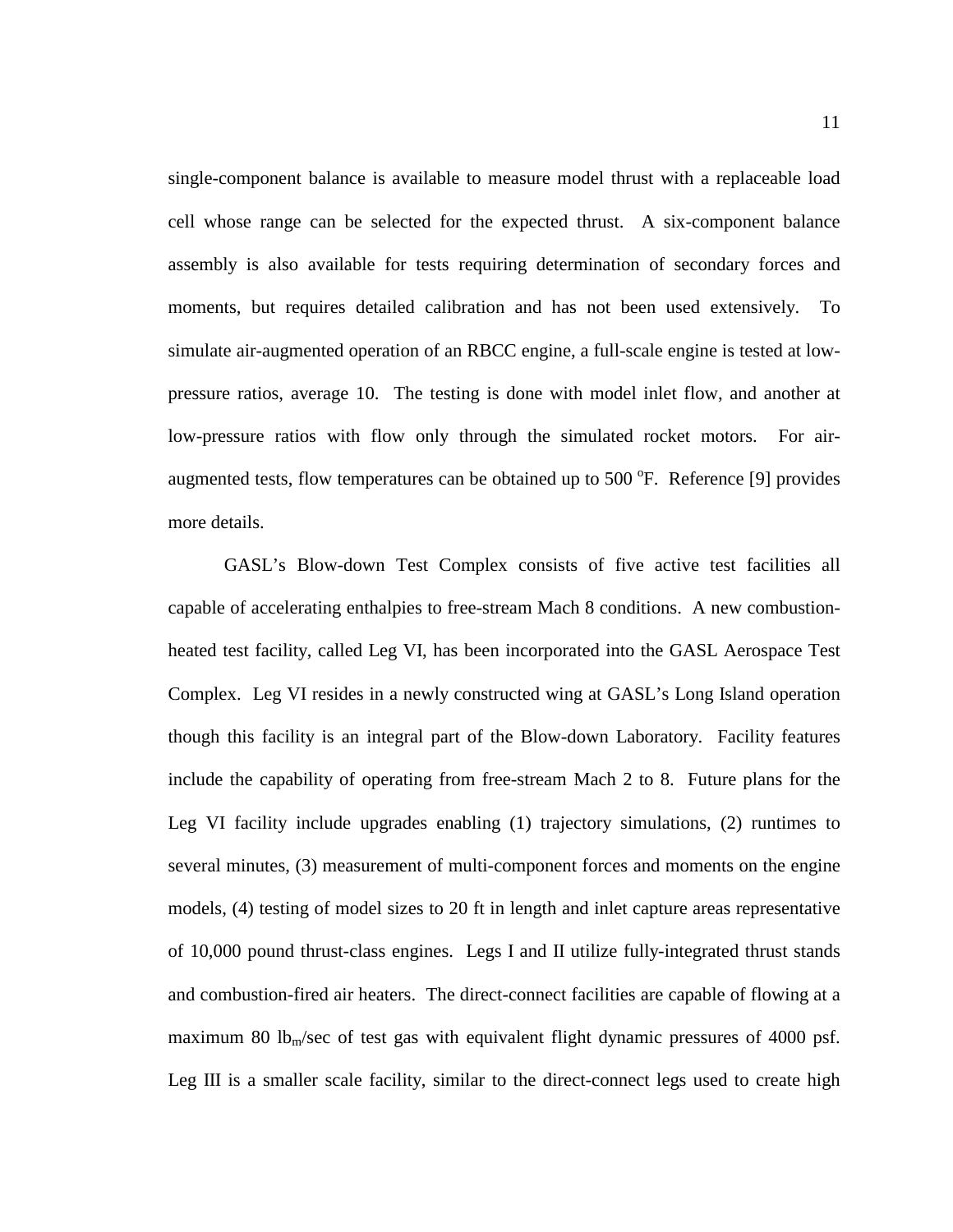single-component balance is available to measure model thrust with a replaceable load cell whose range can be selected for the expected thrust. A six-component balance assembly is also available for tests requiring determination of secondary forces and moments, but requires detailed calibration and has not been used extensively. To simulate air-augmented operation of an RBCC engine, a full-scale engine is tested at lowpressure ratios, average 10. The testing is done with model inlet flow, and another at low-pressure ratios with flow only through the simulated rocket motors. For airaugmented tests, flow temperatures can be obtained up to  $500^{\circ}$ F. Reference [9] provides more details.

GASL's Blow-down Test Complex consists of five active test facilities all capable of accelerating enthalpies to free-stream Mach 8 conditions. A new combustionheated test facility, called Leg VI, has been incorporated into the GASL Aerospace Test Complex. Leg VI resides in a newly constructed wing at GASL's Long Island operation though this facility is an integral part of the Blow-down Laboratory. Facility features include the capability of operating from free-stream Mach 2 to 8. Future plans for the Leg VI facility include upgrades enabling (1) trajectory simulations, (2) runtimes to several minutes, (3) measurement of multi-component forces and moments on the engine models, (4) testing of model sizes to 20 ft in length and inlet capture areas representative of 10,000 pound thrust-class engines. Legs I and II utilize fully-integrated thrust stands and combustion-fired air heaters. The direct-connect facilities are capable of flowing at a maximum 80 lb<sub>m</sub>/sec of test gas with equivalent flight dynamic pressures of 4000 psf. Leg III is a smaller scale facility, similar to the direct-connect legs used to create high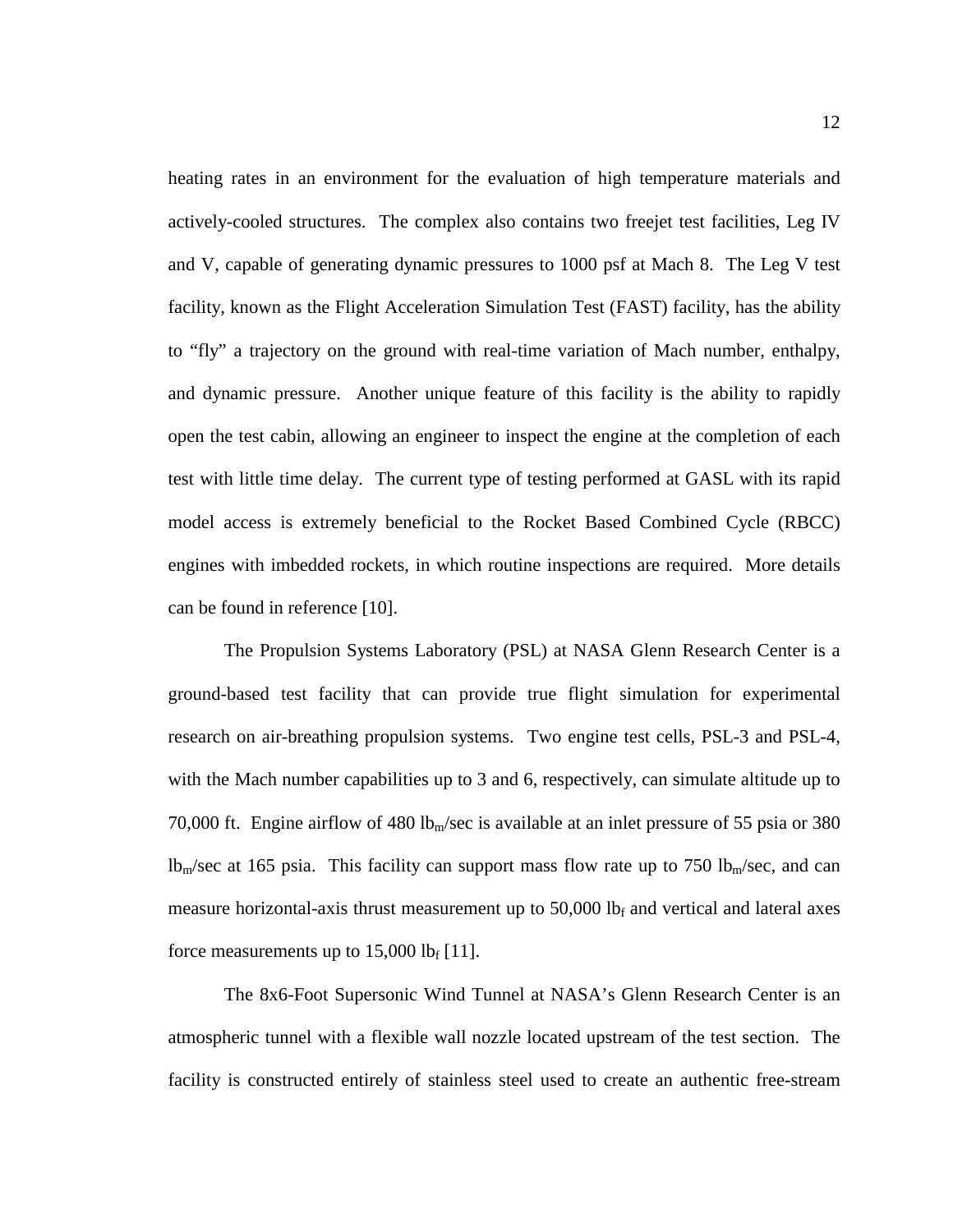heating rates in an environment for the evaluation of high temperature materials and actively-cooled structures. The complex also contains two freejet test facilities, Leg IV and V, capable of generating dynamic pressures to 1000 psf at Mach 8. The Leg V test facility, known as the Flight Acceleration Simulation Test (FAST) facility, has the ability to "fly" a trajectory on the ground with real-time variation of Mach number, enthalpy, and dynamic pressure. Another unique feature of this facility is the ability to rapidly open the test cabin, allowing an engineer to inspect the engine at the completion of each test with little time delay. The current type of testing performed at GASL with its rapid model access is extremely beneficial to the Rocket Based Combined Cycle (RBCC) engines with imbedded rockets, in which routine inspections are required. More details can be found in reference [10].

The Propulsion Systems Laboratory (PSL) at NASA Glenn Research Center is a ground-based test facility that can provide true flight simulation for experimental research on air-breathing propulsion systems. Two engine test cells, PSL-3 and PSL-4, with the Mach number capabilities up to 3 and 6, respectively, can simulate altitude up to 70,000 ft. Engine airflow of 480 lb<sub>m</sub>/sec is available at an inlet pressure of 55 psia or 380  $lb<sub>m</sub>/sec$  at 165 psia. This facility can support mass flow rate up to 750 lb<sub>m</sub>/sec, and can measure horizontal-axis thrust measurement up to  $50,000$  lb<sub>f</sub> and vertical and lateral axes force measurements up to  $15,000$  lb<sub>f</sub> [11].

The 8x6-Foot Supersonic Wind Tunnel at NASA's Glenn Research Center is an atmospheric tunnel with a flexible wall nozzle located upstream of the test section. The facility is constructed entirely of stainless steel used to create an authentic free-stream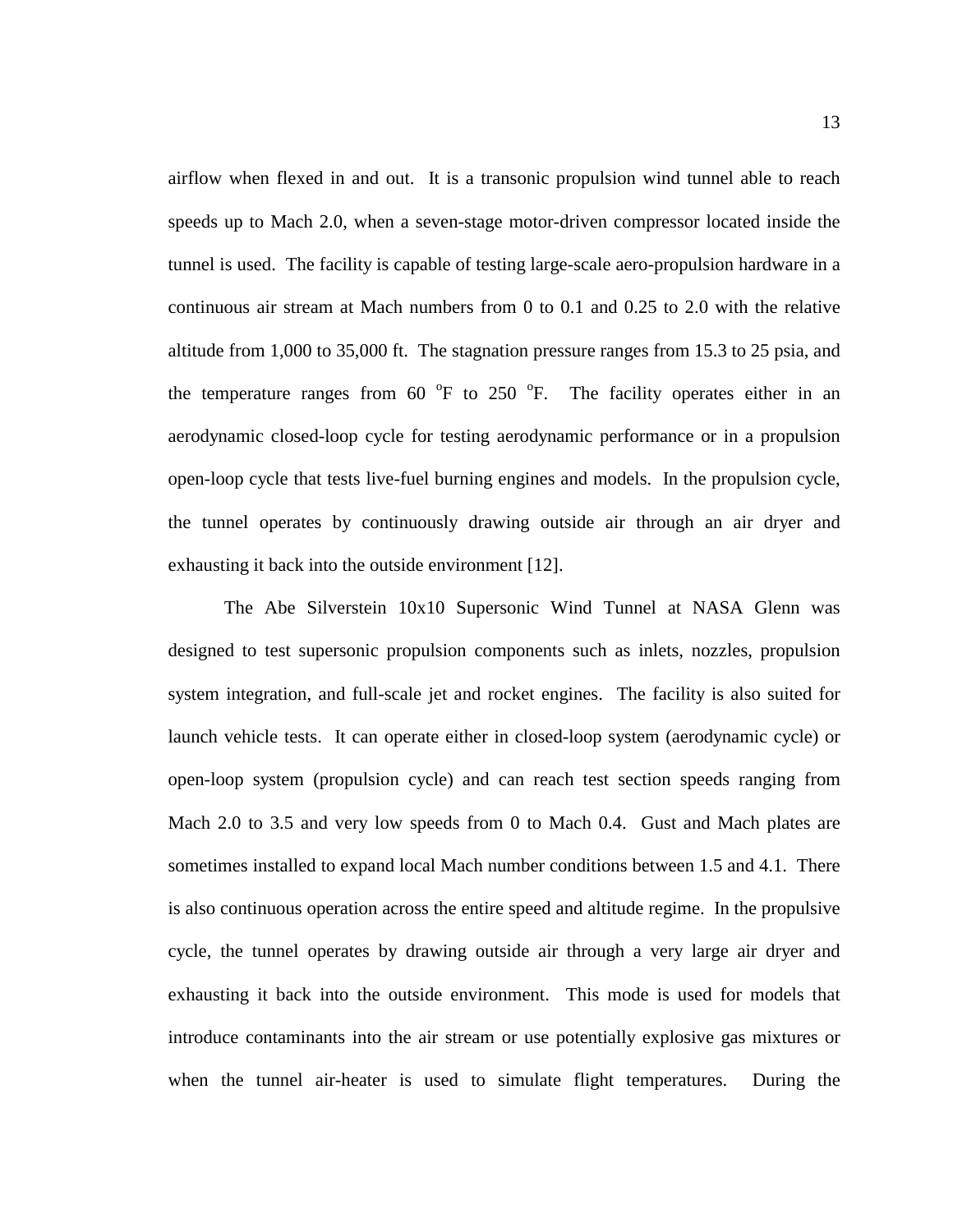airflow when flexed in and out. It is a transonic propulsion wind tunnel able to reach speeds up to Mach 2.0, when a seven-stage motor-driven compressor located inside the tunnel is used. The facility is capable of testing large-scale aero-propulsion hardware in a continuous air stream at Mach numbers from 0 to 0.1 and 0.25 to 2.0 with the relative altitude from 1,000 to 35,000 ft. The stagnation pressure ranges from 15.3 to 25 psia, and the temperature ranges from  $60^\circ$ F to  $250^\circ$ F. The facility operates either in an aerodynamic closed-loop cycle for testing aerodynamic performance or in a propulsion open-loop cycle that tests live-fuel burning engines and models. In the propulsion cycle, the tunnel operates by continuously drawing outside air through an air dryer and exhausting it back into the outside environment [12].

The Abe Silverstein 10x10 Supersonic Wind Tunnel at NASA Glenn was designed to test supersonic propulsion components such as inlets, nozzles, propulsion system integration, and full-scale jet and rocket engines. The facility is also suited for launch vehicle tests. It can operate either in closed-loop system (aerodynamic cycle) or open-loop system (propulsion cycle) and can reach test section speeds ranging from Mach 2.0 to 3.5 and very low speeds from 0 to Mach 0.4. Gust and Mach plates are sometimes installed to expand local Mach number conditions between 1.5 and 4.1. There is also continuous operation across the entire speed and altitude regime. In the propulsive cycle, the tunnel operates by drawing outside air through a very large air dryer and exhausting it back into the outside environment. This mode is used for models that introduce contaminants into the air stream or use potentially explosive gas mixtures or when the tunnel air-heater is used to simulate flight temperatures. During the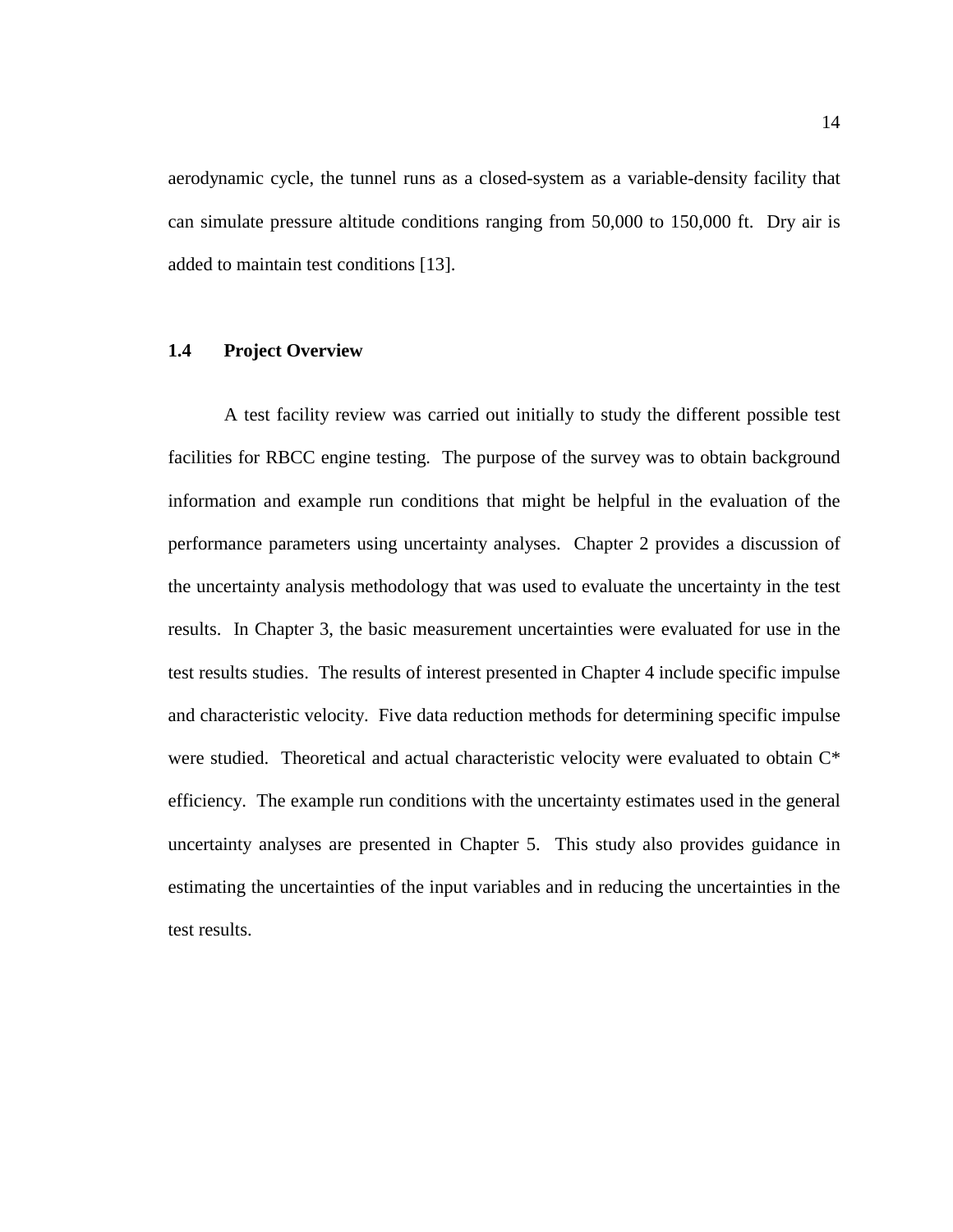aerodynamic cycle, the tunnel runs as a closed-system as a variable-density facility that can simulate pressure altitude conditions ranging from 50,000 to 150,000 ft. Dry air is added to maintain test conditions [13].

### **1.4 Project Overview**

A test facility review was carried out initially to study the different possible test facilities for RBCC engine testing. The purpose of the survey was to obtain background information and example run conditions that might be helpful in the evaluation of the performance parameters using uncertainty analyses. Chapter 2 provides a discussion of the uncertainty analysis methodology that was used to evaluate the uncertainty in the test results. In Chapter 3, the basic measurement uncertainties were evaluated for use in the test results studies. The results of interest presented in Chapter 4 include specific impulse and characteristic velocity. Five data reduction methods for determining specific impulse were studied. Theoretical and actual characteristic velocity were evaluated to obtain  $C^*$ efficiency. The example run conditions with the uncertainty estimates used in the general uncertainty analyses are presented in Chapter 5. This study also provides guidance in estimating the uncertainties of the input variables and in reducing the uncertainties in the test results.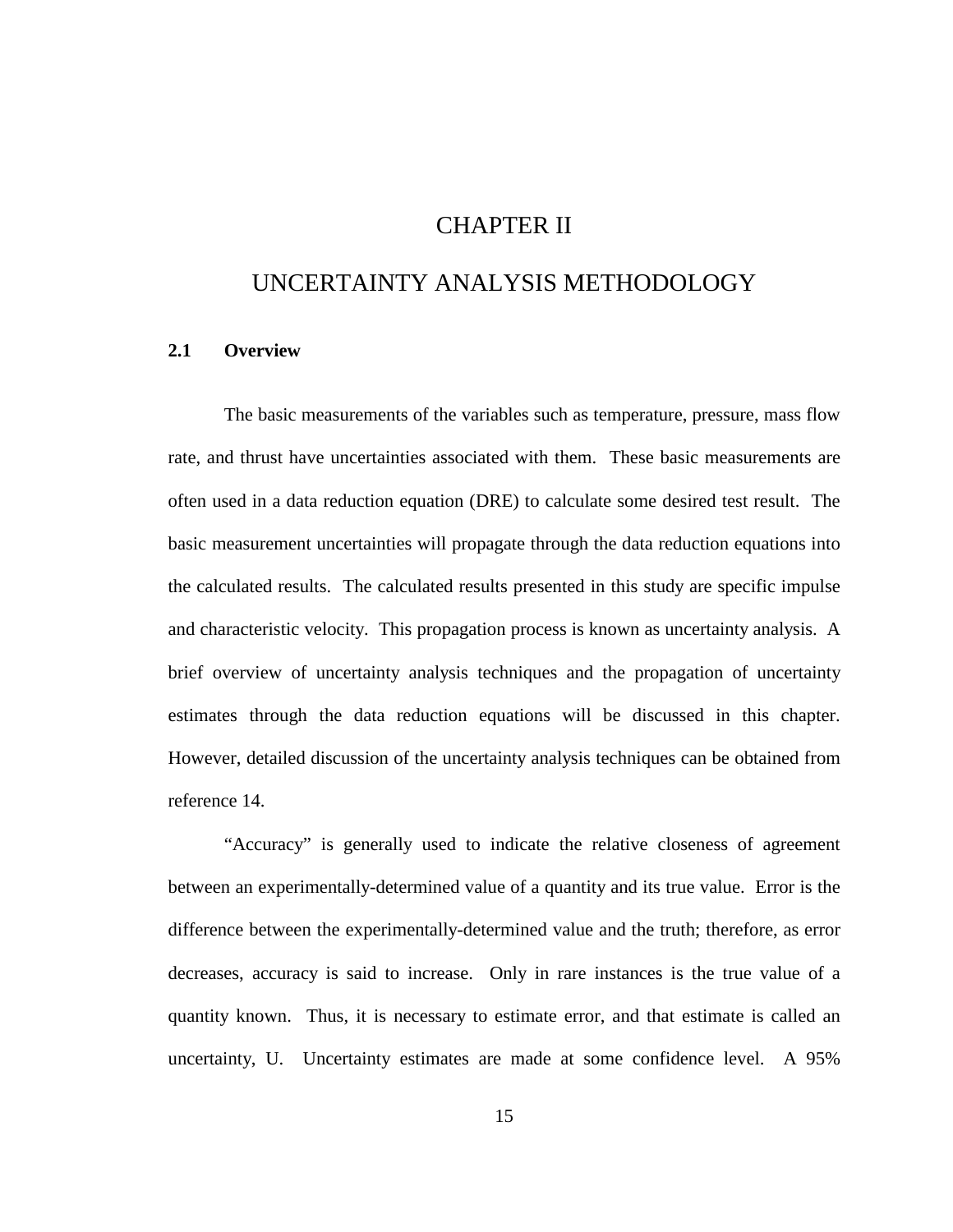### CHAPTER II

### UNCERTAINTY ANALYSIS METHODOLOGY

#### **2.1 Overview**

The basic measurements of the variables such as temperature, pressure, mass flow rate, and thrust have uncertainties associated with them. These basic measurements are often used in a data reduction equation (DRE) to calculate some desired test result. The basic measurement uncertainties will propagate through the data reduction equations into the calculated results. The calculated results presented in this study are specific impulse and characteristic velocity. This propagation process is known as uncertainty analysis. A brief overview of uncertainty analysis techniques and the propagation of uncertainty estimates through the data reduction equations will be discussed in this chapter. However, detailed discussion of the uncertainty analysis techniques can be obtained from reference 14.

"Accuracy" is generally used to indicate the relative closeness of agreement between an experimentally-determined value of a quantity and its true value. Error is the difference between the experimentally-determined value and the truth; therefore, as error decreases, accuracy is said to increase. Only in rare instances is the true value of a quantity known. Thus, it is necessary to estimate error, and that estimate is called an uncertainty, U. Uncertainty estimates are made at some confidence level. A 95%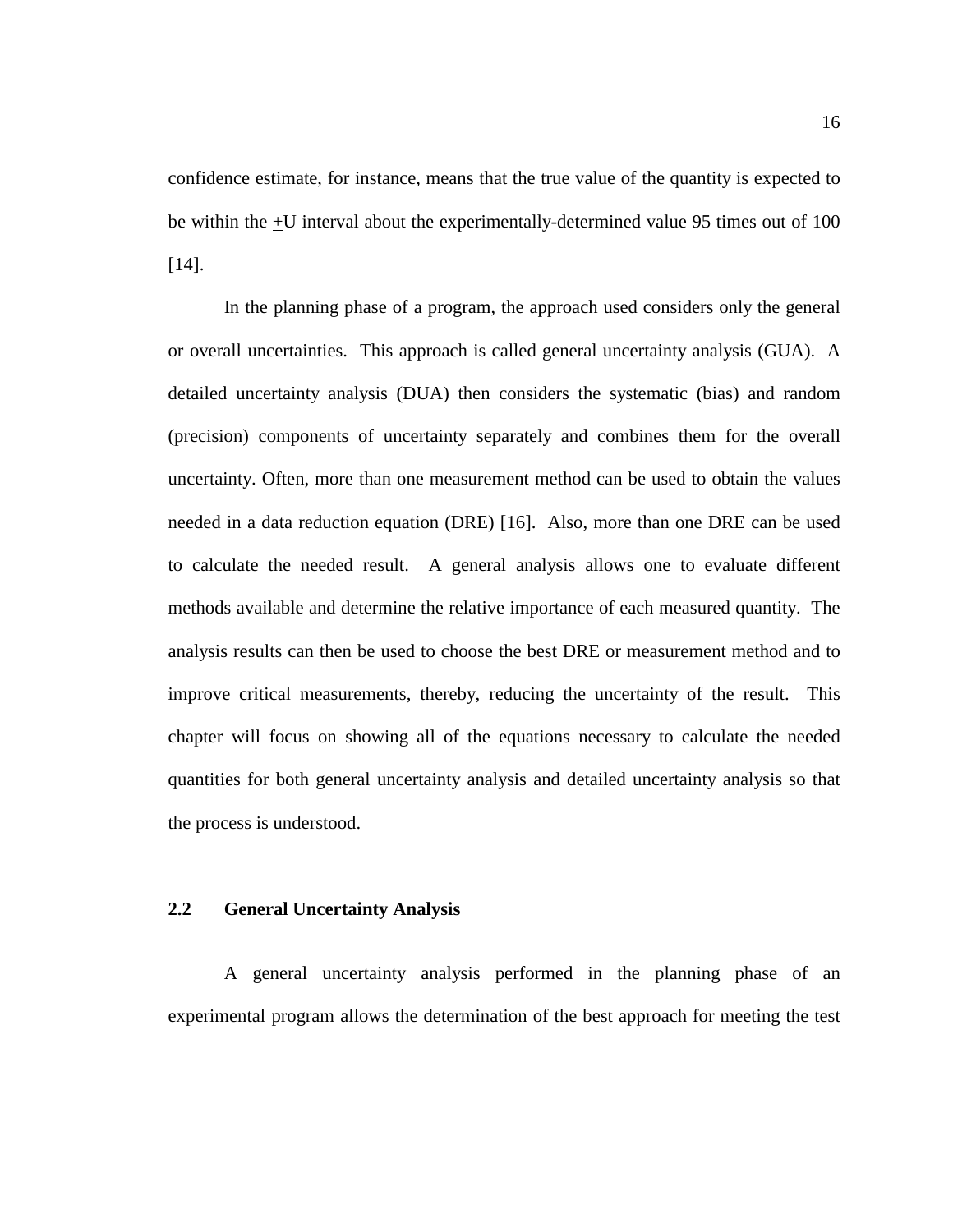confidence estimate, for instance, means that the true value of the quantity is expected to be within the +U interval about the experimentally-determined value 95 times out of 100 [14].

In the planning phase of a program, the approach used considers only the general or overall uncertainties. This approach is called general uncertainty analysis (GUA). A detailed uncertainty analysis (DUA) then considers the systematic (bias) and random (precision) components of uncertainty separately and combines them for the overall uncertainty. Often, more than one measurement method can be used to obtain the values needed in a data reduction equation (DRE) [16]. Also, more than one DRE can be used to calculate the needed result. A general analysis allows one to evaluate different methods available and determine the relative importance of each measured quantity. The analysis results can then be used to choose the best DRE or measurement method and to improve critical measurements, thereby, reducing the uncertainty of the result. This chapter will focus on showing all of the equations necessary to calculate the needed quantities for both general uncertainty analysis and detailed uncertainty analysis so that the process is understood.

#### **2.2 General Uncertainty Analysis**

A general uncertainty analysis performed in the planning phase of an experimental program allows the determination of the best approach for meeting the test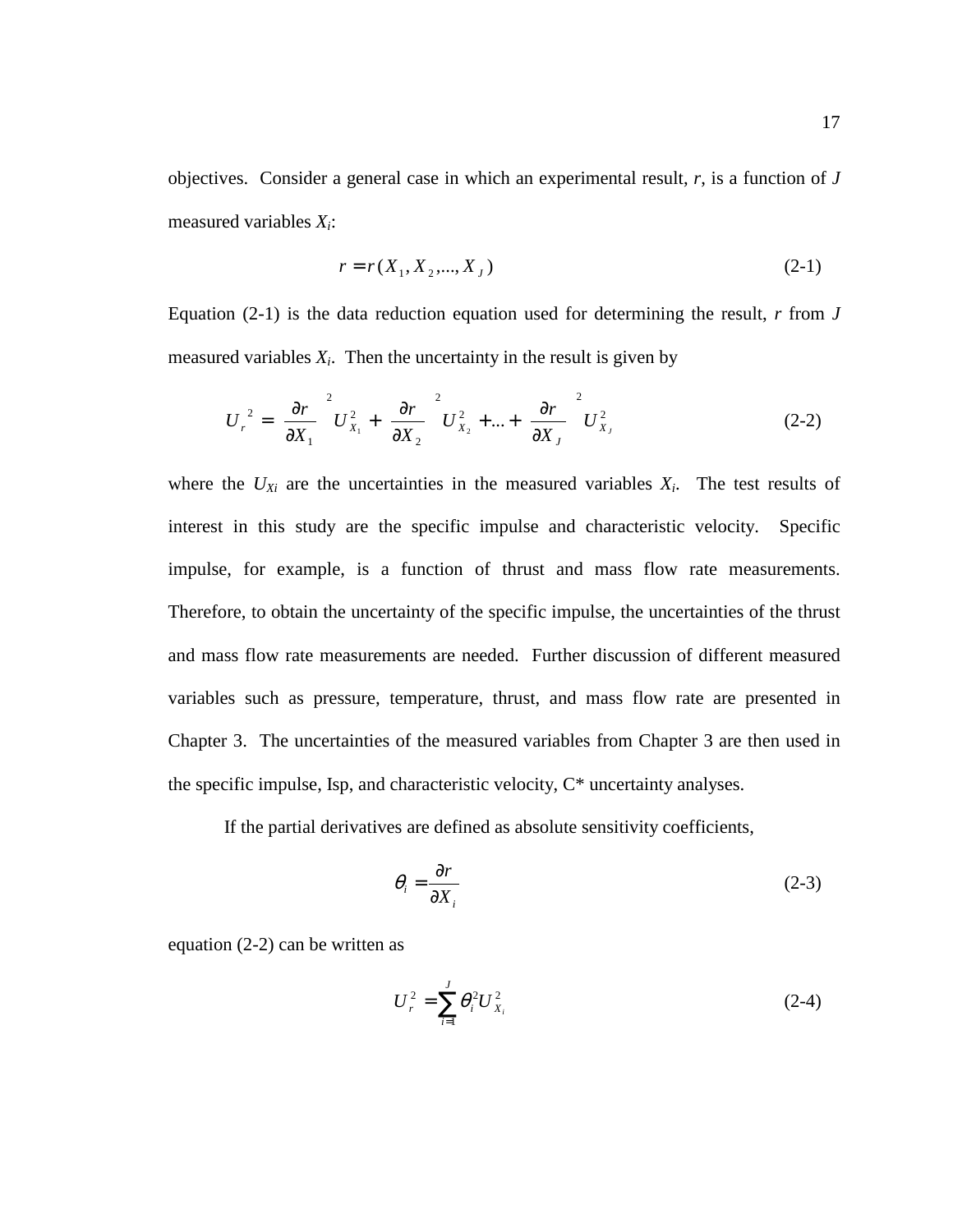objectives. Consider a general case in which an experimental result, *r*, is a function of *J* measured variables *Xi*:

$$
r = r(X_1, X_2, \dots, X_J) \tag{2-1}
$$

Equation (2-1) is the data reduction equation used for determining the result, *r* from *J* measured variables  $X_i$ . Then the uncertainty in the result is given by

$$
U_r^2 = \left(\frac{\partial r}{\partial X_1}\right)^2 U_{X_1}^2 + \left(\frac{\partial r}{\partial X_2}\right)^2 U_{X_2}^2 + \dots + \left(\frac{\partial r}{\partial X_J}\right)^2 U_{X_J}^2 \tag{2-2}
$$

where the  $U_{Xi}$  are the uncertainties in the measured variables  $X_i$ . The test results of interest in this study are the specific impulse and characteristic velocity. Specific impulse, for example, is a function of thrust and mass flow rate measurements. Therefore, to obtain the uncertainty of the specific impulse, the uncertainties of the thrust and mass flow rate measurements are needed. Further discussion of different measured variables such as pressure, temperature, thrust, and mass flow rate are presented in Chapter 3. The uncertainties of the measured variables from Chapter 3 are then used in the specific impulse, Isp, and characteristic velocity, C\* uncertainty analyses.

If the partial derivatives are defined as absolute sensitivity coefficients,

$$
\theta_i = \frac{\partial r}{\partial X_i} \tag{2-3}
$$

equation (2-2) can be written as

$$
U_r^2 = \sum_{i=1}^J \theta_i^2 U_{X_i}^2 \tag{2-4}
$$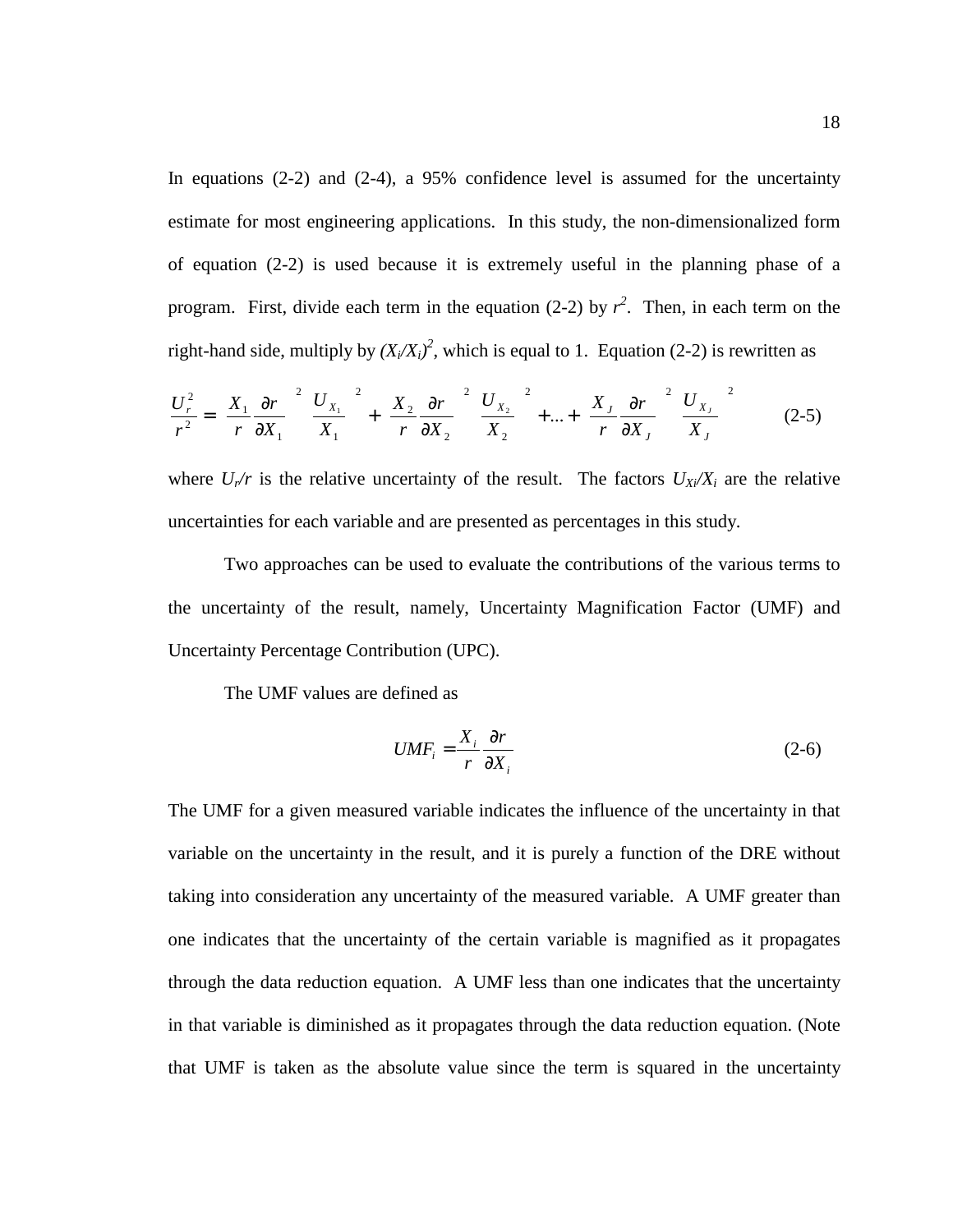In equations (2-2) and (2-4), a 95% confidence level is assumed for the uncertainty estimate for most engineering applications. In this study, the non-dimensionalized form of equation (2-2) is used because it is extremely useful in the planning phase of a program. First, divide each term in the equation (2-2) by  $r^2$ . Then, in each term on the right-hand side, multiply by  $(X_i/X_i)^2$ , which is equal to 1. Equation (2-2) is rewritten as

$$
\frac{U_r^2}{r^2} = \left(\frac{X_1}{r}\frac{\partial r}{\partial X_1}\right)^2 \left(\frac{U_{X_1}}{X_1}\right)^2 + \left(\frac{X_2}{r}\frac{\partial r}{\partial X_2}\right)^2 \left(\frac{U_{X_2}}{X_2}\right)^2 + \dots + \left(\frac{X_J}{r}\frac{\partial r}{\partial X_J}\right)^2 \left(\frac{U_{X_J}}{X_J}\right)^2 \tag{2-5}
$$

where  $U_r/r$  is the relative uncertainty of the result. The factors  $U_{X_i}/X_i$  are the relative uncertainties for each variable and are presented as percentages in this study.

 Two approaches can be used to evaluate the contributions of the various terms to the uncertainty of the result, namely, Uncertainty Magnification Factor (UMF) and Uncertainty Percentage Contribution (UPC).

The UMF values are defined as

$$
UMF_i = \frac{X_i}{r} \frac{\partial r}{\partial X_i}
$$
 (2-6)

The UMF for a given measured variable indicates the influence of the uncertainty in that variable on the uncertainty in the result, and it is purely a function of the DRE without taking into consideration any uncertainty of the measured variable. A UMF greater than one indicates that the uncertainty of the certain variable is magnified as it propagates through the data reduction equation. A UMF less than one indicates that the uncertainty in that variable is diminished as it propagates through the data reduction equation. (Note that UMF is taken as the absolute value since the term is squared in the uncertainty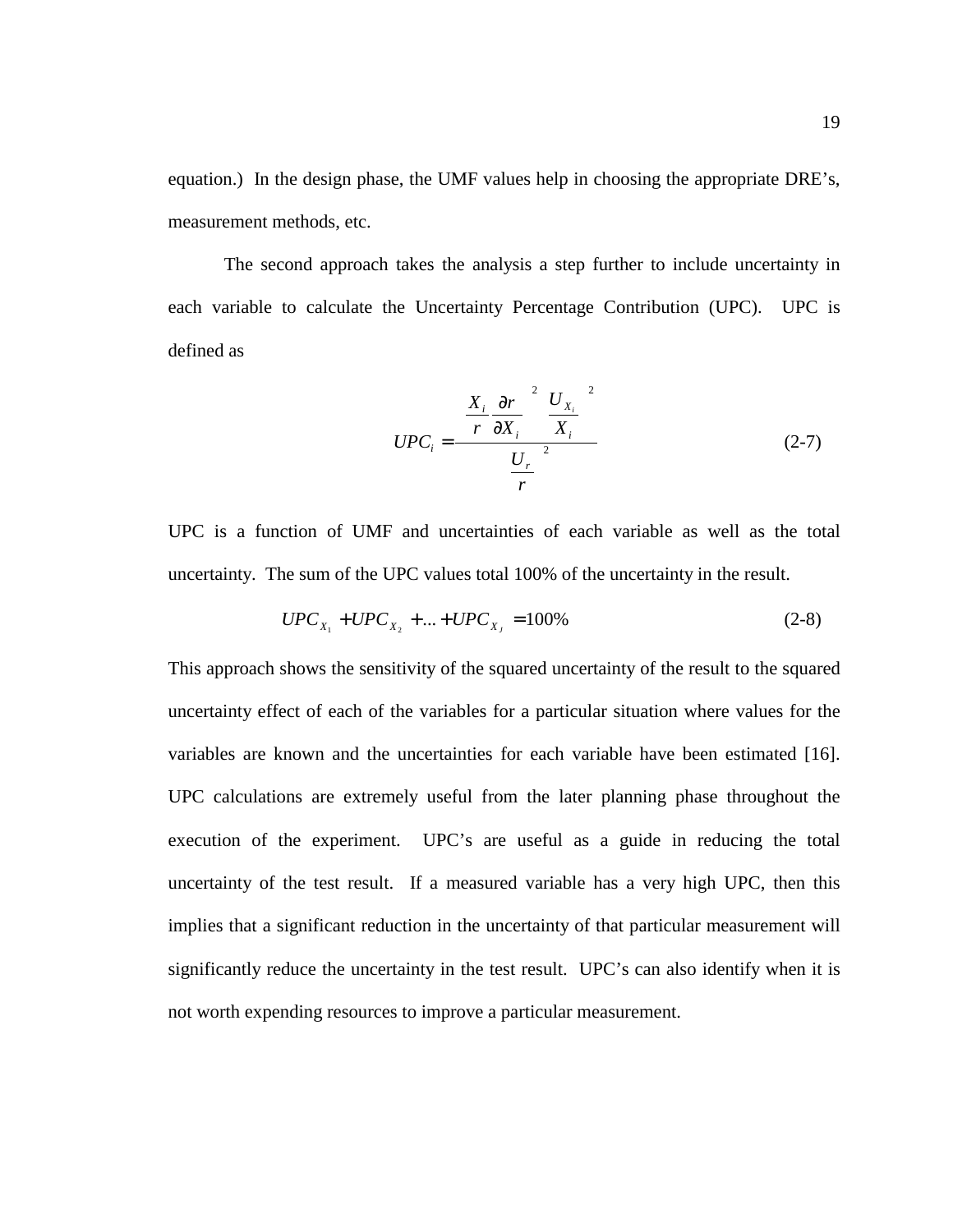equation.) In the design phase, the UMF values help in choosing the appropriate DRE's, measurement methods, etc.

 The second approach takes the analysis a step further to include uncertainty in each variable to calculate the Uncertainty Percentage Contribution (UPC). UPC is defined as

$$
UPC_{i} = \frac{\left(\frac{X_{i}}{r}\frac{\partial r}{\partial X_{i}}\right)^{2}\left(\frac{U_{X_{i}}}{X_{i}}\right)^{2}}{\left(\frac{U_{r}}{r}\right)^{2}}
$$
(2-7)

UPC is a function of UMF and uncertainties of each variable as well as the total uncertainty. The sum of the UPC values total 100% of the uncertainty in the result.

$$
UPC_{X_1} + UPC_{X_2} + ... + UPC_{X_J} = 100\% \tag{2-8}
$$

This approach shows the sensitivity of the squared uncertainty of the result to the squared uncertainty effect of each of the variables for a particular situation where values for the variables are known and the uncertainties for each variable have been estimated [16]. UPC calculations are extremely useful from the later planning phase throughout the execution of the experiment. UPC's are useful as a guide in reducing the total uncertainty of the test result. If a measured variable has a very high UPC, then this implies that a significant reduction in the uncertainty of that particular measurement will significantly reduce the uncertainty in the test result. UPC's can also identify when it is not worth expending resources to improve a particular measurement.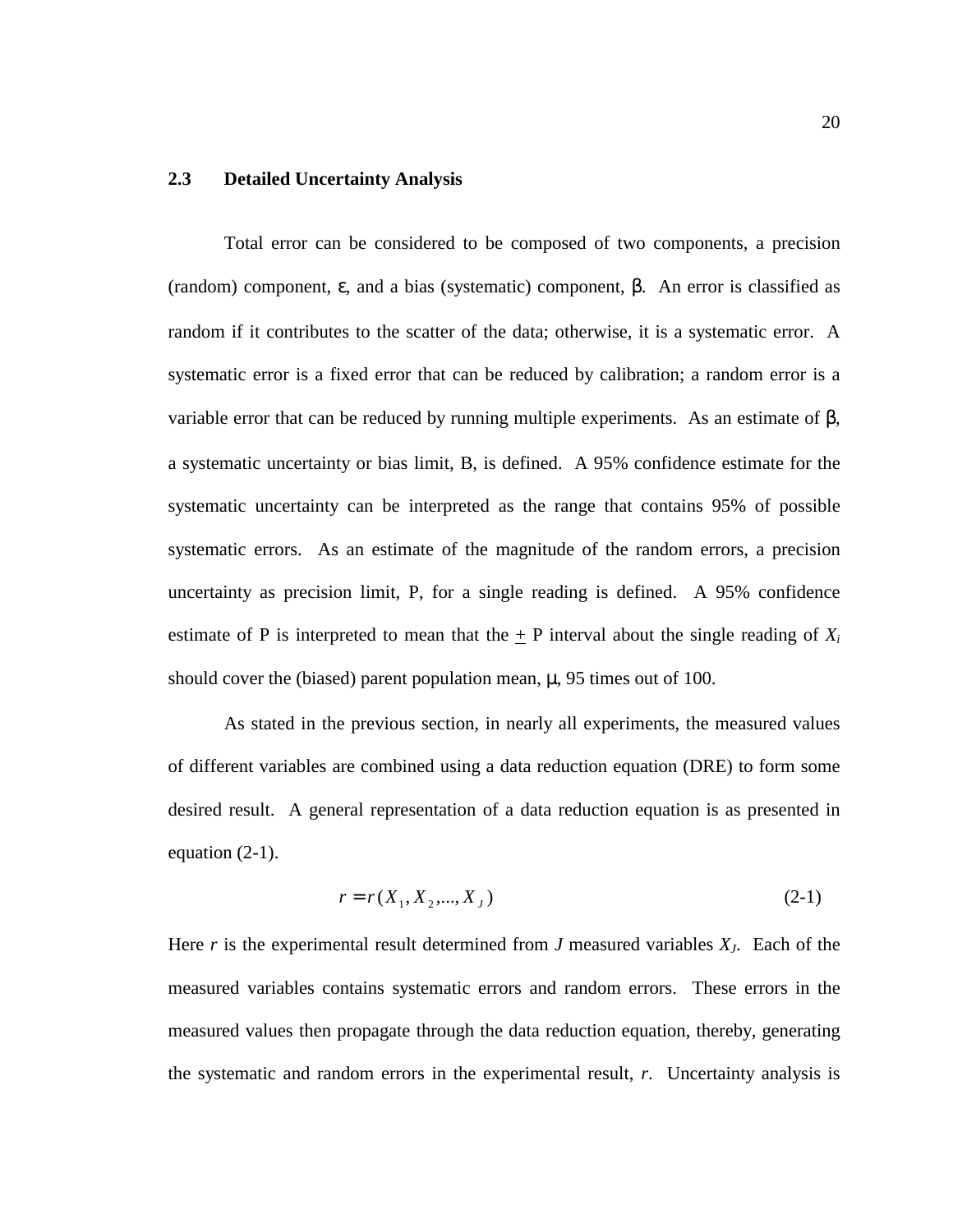#### **2.3 Detailed Uncertainty Analysis**

Total error can be considered to be composed of two components, a precision (random) component, ε, and a bias (systematic) component, β. An error is classified as random if it contributes to the scatter of the data; otherwise, it is a systematic error. A systematic error is a fixed error that can be reduced by calibration; a random error is a variable error that can be reduced by running multiple experiments. As an estimate of β, a systematic uncertainty or bias limit, B, is defined. A 95% confidence estimate for the systematic uncertainty can be interpreted as the range that contains 95% of possible systematic errors. As an estimate of the magnitude of the random errors, a precision uncertainty as precision limit, P, for a single reading is defined. A 95% confidence estimate of P is interpreted to mean that the  $\pm$  P interval about the single reading of  $X_i$ should cover the (biased) parent population mean,  $\mu$ , 95 times out of 100.

As stated in the previous section, in nearly all experiments, the measured values of different variables are combined using a data reduction equation (DRE) to form some desired result. A general representation of a data reduction equation is as presented in equation (2-1).

$$
r = r(X_1, X_2, \dots, X_J) \tag{2-1}
$$

Here *r* is the experimental result determined from *J* measured variables *XJ*. Each of the measured variables contains systematic errors and random errors. These errors in the measured values then propagate through the data reduction equation, thereby, generating the systematic and random errors in the experimental result, *r*. Uncertainty analysis is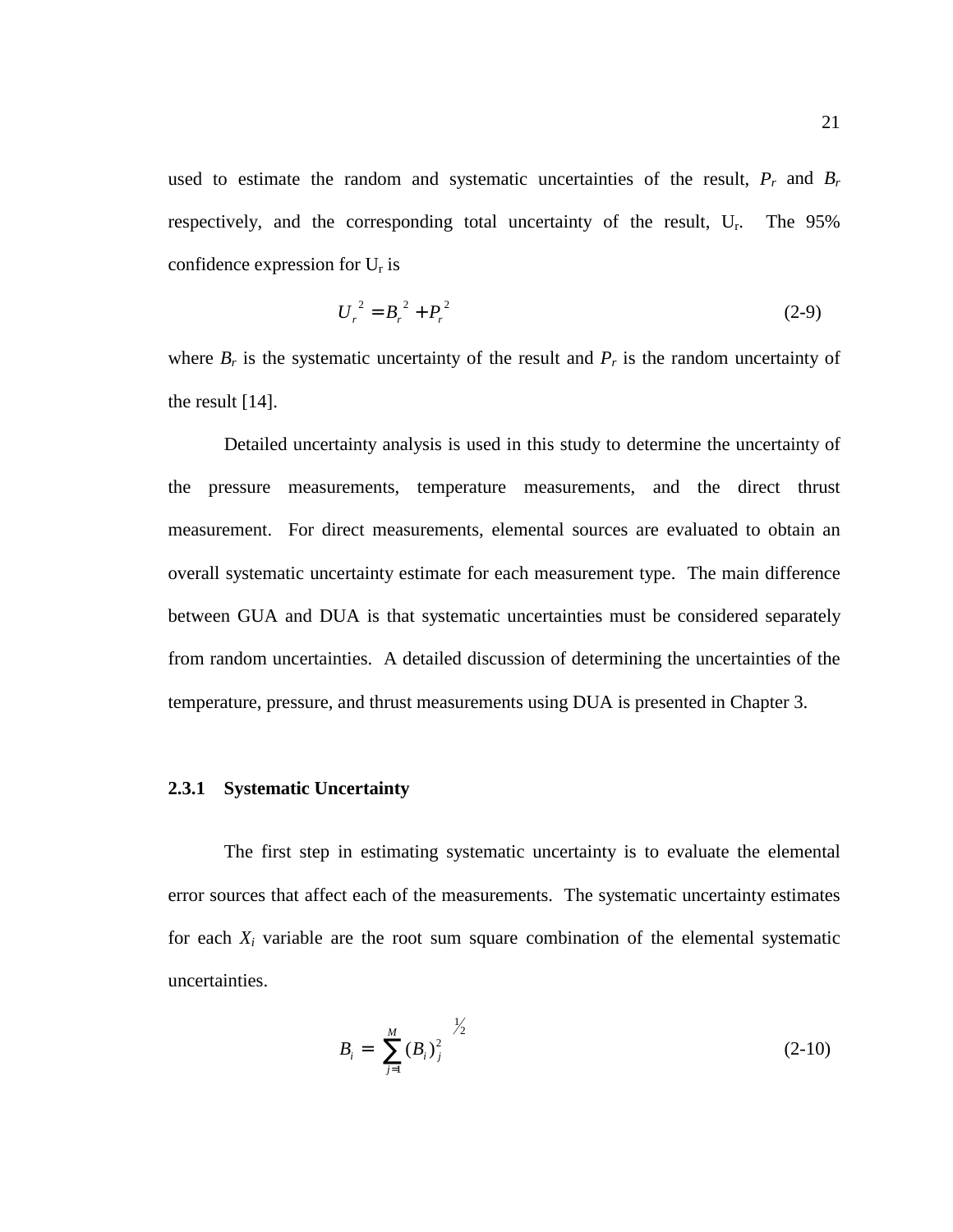used to estimate the random and systematic uncertainties of the result,  $P_r$  and  $B_r$ respectively, and the corresponding total uncertainty of the result, U<sub>r</sub>. The 95% confidence expression for  $U_r$  is

$$
U_r^2 = B_r^2 + P_r^2 \tag{2-9}
$$

where  $B_r$  is the systematic uncertainty of the result and  $P_r$  is the random uncertainty of the result [14].

Detailed uncertainty analysis is used in this study to determine the uncertainty of the pressure measurements, temperature measurements, and the direct thrust measurement. For direct measurements, elemental sources are evaluated to obtain an overall systematic uncertainty estimate for each measurement type. The main difference between GUA and DUA is that systematic uncertainties must be considered separately from random uncertainties. A detailed discussion of determining the uncertainties of the temperature, pressure, and thrust measurements using DUA is presented in Chapter 3.

#### **2.3.1 Systematic Uncertainty**

The first step in estimating systematic uncertainty is to evaluate the elemental error sources that affect each of the measurements. The systematic uncertainty estimates for each  $X_i$  variable are the root sum square combination of the elemental systematic uncertainties.

$$
B_i = \left[ \sum_{j=1}^{M} (B_i)^2_j \right]^{1/2} \tag{2-10}
$$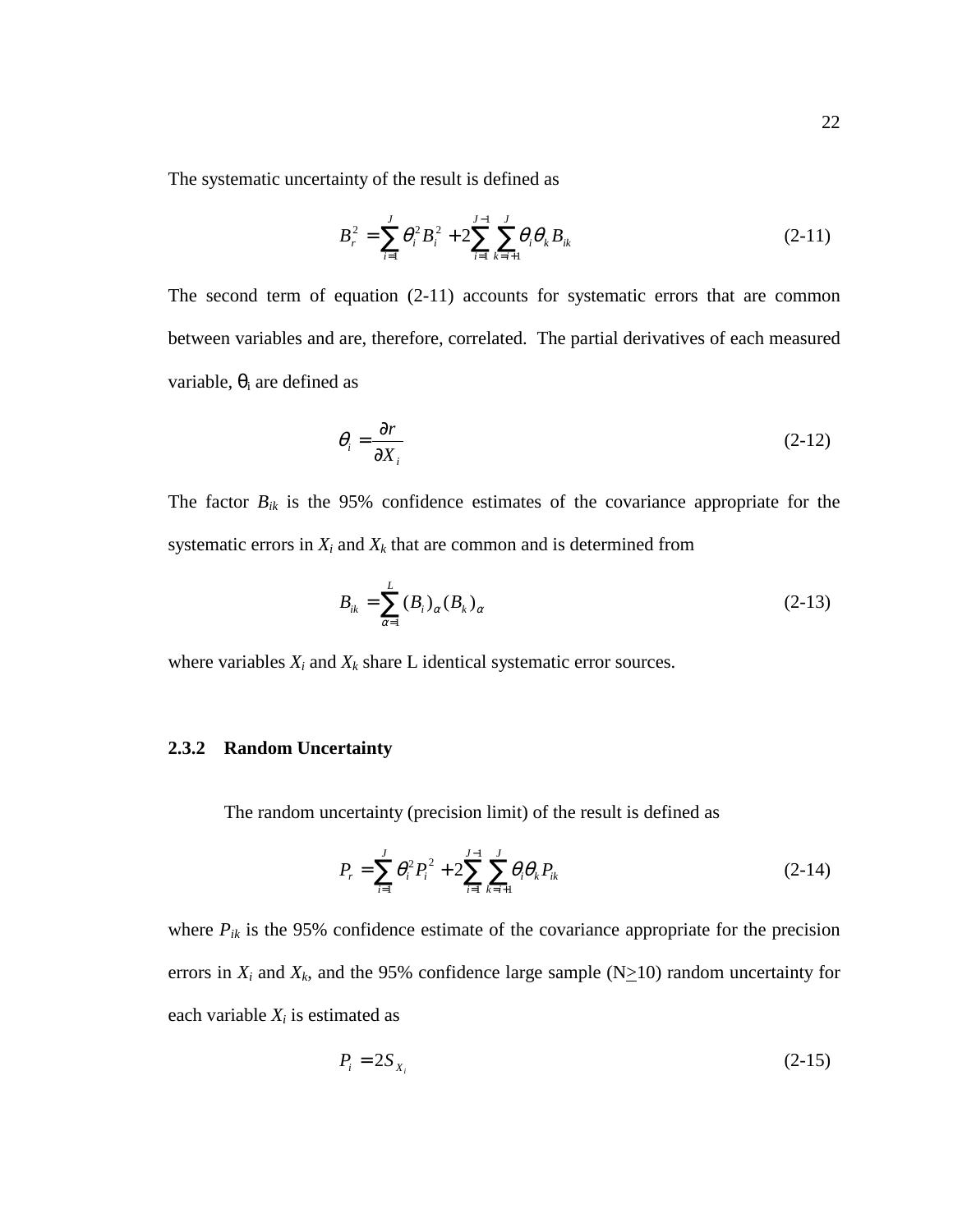The systematic uncertainty of the result is defined as

$$
B_r^2 = \sum_{i=1}^J \theta_i^2 B_i^2 + 2 \sum_{i=1}^{J-1} \sum_{k=i+1}^J \theta_i \theta_k B_{ik}
$$
 (2-11)

The second term of equation (2-11) accounts for systematic errors that are common between variables and are, therefore, correlated. The partial derivatives of each measured variable,  $\theta_i$  are defined as

$$
\theta_i = \frac{\partial r}{\partial X_i} \tag{2-12}
$$

The factor  $B_{ik}$  is the 95% confidence estimates of the covariance appropriate for the systematic errors in  $X_i$  and  $X_k$  that are common and is determined from

$$
B_{ik} = \sum_{\alpha=1}^{L} (B_i)_{\alpha} (B_k)_{\alpha} \tag{2-13}
$$

where variables  $X_i$  and  $X_k$  share  $L$  identical systematic error sources.

#### **2.3.2 Random Uncertainty**

The random uncertainty (precision limit) of the result is defined as

$$
P_r = \sum_{i=1}^{J} \theta_i^2 P_i^2 + 2 \sum_{i=1}^{J-1} \sum_{k=i+1}^{J} \theta_i \theta_k P_{ik}
$$
 (2-14)

where  $P_{ik}$  is the 95% confidence estimate of the covariance appropriate for the precision errors in  $X_i$  and  $X_k$ , and the 95% confidence large sample (N $\geq$ 10) random uncertainty for each variable  $X_i$  is estimated as

$$
P_i = 2S_{X_i} \tag{2-15}
$$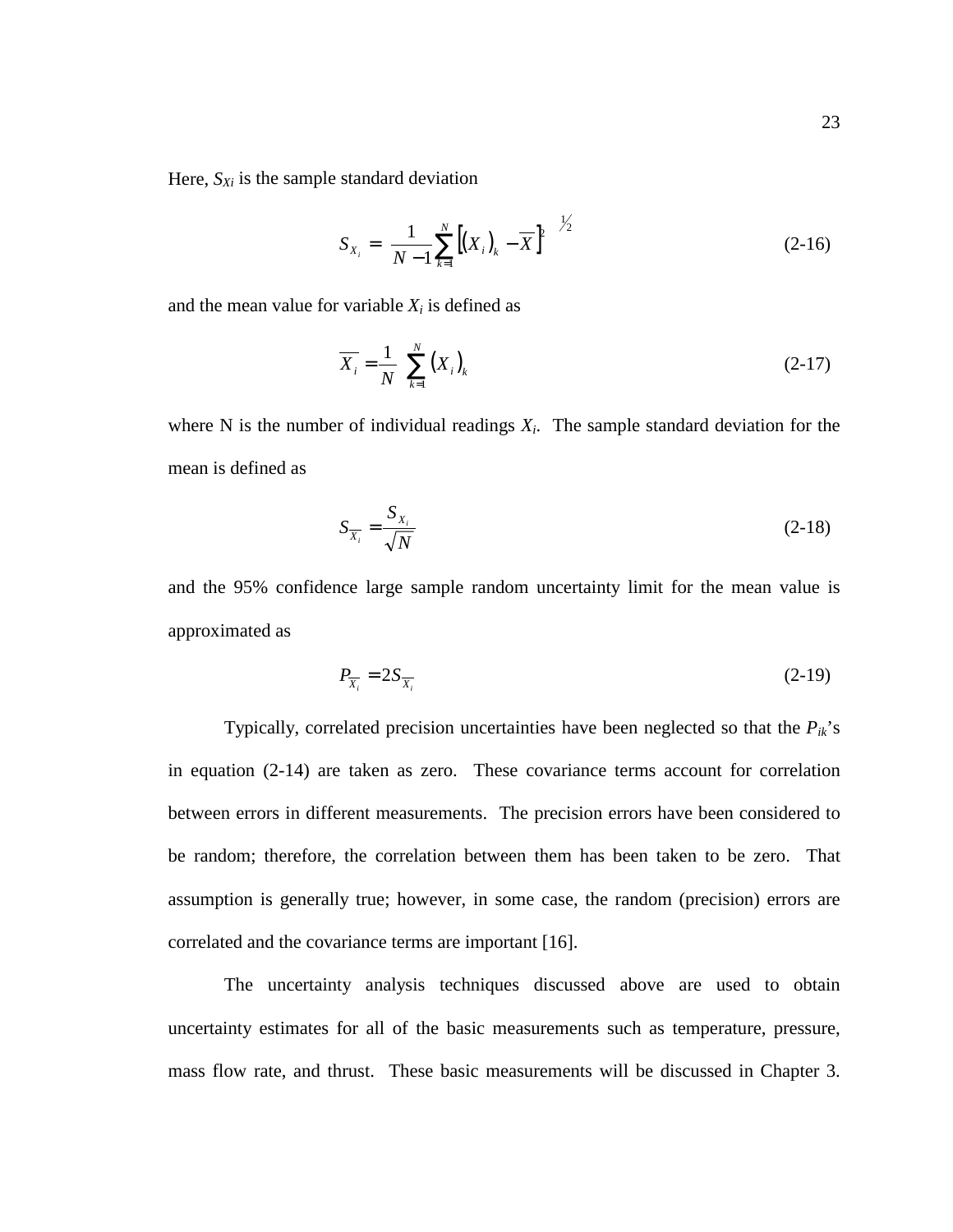Here,  $S_{Xi}$  is the sample standard deviation

$$
S_{X_i} = \left[\frac{1}{N-1} \sum_{k=1}^{N} \left[ (X_i)_k - \overline{X} \right]^2 \right]^{1/2}
$$
 (2-16)

and the mean value for variable  $X_i$  is defined as

$$
\overline{X}_i = \frac{1}{N} \left[ \sum_{k=1}^{N} \left( X_i \right)_k \right] \tag{2-17}
$$

where N is the number of individual readings  $X_i$ . The sample standard deviation for the mean is defined as

$$
S_{\overline{X}_i} = \frac{S_{X_i}}{\sqrt{N}}\tag{2-18}
$$

and the 95% confidence large sample random uncertainty limit for the mean value is approximated as

$$
P_{\overline{X_i}} = 2S_{\overline{X_i}} \tag{2-19}
$$

Typically, correlated precision uncertainties have been neglected so that the  $P_{ik}$ 's in equation (2-14) are taken as zero. These covariance terms account for correlation between errors in different measurements. The precision errors have been considered to be random; therefore, the correlation between them has been taken to be zero. That assumption is generally true; however, in some case, the random (precision) errors are correlated and the covariance terms are important [16].

 The uncertainty analysis techniques discussed above are used to obtain uncertainty estimates for all of the basic measurements such as temperature, pressure, mass flow rate, and thrust. These basic measurements will be discussed in Chapter 3.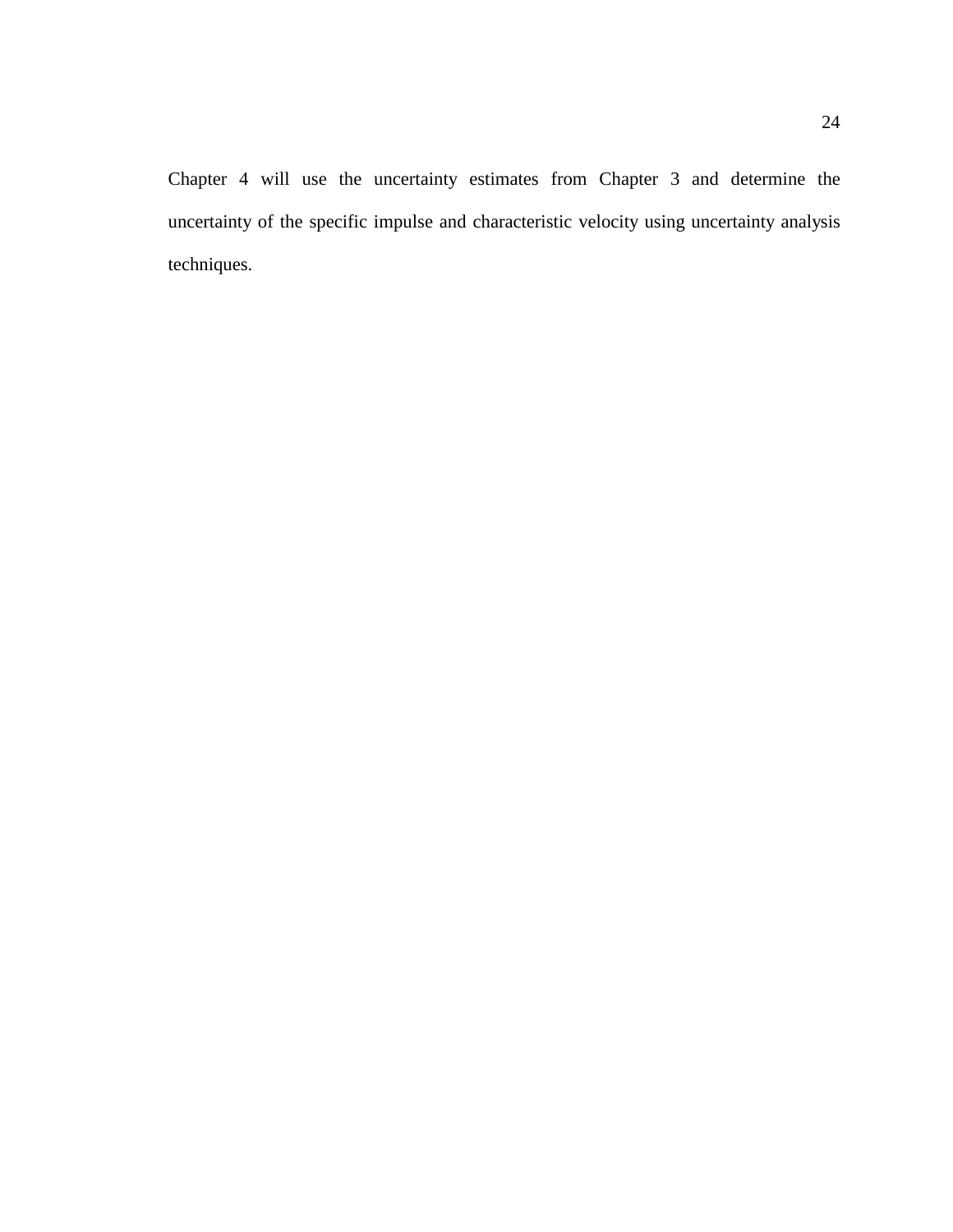Chapter 4 will use the uncertainty estimates from Chapter 3 and determine the uncertainty of the specific impulse and characteristic velocity using uncertainty analysis techniques.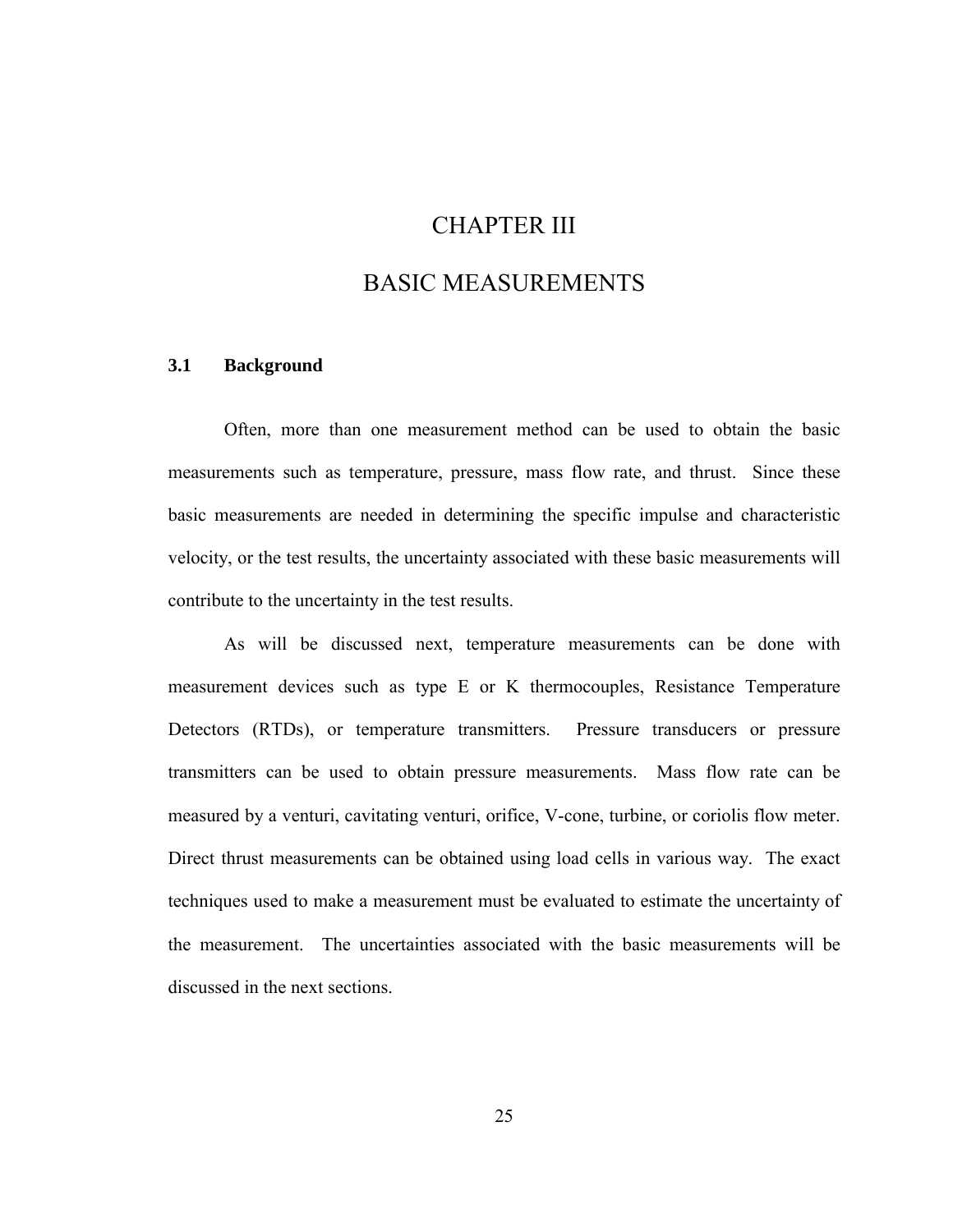# CHAPTER III

# BASIC MEASUREMENTS

#### **3.1 Background**

Often, more than one measurement method can be used to obtain the basic measurements such as temperature, pressure, mass flow rate, and thrust. Since these basic measurements are needed in determining the specific impulse and characteristic velocity, or the test results, the uncertainty associated with these basic measurements will contribute to the uncertainty in the test results.

As will be discussed next, temperature measurements can be done with measurement devices such as type E or K thermocouples, Resistance Temperature Detectors (RTDs), or temperature transmitters. Pressure transducers or pressure transmitters can be used to obtain pressure measurements. Mass flow rate can be measured by a venturi, cavitating venturi, orifice, V-cone, turbine, or coriolis flow meter. Direct thrust measurements can be obtained using load cells in various way. The exact techniques used to make a measurement must be evaluated to estimate the uncertainty of the measurement. The uncertainties associated with the basic measurements will be discussed in the next sections.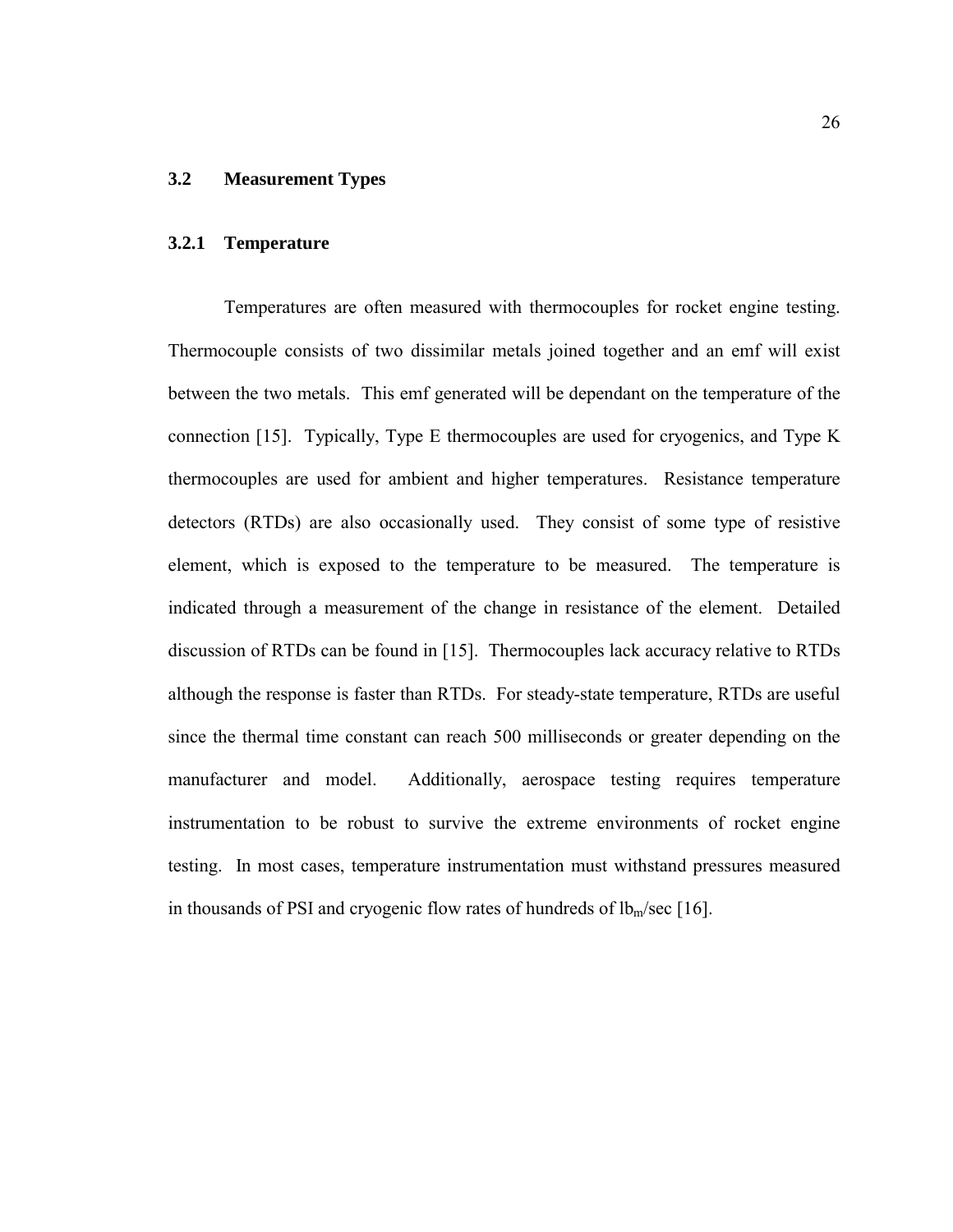## **3.2 Measurement Types**

#### **3.2.1 Temperature**

Temperatures are often measured with thermocouples for rocket engine testing. Thermocouple consists of two dissimilar metals joined together and an emf will exist between the two metals. This emf generated will be dependant on the temperature of the connection [15]. Typically, Type E thermocouples are used for cryogenics, and Type K thermocouples are used for ambient and higher temperatures. Resistance temperature detectors (RTDs) are also occasionally used. They consist of some type of resistive element, which is exposed to the temperature to be measured. The temperature is indicated through a measurement of the change in resistance of the element. Detailed discussion of RTDs can be found in [15]. Thermocouples lack accuracy relative to RTDs although the response is faster than RTDs. For steady-state temperature, RTDs are useful since the thermal time constant can reach 500 milliseconds or greater depending on the manufacturer and model. Additionally, aerospace testing requires temperature instrumentation to be robust to survive the extreme environments of rocket engine testing. In most cases, temperature instrumentation must withstand pressures measured in thousands of PSI and cryogenic flow rates of hundreds of  $lb<sub>m</sub>/sec$  [16].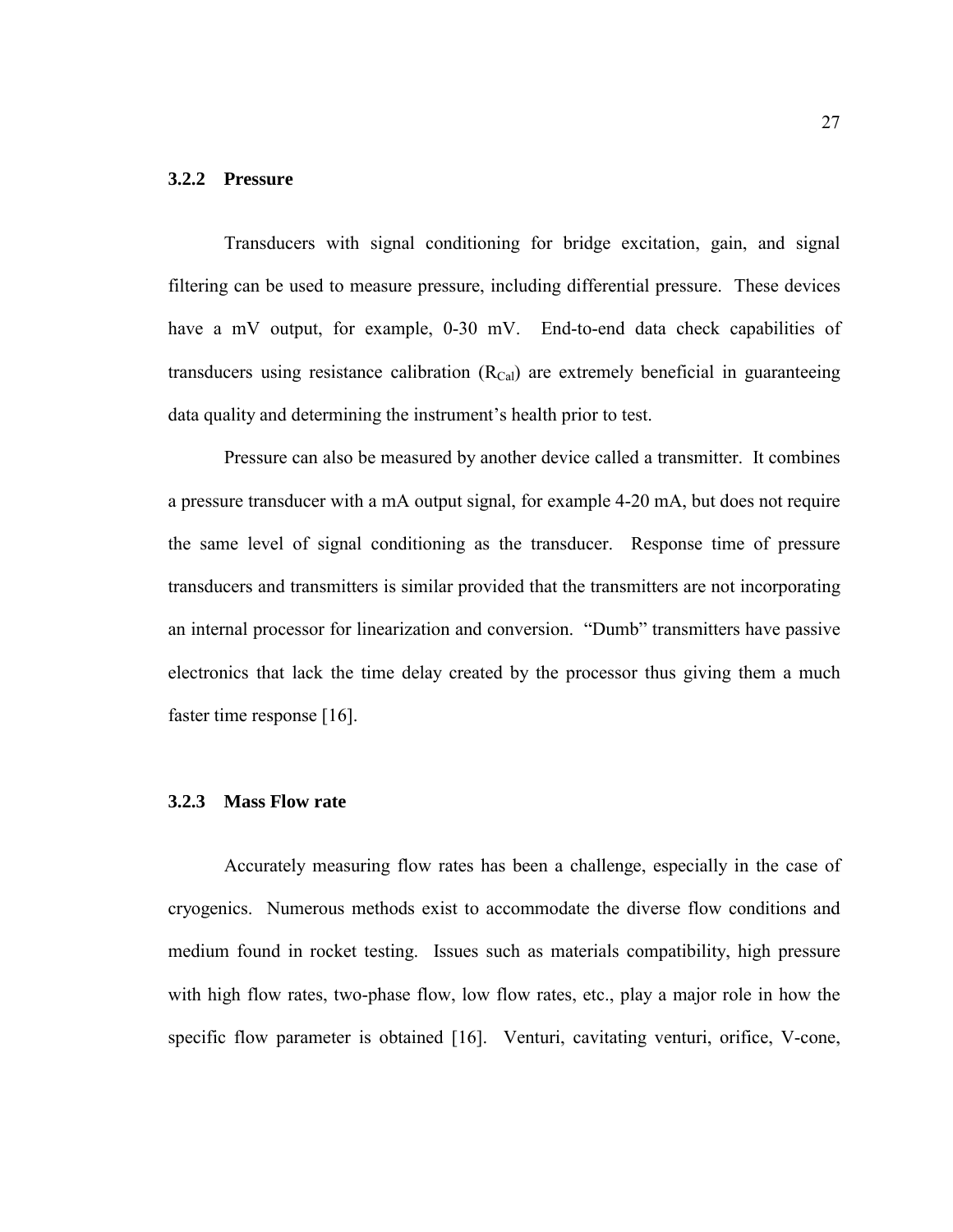#### **3.2.2 Pressure**

Transducers with signal conditioning for bridge excitation, gain, and signal filtering can be used to measure pressure, including differential pressure. These devices have a mV output, for example, 0-30 mV. End-to-end data check capabilities of transducers using resistance calibration  $(R<sub>Cal</sub>)$  are extremely beneficial in guaranteeing data quality and determining the instrument's health prior to test.

Pressure can also be measured by another device called a transmitter. It combines a pressure transducer with a mA output signal, for example 4-20 mA, but does not require the same level of signal conditioning as the transducer. Response time of pressure transducers and transmitters is similar provided that the transmitters are not incorporating an internal processor for linearization and conversion. "Dumb" transmitters have passive electronics that lack the time delay created by the processor thus giving them a much faster time response [16].

#### **3.2.3 Mass Flow rate**

Accurately measuring flow rates has been a challenge, especially in the case of cryogenics. Numerous methods exist to accommodate the diverse flow conditions and medium found in rocket testing. Issues such as materials compatibility, high pressure with high flow rates, two-phase flow, low flow rates, etc., play a major role in how the specific flow parameter is obtained [16]. Venturi, cavitating venturi, orifice, V-cone,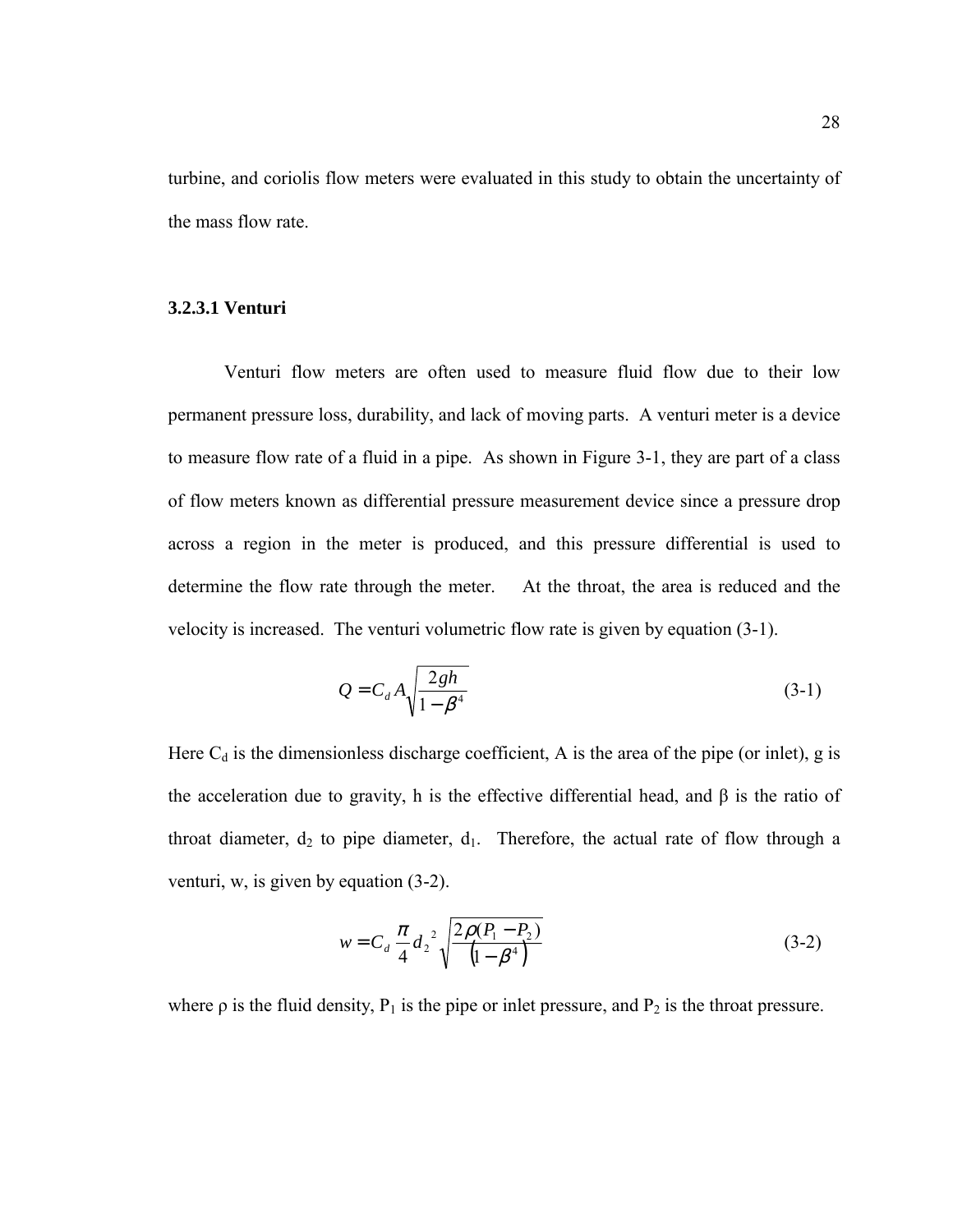turbine, and coriolis flow meters were evaluated in this study to obtain the uncertainty of the mass flow rate.

#### **3.2.3.1 Venturi**

Venturi flow meters are often used to measure fluid flow due to their low permanent pressure loss, durability, and lack of moving parts. A venturi meter is a device to measure flow rate of a fluid in a pipe. As shown in Figure 3-1, they are part of a class of flow meters known as differential pressure measurement device since a pressure drop across a region in the meter is produced, and this pressure differential is used to determine the flow rate through the meter. At the throat, the area is reduced and the velocity is increased. The venturi volumetric flow rate is given by equation (3-1).

$$
Q = C_d A \sqrt{\frac{2gh}{1 - \beta^4}}
$$
 (3-1)

Here  $C_d$  is the dimensionless discharge coefficient, A is the area of the pipe (or inlet), g is the acceleration due to gravity, h is the effective differential head, and  $\beta$  is the ratio of throat diameter,  $d_2$  to pipe diameter,  $d_1$ . Therefore, the actual rate of flow through a venturi, w, is given by equation (3-2).

$$
w = C_d \frac{\pi}{4} d_2^2 \sqrt{\frac{2\rho (P_1 - P_2)}{(1 - \beta^4)}}
$$
(3-2)

where  $\rho$  is the fluid density,  $P_1$  is the pipe or inlet pressure, and  $P_2$  is the throat pressure.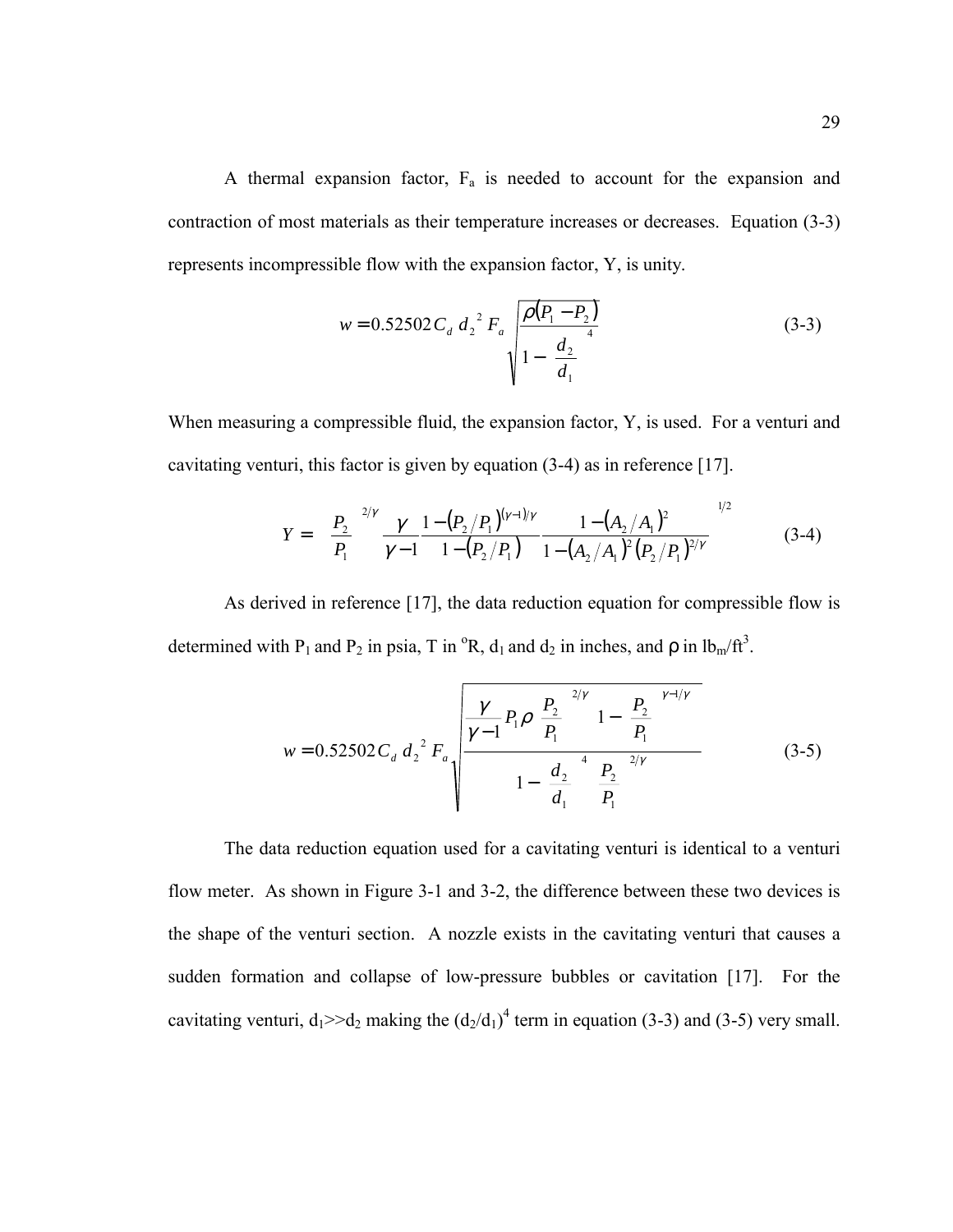A thermal expansion factor,  $F_a$  is needed to account for the expansion and contraction of most materials as their temperature increases or decreases. Equation (3-3) represents incompressible flow with the expansion factor, Y, is unity.

$$
w = 0.52502 C_d d_2^2 F_a \sqrt{\frac{\rho (P_1 - P_2)}{1 - (\frac{d_2}{d_1})^4}}
$$
(3-3)

When measuring a compressible fluid, the expansion factor, Y, is used. For a venturi and cavitating venturi, this factor is given by equation (3-4) as in reference [17].

$$
Y = \left[ \left( \frac{P_2}{P_1} \right)^{2/\gamma} \frac{\gamma}{\gamma - 1} \frac{1 - (P_2/P_1)^{(\gamma - 1)/\gamma}}{1 - (P_2/P_1)} \frac{1 - (A_2/A_1)^2}{1 - (A_2/A_1)^2 (P_2/P_1)^{2/\gamma}} \right]^{1/2}
$$
(3-4)

As derived in reference [17], the data reduction equation for compressible flow is determined with P<sub>1</sub> and P<sub>2</sub> in psia, T in  ${}^{\circ}R$ , d<sub>1</sub> and d<sub>2</sub> in inches, and  $\rho$  in  $lb_m/tt^3$ .

$$
w = 0.52502 C_d d_2^2 F_a \sqrt{\frac{\gamma - 1}{\gamma - 1} P_1 \rho \left(\frac{P_2}{P_1}\right)^{2/\gamma} \left[1 - \left(\frac{P_2}{P_1}\right)^{\gamma - 1/\gamma}\right]}
$$
(3-5)

The data reduction equation used for a cavitating venturi is identical to a venturi flow meter. As shown in Figure 3-1 and 3-2, the difference between these two devices is the shape of the venturi section. A nozzle exists in the cavitating venturi that causes a sudden formation and collapse of low-pressure bubbles or cavitation [17]. For the cavitating venturi,  $d_1 \geq d_2$  making the  $(d_2/d_1)^4$  term in equation (3-3) and (3-5) very small.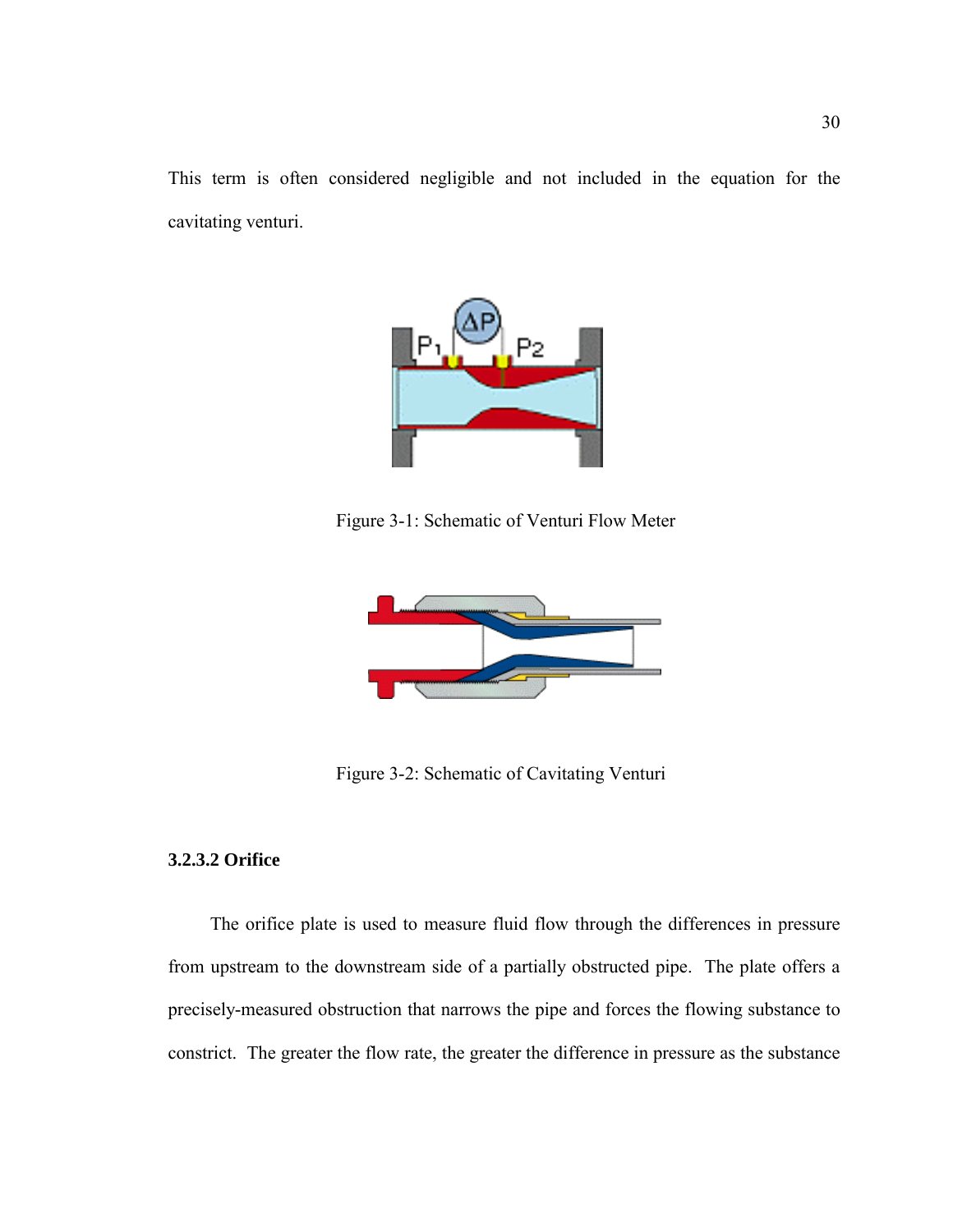This term is often considered negligible and not included in the equation for the cavitating venturi.



Figure 3-1: Schematic of Venturi Flow Meter



Figure 3-2: Schematic of Cavitating Venturi

## **3.2.3.2 Orifice**

 The orifice plate is used to measure fluid flow through the differences in pressure from upstream to the downstream side of a partially obstructed pipe. The plate offers a precisely-measured obstruction that narrows the pipe and forces the flowing substance to constrict. The greater the flow rate, the greater the difference in pressure as the substance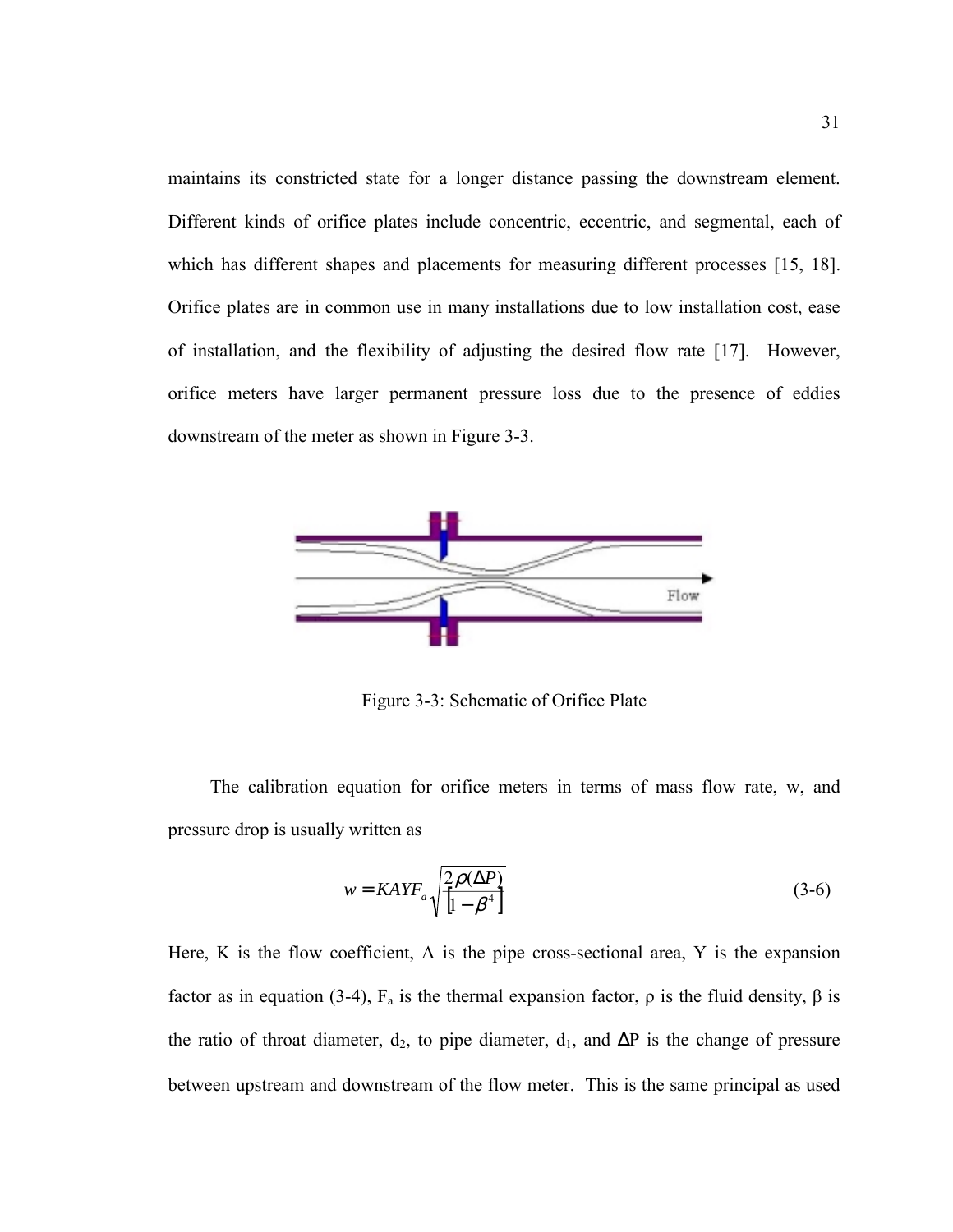maintains its constricted state for a longer distance passing the downstream element. Different kinds of orifice plates include concentric, eccentric, and segmental, each of which has different shapes and placements for measuring different processes [15, 18]. Orifice plates are in common use in many installations due to low installation cost, ease of installation, and the flexibility of adjusting the desired flow rate [17]. However, orifice meters have larger permanent pressure loss due to the presence of eddies downstream of the meter as shown in Figure 3-3.



Figure 3-3: Schematic of Orifice Plate

 The calibration equation for orifice meters in terms of mass flow rate, w, and pressure drop is usually written as

$$
w = KAYF_a \sqrt{\frac{2\rho(\Delta P)}{\left[1 - \beta^4\right]}}\tag{3-6}
$$

Here, K is the flow coefficient, A is the pipe cross-sectional area, Y is the expansion factor as in equation (3-4),  $F_a$  is the thermal expansion factor,  $ρ$  is the fluid density,  $β$  is the ratio of throat diameter,  $d_2$ , to pipe diameter,  $d_1$ , and  $\Delta P$  is the change of pressure between upstream and downstream of the flow meter. This is the same principal as used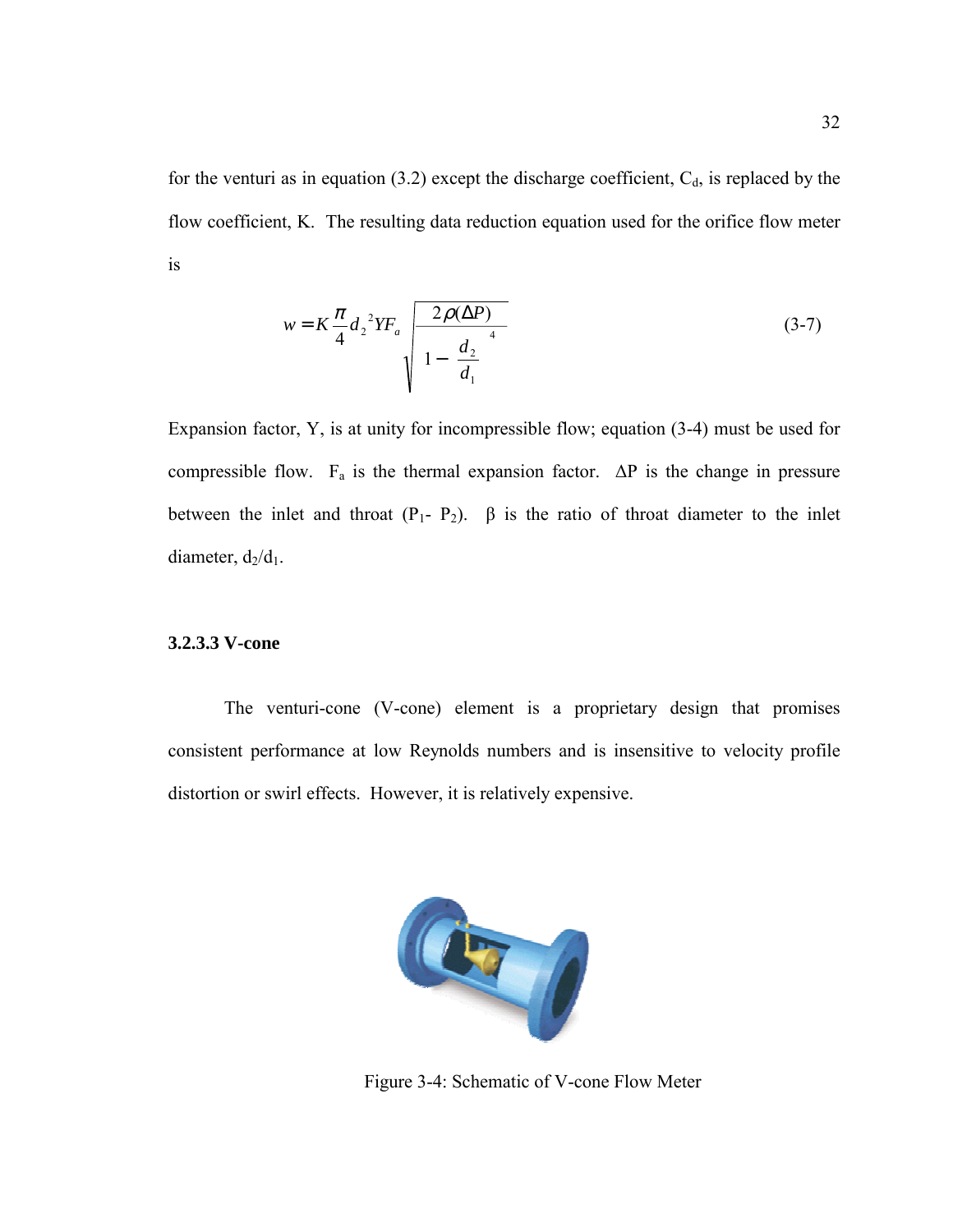for the venturi as in equation (3.2) except the discharge coefficient,  $C_d$ , is replaced by the flow coefficient, K. The resulting data reduction equation used for the orifice flow meter is

$$
w = K \frac{\pi}{4} d_2^2 Y F_a \sqrt{\frac{2\rho(\Delta P)}{\left[1 - \left(\frac{d_2}{d_1}\right)^4\right]}}
$$
(3-7)

Expansion factor, Y, is at unity for incompressible flow; equation (3-4) must be used for compressible flow.  $F_a$  is the thermal expansion factor.  $\Delta P$  is the change in pressure between the inlet and throat  $(P_1 - P_2)$ .  $\beta$  is the ratio of throat diameter to the inlet diameter,  $d_2/d_1$ .

### **3.2.3.3 V-cone**

The venturi-cone (V-cone) element is a proprietary design that promises consistent performance at low Reynolds numbers and is insensitive to velocity profile distortion or swirl effects. However, it is relatively expensive.



Figure 3-4: Schematic of V-cone Flow Meter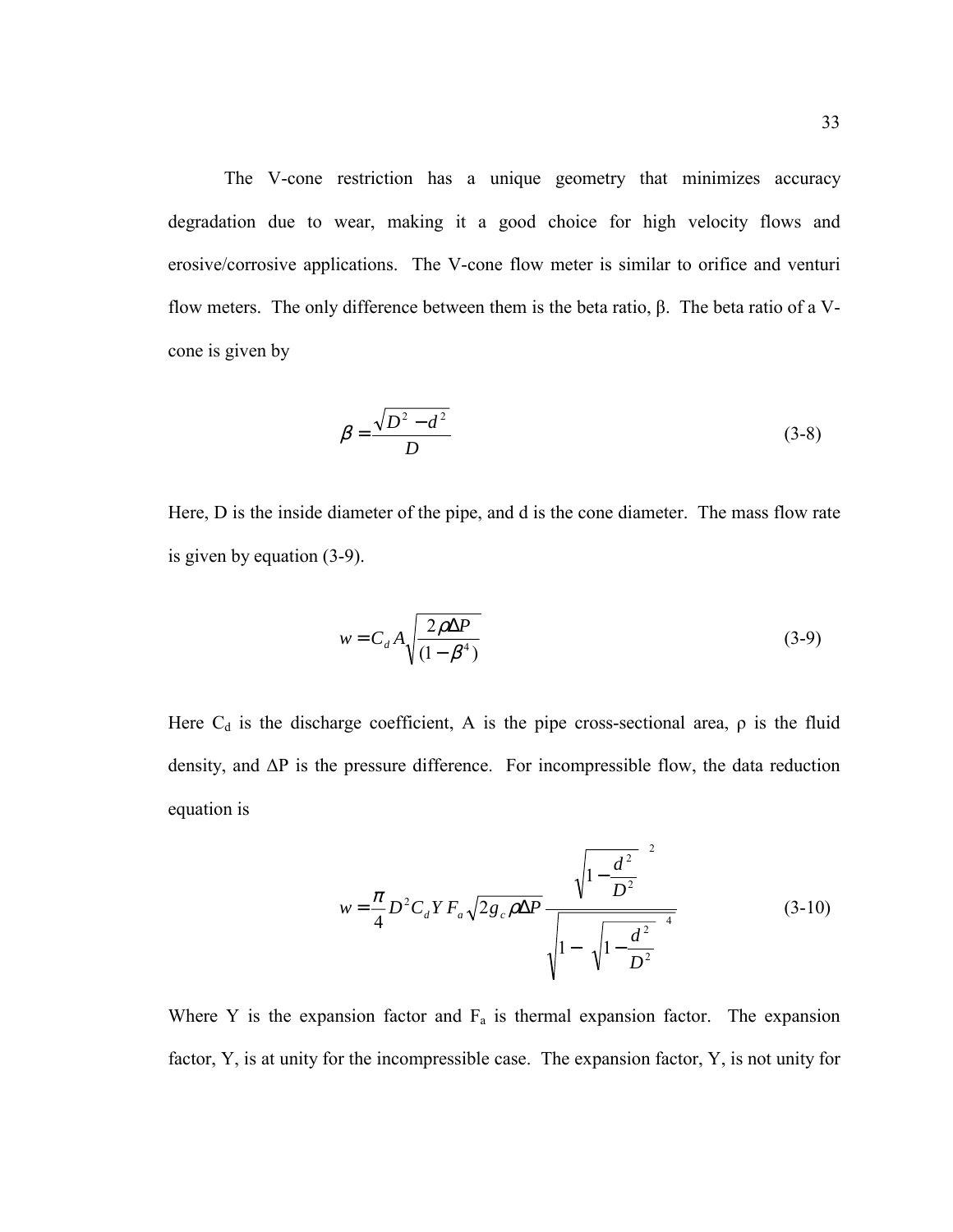The V-cone restriction has a unique geometry that minimizes accuracy degradation due to wear, making it a good choice for high velocity flows and erosive/corrosive applications. The V-cone flow meter is similar to orifice and venturi flow meters. The only difference between them is the beta ratio, β. The beta ratio of a Vcone is given by

$$
\beta = \frac{\sqrt{D^2 - d^2}}{D} \tag{3-8}
$$

Here, D is the inside diameter of the pipe, and d is the cone diameter. The mass flow rate is given by equation (3-9).

$$
w = C_d A \sqrt{\frac{2\rho \Delta P}{(1 - \beta^4)}}
$$
(3-9)

Here  $C_d$  is the discharge coefficient, A is the pipe cross-sectional area,  $\rho$  is the fluid density, and ∆P is the pressure difference. For incompressible flow, the data reduction equation is

$$
w = \frac{\pi}{4} D^2 C_d Y F_a \sqrt{2g_c \rho \Delta P} \frac{\left(\sqrt{1 - \frac{d^2}{D^2}}\right)^2}{\sqrt{1 - \left(\sqrt{1 - \frac{d^2}{D^2}}\right)^4}}
$$
(3-10)

Where Y is the expansion factor and  $F_a$  is thermal expansion factor. The expansion factor, Y, is at unity for the incompressible case. The expansion factor, Y, is not unity for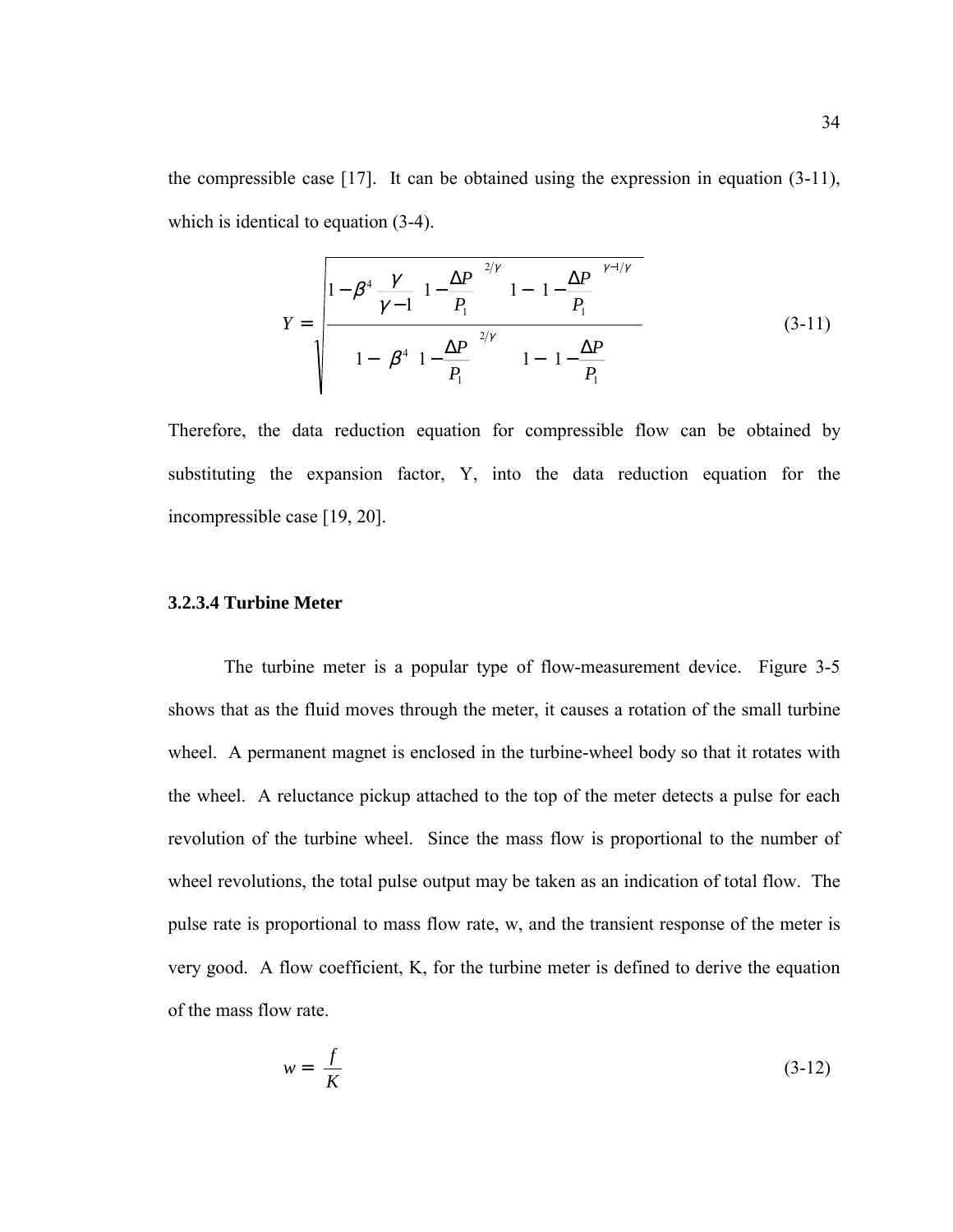the compressible case [17]. It can be obtained using the expression in equation (3-11), which is identical to equation (3-4).

$$
Y = \sqrt{\frac{1 - \beta^4 \frac{\gamma}{\gamma - 1} \left(1 - \frac{\Delta P}{P_1}\right)^{2/\gamma} \left[1 - \left(1 - \frac{\Delta P}{P_1}\right)^{\gamma - 1/\gamma}\right]}{\left\{1 - \left[\beta^4 \left(1 - \frac{\Delta P}{P_1}\right)^{2/\gamma}\right] \left[1 - \left(1 - \frac{\Delta P}{P_1}\right)\right]}\right\}}
$$
(3-11)

Therefore, the data reduction equation for compressible flow can be obtained by substituting the expansion factor, Y, into the data reduction equation for the incompressible case [19, 20].

## **3.2.3.4 Turbine Meter**

The turbine meter is a popular type of flow-measurement device. Figure 3-5 shows that as the fluid moves through the meter, it causes a rotation of the small turbine wheel. A permanent magnet is enclosed in the turbine-wheel body so that it rotates with the wheel. A reluctance pickup attached to the top of the meter detects a pulse for each revolution of the turbine wheel. Since the mass flow is proportional to the number of wheel revolutions, the total pulse output may be taken as an indication of total flow. The pulse rate is proportional to mass flow rate, w, and the transient response of the meter is very good. A flow coefficient, K, for the turbine meter is defined to derive the equation of the mass flow rate.

$$
w = \left(\frac{f}{K}\right) \tag{3-12}
$$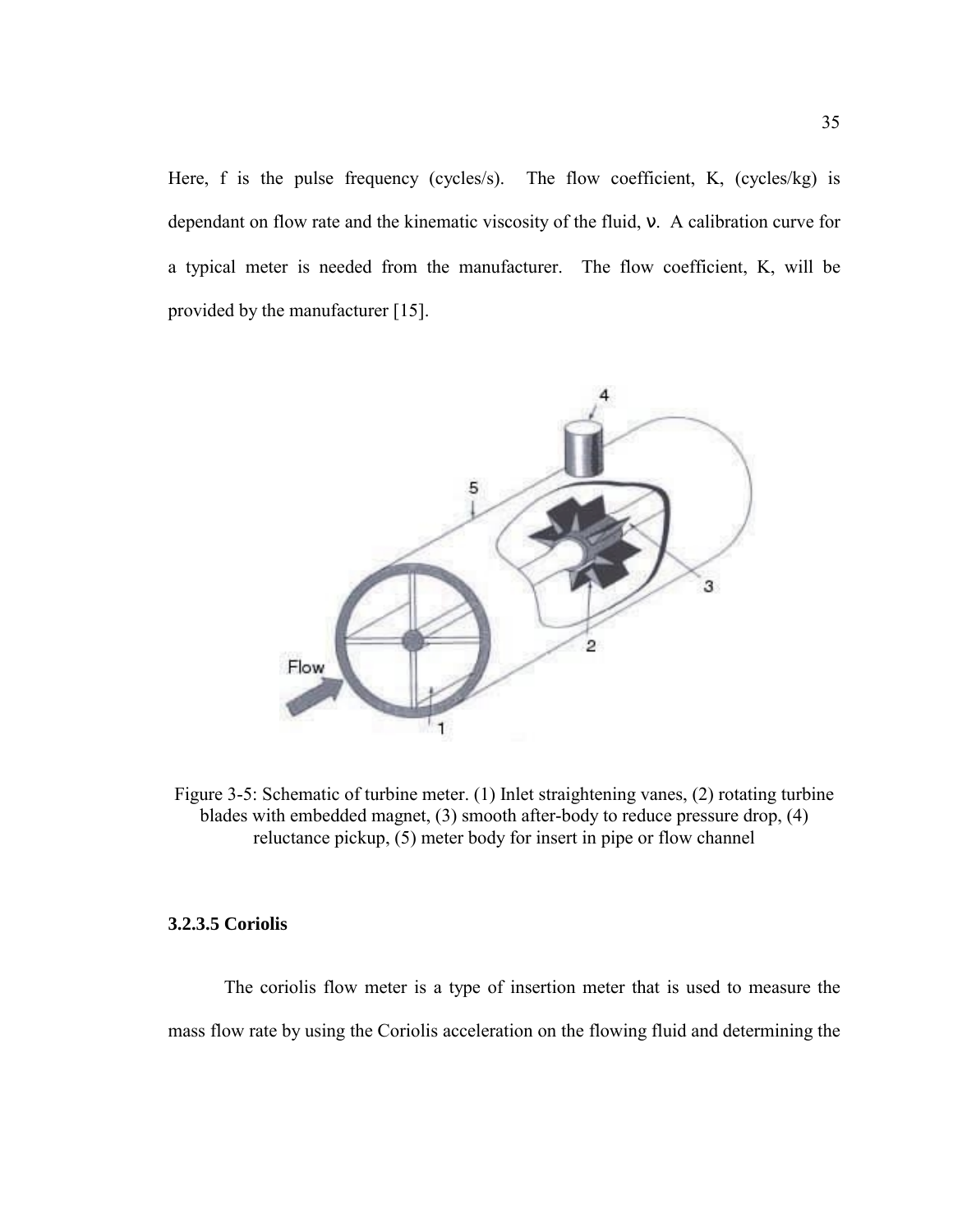Here, f is the pulse frequency (cycles/s). The flow coefficient, K, (cycles/kg) is dependant on flow rate and the kinematic viscosity of the fluid, ν. A calibration curve for a typical meter is needed from the manufacturer. The flow coefficient, K, will be provided by the manufacturer [15].



Figure 3-5: Schematic of turbine meter. (1) Inlet straightening vanes, (2) rotating turbine blades with embedded magnet, (3) smooth after-body to reduce pressure drop, (4) reluctance pickup, (5) meter body for insert in pipe or flow channel

## **3.2.3.5 Coriolis**

The coriolis flow meter is a type of insertion meter that is used to measure the mass flow rate by using the Coriolis acceleration on the flowing fluid and determining the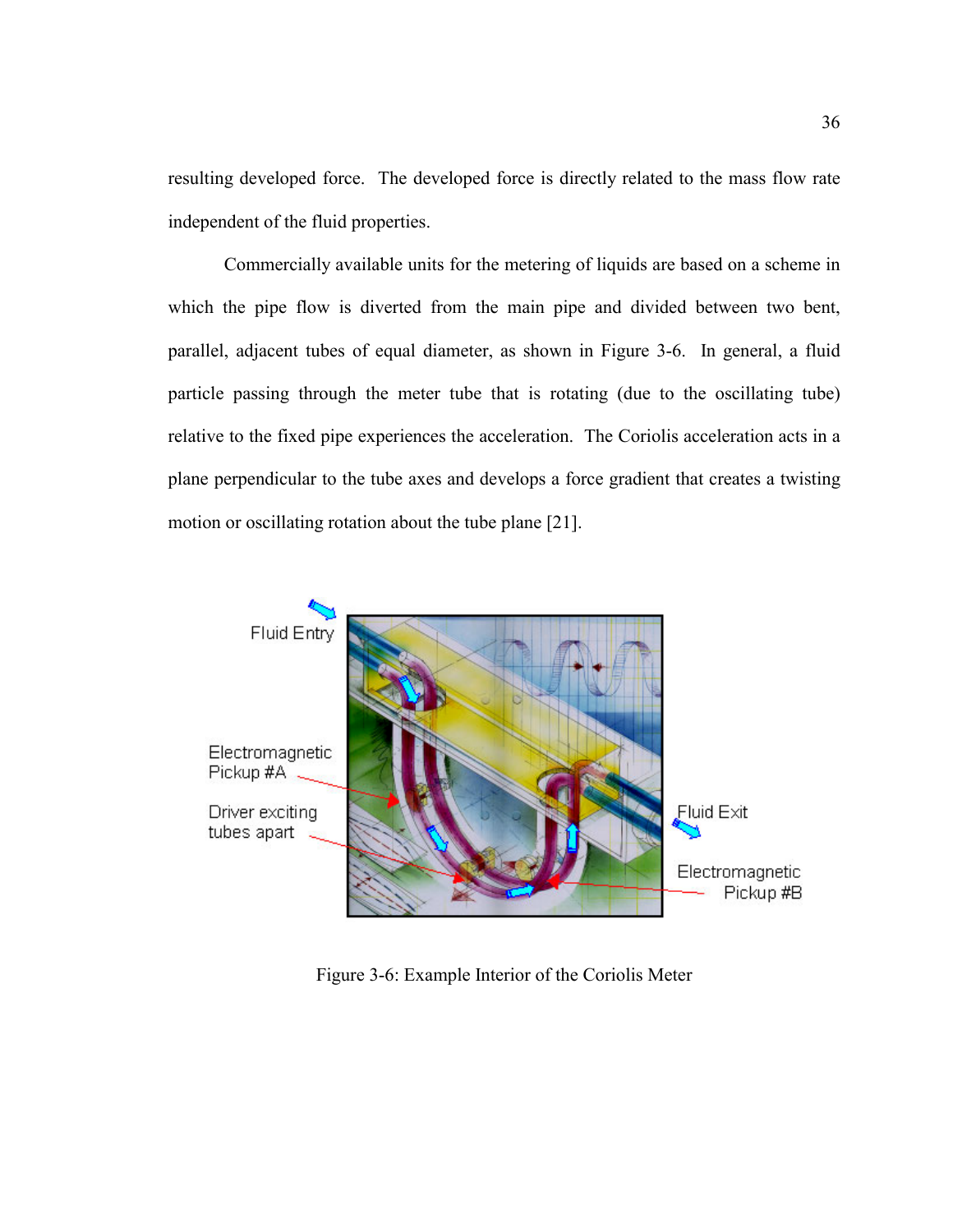resulting developed force. The developed force is directly related to the mass flow rate independent of the fluid properties.

Commercially available units for the metering of liquids are based on a scheme in which the pipe flow is diverted from the main pipe and divided between two bent, parallel, adjacent tubes of equal diameter, as shown in Figure 3-6. In general, a fluid particle passing through the meter tube that is rotating (due to the oscillating tube) relative to the fixed pipe experiences the acceleration. The Coriolis acceleration acts in a plane perpendicular to the tube axes and develops a force gradient that creates a twisting motion or oscillating rotation about the tube plane [21].



Figure 3-6: Example Interior of the Coriolis Meter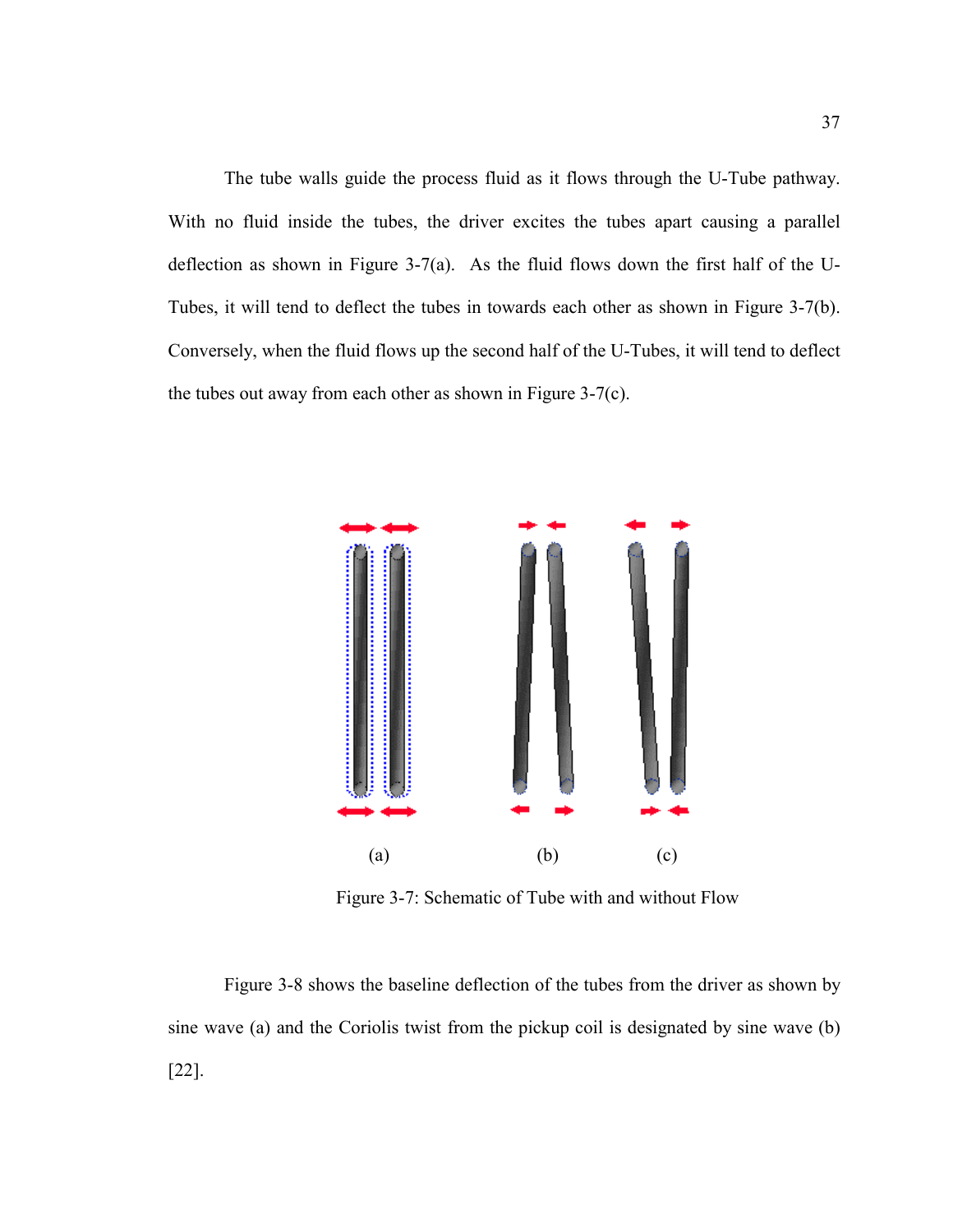The tube walls guide the process fluid as it flows through the U-Tube pathway. With no fluid inside the tubes, the driver excites the tubes apart causing a parallel deflection as shown in Figure 3-7(a). As the fluid flows down the first half of the U-Tubes, it will tend to deflect the tubes in towards each other as shown in Figure 3-7(b). Conversely, when the fluid flows up the second half of the U-Tubes, it will tend to deflect the tubes out away from each other as shown in Figure 3-7(c).



Figure 3-7: Schematic of Tube with and without Flow

Figure 3-8 shows the baseline deflection of the tubes from the driver as shown by sine wave (a) and the Coriolis twist from the pickup coil is designated by sine wave (b) [22].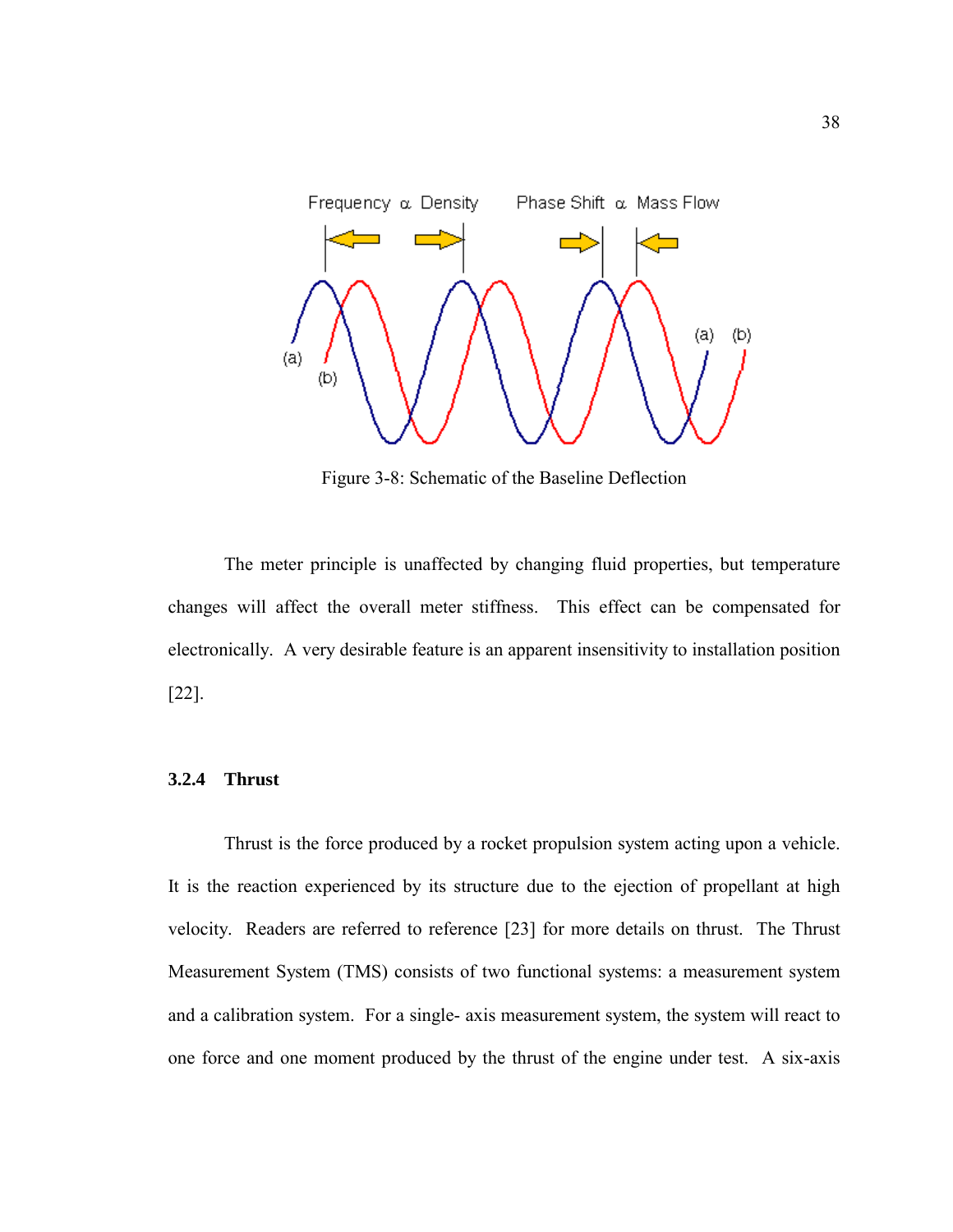

Figure 3-8: Schematic of the Baseline Deflection

The meter principle is unaffected by changing fluid properties, but temperature changes will affect the overall meter stiffness. This effect can be compensated for electronically. A very desirable feature is an apparent insensitivity to installation position [22].

## **3.2.4 Thrust**

Thrust is the force produced by a rocket propulsion system acting upon a vehicle. It is the reaction experienced by its structure due to the ejection of propellant at high velocity. Readers are referred to reference [23] for more details on thrust. The Thrust Measurement System (TMS) consists of two functional systems: a measurement system and a calibration system. For a single- axis measurement system, the system will react to one force and one moment produced by the thrust of the engine under test. A six-axis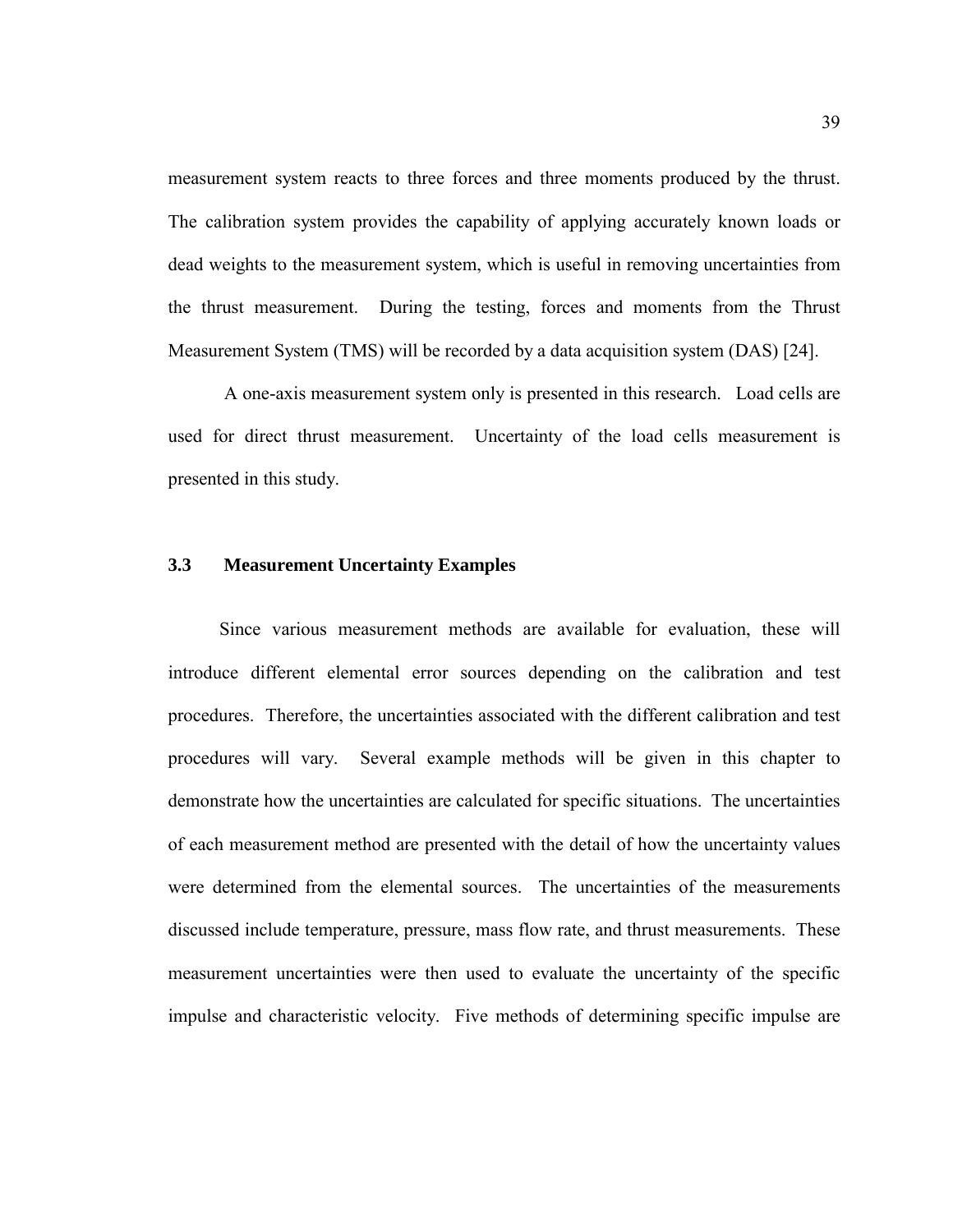measurement system reacts to three forces and three moments produced by the thrust. The calibration system provides the capability of applying accurately known loads or dead weights to the measurement system, which is useful in removing uncertainties from the thrust measurement. During the testing, forces and moments from the Thrust Measurement System (TMS) will be recorded by a data acquisition system (DAS) [24].

A one-axis measurement system only is presented in this research. Load cells are used for direct thrust measurement. Uncertainty of the load cells measurement is presented in this study.

## **3.3 Measurement Uncertainty Examples**

Since various measurement methods are available for evaluation, these will introduce different elemental error sources depending on the calibration and test procedures. Therefore, the uncertainties associated with the different calibration and test procedures will vary. Several example methods will be given in this chapter to demonstrate how the uncertainties are calculated for specific situations. The uncertainties of each measurement method are presented with the detail of how the uncertainty values were determined from the elemental sources. The uncertainties of the measurements discussed include temperature, pressure, mass flow rate, and thrust measurements. These measurement uncertainties were then used to evaluate the uncertainty of the specific impulse and characteristic velocity. Five methods of determining specific impulse are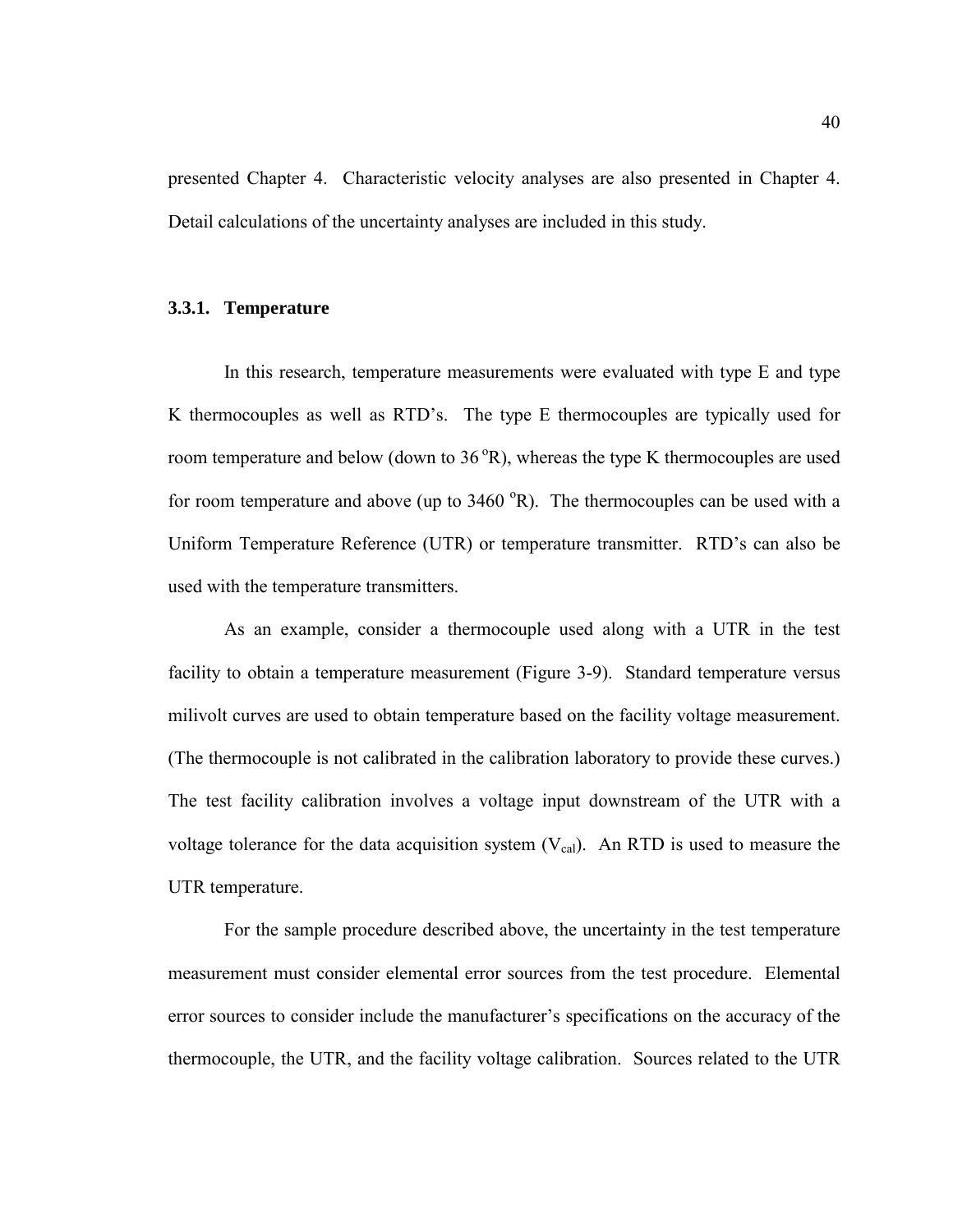presented Chapter 4. Characteristic velocity analyses are also presented in Chapter 4. Detail calculations of the uncertainty analyses are included in this study.

#### **3.3.1. Temperature**

 In this research, temperature measurements were evaluated with type E and type K thermocouples as well as RTD's. The type E thermocouples are typically used for room temperature and below (down to  $36^{\circ}R$ ), whereas the type K thermocouples are used for room temperature and above (up to  $3460 \degree R$ ). The thermocouples can be used with a Uniform Temperature Reference (UTR) or temperature transmitter. RTD's can also be used with the temperature transmitters.

 As an example, consider a thermocouple used along with a UTR in the test facility to obtain a temperature measurement (Figure 3-9). Standard temperature versus milivolt curves are used to obtain temperature based on the facility voltage measurement. (The thermocouple is not calibrated in the calibration laboratory to provide these curves.) The test facility calibration involves a voltage input downstream of the UTR with a voltage tolerance for the data acquisition system  $(V_{cal})$ . An RTD is used to measure the UTR temperature.

 For the sample procedure described above, the uncertainty in the test temperature measurement must consider elemental error sources from the test procedure. Elemental error sources to consider include the manufacturer's specifications on the accuracy of the thermocouple, the UTR, and the facility voltage calibration. Sources related to the UTR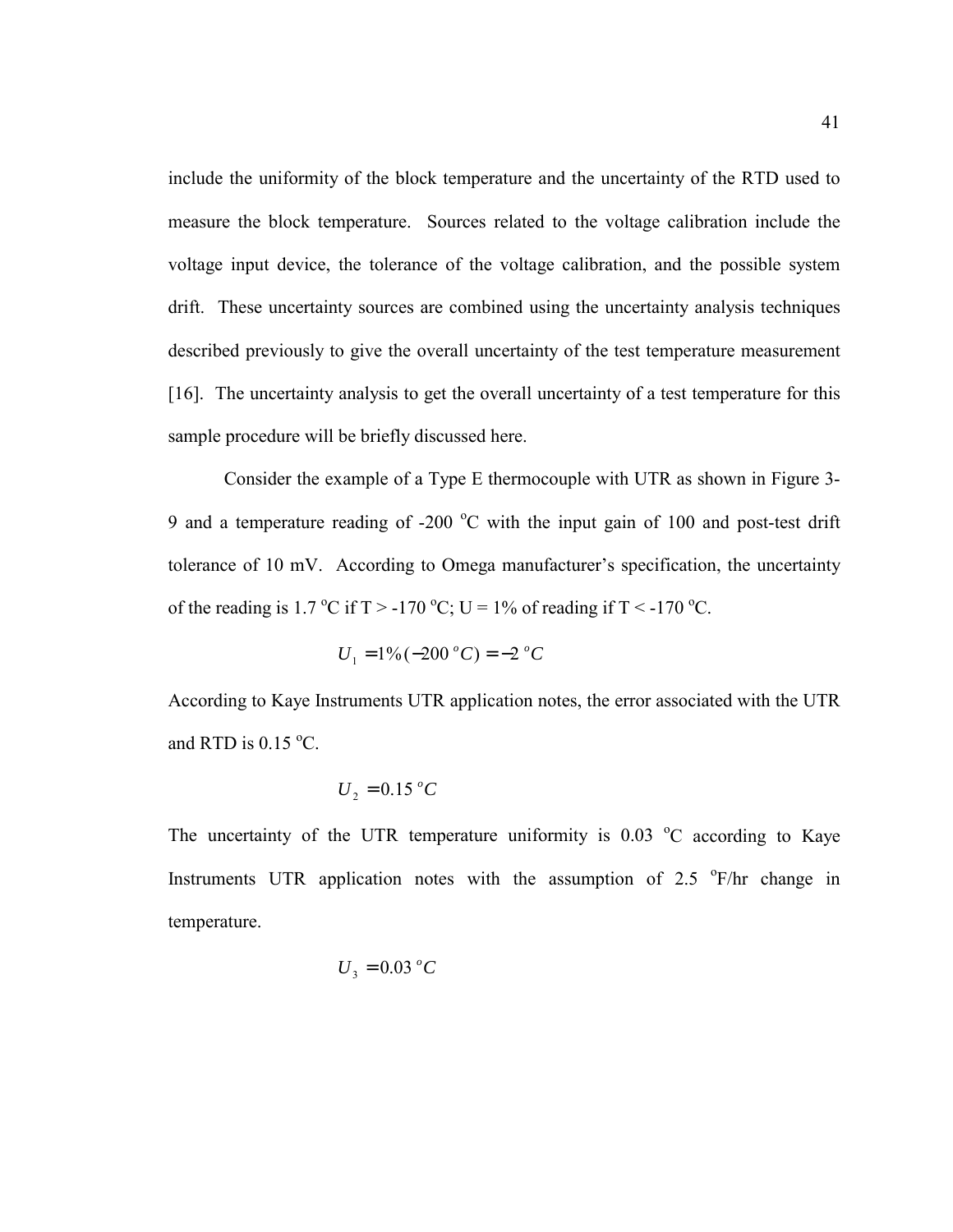include the uniformity of the block temperature and the uncertainty of the RTD used to measure the block temperature. Sources related to the voltage calibration include the voltage input device, the tolerance of the voltage calibration, and the possible system drift. These uncertainty sources are combined using the uncertainty analysis techniques described previously to give the overall uncertainty of the test temperature measurement [16]. The uncertainty analysis to get the overall uncertainty of a test temperature for this sample procedure will be briefly discussed here.

 Consider the example of a Type E thermocouple with UTR as shown in Figure 3- 9 and a temperature reading of -200  $^{\circ}$ C with the input gain of 100 and post-test drift tolerance of 10 mV. According to Omega manufacturer's specification, the uncertainty of the reading is 1.7 °C if  $T > -170$  °C; U = 1% of reading if  $T < -170$  °C.

$$
U_1 = 1\% (-200 °C) = -2 °C
$$

According to Kaye Instruments UTR application notes, the error associated with the UTR and RTD is  $0.15 \degree C$ .

$$
U_2 = 0.15\,{}^oC
$$

The uncertainty of the UTR temperature uniformity is  $0.03 \degree$ C according to Kaye Instruments UTR application notes with the assumption of  $2.5$  <sup>o</sup>F/hr change in temperature.

$$
U_3 = 0.03 \ ^oC
$$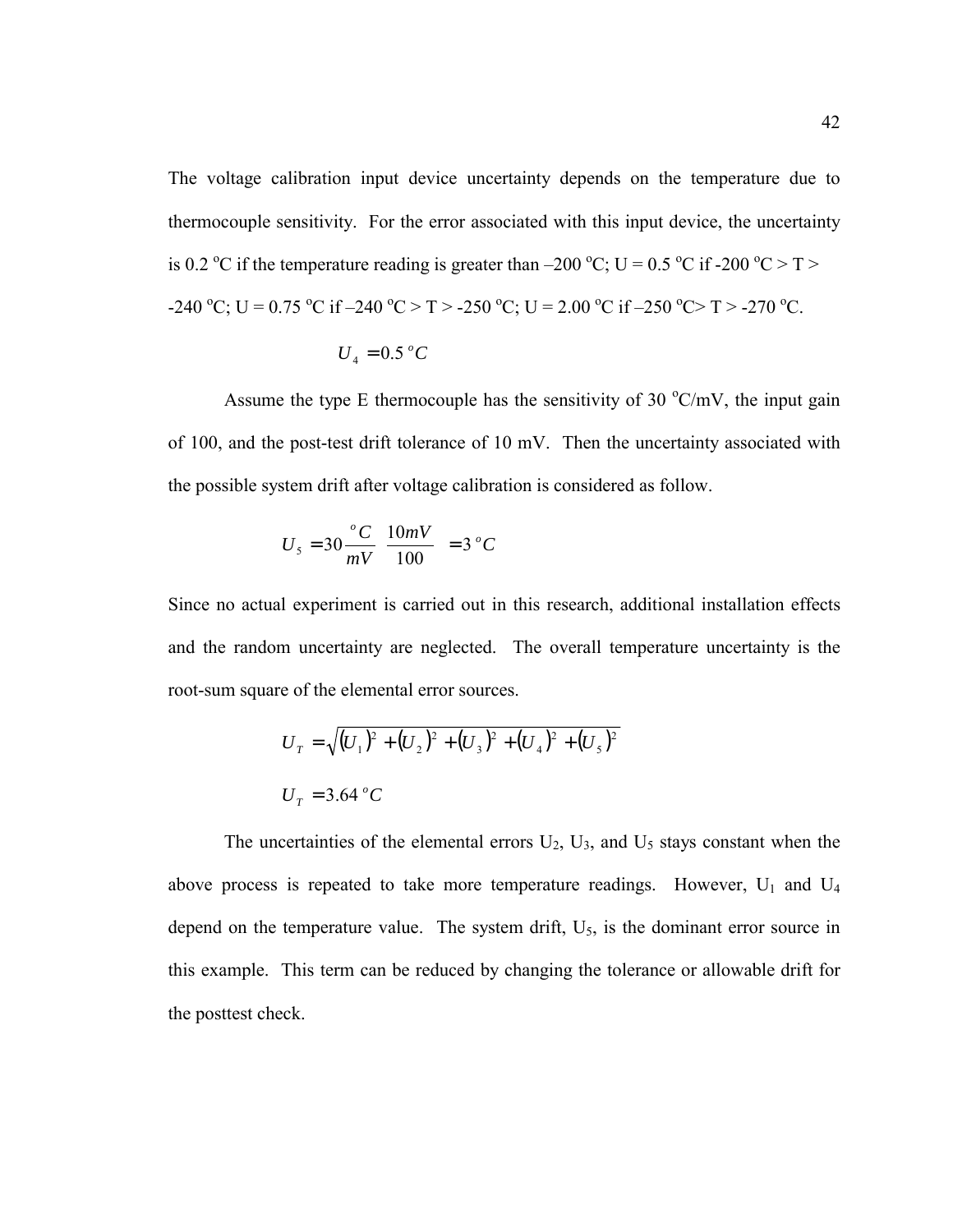The voltage calibration input device uncertainty depends on the temperature due to thermocouple sensitivity. For the error associated with this input device, the uncertainty is 0.2 °C if the temperature reading is greater than –200 °C; U = 0.5 °C if -200 °C > T > -240 °C; U = 0.75 °C if -240 °C > T > -250 °C; U = 2.00 °C if -250 °C> T > -270 °C.

$$
U_4 = 0.5\,^oC
$$

Assume the type E thermocouple has the sensitivity of 30  $\mathrm{C/mV}$ , the input gain of 100, and the post-test drift tolerance of 10 mV. Then the uncertainty associated with the possible system drift after voltage calibration is considered as follow.

$$
U_5 = 30 \frac{{}^{o}C}{mV} \left( \frac{10mV}{100} \right) = 3 {}^{o}C
$$

Since no actual experiment is carried out in this research, additional installation effects and the random uncertainty are neglected. The overall temperature uncertainty is the root-sum square of the elemental error sources.

$$
U_T = \sqrt{(U_1)^2 + (U_2)^2 + (U_3)^2 + (U_4)^2 + (U_5)^2}
$$
  

$$
U_T = 3.64 \,^{\circ}C
$$

The uncertainties of the elemental errors  $U_2$ ,  $U_3$ , and  $U_5$  stays constant when the above process is repeated to take more temperature readings. However,  $U_1$  and  $U_4$ depend on the temperature value. The system drift,  $U_5$ , is the dominant error source in this example. This term can be reduced by changing the tolerance or allowable drift for the posttest check.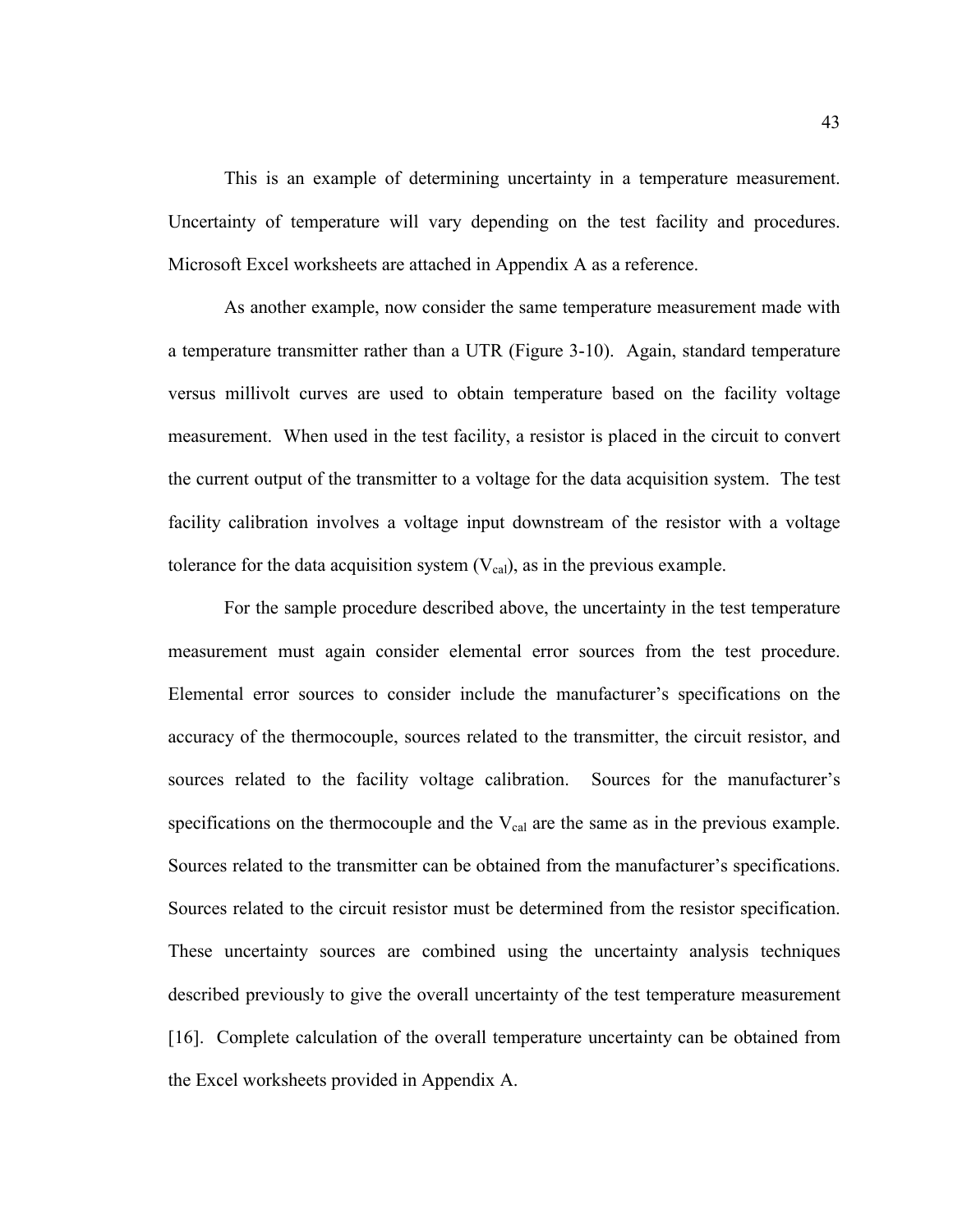This is an example of determining uncertainty in a temperature measurement. Uncertainty of temperature will vary depending on the test facility and procedures. Microsoft Excel worksheets are attached in Appendix A as a reference.

 As another example, now consider the same temperature measurement made with a temperature transmitter rather than a UTR (Figure 3-10). Again, standard temperature versus millivolt curves are used to obtain temperature based on the facility voltage measurement. When used in the test facility, a resistor is placed in the circuit to convert the current output of the transmitter to a voltage for the data acquisition system. The test facility calibration involves a voltage input downstream of the resistor with a voltage tolerance for the data acquisition system  $(V_{cal})$ , as in the previous example.

 For the sample procedure described above, the uncertainty in the test temperature measurement must again consider elemental error sources from the test procedure. Elemental error sources to consider include the manufacturer's specifications on the accuracy of the thermocouple, sources related to the transmitter, the circuit resistor, and sources related to the facility voltage calibration. Sources for the manufacturer's specifications on the thermocouple and the  $V_{cal}$  are the same as in the previous example. Sources related to the transmitter can be obtained from the manufacturer's specifications. Sources related to the circuit resistor must be determined from the resistor specification. These uncertainty sources are combined using the uncertainty analysis techniques described previously to give the overall uncertainty of the test temperature measurement [16]. Complete calculation of the overall temperature uncertainty can be obtained from the Excel worksheets provided in Appendix A.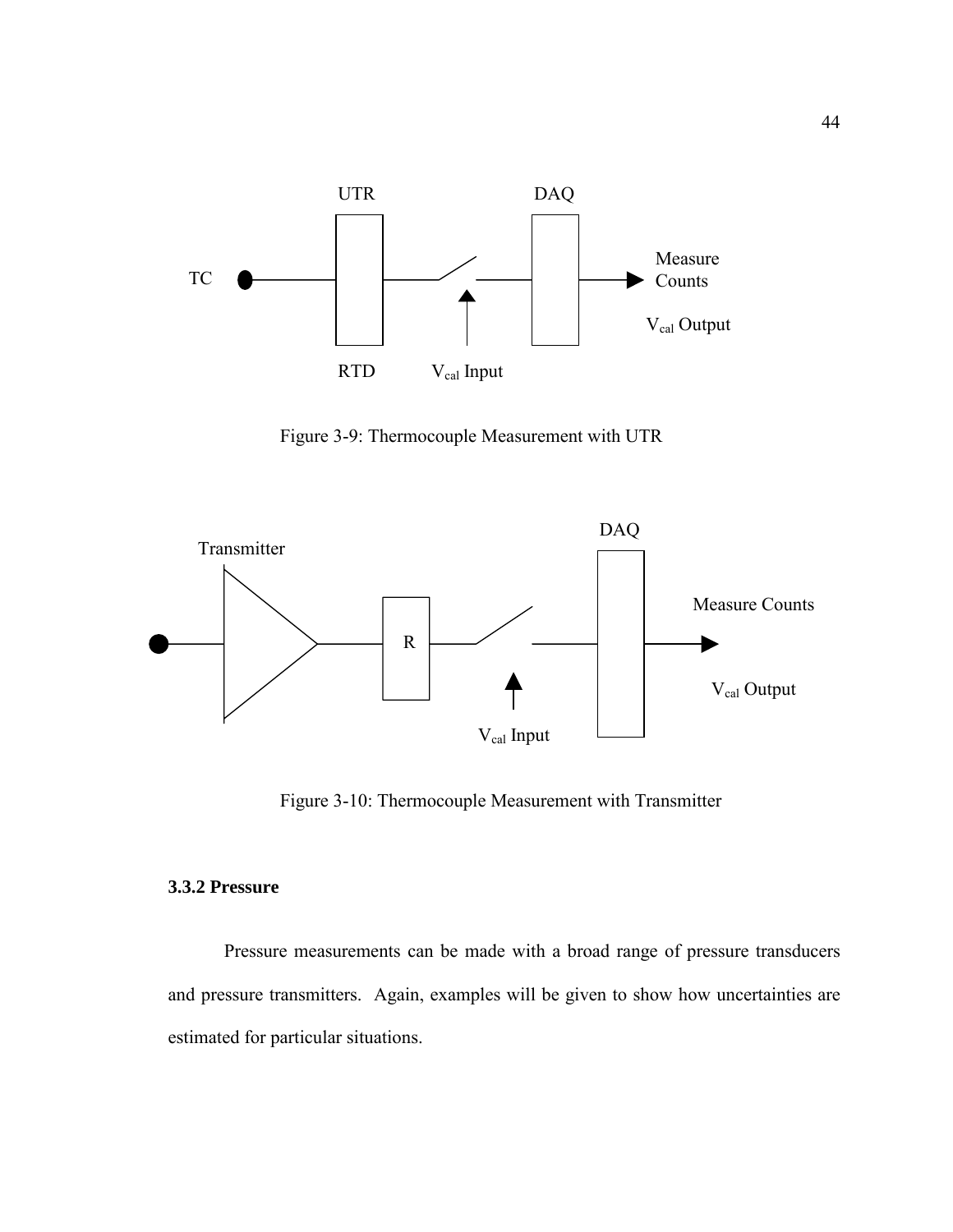

Figure 3-9: Thermocouple Measurement with UTR



Figure 3-10: Thermocouple Measurement with Transmitter

## **3.3.2 Pressure**

 Pressure measurements can be made with a broad range of pressure transducers and pressure transmitters. Again, examples will be given to show how uncertainties are estimated for particular situations.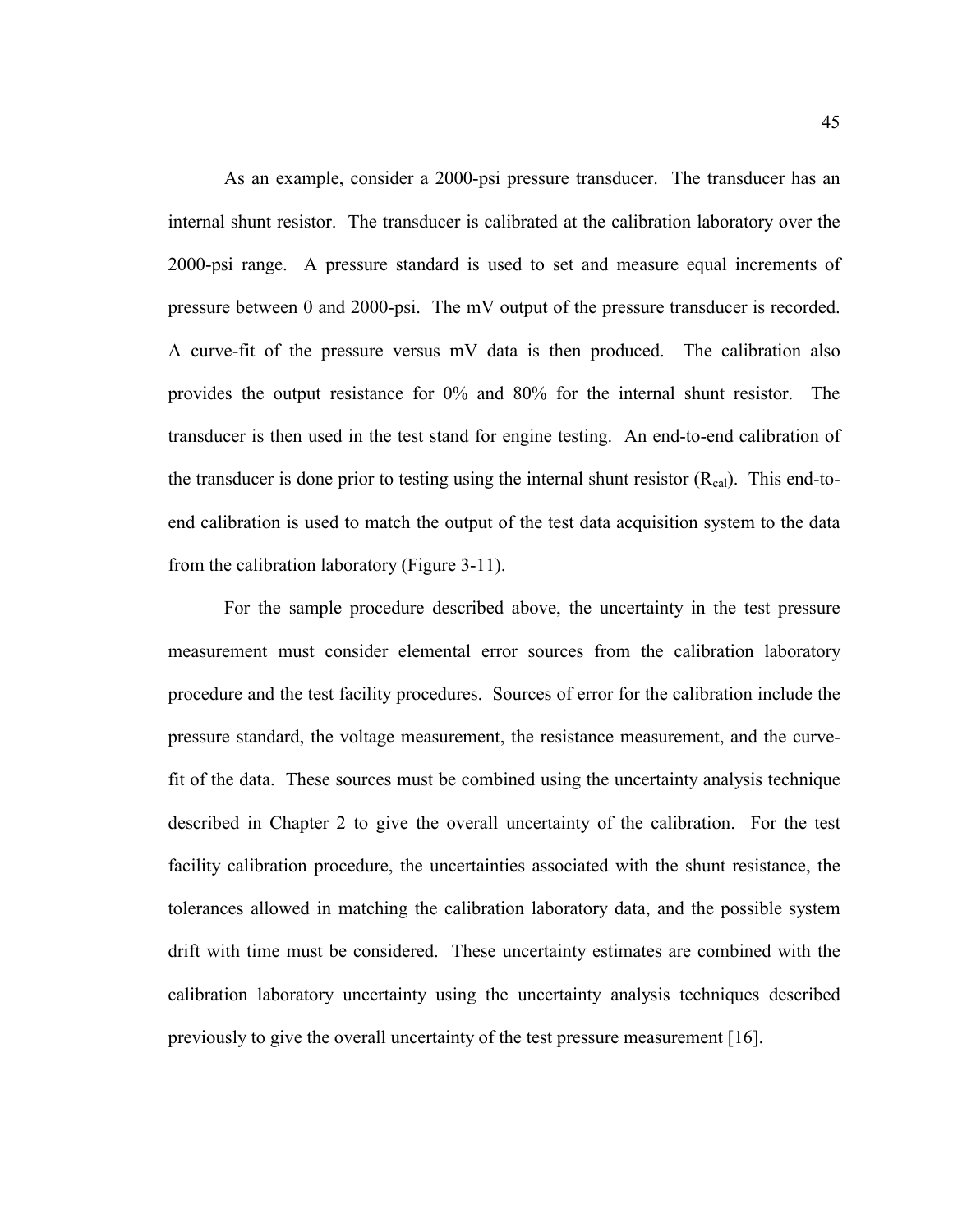As an example, consider a 2000-psi pressure transducer. The transducer has an internal shunt resistor. The transducer is calibrated at the calibration laboratory over the 2000-psi range. A pressure standard is used to set and measure equal increments of pressure between 0 and 2000-psi. The mV output of the pressure transducer is recorded. A curve-fit of the pressure versus mV data is then produced. The calibration also provides the output resistance for 0% and 80% for the internal shunt resistor. The transducer is then used in the test stand for engine testing. An end-to-end calibration of the transducer is done prior to testing using the internal shunt resistor  $(R_{cal})$ . This end-toend calibration is used to match the output of the test data acquisition system to the data from the calibration laboratory (Figure 3-11).

 For the sample procedure described above, the uncertainty in the test pressure measurement must consider elemental error sources from the calibration laboratory procedure and the test facility procedures. Sources of error for the calibration include the pressure standard, the voltage measurement, the resistance measurement, and the curvefit of the data. These sources must be combined using the uncertainty analysis technique described in Chapter 2 to give the overall uncertainty of the calibration. For the test facility calibration procedure, the uncertainties associated with the shunt resistance, the tolerances allowed in matching the calibration laboratory data, and the possible system drift with time must be considered. These uncertainty estimates are combined with the calibration laboratory uncertainty using the uncertainty analysis techniques described previously to give the overall uncertainty of the test pressure measurement [16].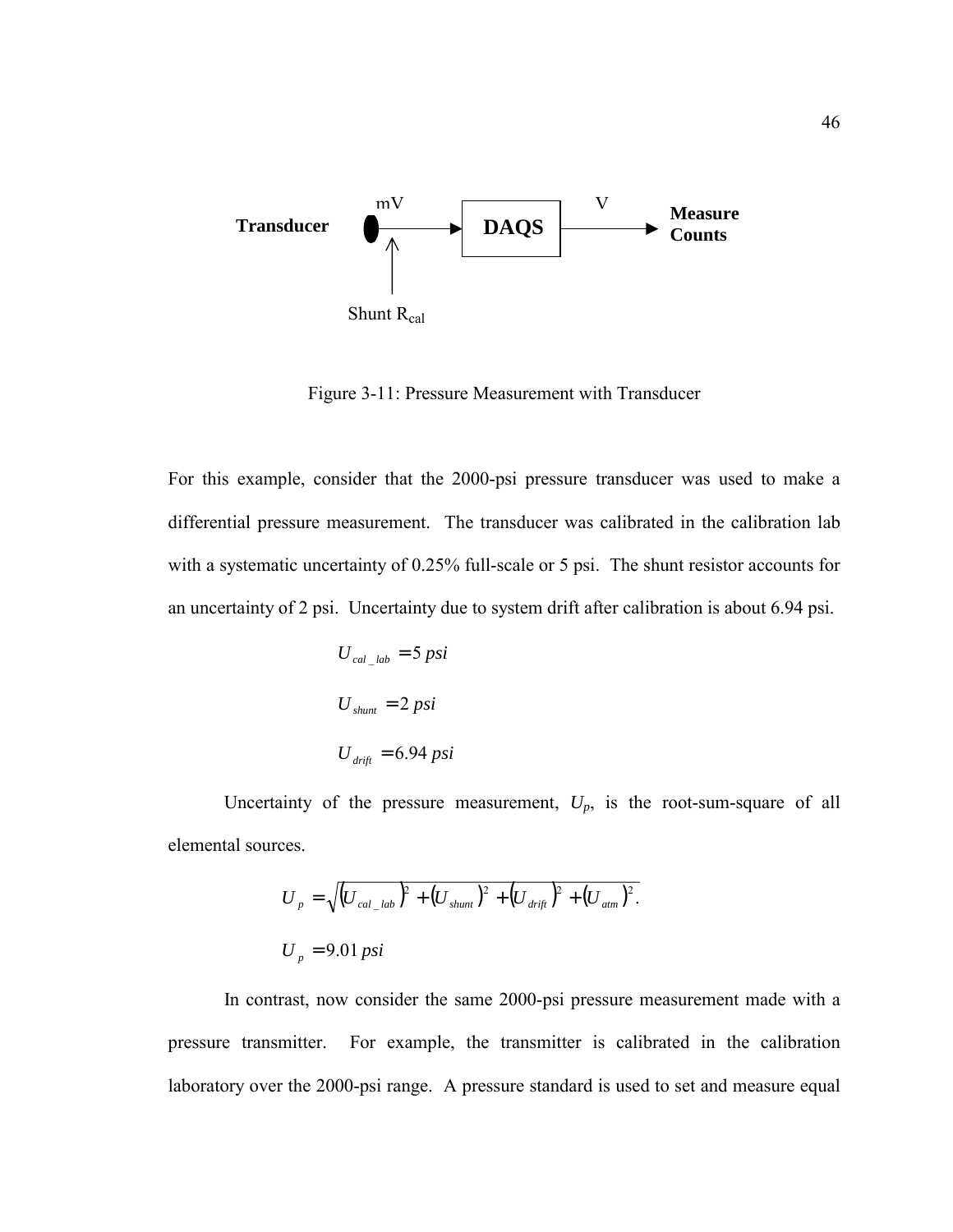

Figure 3-11: Pressure Measurement with Transducer

For this example, consider that the 2000-psi pressure transducer was used to make a differential pressure measurement. The transducer was calibrated in the calibration lab with a systematic uncertainty of 0.25% full-scale or 5 psi. The shunt resistor accounts for an uncertainty of 2 psi. Uncertainty due to system drift after calibration is about 6.94 psi.

$$
U_{cal\_lab} = 5 \text{ psi}
$$

$$
U_{shunt} = 2 \text{ psi}
$$

$$
U_{drift} = 6.94 \text{ psi}
$$

Uncertainty of the pressure measurement,  $U_p$ , is the root-sum-square of all elemental sources.

$$
U_{p} = \sqrt{\left(U_{cal\_lab}\right)^{2} + \left(U_{shunt}\right)^{2} + \left(U_{drift}\right)^{2} + \left(U_{atm}\right)^{2}}.
$$
  

$$
U_{p} = 9.01 \, psi
$$

 In contrast, now consider the same 2000-psi pressure measurement made with a pressure transmitter. For example, the transmitter is calibrated in the calibration laboratory over the 2000-psi range. A pressure standard is used to set and measure equal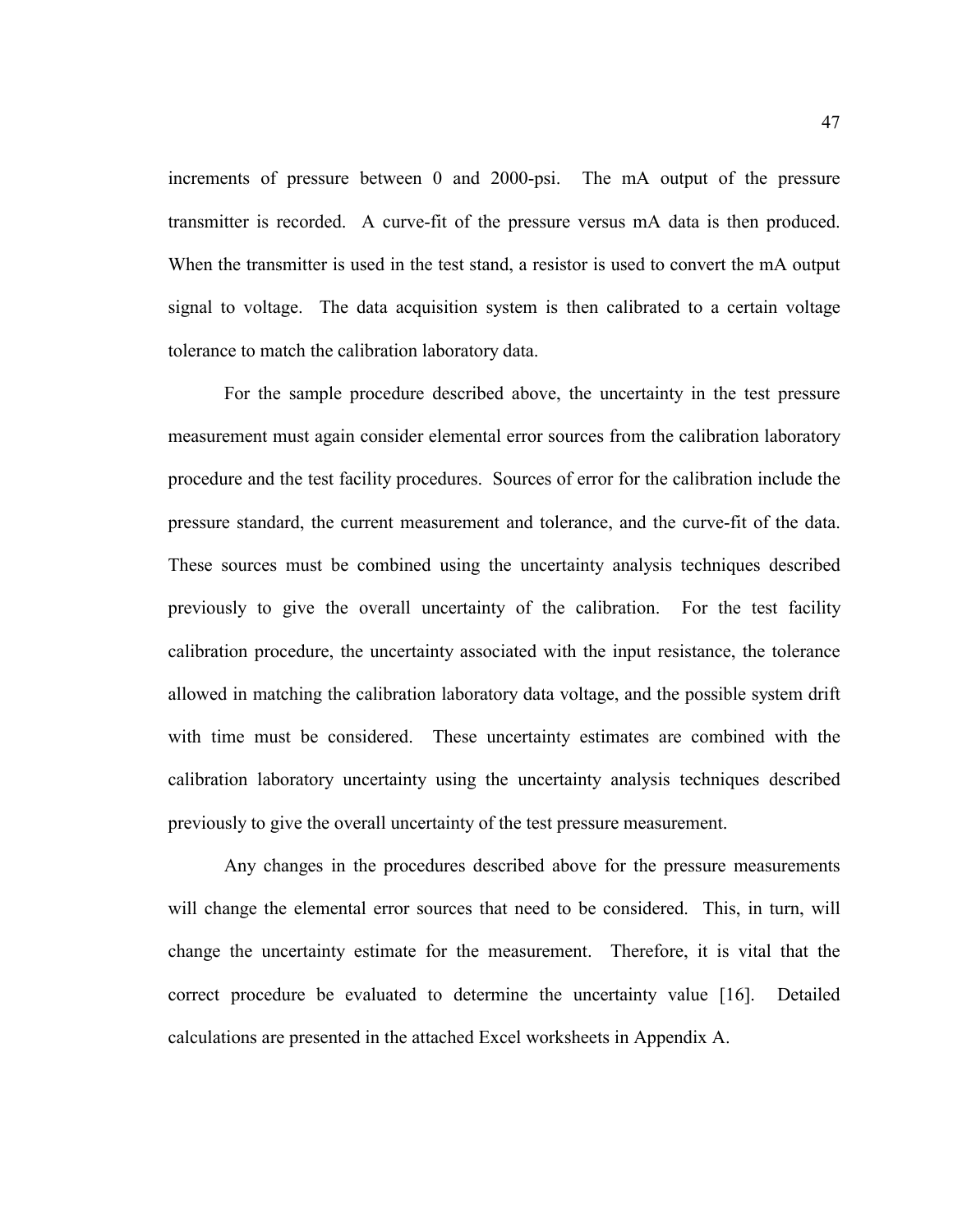increments of pressure between 0 and 2000-psi. The mA output of the pressure transmitter is recorded. A curve-fit of the pressure versus mA data is then produced. When the transmitter is used in the test stand, a resistor is used to convert the mA output signal to voltage. The data acquisition system is then calibrated to a certain voltage tolerance to match the calibration laboratory data.

 For the sample procedure described above, the uncertainty in the test pressure measurement must again consider elemental error sources from the calibration laboratory procedure and the test facility procedures. Sources of error for the calibration include the pressure standard, the current measurement and tolerance, and the curve-fit of the data. These sources must be combined using the uncertainty analysis techniques described previously to give the overall uncertainty of the calibration. For the test facility calibration procedure, the uncertainty associated with the input resistance, the tolerance allowed in matching the calibration laboratory data voltage, and the possible system drift with time must be considered. These uncertainty estimates are combined with the calibration laboratory uncertainty using the uncertainty analysis techniques described previously to give the overall uncertainty of the test pressure measurement.

 Any changes in the procedures described above for the pressure measurements will change the elemental error sources that need to be considered. This, in turn, will change the uncertainty estimate for the measurement. Therefore, it is vital that the correct procedure be evaluated to determine the uncertainty value [16]. Detailed calculations are presented in the attached Excel worksheets in Appendix A.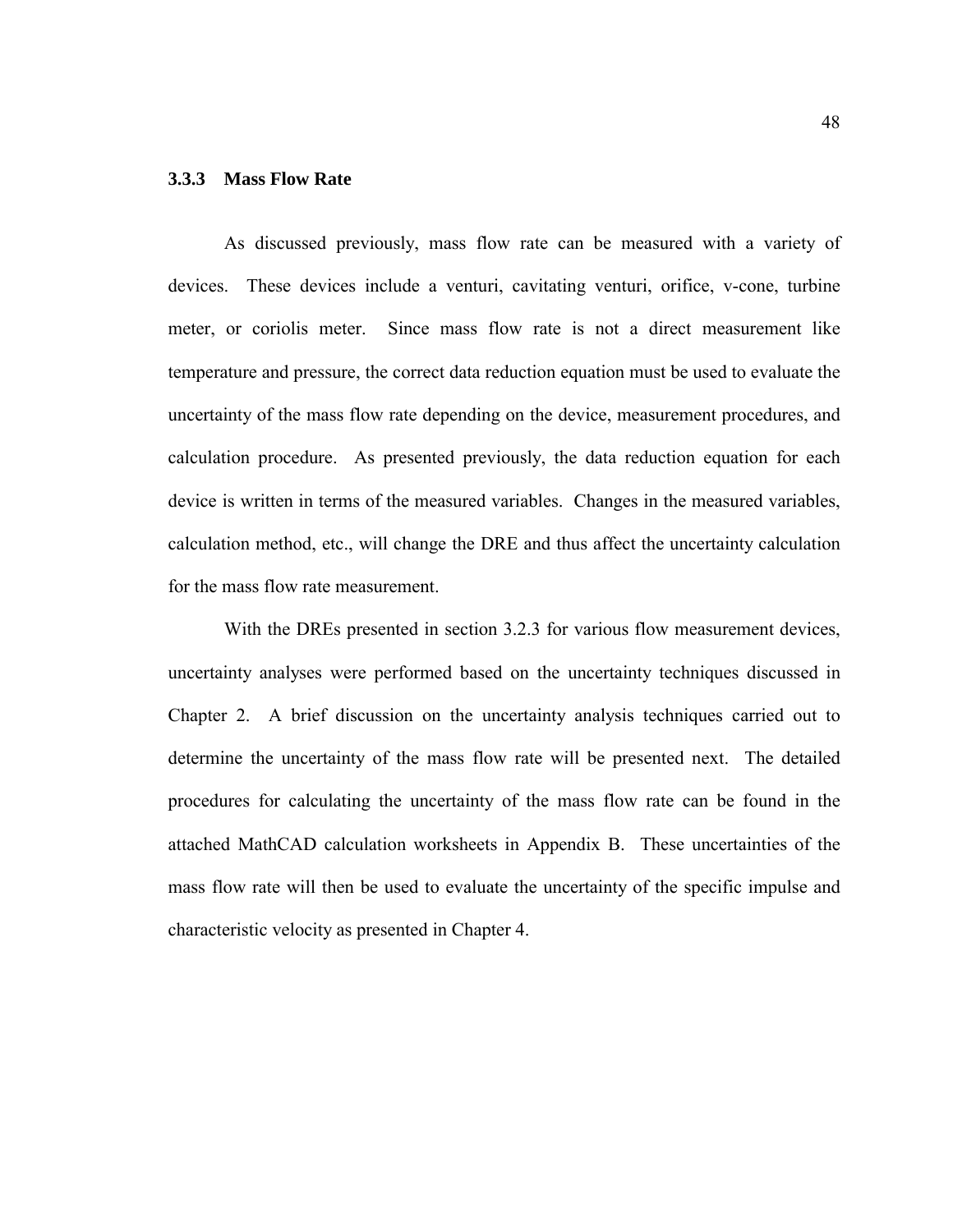## **3.3.3 Mass Flow Rate**

As discussed previously, mass flow rate can be measured with a variety of devices. These devices include a venturi, cavitating venturi, orifice, v-cone, turbine meter, or coriolis meter. Since mass flow rate is not a direct measurement like temperature and pressure, the correct data reduction equation must be used to evaluate the uncertainty of the mass flow rate depending on the device, measurement procedures, and calculation procedure. As presented previously, the data reduction equation for each device is written in terms of the measured variables. Changes in the measured variables, calculation method, etc., will change the DRE and thus affect the uncertainty calculation for the mass flow rate measurement.

With the DREs presented in section 3.2.3 for various flow measurement devices, uncertainty analyses were performed based on the uncertainty techniques discussed in Chapter 2. A brief discussion on the uncertainty analysis techniques carried out to determine the uncertainty of the mass flow rate will be presented next. The detailed procedures for calculating the uncertainty of the mass flow rate can be found in the attached MathCAD calculation worksheets in Appendix B. These uncertainties of the mass flow rate will then be used to evaluate the uncertainty of the specific impulse and characteristic velocity as presented in Chapter 4.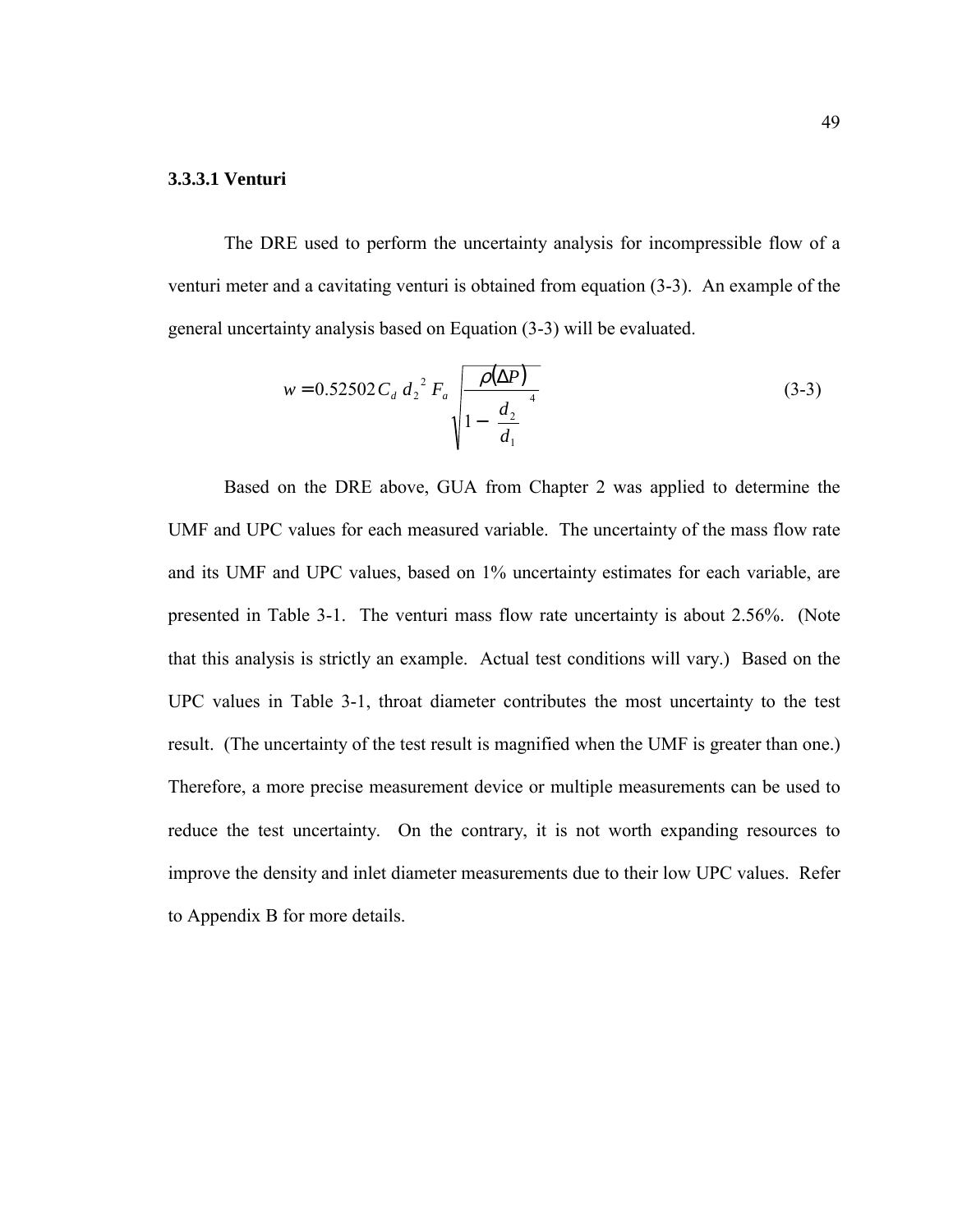#### **3.3.3.1 Venturi**

The DRE used to perform the uncertainty analysis for incompressible flow of a venturi meter and a cavitating venturi is obtained from equation (3-3). An example of the general uncertainty analysis based on Equation (3-3) will be evaluated.

$$
w = 0.52502 C_d d_2^2 F_a \sqrt{\frac{\rho(\Delta P)}{1 - \left(\frac{d_2}{d_1}\right)^4}}
$$
(3-3)

Based on the DRE above, GUA from Chapter 2 was applied to determine the UMF and UPC values for each measured variable. The uncertainty of the mass flow rate and its UMF and UPC values, based on 1% uncertainty estimates for each variable, are presented in Table 3-1. The venturi mass flow rate uncertainty is about 2.56%. (Note that this analysis is strictly an example. Actual test conditions will vary.) Based on the UPC values in Table 3-1, throat diameter contributes the most uncertainty to the test result. (The uncertainty of the test result is magnified when the UMF is greater than one.) Therefore, a more precise measurement device or multiple measurements can be used to reduce the test uncertainty. On the contrary, it is not worth expanding resources to improve the density and inlet diameter measurements due to their low UPC values. Refer to Appendix B for more details.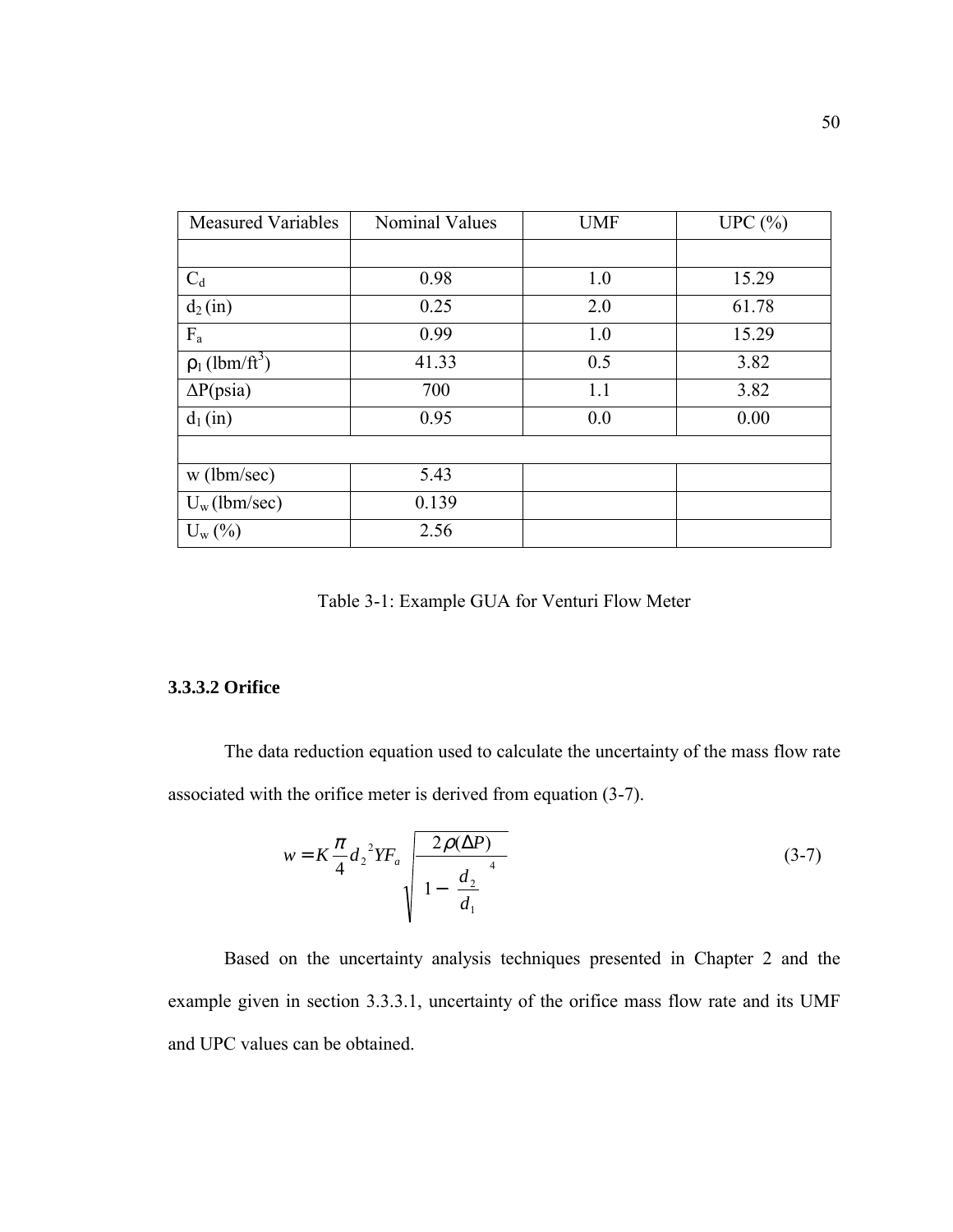| <b>Measured Variables</b>       | <b>Nominal Values</b> | <b>UMF</b> | UPC $(\% )$ |
|---------------------------------|-----------------------|------------|-------------|
|                                 |                       |            |             |
| $C_d$                           | 0.98                  | 1.0        | 15.29       |
| $d_2(in)$                       | 0.25                  | 2.0        | 61.78       |
| $F_a$                           | 0.99                  | 1.0        | 15.29       |
| $\rho_1$ (lbm/ft <sup>3</sup> ) | 41.33                 | 0.5        | 3.82        |
| $\Delta P(psia)$                | 700                   | 1.1        | 3.82        |
| $d_1(in)$                       | 0.95                  | 0.0        | 0.00        |
|                                 |                       |            |             |
| $w$ (lbm/sec)                   | 5.43                  |            |             |
| $U_w$ (lbm/sec)                 | 0.139                 |            |             |
| $U_{w}(\%)$                     | 2.56                  |            |             |

Table 3-1: Example GUA for Venturi Flow Meter

## **3.3.3.2 Orifice**

The data reduction equation used to calculate the uncertainty of the mass flow rate associated with the orifice meter is derived from equation (3-7).

$$
w = K \frac{\pi}{4} d_2^2 Y F_a \sqrt{\frac{2\rho(\Delta P)}{1 - \left(\frac{d_2}{d_1}\right)^4}}
$$
(3-7)

Based on the uncertainty analysis techniques presented in Chapter 2 and the example given in section 3.3.3.1, uncertainty of the orifice mass flow rate and its UMF and UPC values can be obtained.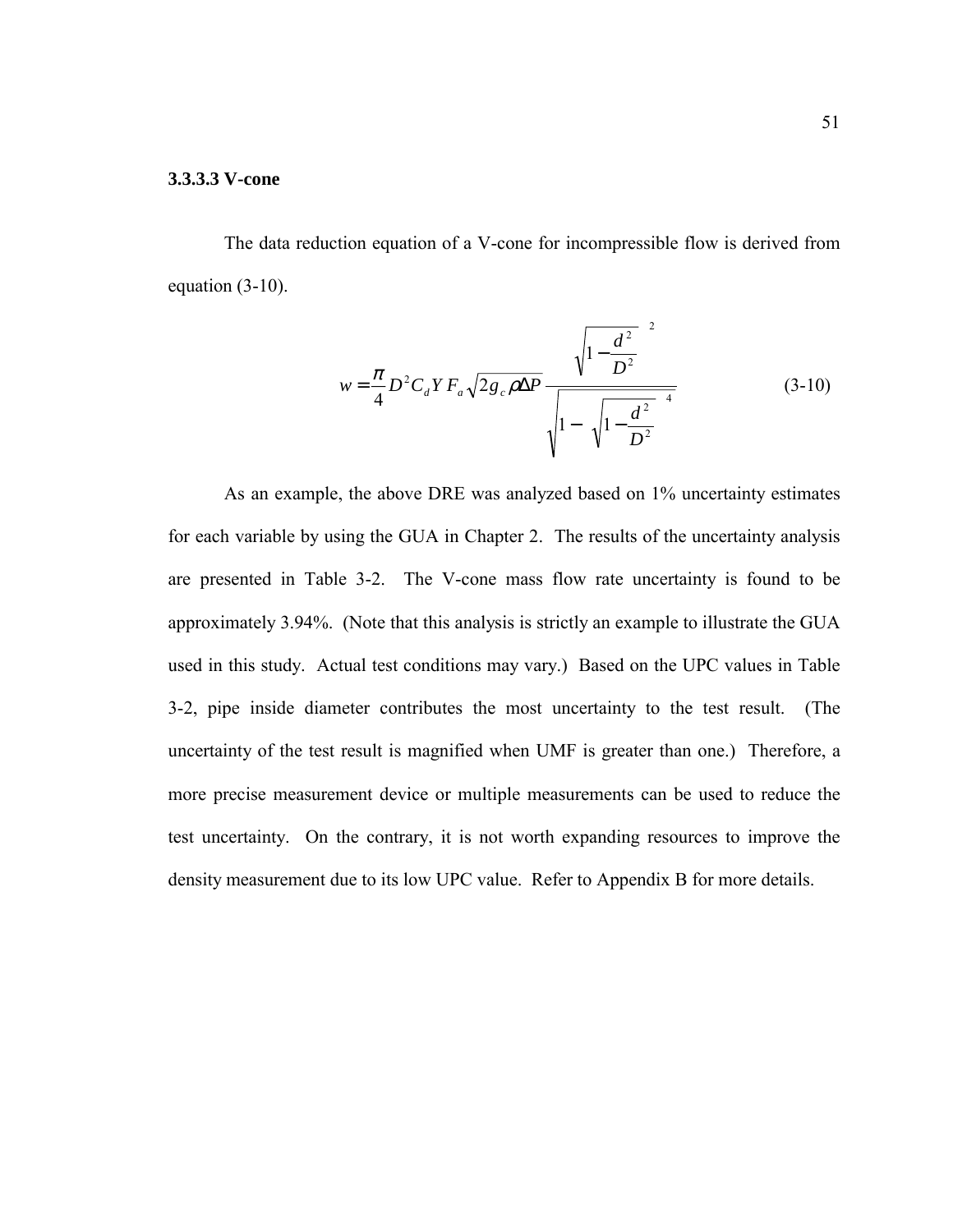#### **3.3.3.3 V-cone**

The data reduction equation of a V-cone for incompressible flow is derived from equation (3-10).

$$
w = \frac{\pi}{4} D^2 C_d Y F_a \sqrt{2g_c \rho \Delta P} \frac{\left(\sqrt{1 - \frac{d^2}{D^2}}\right)^2}{\sqrt{1 - \left(\sqrt{1 - \frac{d^2}{D^2}}\right)^4}}
$$
(3-10)

As an example, the above DRE was analyzed based on 1% uncertainty estimates for each variable by using the GUA in Chapter 2. The results of the uncertainty analysis are presented in Table 3-2. The V-cone mass flow rate uncertainty is found to be approximately 3.94%. (Note that this analysis is strictly an example to illustrate the GUA used in this study. Actual test conditions may vary.) Based on the UPC values in Table 3-2, pipe inside diameter contributes the most uncertainty to the test result. (The uncertainty of the test result is magnified when UMF is greater than one.) Therefore, a more precise measurement device or multiple measurements can be used to reduce the test uncertainty. On the contrary, it is not worth expanding resources to improve the density measurement due to its low UPC value. Refer to Appendix B for more details.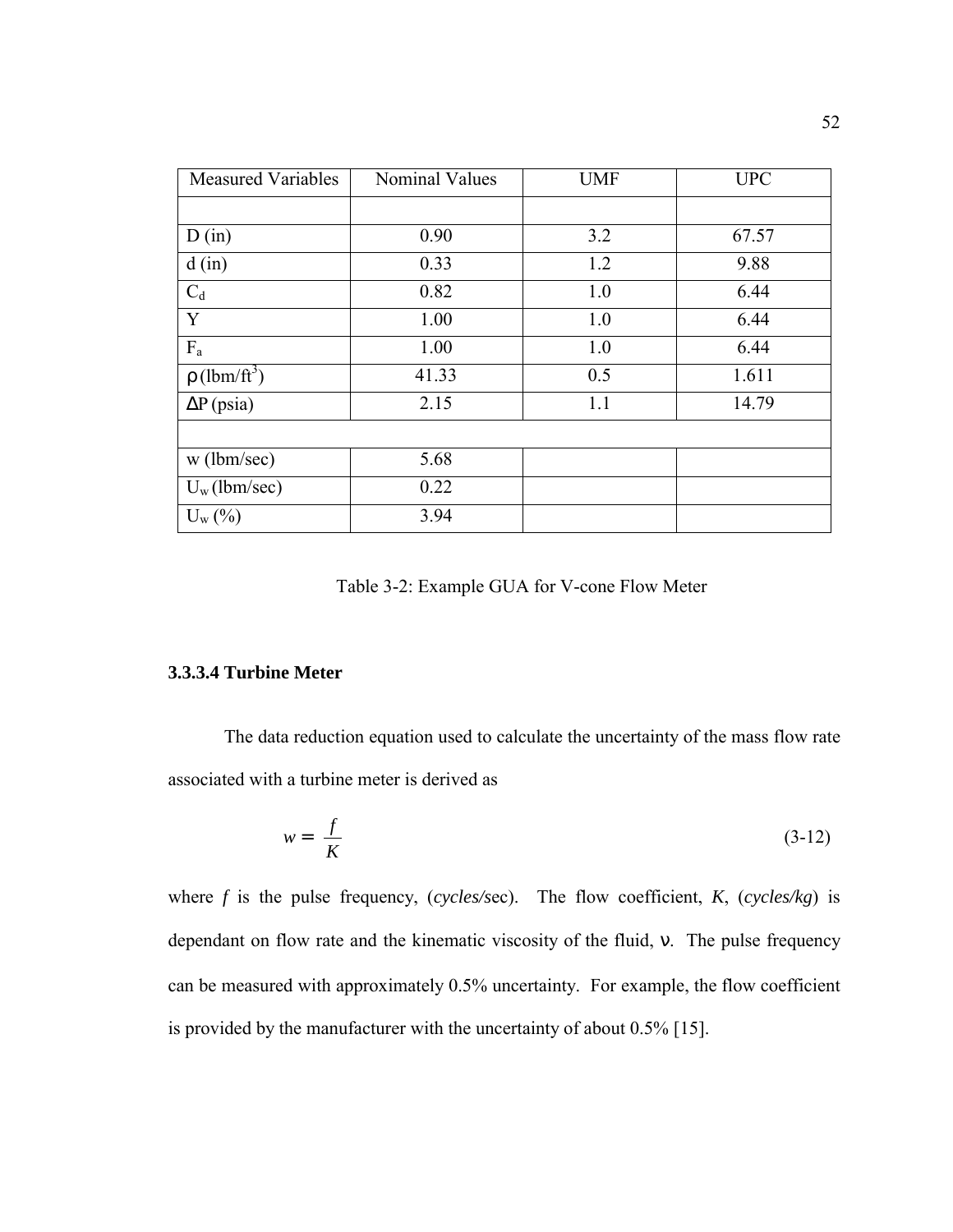| <b>Measured Variables</b>     | <b>Nominal Values</b> | <b>UMF</b> | <b>UPC</b> |
|-------------------------------|-----------------------|------------|------------|
|                               |                       |            |            |
| D(in)                         | 0.90                  | 3.2        | 67.57      |
| d(in)                         | 0.33                  | 1.2        | 9.88       |
| $C_d$                         | 0.82                  | 1.0        | 6.44       |
| Y                             | 1.00                  | 1.0        | 6.44       |
| $F_a$                         | 1.00                  | 1.0        | 6.44       |
| $\rho$ (lbm/ft <sup>3</sup> ) | 41.33                 | 0.5        | 1.611      |
| $\Delta P$ (psia)             | 2.15                  | 1.1        | 14.79      |
|                               |                       |            |            |
| w (lbm/sec)                   | 5.68                  |            |            |
| $U_w$ (lbm/sec)               | 0.22                  |            |            |
| $U_{w}(\%)$                   | 3.94                  |            |            |

Table 3-2: Example GUA for V-cone Flow Meter

## **3.3.3.4 Turbine Meter**

The data reduction equation used to calculate the uncertainty of the mass flow rate associated with a turbine meter is derived as

$$
w = \left(\frac{f}{K}\right) \tag{3-12}
$$

where  $f$  is the pulse frequency, (*cycles/sec*). The flow coefficient,  $K$ , (*cycles/kg*) is dependant on flow rate and the kinematic viscosity of the fluid, ν. The pulse frequency can be measured with approximately 0.5% uncertainty. For example, the flow coefficient is provided by the manufacturer with the uncertainty of about 0.5% [15].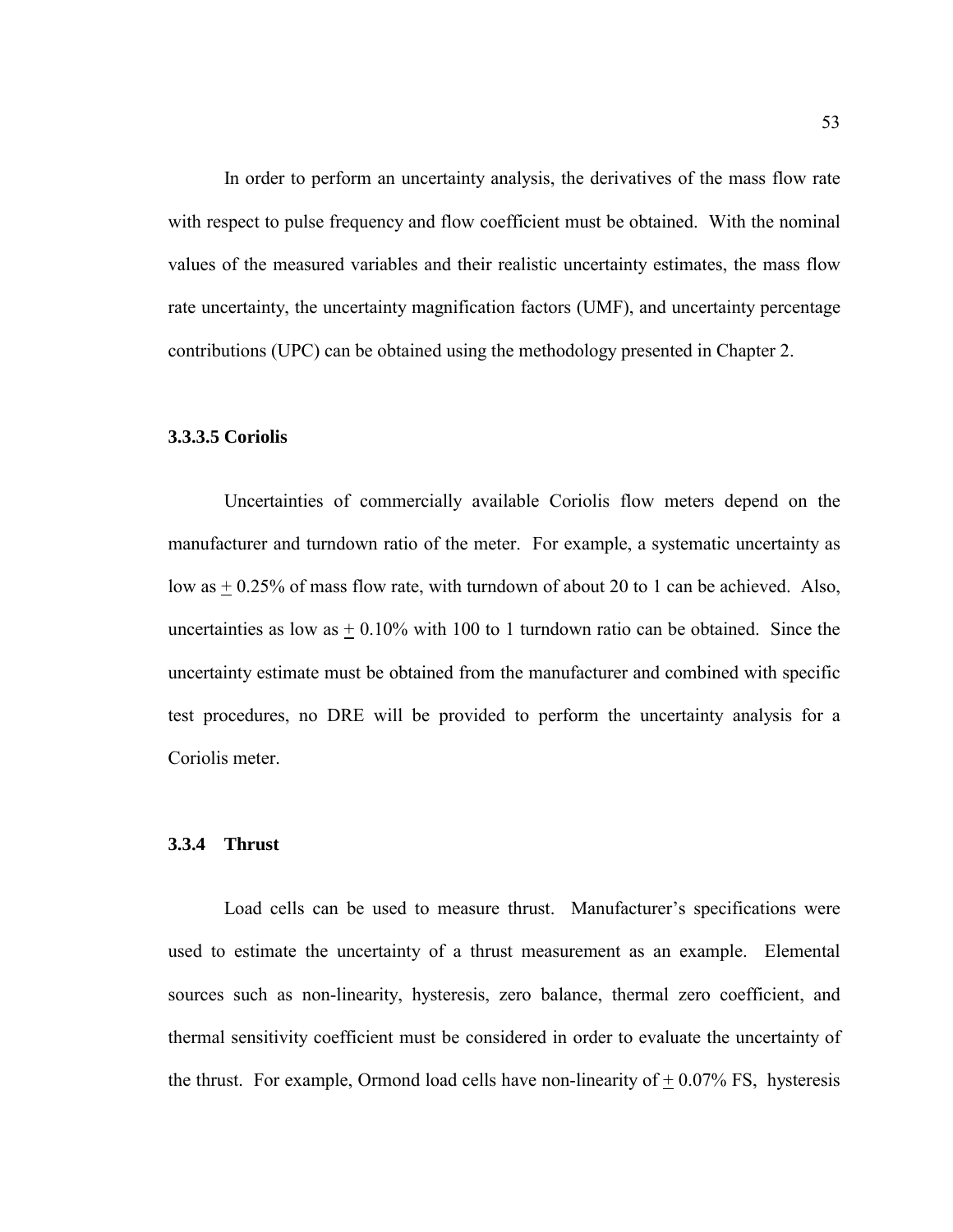In order to perform an uncertainty analysis, the derivatives of the mass flow rate with respect to pulse frequency and flow coefficient must be obtained. With the nominal values of the measured variables and their realistic uncertainty estimates, the mass flow rate uncertainty, the uncertainty magnification factors (UMF), and uncertainty percentage contributions (UPC) can be obtained using the methodology presented in Chapter 2.

#### **3.3.3.5 Coriolis**

Uncertainties of commercially available Coriolis flow meters depend on the manufacturer and turndown ratio of the meter. For example, a systematic uncertainty as low as  $\pm$  0.25% of mass flow rate, with turndown of about 20 to 1 can be achieved. Also, uncertainties as low as  $\pm$  0.10% with 100 to 1 turndown ratio can be obtained. Since the uncertainty estimate must be obtained from the manufacturer and combined with specific test procedures, no DRE will be provided to perform the uncertainty analysis for a Coriolis meter.

#### **3.3.4 Thrust**

Load cells can be used to measure thrust. Manufacturer's specifications were used to estimate the uncertainty of a thrust measurement as an example. Elemental sources such as non-linearity, hysteresis, zero balance, thermal zero coefficient, and thermal sensitivity coefficient must be considered in order to evaluate the uncertainty of the thrust. For example, Ormond load cells have non-linearity of  $+0.07\%$  FS, hysteresis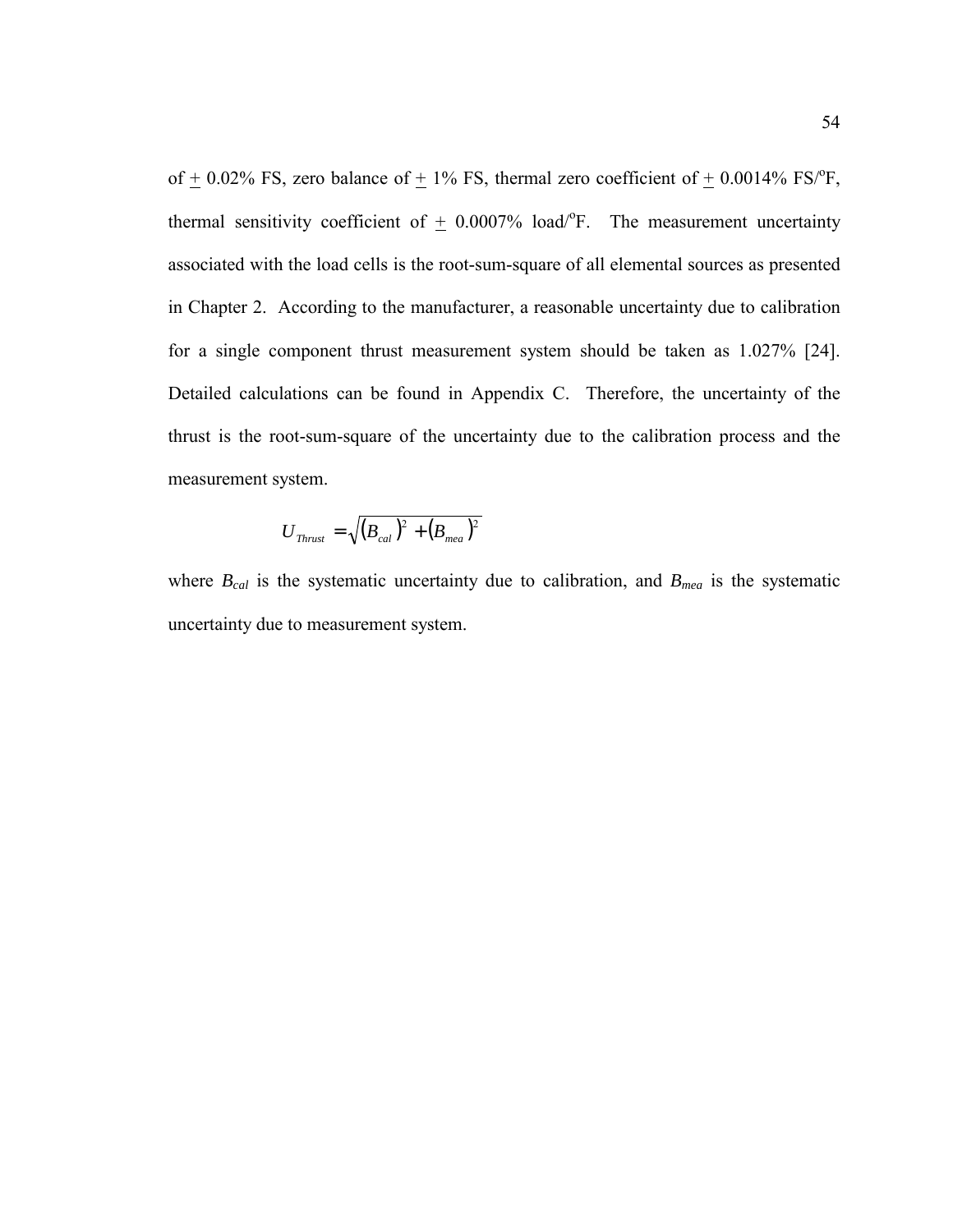of  $\pm$  0.02% FS, zero balance of  $\pm$  1% FS, thermal zero coefficient of  $\pm$  0.0014% FS/°F, thermal sensitivity coefficient of  $\pm$  0.0007% load/°F. The measurement uncertainty associated with the load cells is the root-sum-square of all elemental sources as presented in Chapter 2. According to the manufacturer, a reasonable uncertainty due to calibration for a single component thrust measurement system should be taken as 1.027% [24]. Detailed calculations can be found in Appendix C. Therefore, the uncertainty of the thrust is the root-sum-square of the uncertainty due to the calibration process and the measurement system.

$$
U_{\scriptscriptstyle Thrust} = \sqrt{(B_{\scriptscriptstyle cal})^2 + (B_{\scriptscriptstyle mea})^2}
$$

where  $B_{cal}$  is the systematic uncertainty due to calibration, and  $B_{mea}$  is the systematic uncertainty due to measurement system.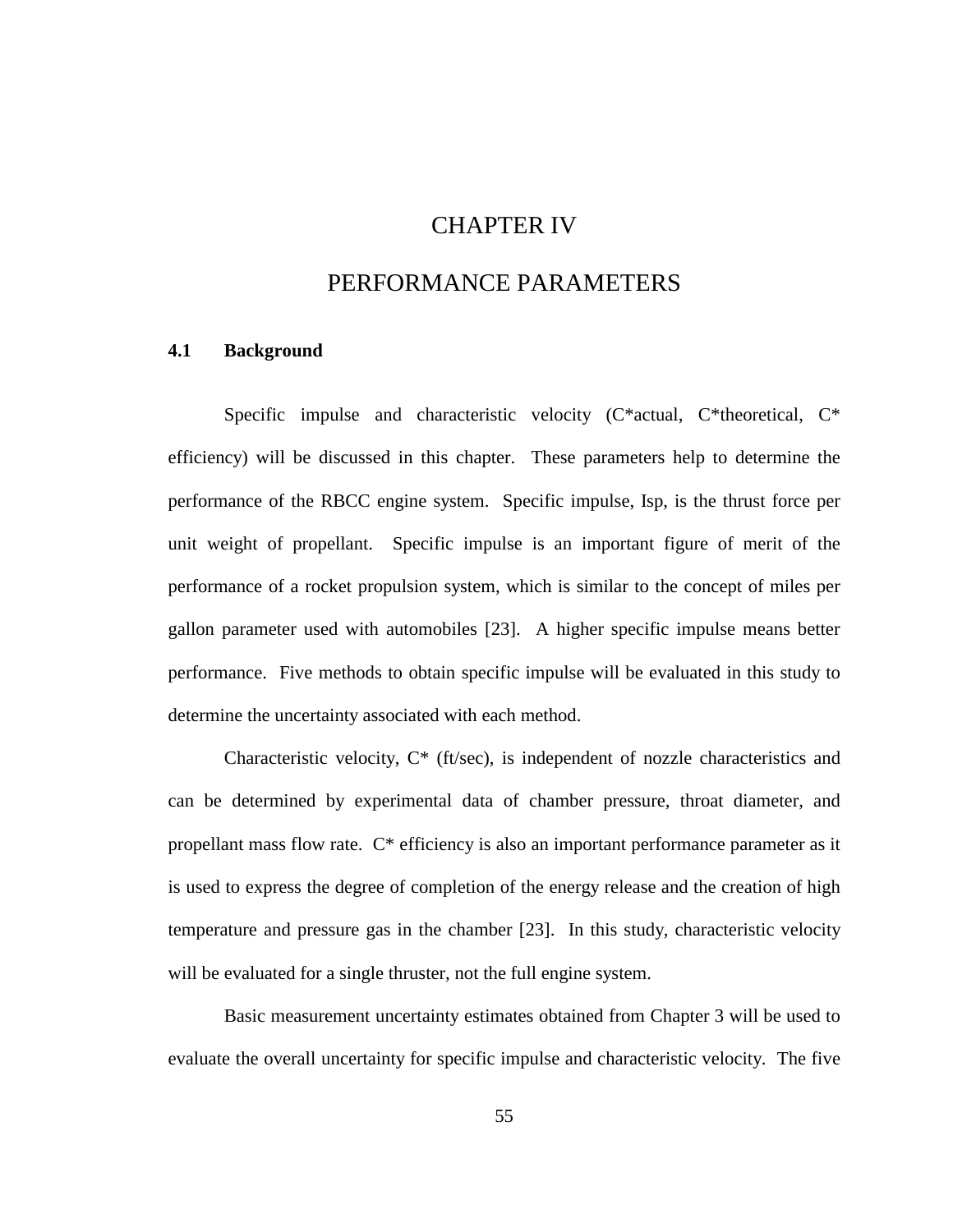# CHAPTER IV

## PERFORMANCE PARAMETERS

## **4.1 Background**

Specific impulse and characteristic velocity (C\*actual, C\*theoretical, C\* efficiency) will be discussed in this chapter. These parameters help to determine the performance of the RBCC engine system. Specific impulse, Isp, is the thrust force per unit weight of propellant. Specific impulse is an important figure of merit of the performance of a rocket propulsion system, which is similar to the concept of miles per gallon parameter used with automobiles [23]. A higher specific impulse means better performance. Five methods to obtain specific impulse will be evaluated in this study to determine the uncertainty associated with each method.

Characteristic velocity, C\* (ft/sec), is independent of nozzle characteristics and can be determined by experimental data of chamber pressure, throat diameter, and propellant mass flow rate. C\* efficiency is also an important performance parameter as it is used to express the degree of completion of the energy release and the creation of high temperature and pressure gas in the chamber [23]. In this study, characteristic velocity will be evaluated for a single thruster, not the full engine system.

Basic measurement uncertainty estimates obtained from Chapter 3 will be used to evaluate the overall uncertainty for specific impulse and characteristic velocity. The five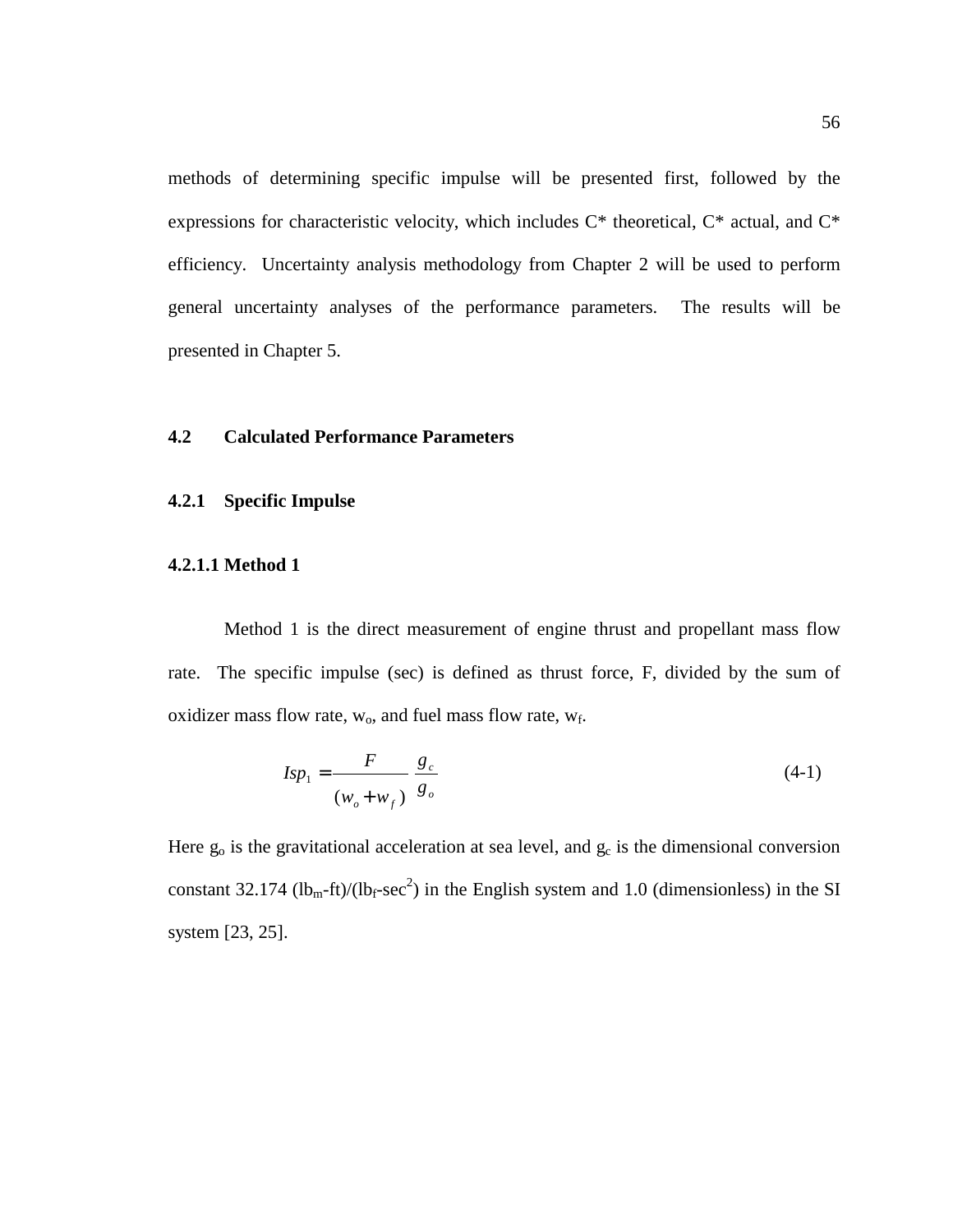methods of determining specific impulse will be presented first, followed by the expressions for characteristic velocity, which includes C\* theoretical, C\* actual, and C\* efficiency. Uncertainty analysis methodology from Chapter 2 will be used to perform general uncertainty analyses of the performance parameters. The results will be presented in Chapter 5.

## **4.2 Calculated Performance Parameters**

#### **4.2.1 Specific Impulse**

### **4.2.1.1 Method 1**

Method 1 is the direct measurement of engine thrust and propellant mass flow rate. The specific impulse (sec) is defined as thrust force, F, divided by the sum of oxidizer mass flow rate,  $w_0$ , and fuel mass flow rate,  $w_f$ .

$$
Isp_1 = \frac{F}{(w_o + w_f)} \frac{g_c}{g_o} \tag{4-1}
$$

Here  $g_0$  is the gravitational acceleration at sea level, and  $g_c$  is the dimensional conversion constant 32.174 (lb<sub>m</sub>-ft)/(lb<sub>f</sub>-sec<sup>2</sup>) in the English system and 1.0 (dimensionless) in the SI system [23, 25].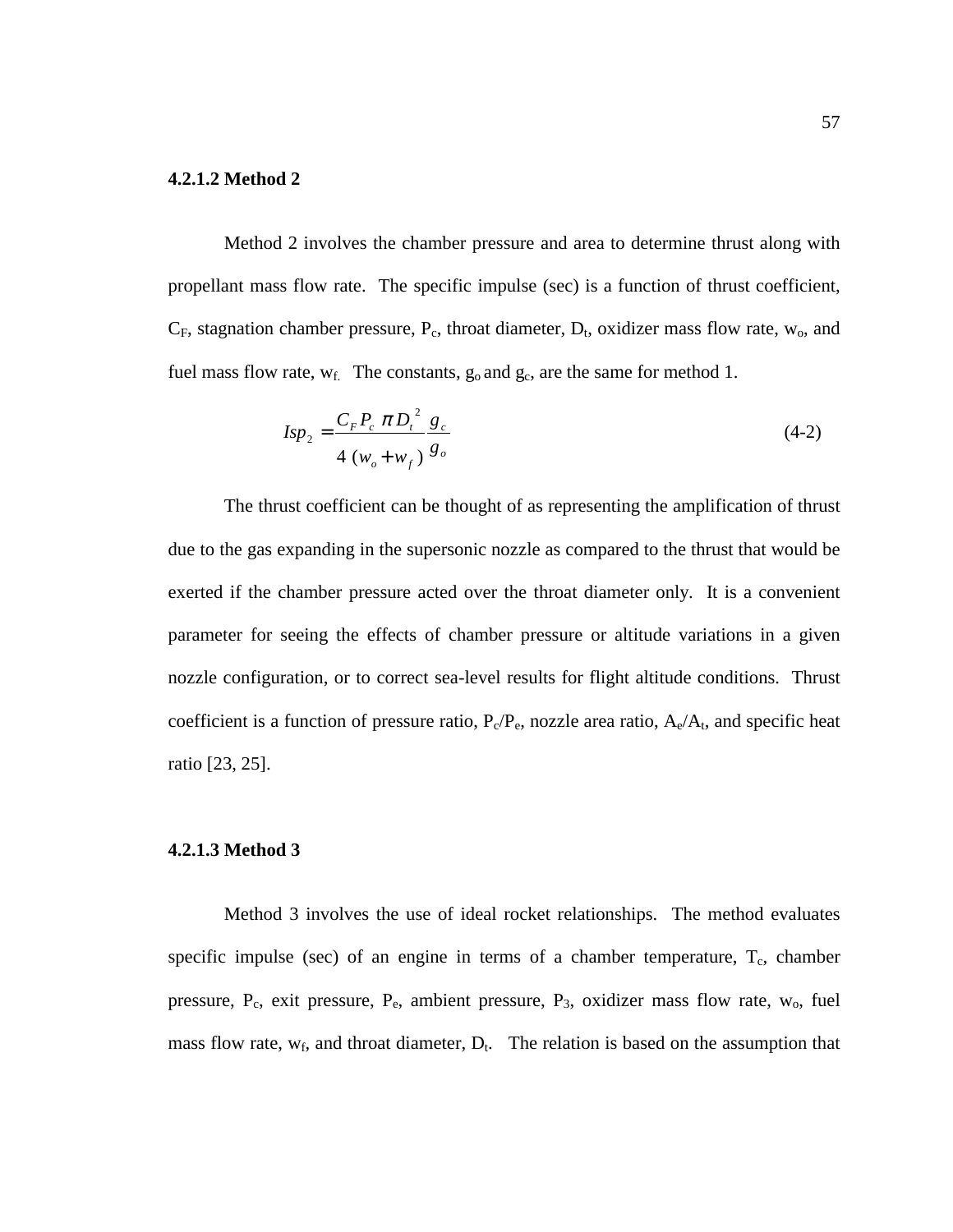#### **4.2.1.2 Method 2**

Method 2 involves the chamber pressure and area to determine thrust along with propellant mass flow rate. The specific impulse (sec) is a function of thrust coefficient,  $C_F$ , stagnation chamber pressure,  $P_c$ , throat diameter,  $D_t$ , oxidizer mass flow rate,  $w_o$ , and fuel mass flow rate,  $w_f$ . The constants,  $g_o$  and  $g_c$ , are the same for method 1.

$$
Isp_2 = \frac{C_F P_c \pi D_t^2}{4 (w_o + w_f)} \frac{g_c}{g_o}
$$
 (4-2)

The thrust coefficient can be thought of as representing the amplification of thrust due to the gas expanding in the supersonic nozzle as compared to the thrust that would be exerted if the chamber pressure acted over the throat diameter only. It is a convenient parameter for seeing the effects of chamber pressure or altitude variations in a given nozzle configuration, or to correct sea-level results for flight altitude conditions. Thrust coefficient is a function of pressure ratio,  $P_c/P_e$ , nozzle area ratio,  $A_e/A_t$ , and specific heat ratio [23, 25].

#### **4.2.1.3 Method 3**

Method 3 involves the use of ideal rocket relationships. The method evaluates specific impulse (sec) of an engine in terms of a chamber temperature,  $T_c$ , chamber pressure,  $P_c$ , exit pressure,  $P_e$ , ambient pressure,  $P_3$ , oxidizer mass flow rate,  $w_0$ , fuel mass flow rate,  $w_f$ , and throat diameter,  $D_t$ . The relation is based on the assumption that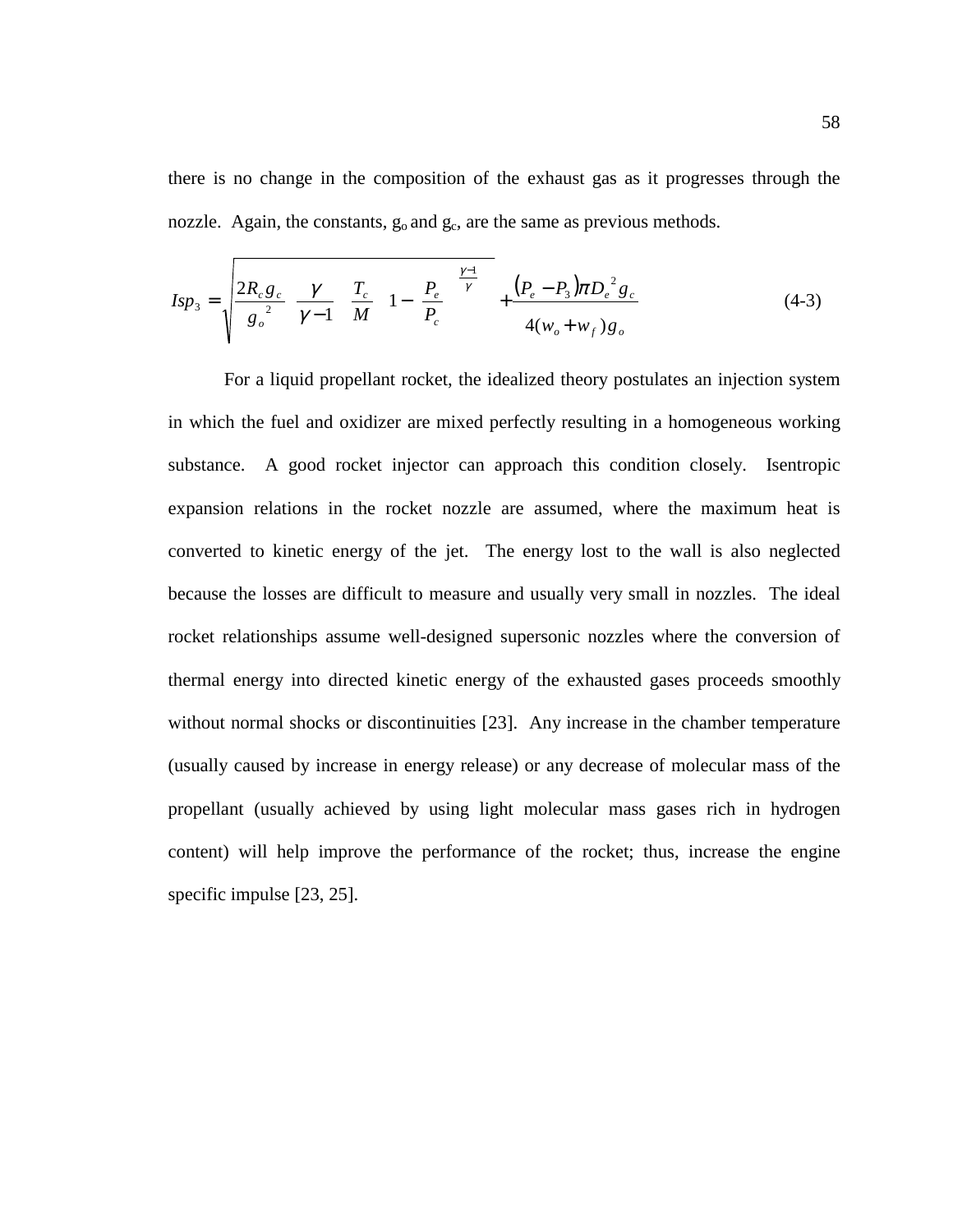there is no change in the composition of the exhaust gas as it progresses through the nozzle. Again, the constants,  $g_0$  and  $g_c$ , are the same as previous methods.

$$
I_{\rm SP_3} = \sqrt{\frac{2R_c g_c}{g_o^2} \left(\frac{\gamma}{\gamma - 1}\right) \left(\frac{T_c}{M}\right)} \left(1 - \left(\frac{P_e}{P_c}\right)^{\frac{\gamma - 1}{\gamma}}\right) + \frac{\left(P_e - P_3\right) \pi D_e^2 g_c}{4(w_o + w_f) g_o} \tag{4-3}
$$

For a liquid propellant rocket, the idealized theory postulates an injection system in which the fuel and oxidizer are mixed perfectly resulting in a homogeneous working substance. A good rocket injector can approach this condition closely. Isentropic expansion relations in the rocket nozzle are assumed, where the maximum heat is converted to kinetic energy of the jet. The energy lost to the wall is also neglected because the losses are difficult to measure and usually very small in nozzles. The ideal rocket relationships assume well-designed supersonic nozzles where the conversion of thermal energy into directed kinetic energy of the exhausted gases proceeds smoothly without normal shocks or discontinuities [23]. Any increase in the chamber temperature (usually caused by increase in energy release) or any decrease of molecular mass of the propellant (usually achieved by using light molecular mass gases rich in hydrogen content) will help improve the performance of the rocket; thus, increase the engine specific impulse [23, 25].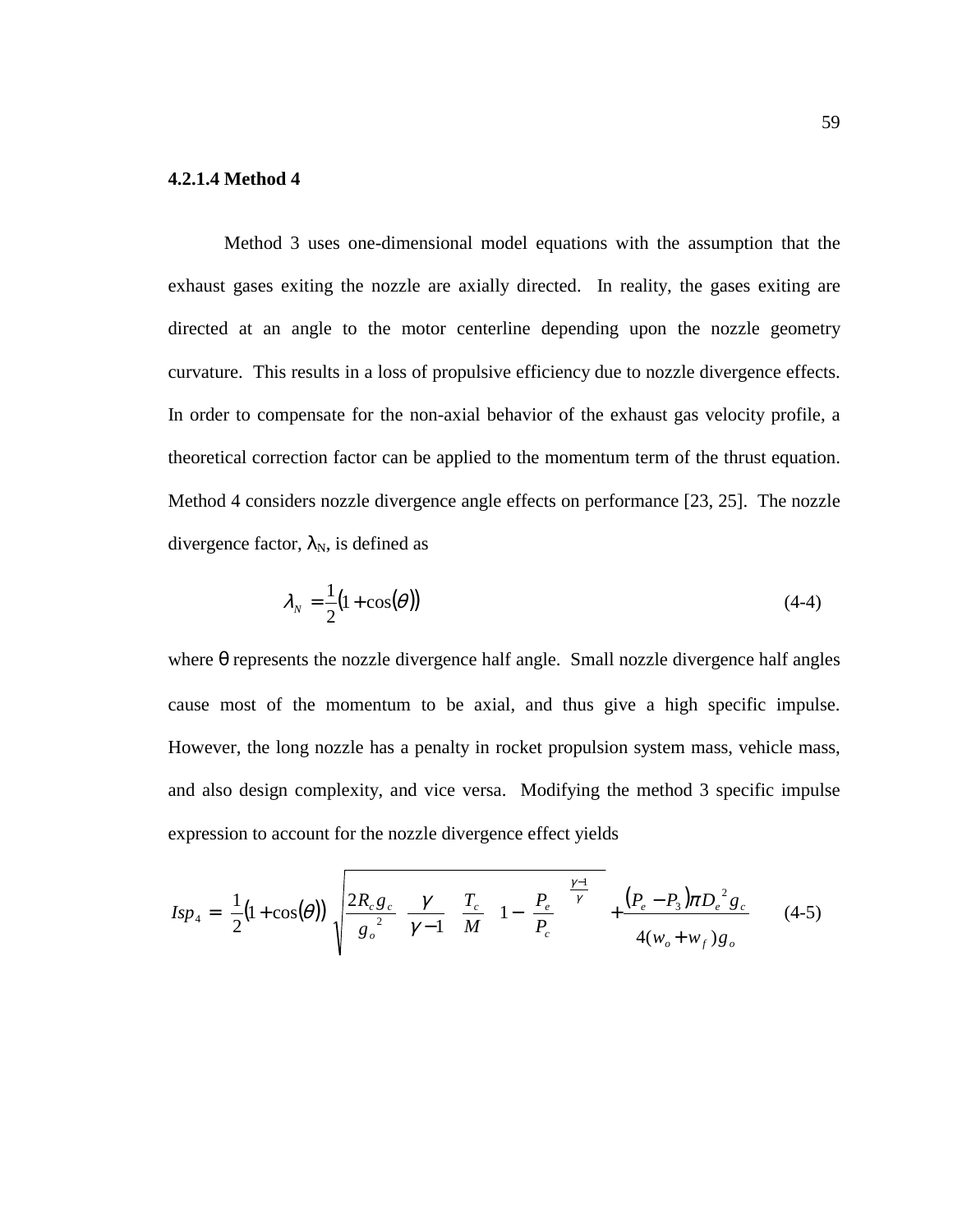## **4.2.1.4 Method 4**

Method 3 uses one-dimensional model equations with the assumption that the exhaust gases exiting the nozzle are axially directed. In reality, the gases exiting are directed at an angle to the motor centerline depending upon the nozzle geometry curvature. This results in a loss of propulsive efficiency due to nozzle divergence effects. In order to compensate for the non-axial behavior of the exhaust gas velocity profile, a theoretical correction factor can be applied to the momentum term of the thrust equation. Method 4 considers nozzle divergence angle effects on performance [23, 25]. The nozzle divergence factor,  $\lambda_N$ , is defined as

$$
\lambda_N = \frac{1}{2} (1 + \cos(\theta))
$$
\n(4-4)

where  $\theta$  represents the nozzle divergence half angle. Small nozzle divergence half angles cause most of the momentum to be axial, and thus give a high specific impulse. However, the long nozzle has a penalty in rocket propulsion system mass, vehicle mass, and also design complexity, and vice versa. Modifying the method 3 specific impulse expression to account for the nozzle divergence effect yields

$$
Isp_4 = \left[\frac{1}{2}(1+\cos(\theta))\right] \sqrt{\frac{2R_c g_c}{g_o^2} \left(\frac{\gamma}{\gamma-1}\right) \left(\frac{T_c}{M}\right)} \left[1 - \left(\frac{P_e}{P_c}\right)^{\frac{\gamma-1}{\gamma}}\right] + \frac{(P_e - P_3)\pi D_e^2 g_c}{4(w_o + w_f)g_o} \tag{4-5}
$$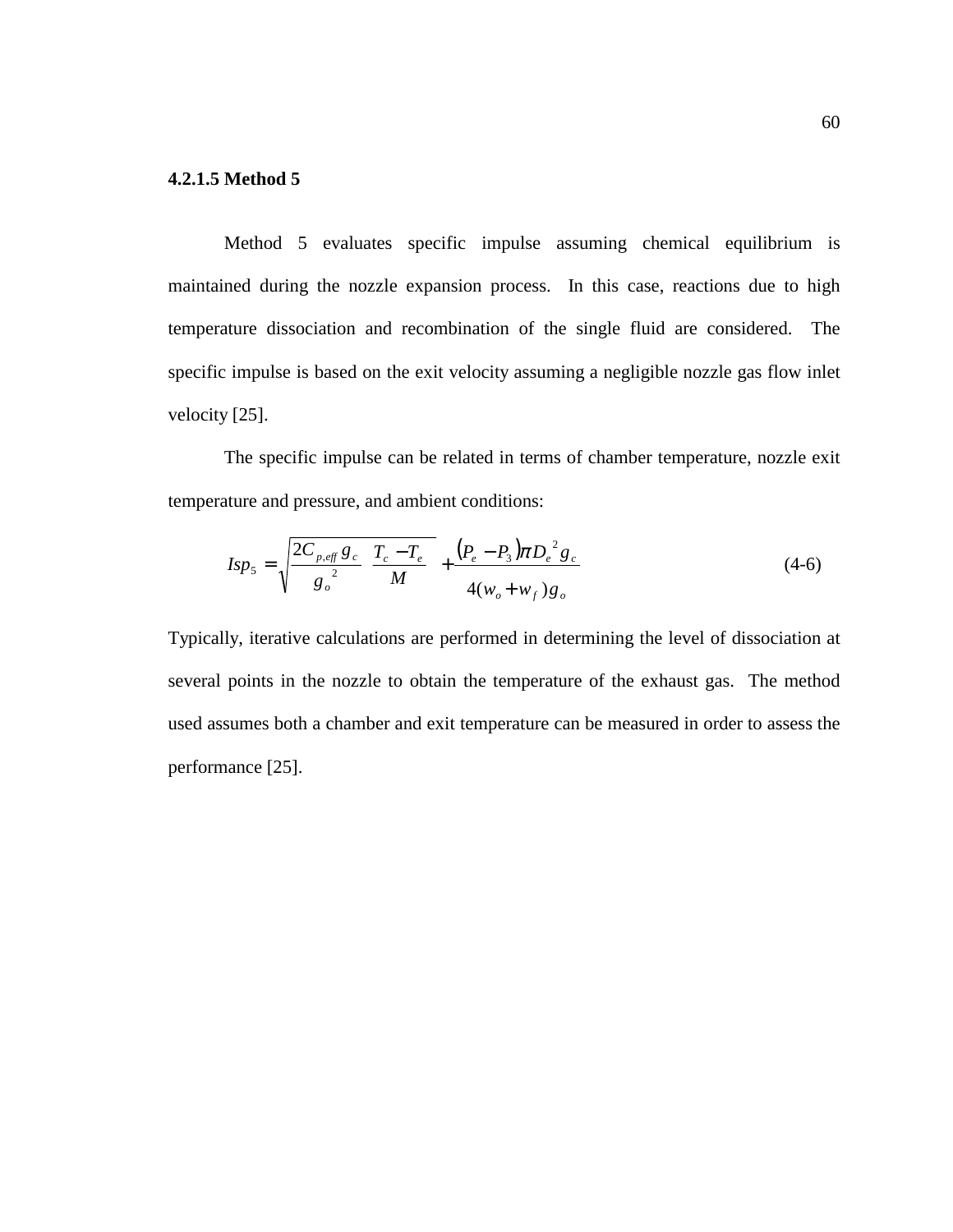## **4.2.1.5 Method 5**

Method 5 evaluates specific impulse assuming chemical equilibrium is maintained during the nozzle expansion process. In this case, reactions due to high temperature dissociation and recombination of the single fluid are considered. The specific impulse is based on the exit velocity assuming a negligible nozzle gas flow inlet velocity [25].

 The specific impulse can be related in terms of chamber temperature, nozzle exit temperature and pressure, and ambient conditions:

$$
Isp_5 = \sqrt{\frac{2C_{p,eff}g_c}{g_o^2} \left(\frac{T_c - T_e}{M}\right)} + \frac{(P_e - P_3)\pi D_e^2 g_c}{4(w_o + w_f)g_o}
$$
(4-6)

Typically, iterative calculations are performed in determining the level of dissociation at several points in the nozzle to obtain the temperature of the exhaust gas. The method used assumes both a chamber and exit temperature can be measured in order to assess the performance [25].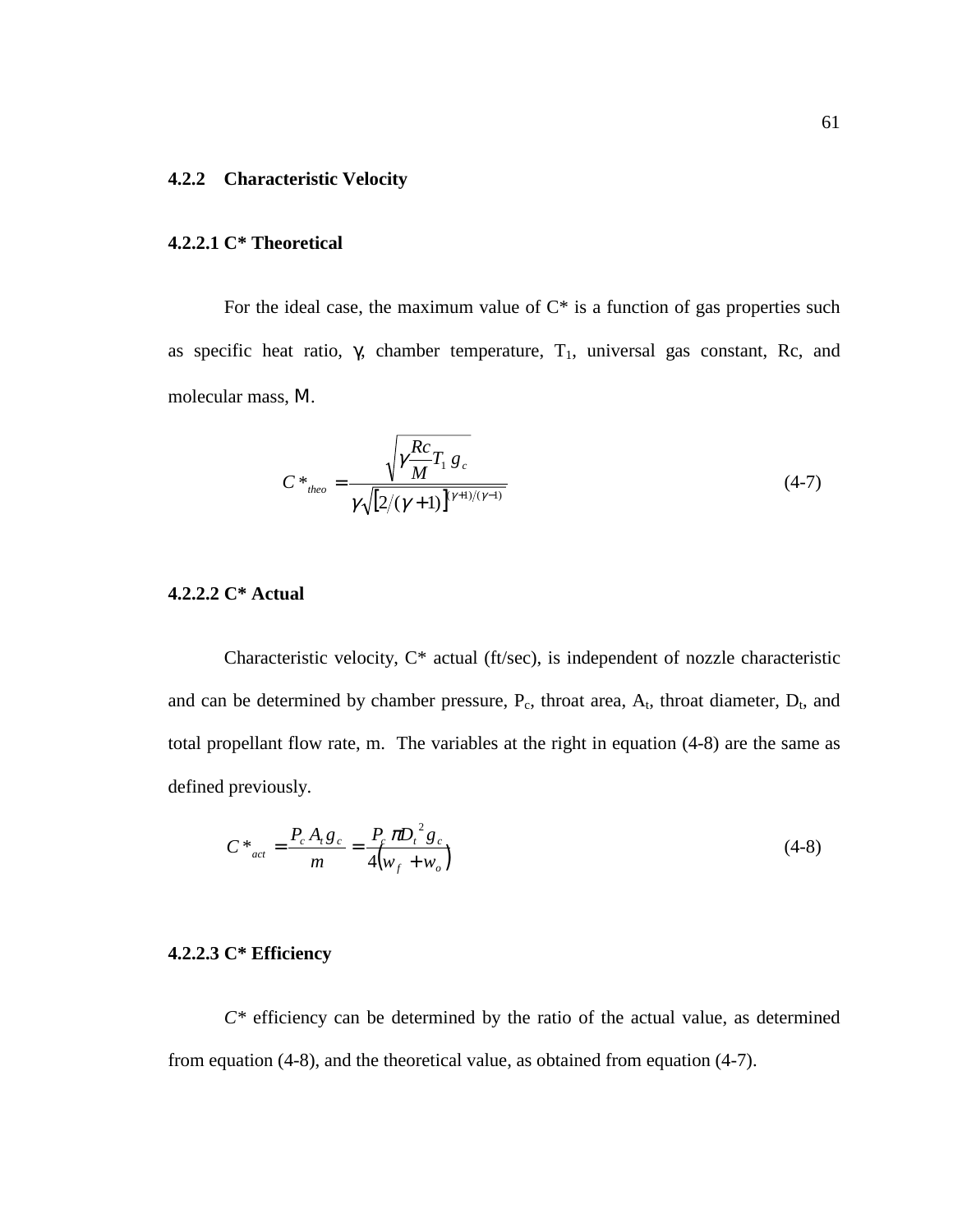## **4.2.2 Characteristic Velocity**

## **4.2.2.1 C\* Theoretical**

For the ideal case, the maximum value of  $C^*$  is a function of gas properties such as specific heat ratio, γ, chamber temperature,  $T_1$ , universal gas constant, Rc, and molecular mass, Μ.

$$
C^*_{\stackrel{\text{theo}}{}} = \frac{\sqrt{\gamma \frac{Rc}{M} T_1 g_c}}{\gamma \sqrt{[2/(\gamma + 1)]^{(\gamma + 1)/(\gamma - 1)}}}
$$
(4-7)

## **4.2.2.2 C\* Actual**

Characteristic velocity, C\* actual (ft/sec), is independent of nozzle characteristic and can be determined by chamber pressure,  $P_c$ , throat area,  $A_t$ , throat diameter,  $D_t$ , and total propellant flow rate, m. The variables at the right in equation (4-8) are the same as defined previously.

$$
C^*_{act} = \frac{P_c A_t g_c}{m} = \frac{P_c \pi D_t^2 g_c}{4(w_f + w_o)}
$$
(4-8)

## **4.2.2.3 C\* Efficiency**

*C\** efficiency can be determined by the ratio of the actual value, as determined from equation (4-8), and the theoretical value, as obtained from equation (4-7).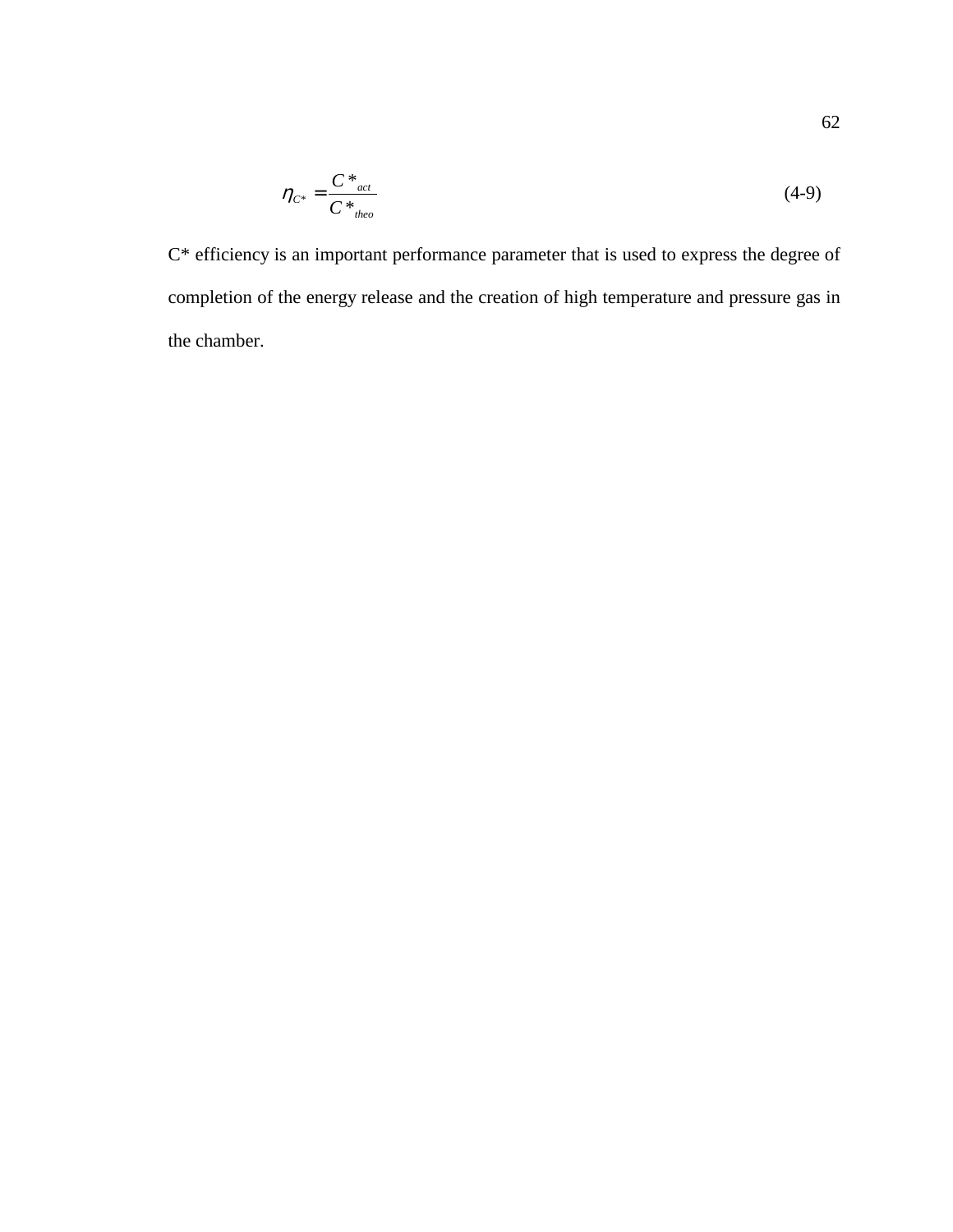$$
\eta_{C^*} = \frac{C^*_{act}}{C^*_{theo}}\tag{4-9}
$$

C\* efficiency is an important performance parameter that is used to express the degree of completion of the energy release and the creation of high temperature and pressure gas in the chamber.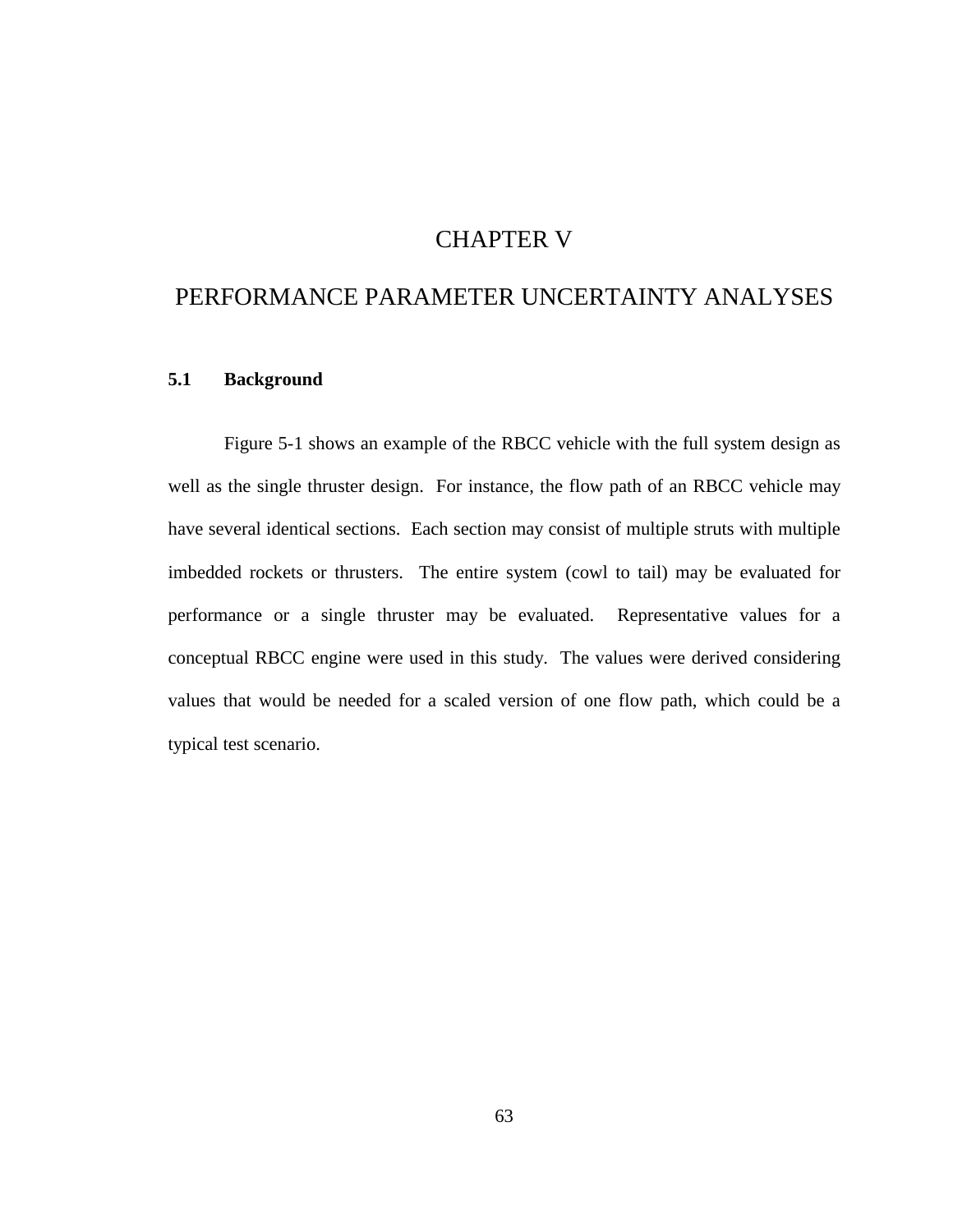# CHAPTER V

# PERFORMANCE PARAMETER UNCERTAINTY ANALYSES

## **5.1 Background**

Figure 5-1 shows an example of the RBCC vehicle with the full system design as well as the single thruster design. For instance, the flow path of an RBCC vehicle may have several identical sections. Each section may consist of multiple struts with multiple imbedded rockets or thrusters. The entire system (cowl to tail) may be evaluated for performance or a single thruster may be evaluated. Representative values for a conceptual RBCC engine were used in this study. The values were derived considering values that would be needed for a scaled version of one flow path, which could be a typical test scenario.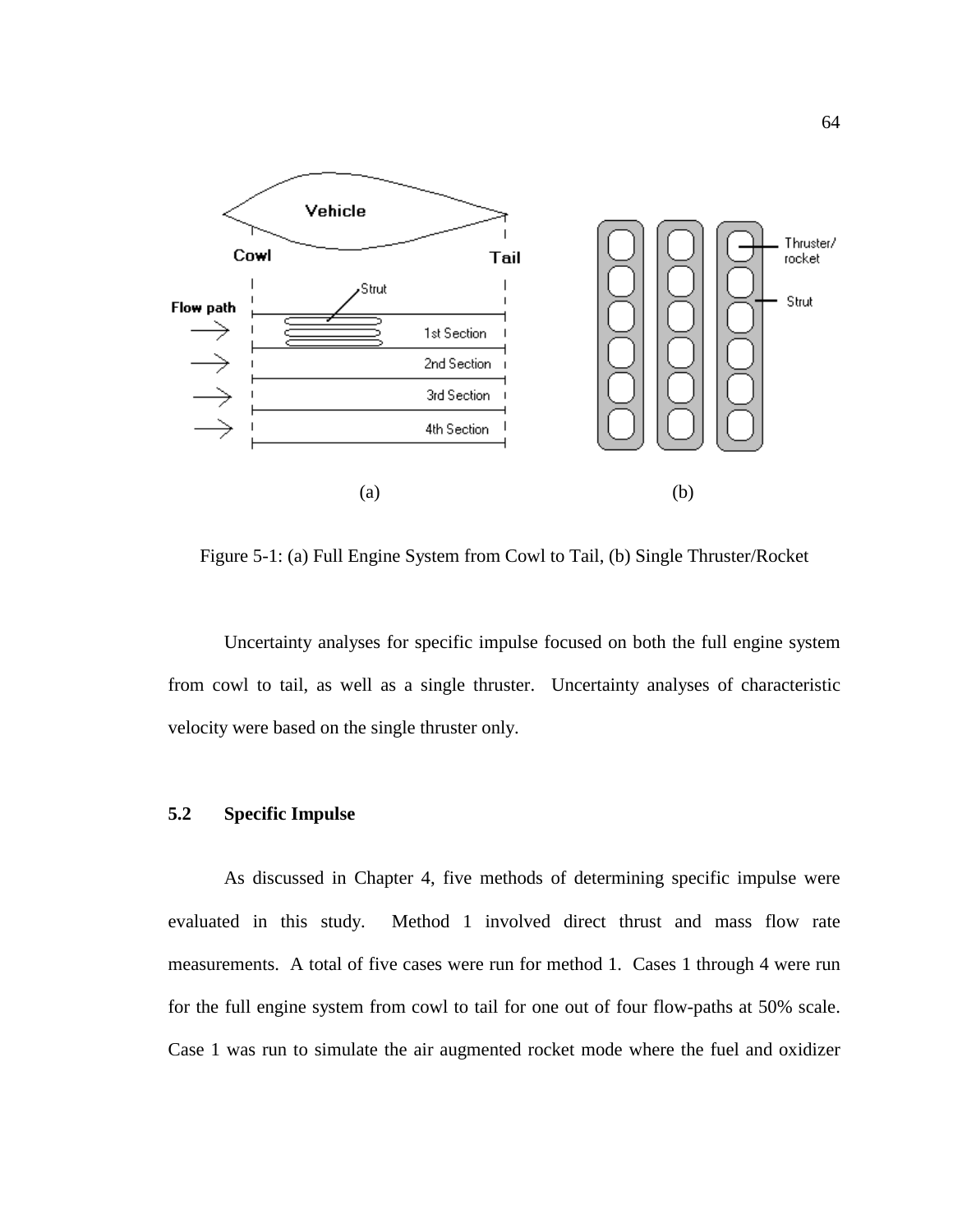

Figure 5-1: (a) Full Engine System from Cowl to Tail, (b) Single Thruster/Rocket

 Uncertainty analyses for specific impulse focused on both the full engine system from cowl to tail, as well as a single thruster. Uncertainty analyses of characteristic velocity were based on the single thruster only.

## **5.2 Specific Impulse**

As discussed in Chapter 4, five methods of determining specific impulse were evaluated in this study. Method 1 involved direct thrust and mass flow rate measurements. A total of five cases were run for method 1. Cases 1 through 4 were run for the full engine system from cowl to tail for one out of four flow-paths at 50% scale. Case 1 was run to simulate the air augmented rocket mode where the fuel and oxidizer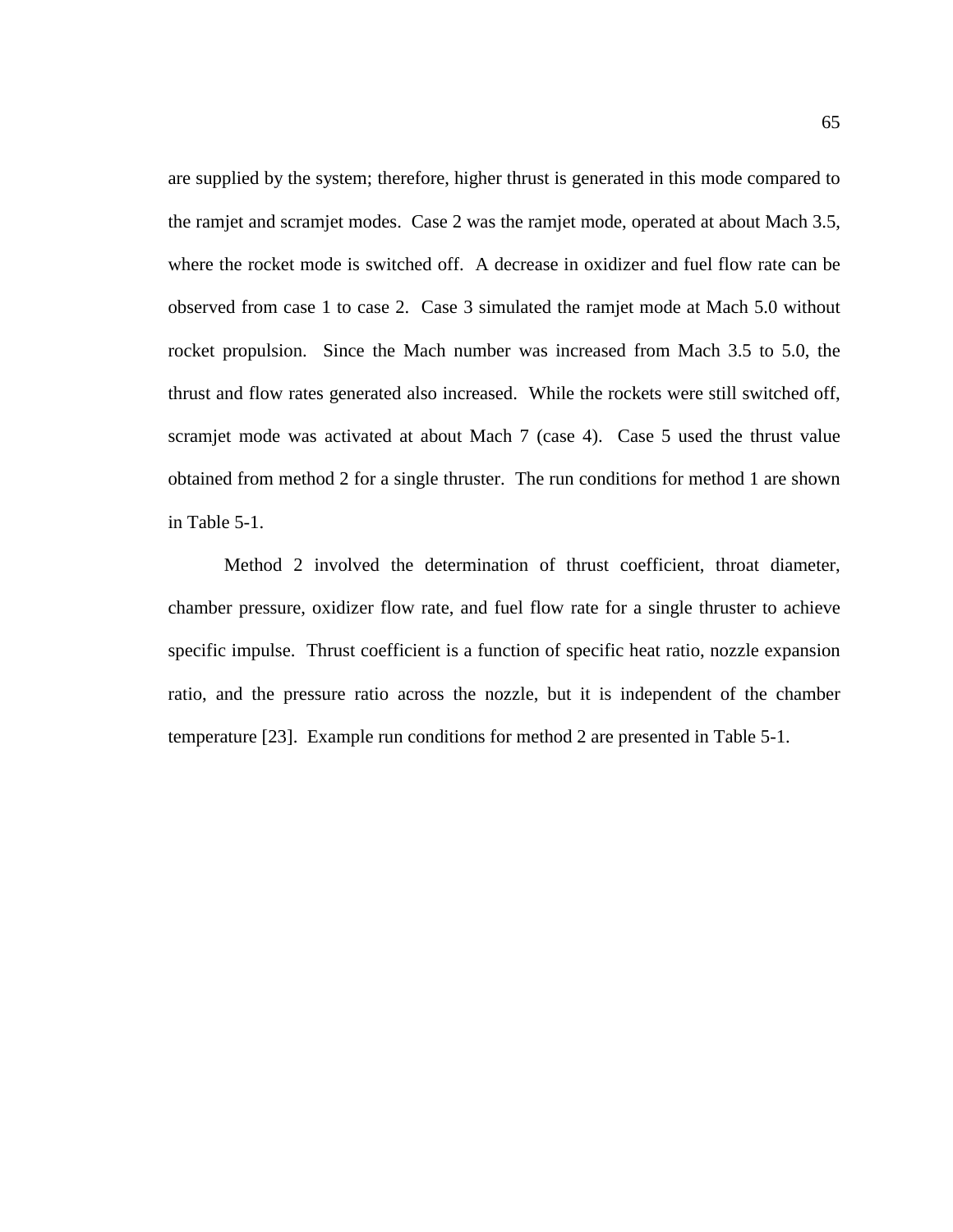are supplied by the system; therefore, higher thrust is generated in this mode compared to the ramjet and scramjet modes. Case 2 was the ramjet mode, operated at about Mach 3.5, where the rocket mode is switched off. A decrease in oxidizer and fuel flow rate can be observed from case 1 to case 2. Case 3 simulated the ramjet mode at Mach 5.0 without rocket propulsion. Since the Mach number was increased from Mach 3.5 to 5.0, the thrust and flow rates generated also increased. While the rockets were still switched off, scramjet mode was activated at about Mach 7 (case 4). Case 5 used the thrust value obtained from method 2 for a single thruster. The run conditions for method 1 are shown in Table 5-1.

Method 2 involved the determination of thrust coefficient, throat diameter, chamber pressure, oxidizer flow rate, and fuel flow rate for a single thruster to achieve specific impulse. Thrust coefficient is a function of specific heat ratio, nozzle expansion ratio, and the pressure ratio across the nozzle, but it is independent of the chamber temperature [23]. Example run conditions for method 2 are presented in Table 5-1.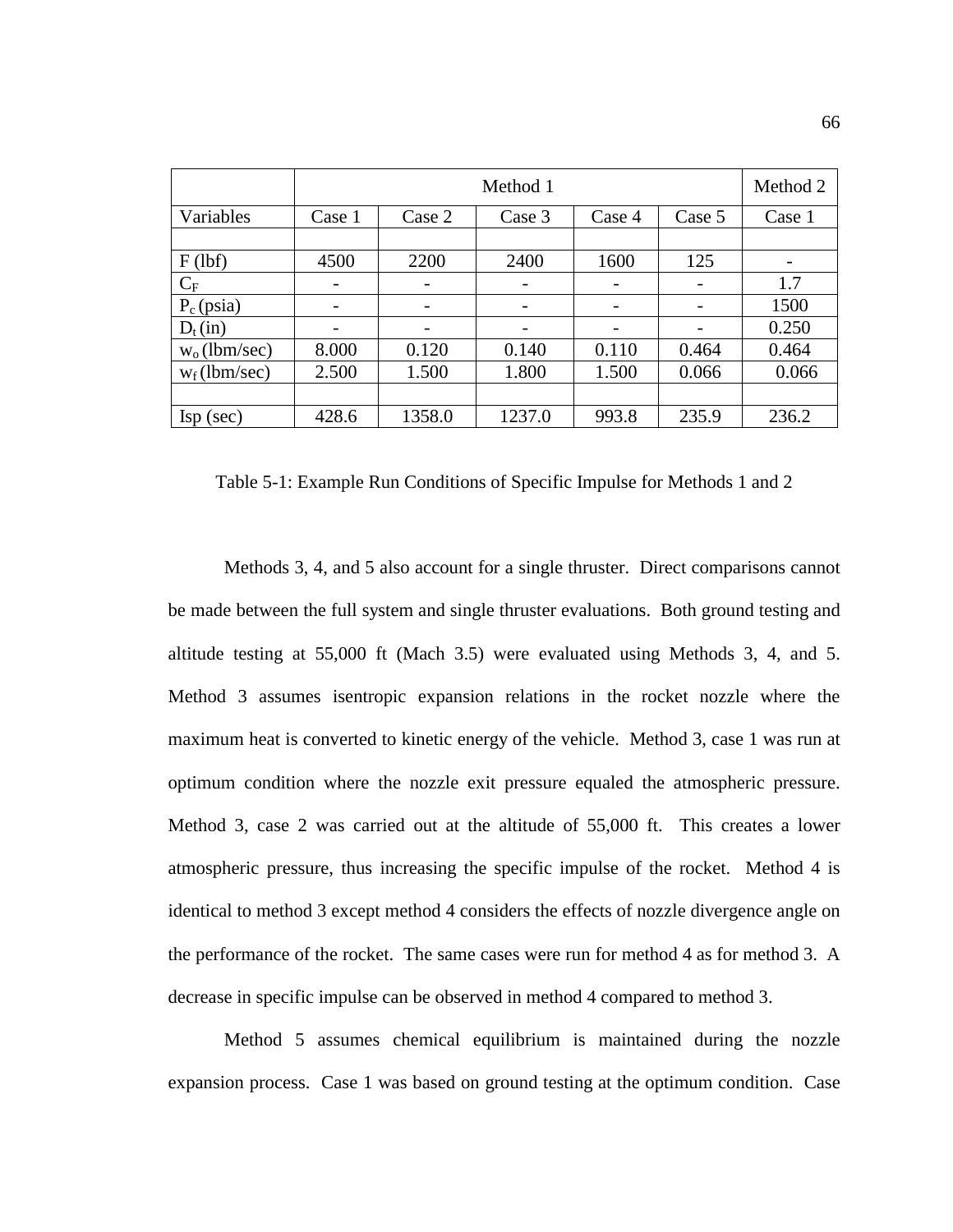|                          |                              | Method 1                 |        |        |        |        |  |  |  |
|--------------------------|------------------------------|--------------------------|--------|--------|--------|--------|--|--|--|
| Variables                | Case 1                       | Case 2                   | Case 3 | Case 4 | Case 5 | Case 1 |  |  |  |
|                          |                              |                          |        |        |        |        |  |  |  |
| $F$ (lbf)                | 4500                         | 2200                     | 2400   | 1600   | 125    |        |  |  |  |
| $C_F$                    | $\qquad \qquad \blacksquare$ | $\overline{\phantom{a}}$ |        |        |        | 1.7    |  |  |  |
| $P_c$ (psia)             | $\overline{\phantom{a}}$     |                          |        |        |        | 1500   |  |  |  |
| $D_t(in)$                |                              |                          |        |        |        | 0.250  |  |  |  |
| $w_0$ (lbm/sec)          | 8.000                        | 0.120                    | 0.140  | 0.110  | 0.464  | 0.464  |  |  |  |
| $w_f$ (lbm/sec)          | 2.500                        | 1.500                    | 1.800  | 1.500  | 0.066  | 0.066  |  |  |  |
|                          |                              |                          |        |        |        |        |  |  |  |
| $\text{Isp}(\text{sec})$ | 428.6                        | 1358.0                   | 1237.0 | 993.8  | 235.9  | 236.2  |  |  |  |

Table 5-1: Example Run Conditions of Specific Impulse for Methods 1 and 2

Methods 3, 4, and 5 also account for a single thruster. Direct comparisons cannot be made between the full system and single thruster evaluations. Both ground testing and altitude testing at 55,000 ft (Mach 3.5) were evaluated using Methods 3, 4, and 5. Method 3 assumes isentropic expansion relations in the rocket nozzle where the maximum heat is converted to kinetic energy of the vehicle. Method 3, case 1 was run at optimum condition where the nozzle exit pressure equaled the atmospheric pressure. Method 3, case 2 was carried out at the altitude of 55,000 ft. This creates a lower atmospheric pressure, thus increasing the specific impulse of the rocket. Method 4 is identical to method 3 except method 4 considers the effects of nozzle divergence angle on the performance of the rocket. The same cases were run for method 4 as for method 3. A decrease in specific impulse can be observed in method 4 compared to method 3.

Method 5 assumes chemical equilibrium is maintained during the nozzle expansion process. Case 1 was based on ground testing at the optimum condition. Case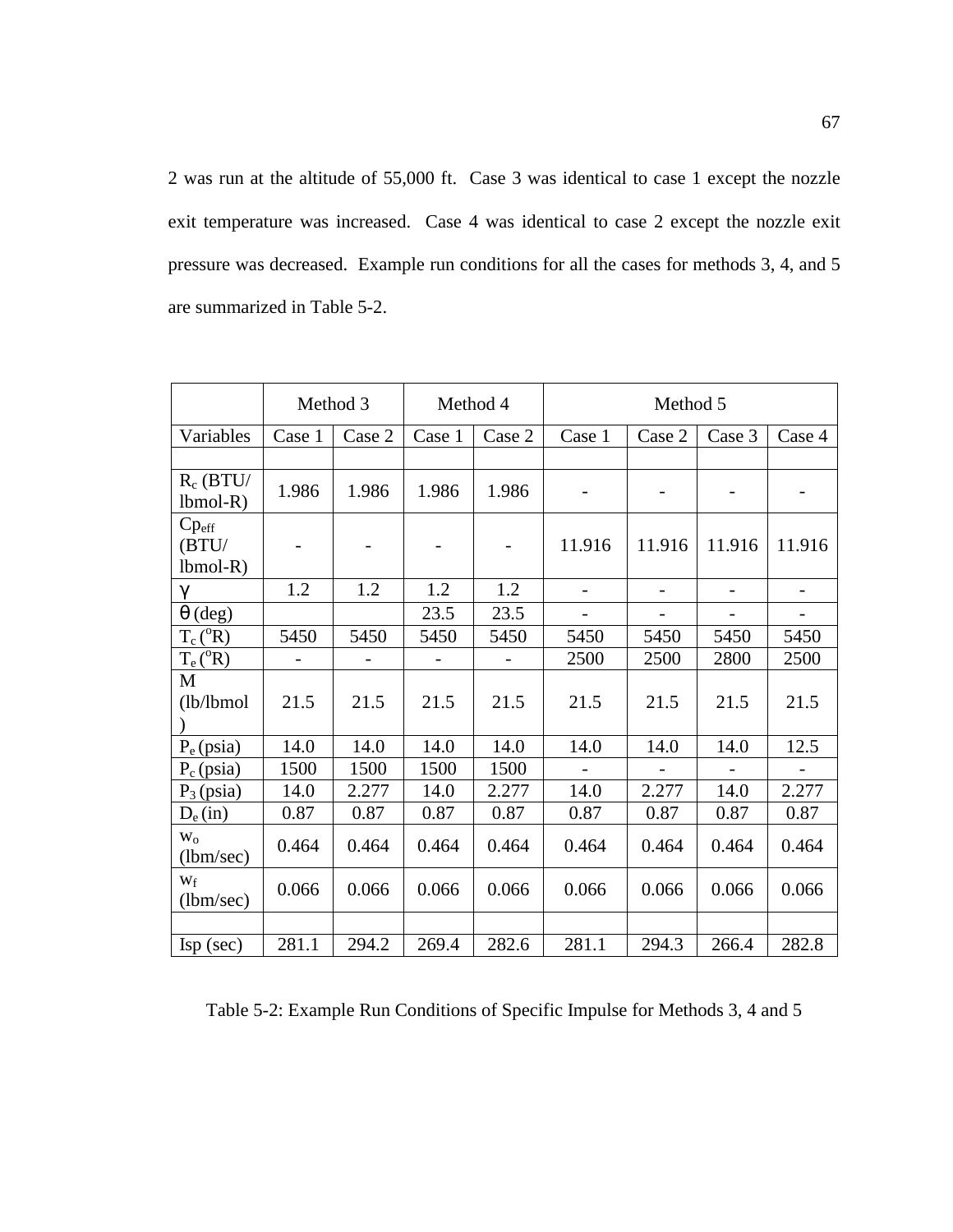2 was run at the altitude of 55,000 ft. Case 3 was identical to case 1 except the nozzle exit temperature was increased. Case 4 was identical to case 2 except the nozzle exit pressure was decreased. Example run conditions for all the cases for methods 3, 4, and 5 are summarized in Table 5-2.

|                                          |                          | Method 3 | Method 4<br>Method 5 |        |                          |                          |                          |                          |
|------------------------------------------|--------------------------|----------|----------------------|--------|--------------------------|--------------------------|--------------------------|--------------------------|
| Variables                                | Case 1                   | Case 2   | Case 1               | Case 2 | Case 1                   | Case 2                   | Case 3                   | Case 4                   |
|                                          |                          |          |                      |        |                          |                          |                          |                          |
| $R_c$ (BTU/<br>$lbmol-R)$                | 1.986                    | 1.986    | 1.986                | 1.986  |                          |                          |                          |                          |
| $Cp_{\text{eff}}$<br>(BTU/<br>$lbmol-R)$ | $\overline{\phantom{a}}$ |          |                      |        | 11.916                   | 11.916                   | 11.916                   | 11.916                   |
| $\gamma$                                 | 1.2                      | 1.2      | 1.2                  | 1.2    | $\overline{\phantom{a}}$ | $\overline{\phantom{a}}$ | $\blacksquare$           | $\overline{\phantom{a}}$ |
| $\theta$ (deg)                           |                          |          | 23.5                 | 23.5   | $\qquad \qquad -$        | $\overline{\phantom{a}}$ | $\overline{\phantom{a}}$ | $\overline{\phantom{a}}$ |
| $T_c(^oR)$                               | 5450                     | 5450     | 5450                 | 5450   | 5450                     | 5450                     | 5450                     | 5450                     |
| $T_e(^oR)$                               | $\overline{\phantom{a}}$ |          |                      |        | 2500                     | 2500                     | 2800                     | 2500                     |
| M<br>(lb/lbmol)                          | 21.5                     | 21.5     | 21.5                 | 21.5   | 21.5                     | 21.5                     | 21.5                     | 21.5                     |
| $P_e$ (psia)                             | 14.0                     | 14.0     | 14.0                 | 14.0   | 14.0                     | 14.0                     | 14.0                     | 12.5                     |
| $P_c$ (psia)                             | 1500                     | 1500     | 1500                 | 1500   | $\overline{a}$           |                          |                          | $\overline{\phantom{a}}$ |
| $P_3$ (psia)                             | 14.0                     | 2.277    | 14.0                 | 2.277  | 14.0                     | 2.277                    | 14.0                     | 2.277                    |
| $D_e(in)$                                | 0.87                     | 0.87     | 0.87                 | 0.87   | 0.87                     | 0.87                     | 0.87                     | 0.87                     |
| $W_0$<br>(lbm/sec)                       | 0.464                    | 0.464    | 0.464                | 0.464  | 0.464                    | 0.464                    | 0.464                    | 0.464                    |
| $W_f$<br>(lbm/sec)                       | 0.066                    | 0.066    | 0.066                | 0.066  | 0.066                    | 0.066                    | 0.066                    | 0.066                    |
|                                          |                          |          |                      |        |                          |                          |                          |                          |
| $\text{Isp}(\text{sec})$                 | 281.1                    | 294.2    | 269.4                | 282.6  | 281.1                    | 294.3                    | 266.4                    | 282.8                    |

Table 5-2: Example Run Conditions of Specific Impulse for Methods 3, 4 and 5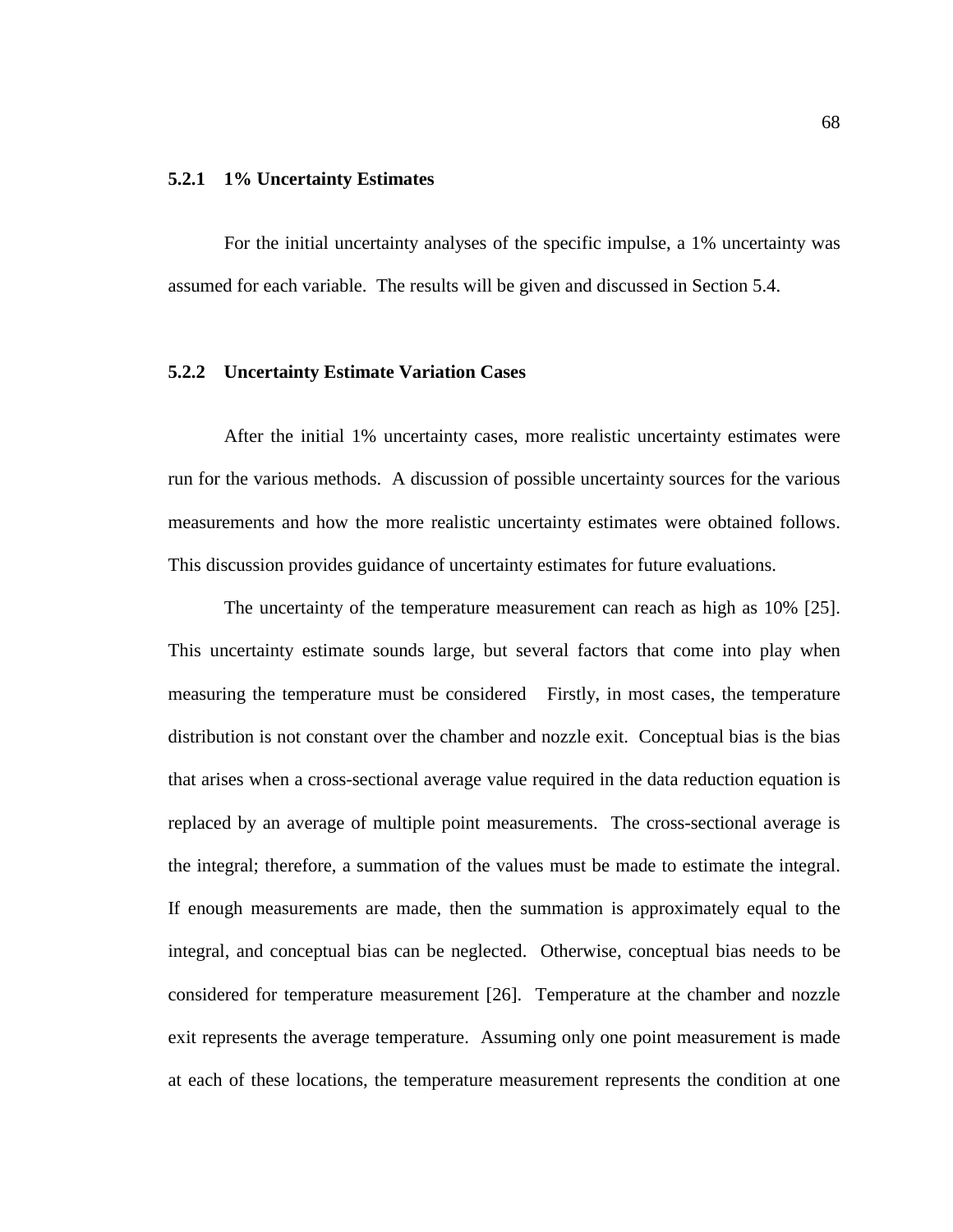#### **5.2.1 1% Uncertainty Estimates**

For the initial uncertainty analyses of the specific impulse, a 1% uncertainty was assumed for each variable. The results will be given and discussed in Section 5.4.

#### **5.2.2 Uncertainty Estimate Variation Cases**

After the initial 1% uncertainty cases, more realistic uncertainty estimates were run for the various methods. A discussion of possible uncertainty sources for the various measurements and how the more realistic uncertainty estimates were obtained follows. This discussion provides guidance of uncertainty estimates for future evaluations.

The uncertainty of the temperature measurement can reach as high as 10% [25]. This uncertainty estimate sounds large, but several factors that come into play when measuring the temperature must be considered Firstly, in most cases, the temperature distribution is not constant over the chamber and nozzle exit. Conceptual bias is the bias that arises when a cross-sectional average value required in the data reduction equation is replaced by an average of multiple point measurements. The cross-sectional average is the integral; therefore, a summation of the values must be made to estimate the integral. If enough measurements are made, then the summation is approximately equal to the integral, and conceptual bias can be neglected. Otherwise, conceptual bias needs to be considered for temperature measurement [26]. Temperature at the chamber and nozzle exit represents the average temperature. Assuming only one point measurement is made at each of these locations, the temperature measurement represents the condition at one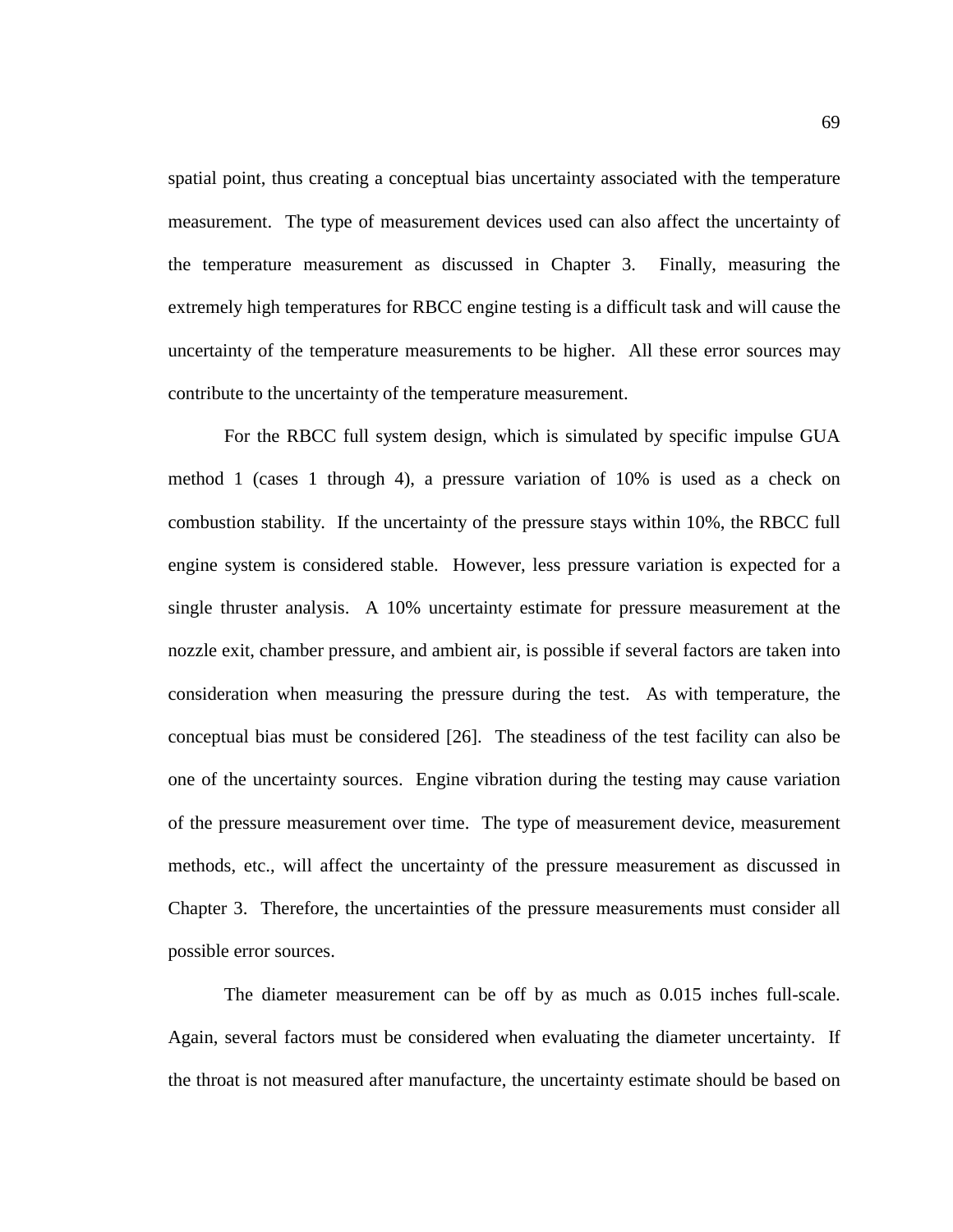spatial point, thus creating a conceptual bias uncertainty associated with the temperature measurement. The type of measurement devices used can also affect the uncertainty of the temperature measurement as discussed in Chapter 3. Finally, measuring the extremely high temperatures for RBCC engine testing is a difficult task and will cause the uncertainty of the temperature measurements to be higher. All these error sources may contribute to the uncertainty of the temperature measurement.

For the RBCC full system design, which is simulated by specific impulse GUA method 1 (cases 1 through 4), a pressure variation of 10% is used as a check on combustion stability. If the uncertainty of the pressure stays within 10%, the RBCC full engine system is considered stable. However, less pressure variation is expected for a single thruster analysis. A 10% uncertainty estimate for pressure measurement at the nozzle exit, chamber pressure, and ambient air, is possible if several factors are taken into consideration when measuring the pressure during the test. As with temperature, the conceptual bias must be considered [26]. The steadiness of the test facility can also be one of the uncertainty sources. Engine vibration during the testing may cause variation of the pressure measurement over time. The type of measurement device, measurement methods, etc., will affect the uncertainty of the pressure measurement as discussed in Chapter 3. Therefore, the uncertainties of the pressure measurements must consider all possible error sources.

The diameter measurement can be off by as much as 0.015 inches full-scale. Again, several factors must be considered when evaluating the diameter uncertainty. If the throat is not measured after manufacture, the uncertainty estimate should be based on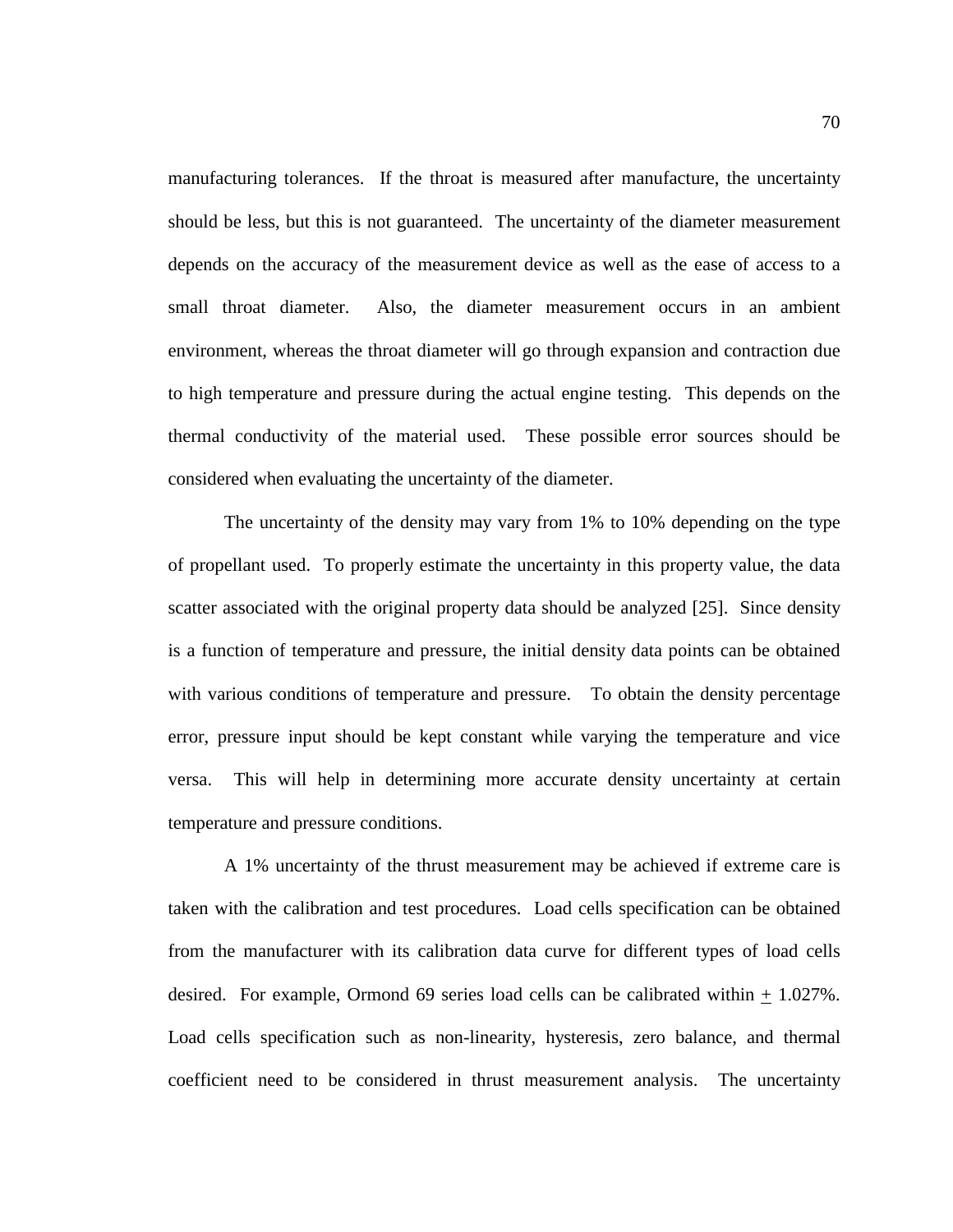manufacturing tolerances. If the throat is measured after manufacture, the uncertainty should be less, but this is not guaranteed. The uncertainty of the diameter measurement depends on the accuracy of the measurement device as well as the ease of access to a small throat diameter. Also, the diameter measurement occurs in an ambient environment, whereas the throat diameter will go through expansion and contraction due to high temperature and pressure during the actual engine testing. This depends on the thermal conductivity of the material used. These possible error sources should be considered when evaluating the uncertainty of the diameter.

The uncertainty of the density may vary from 1% to 10% depending on the type of propellant used. To properly estimate the uncertainty in this property value, the data scatter associated with the original property data should be analyzed [25]. Since density is a function of temperature and pressure, the initial density data points can be obtained with various conditions of temperature and pressure. To obtain the density percentage error, pressure input should be kept constant while varying the temperature and vice versa. This will help in determining more accurate density uncertainty at certain temperature and pressure conditions.

A 1% uncertainty of the thrust measurement may be achieved if extreme care is taken with the calibration and test procedures. Load cells specification can be obtained from the manufacturer with its calibration data curve for different types of load cells desired. For example, Ormond 69 series load cells can be calibrated within + 1.027%. Load cells specification such as non-linearity, hysteresis, zero balance, and thermal coefficient need to be considered in thrust measurement analysis. The uncertainty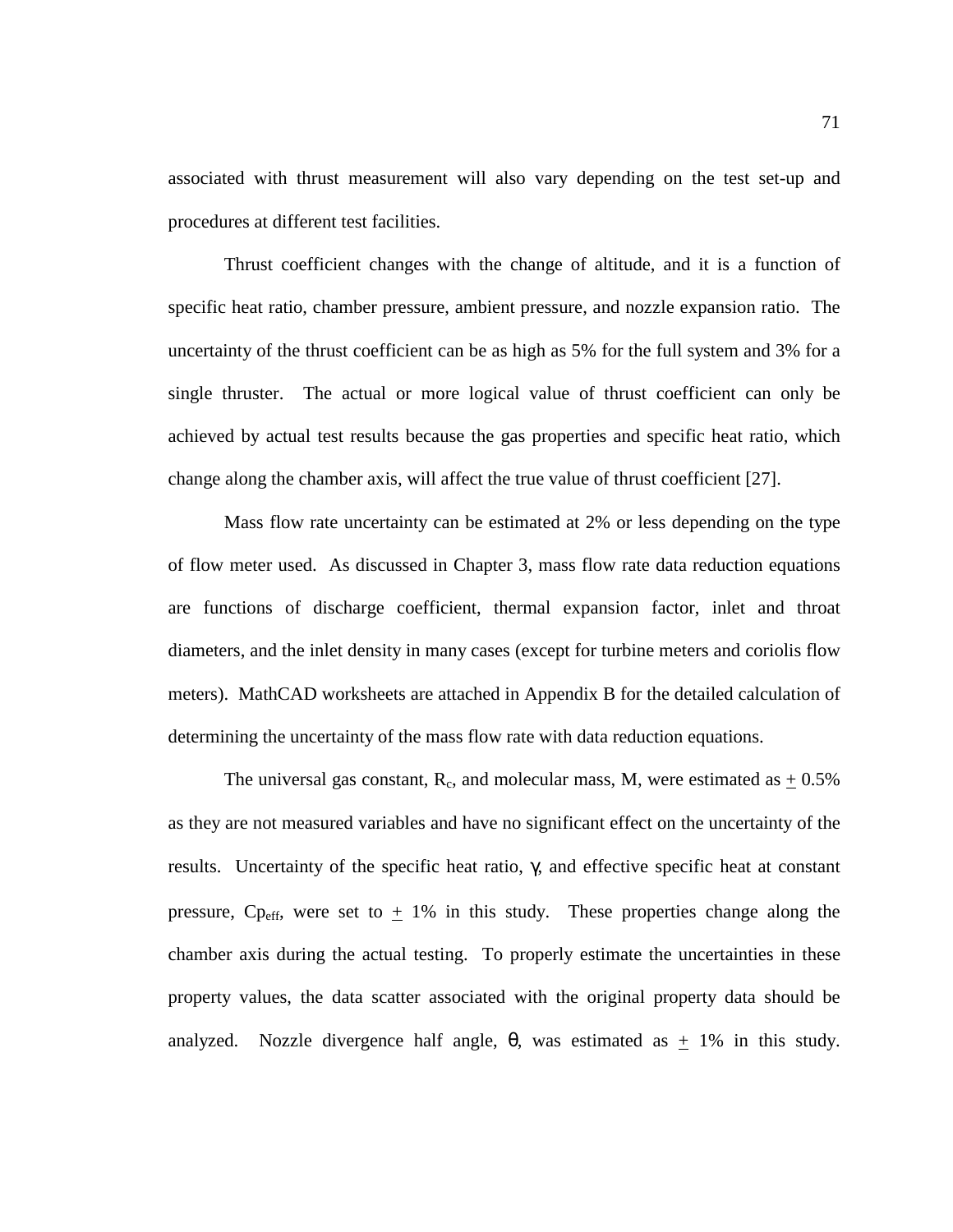associated with thrust measurement will also vary depending on the test set-up and procedures at different test facilities.

Thrust coefficient changes with the change of altitude, and it is a function of specific heat ratio, chamber pressure, ambient pressure, and nozzle expansion ratio. The uncertainty of the thrust coefficient can be as high as 5% for the full system and 3% for a single thruster. The actual or more logical value of thrust coefficient can only be achieved by actual test results because the gas properties and specific heat ratio, which change along the chamber axis, will affect the true value of thrust coefficient [27].

Mass flow rate uncertainty can be estimated at 2% or less depending on the type of flow meter used. As discussed in Chapter 3, mass flow rate data reduction equations are functions of discharge coefficient, thermal expansion factor, inlet and throat diameters, and the inlet density in many cases (except for turbine meters and coriolis flow meters). MathCAD worksheets are attached in Appendix B for the detailed calculation of determining the uncertainty of the mass flow rate with data reduction equations.

The universal gas constant,  $R_c$ , and molecular mass, M, were estimated as  $+0.5\%$ as they are not measured variables and have no significant effect on the uncertainty of the results. Uncertainty of the specific heat ratio, γ, and effective specific heat at constant pressure, Cp<sub>eff</sub>, were set to  $\pm$  1% in this study. These properties change along the chamber axis during the actual testing. To properly estimate the uncertainties in these property values, the data scatter associated with the original property data should be analyzed. Nozzle divergence half angle,  $\theta$ , was estimated as  $\pm$  1% in this study.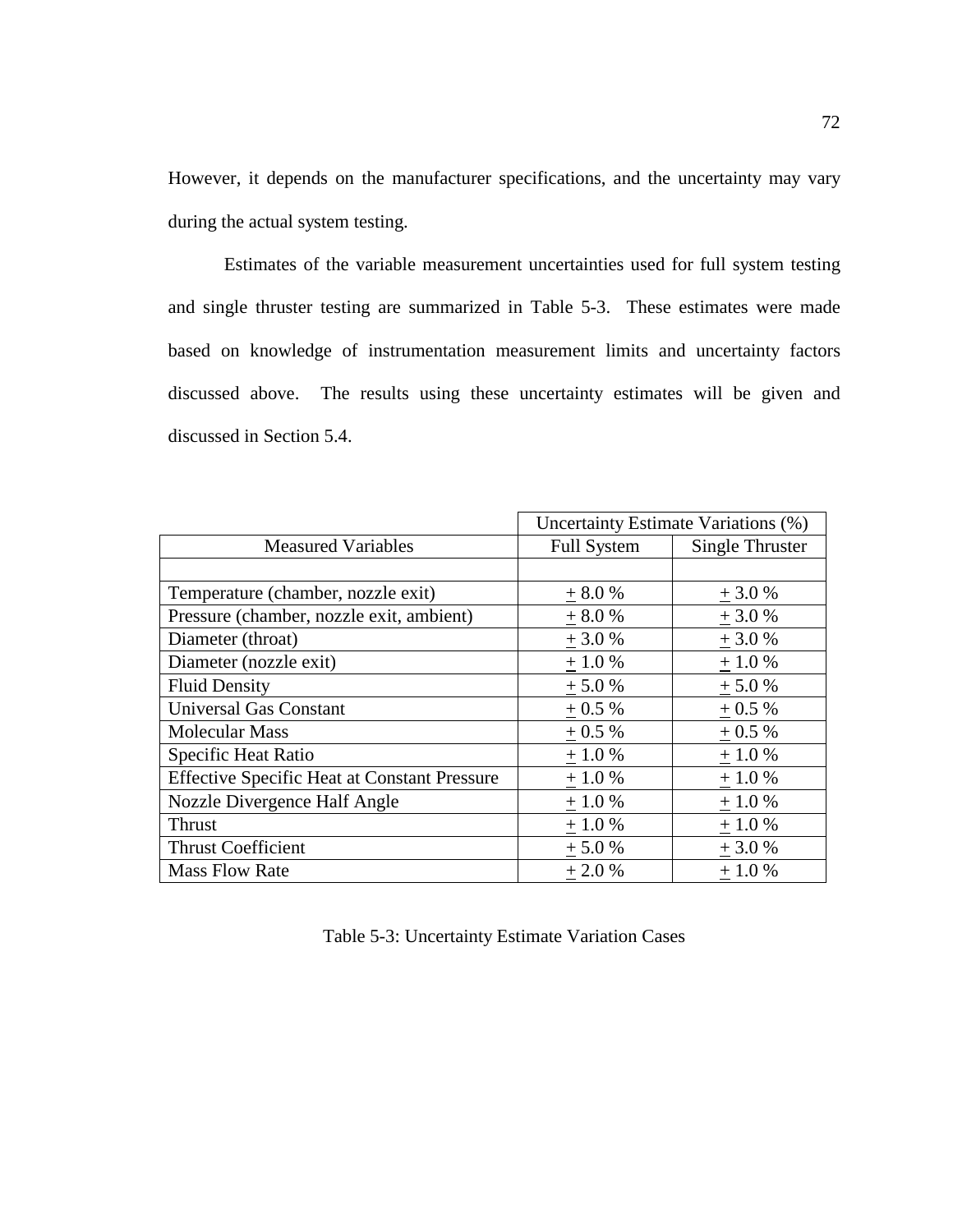However, it depends on the manufacturer specifications, and the uncertainty may vary during the actual system testing.

Estimates of the variable measurement uncertainties used for full system testing and single thruster testing are summarized in Table 5-3. These estimates were made based on knowledge of instrumentation measurement limits and uncertainty factors discussed above. The results using these uncertainty estimates will be given and discussed in Section 5.4.

|                                                     |                    | Uncertainty Estimate Variations (%) |
|-----------------------------------------------------|--------------------|-------------------------------------|
| <b>Measured Variables</b>                           | <b>Full System</b> | Single Thruster                     |
|                                                     |                    |                                     |
| Temperature (chamber, nozzle exit)                  | $+8.0%$            | $+3.0%$                             |
| Pressure (chamber, nozzle exit, ambient)            | $+8.0%$            | $+3.0%$                             |
| Diameter (throat)                                   | $+3.0%$            | $+3.0%$                             |
| Diameter (nozzle exit)                              | $+1.0%$            | $+1.0%$                             |
| <b>Fluid Density</b>                                | $+5.0%$            | $+5.0%$                             |
| <b>Universal Gas Constant</b>                       | $+0.5%$            | $+0.5%$                             |
| <b>Molecular Mass</b>                               | $+0.5%$            | $+0.5%$                             |
| Specific Heat Ratio                                 | $+1.0%$            | $+1.0%$                             |
| <b>Effective Specific Heat at Constant Pressure</b> | $+1.0%$            | $+1.0%$                             |
| Nozzle Divergence Half Angle                        | $+$ 1.0 $\%$       | $+1.0%$                             |
| Thrust                                              | $+1.0%$            | $+1.0%$                             |
| <b>Thrust Coefficient</b>                           | $+5.0%$            | $+3.0%$                             |
| <b>Mass Flow Rate</b>                               | $+2.0%$            | $+1.0%$                             |

|  | Table 5-3: Uncertainty Estimate Variation Cases |  |  |  |
|--|-------------------------------------------------|--|--|--|
|--|-------------------------------------------------|--|--|--|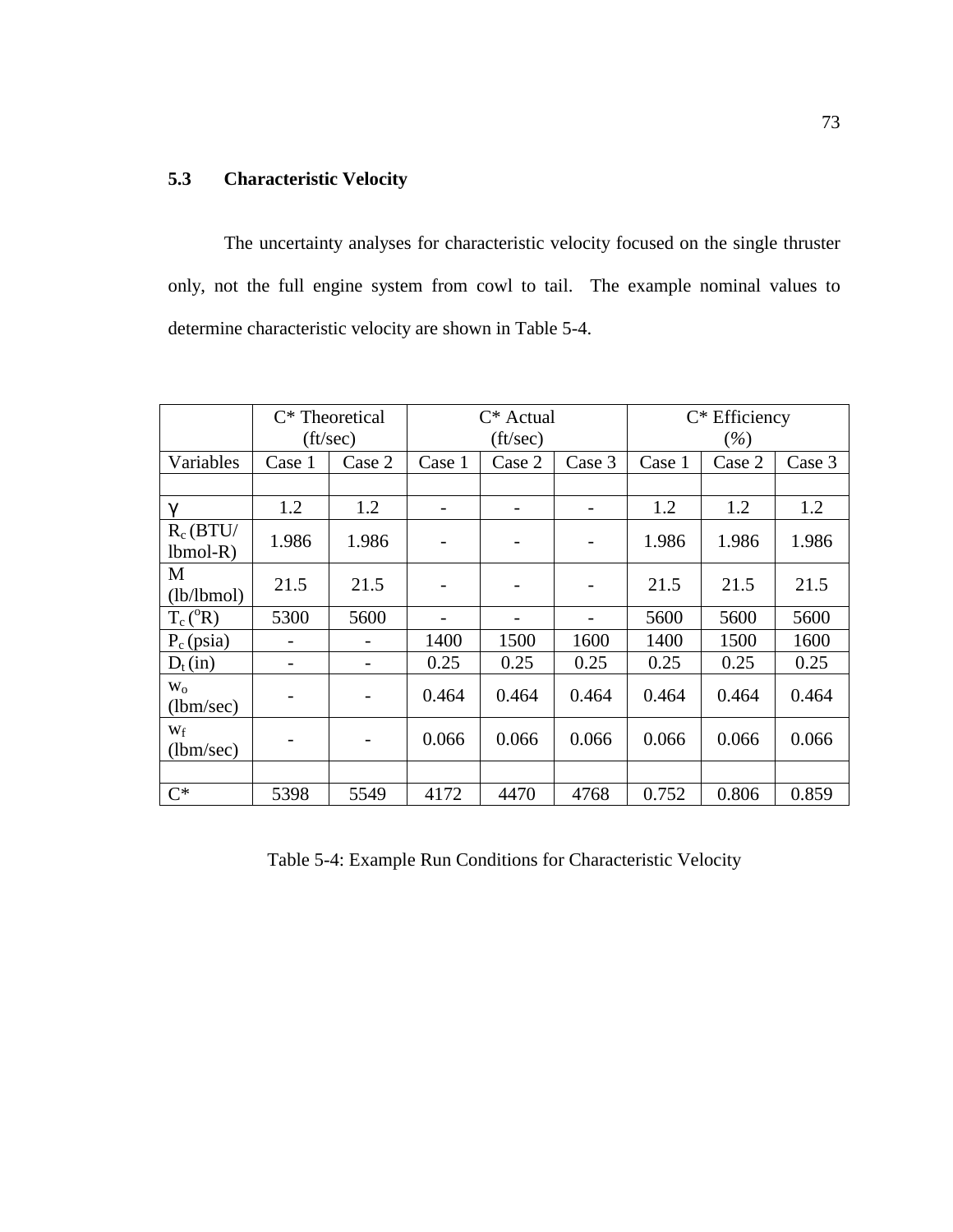## **5.3 Characteristic Velocity**

The uncertainty analyses for characteristic velocity focused on the single thruster only, not the full engine system from cowl to tail. The example nominal values to determine characteristic velocity are shown in Table 5-4.

|                           |        | $C^*$ Theoretical        |          | $C^*$ Actual |        |        | $C^*$ Efficiency |        |
|---------------------------|--------|--------------------------|----------|--------------|--------|--------|------------------|--------|
|                           |        | $({\rm ft/sec})$         | (ft/sec) |              |        | $(\%)$ |                  |        |
| Variables                 | Case 1 | Case 2                   | Case 1   | Case 2       | Case 3 | Case 1 | Case 2           | Case 3 |
|                           |        |                          |          |              |        |        |                  |        |
| $\gamma$                  | 1.2    | 1.2                      |          |              |        | 1.2    | 1.2              | 1.2    |
| $R_c(BTU/$<br>$lbmol-R$ ) | 1.986  | 1.986                    |          |              |        | 1.986  | 1.986            | 1.986  |
| M<br>(lb/lbmol)           | 21.5   | 21.5                     |          |              |        | 21.5   | 21.5             | 21.5   |
| $T_c(^oR)$                | 5300   | 5600                     |          |              |        | 5600   | 5600             | 5600   |
| $P_c$ (psia)              |        |                          | 1400     | 1500         | 1600   | 1400   | 1500             | 1600   |
| $D_t(in)$                 |        | $\overline{\phantom{a}}$ | 0.25     | 0.25         | 0.25   | 0.25   | 0.25             | 0.25   |
| $W_0$<br>(lbm/sec)        |        | $\overline{\phantom{0}}$ | 0.464    | 0.464        | 0.464  | 0.464  | 0.464            | 0.464  |
| Wf<br>(lbm/sec)           |        | -                        | 0.066    | 0.066        | 0.066  | 0.066  | 0.066            | 0.066  |
|                           |        |                          |          |              |        |        |                  |        |
| $C^*$                     | 5398   | 5549                     | 4172     | 4470         | 4768   | 0.752  | 0.806            | 0.859  |

Table 5-4: Example Run Conditions for Characteristic Velocity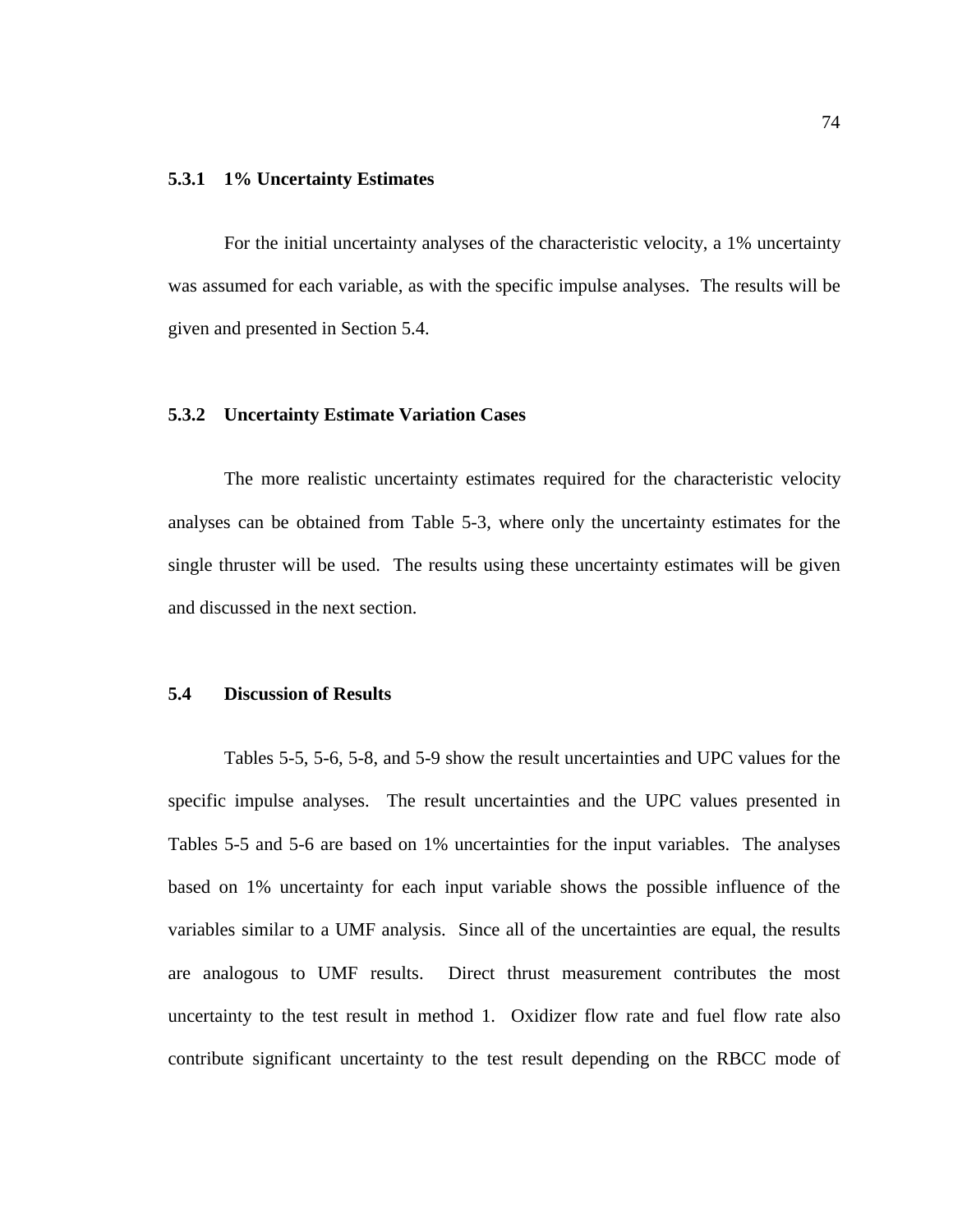#### **5.3.1 1% Uncertainty Estimates**

For the initial uncertainty analyses of the characteristic velocity, a 1% uncertainty was assumed for each variable, as with the specific impulse analyses. The results will be given and presented in Section 5.4.

## **5.3.2 Uncertainty Estimate Variation Cases**

The more realistic uncertainty estimates required for the characteristic velocity analyses can be obtained from Table 5-3, where only the uncertainty estimates for the single thruster will be used. The results using these uncertainty estimates will be given and discussed in the next section.

## **5.4 Discussion of Results**

Tables 5-5, 5-6, 5-8, and 5-9 show the result uncertainties and UPC values for the specific impulse analyses. The result uncertainties and the UPC values presented in Tables 5-5 and 5-6 are based on 1% uncertainties for the input variables. The analyses based on 1% uncertainty for each input variable shows the possible influence of the variables similar to a UMF analysis. Since all of the uncertainties are equal, the results are analogous to UMF results. Direct thrust measurement contributes the most uncertainty to the test result in method 1. Oxidizer flow rate and fuel flow rate also contribute significant uncertainty to the test result depending on the RBCC mode of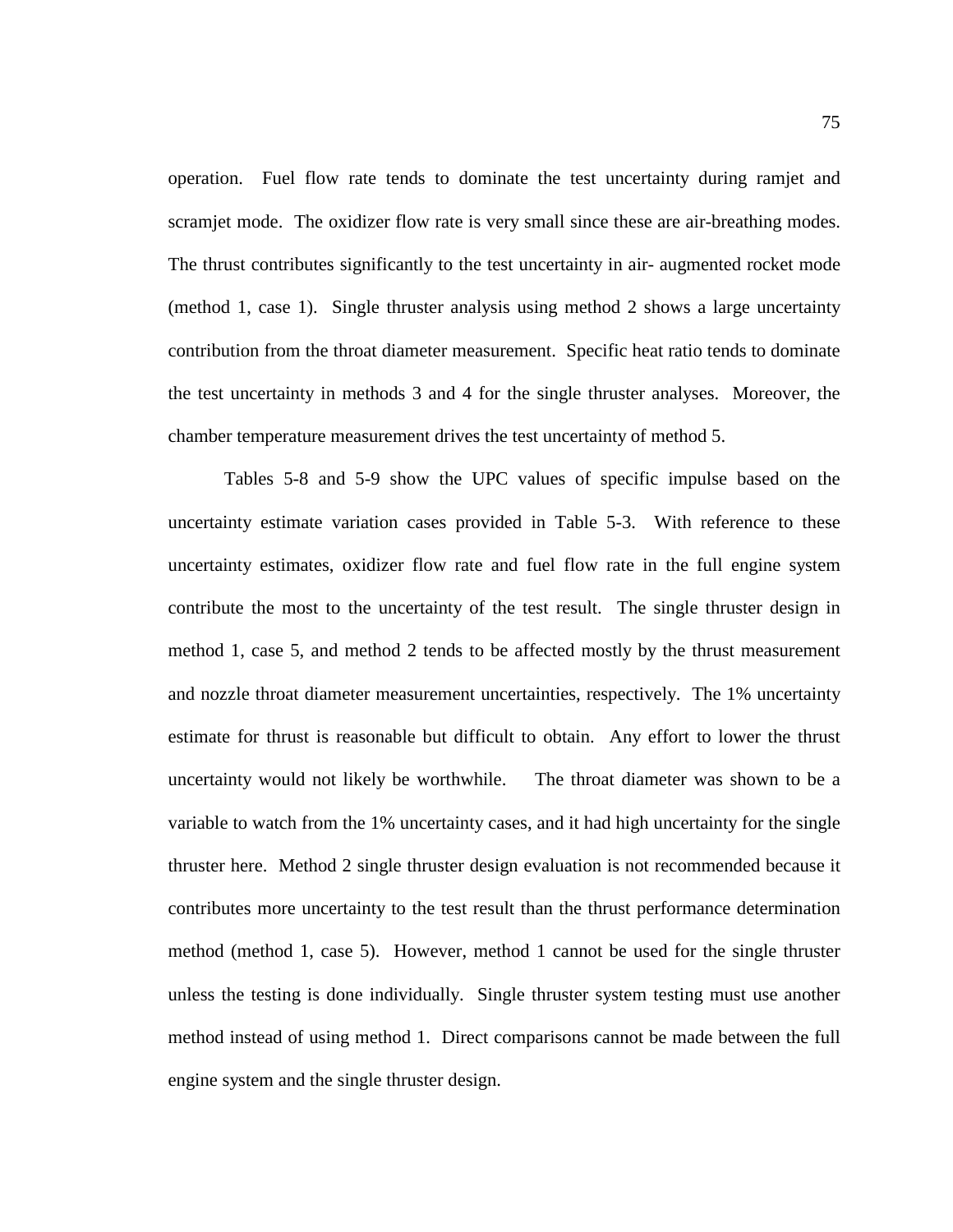operation. Fuel flow rate tends to dominate the test uncertainty during ramjet and scramjet mode. The oxidizer flow rate is very small since these are air-breathing modes. The thrust contributes significantly to the test uncertainty in air- augmented rocket mode (method 1, case 1). Single thruster analysis using method 2 shows a large uncertainty contribution from the throat diameter measurement. Specific heat ratio tends to dominate the test uncertainty in methods 3 and 4 for the single thruster analyses. Moreover, the chamber temperature measurement drives the test uncertainty of method 5.

Tables 5-8 and 5-9 show the UPC values of specific impulse based on the uncertainty estimate variation cases provided in Table 5-3. With reference to these uncertainty estimates, oxidizer flow rate and fuel flow rate in the full engine system contribute the most to the uncertainty of the test result. The single thruster design in method 1, case 5, and method 2 tends to be affected mostly by the thrust measurement and nozzle throat diameter measurement uncertainties, respectively. The 1% uncertainty estimate for thrust is reasonable but difficult to obtain. Any effort to lower the thrust uncertainty would not likely be worthwhile. The throat diameter was shown to be a variable to watch from the 1% uncertainty cases, and it had high uncertainty for the single thruster here. Method 2 single thruster design evaluation is not recommended because it contributes more uncertainty to the test result than the thrust performance determination method (method 1, case 5). However, method 1 cannot be used for the single thruster unless the testing is done individually. Single thruster system testing must use another method instead of using method 1. Direct comparisons cannot be made between the full engine system and the single thruster design.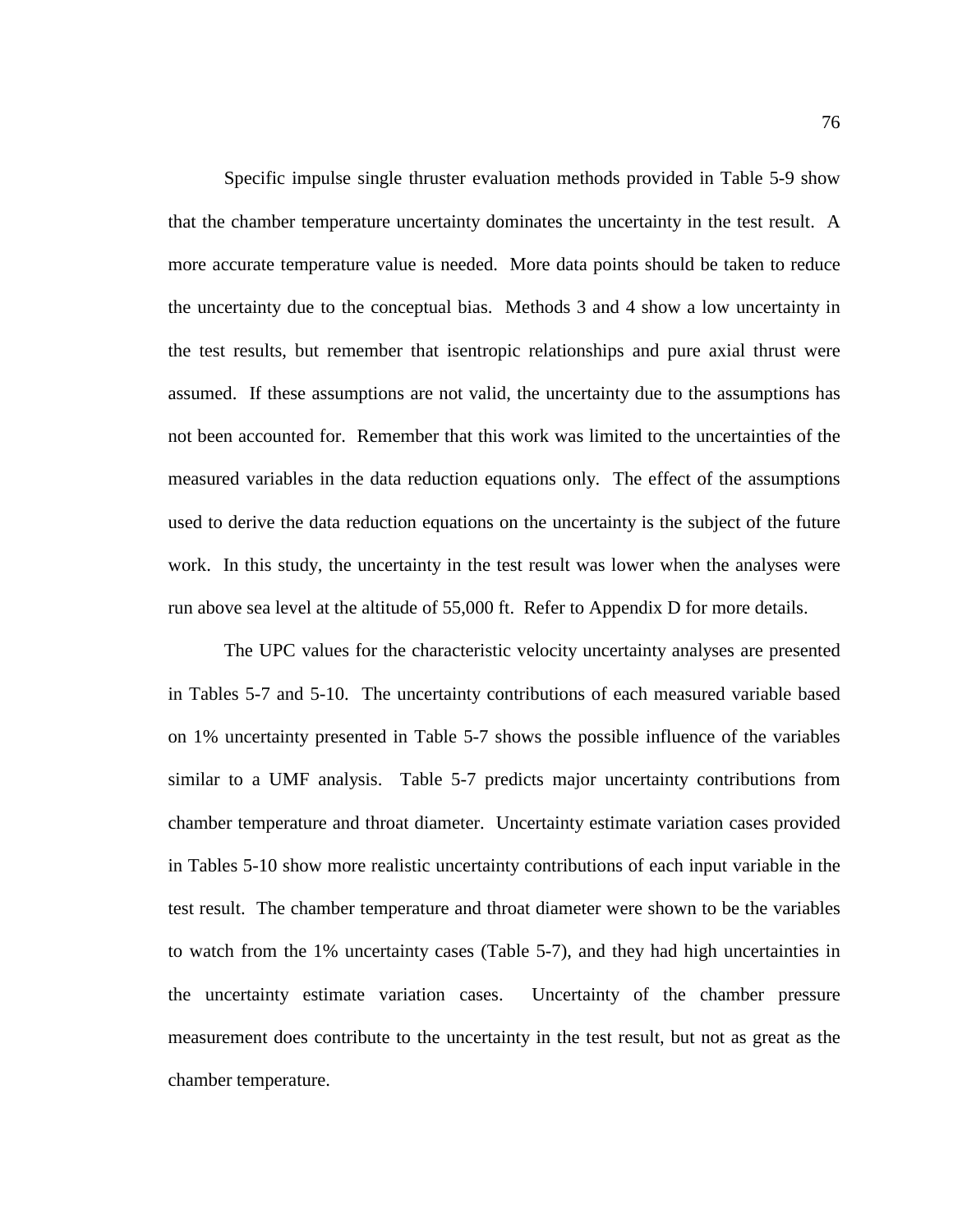Specific impulse single thruster evaluation methods provided in Table 5-9 show that the chamber temperature uncertainty dominates the uncertainty in the test result. A more accurate temperature value is needed. More data points should be taken to reduce the uncertainty due to the conceptual bias. Methods 3 and 4 show a low uncertainty in the test results, but remember that isentropic relationships and pure axial thrust were assumed. If these assumptions are not valid, the uncertainty due to the assumptions has not been accounted for. Remember that this work was limited to the uncertainties of the measured variables in the data reduction equations only. The effect of the assumptions used to derive the data reduction equations on the uncertainty is the subject of the future work. In this study, the uncertainty in the test result was lower when the analyses were run above sea level at the altitude of 55,000 ft. Refer to Appendix D for more details.

 The UPC values for the characteristic velocity uncertainty analyses are presented in Tables 5-7 and 5-10. The uncertainty contributions of each measured variable based on 1% uncertainty presented in Table 5-7 shows the possible influence of the variables similar to a UMF analysis. Table 5-7 predicts major uncertainty contributions from chamber temperature and throat diameter. Uncertainty estimate variation cases provided in Tables 5-10 show more realistic uncertainty contributions of each input variable in the test result. The chamber temperature and throat diameter were shown to be the variables to watch from the 1% uncertainty cases (Table 5-7), and they had high uncertainties in the uncertainty estimate variation cases. Uncertainty of the chamber pressure measurement does contribute to the uncertainty in the test result, but not as great as the chamber temperature.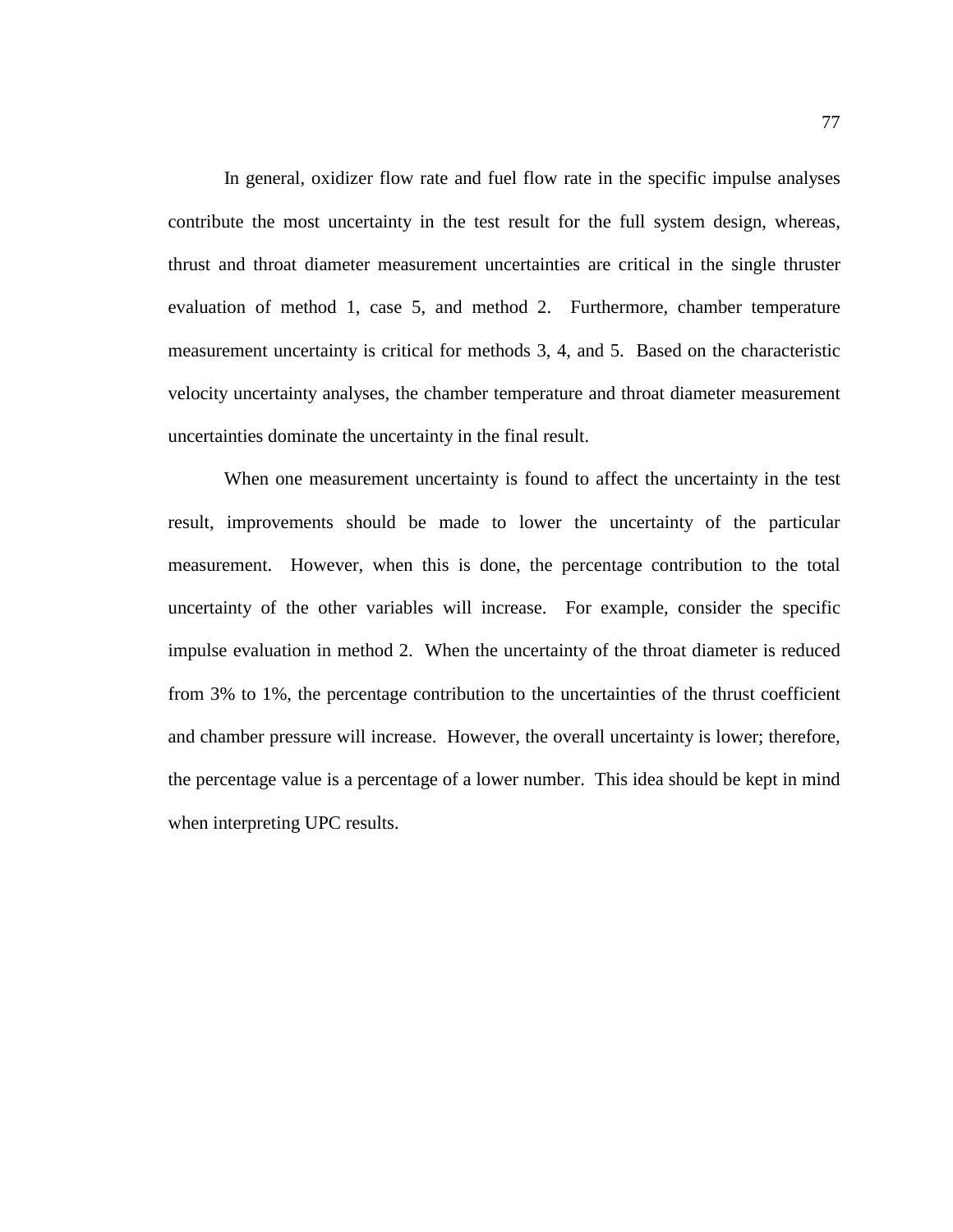In general, oxidizer flow rate and fuel flow rate in the specific impulse analyses contribute the most uncertainty in the test result for the full system design, whereas, thrust and throat diameter measurement uncertainties are critical in the single thruster evaluation of method 1, case 5, and method 2. Furthermore, chamber temperature measurement uncertainty is critical for methods 3, 4, and 5. Based on the characteristic velocity uncertainty analyses, the chamber temperature and throat diameter measurement uncertainties dominate the uncertainty in the final result.

 When one measurement uncertainty is found to affect the uncertainty in the test result, improvements should be made to lower the uncertainty of the particular measurement. However, when this is done, the percentage contribution to the total uncertainty of the other variables will increase. For example, consider the specific impulse evaluation in method 2. When the uncertainty of the throat diameter is reduced from 3% to 1%, the percentage contribution to the uncertainties of the thrust coefficient and chamber pressure will increase. However, the overall uncertainty is lower; therefore, the percentage value is a percentage of a lower number. This idea should be kept in mind when interpreting UPC results.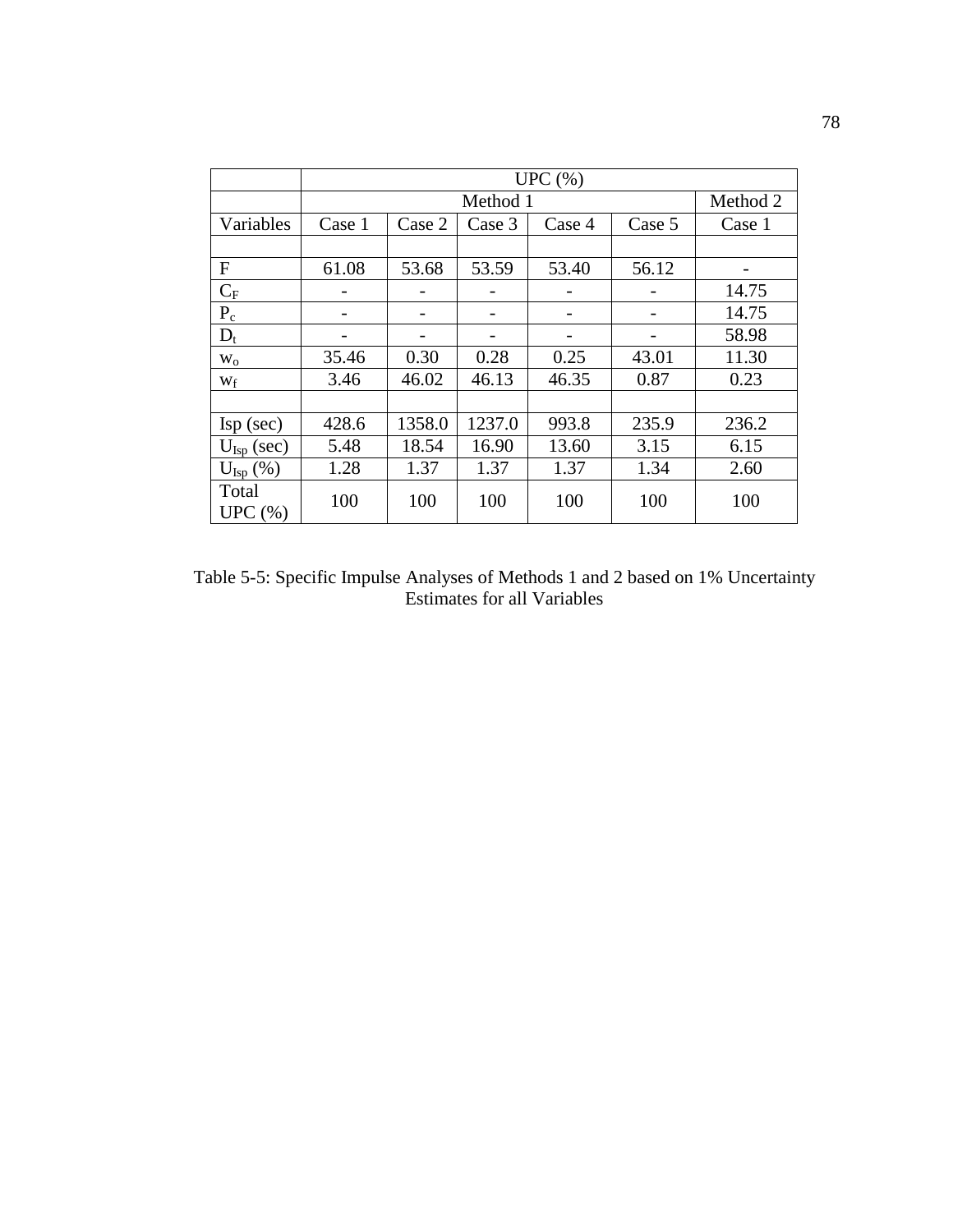|                          |        | UPC(%) |          |        |        |          |  |  |  |
|--------------------------|--------|--------|----------|--------|--------|----------|--|--|--|
|                          |        |        | Method 1 |        |        | Method 2 |  |  |  |
| Variables                | Case 1 | Case 2 | Case 3   | Case 4 | Case 5 | Case 1   |  |  |  |
|                          |        |        |          |        |        |          |  |  |  |
| F                        | 61.08  | 53.68  | 53.59    | 53.40  | 56.12  |          |  |  |  |
| $C_F$                    |        |        |          |        |        | 14.75    |  |  |  |
| $P_c$                    |        |        |          |        |        | 14.75    |  |  |  |
| $D_t$                    |        |        |          |        |        | 58.98    |  |  |  |
| $W_0$                    | 35.46  | 0.30   | 0.28     | 0.25   | 43.01  | 11.30    |  |  |  |
| Wf                       | 3.46   | 46.02  | 46.13    | 46.35  | 0.87   | 0.23     |  |  |  |
|                          |        |        |          |        |        |          |  |  |  |
| $\text{Isp}(\text{sec})$ | 428.6  | 1358.0 | 1237.0   | 993.8  | 235.9  | 236.2    |  |  |  |
| $U_{\text{Isp}}$ (sec)   | 5.48   | 18.54  | 16.90    | 13.60  | 3.15   | 6.15     |  |  |  |
| $U_{\text{Isp}}(\%)$     | 1.28   | 1.37   | 1.37     | 1.37   | 1.34   | 2.60     |  |  |  |
| Total<br>UPC(%)          | 100    | 100    | 100      | 100    | 100    | 100      |  |  |  |

Table 5-5: Specific Impulse Analyses of Methods 1 and 2 based on 1% Uncertainty Estimates for all Variables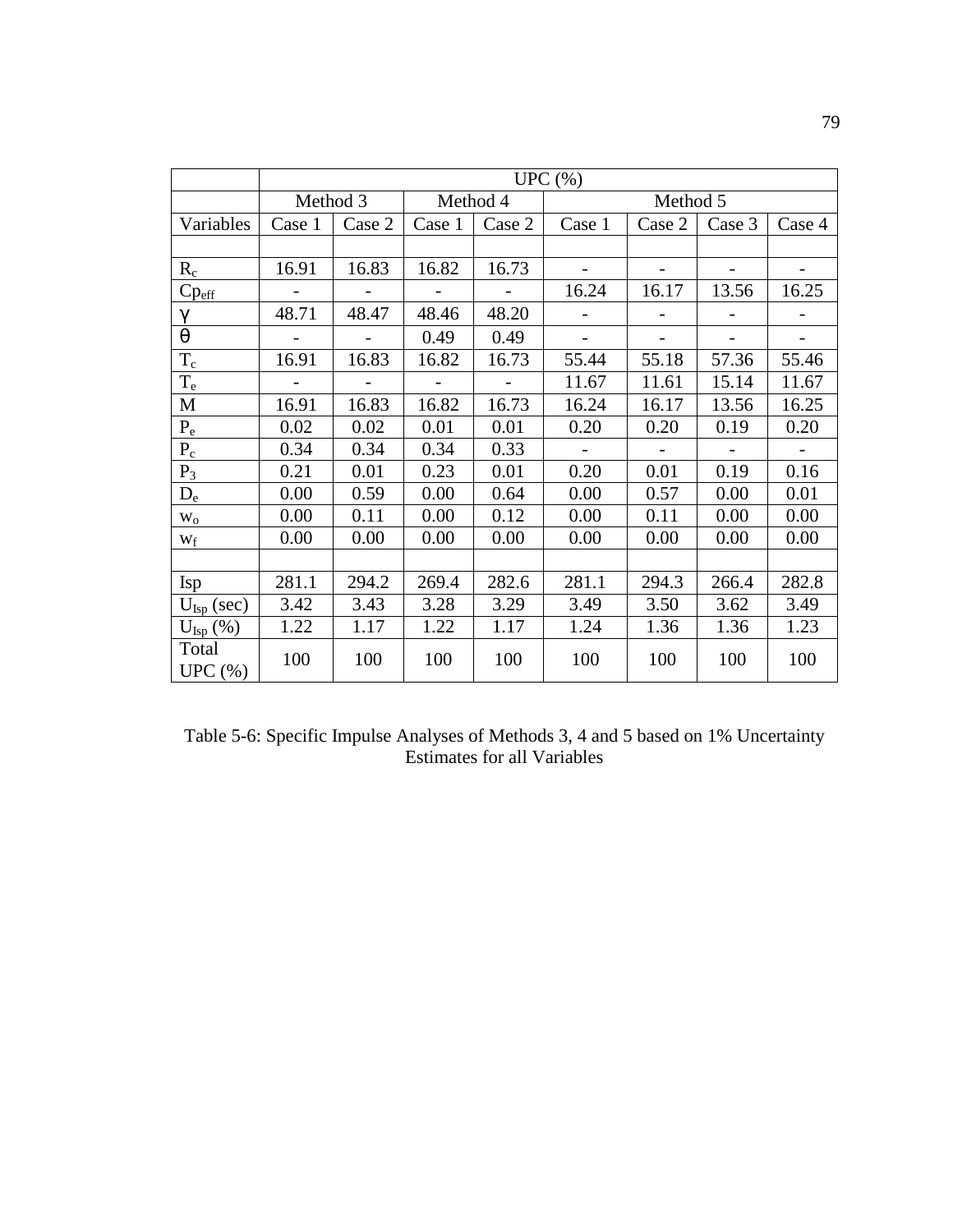|                        |                | UPC(%)                    |                          |                |                          |                |                          |                |  |
|------------------------|----------------|---------------------------|--------------------------|----------------|--------------------------|----------------|--------------------------|----------------|--|
|                        | Method 3       |                           |                          | Method 4       |                          | Method 5       |                          |                |  |
| Variables              | Case 1         | Case 2                    | Case 1                   | Case 2         | Case 1                   | Case 2         | Case 3                   | Case 4         |  |
|                        |                |                           |                          |                |                          |                |                          |                |  |
| $R_c$                  | 16.91          | 16.83                     | 16.82                    | 16.73          | $\overline{\phantom{a}}$ |                |                          |                |  |
| $Cp_{\underline{eff}}$ |                |                           | $\overline{\phantom{a}}$ |                | 16.24                    | 16.17          | 13.56                    | 16.25          |  |
| $\gamma$               | 48.71          | 48.47                     | 48.46                    | 48.20          |                          |                |                          |                |  |
| $\theta$               |                | $\mathbb{Z}^{\mathbb{Z}}$ | 0.49                     | 0.49           | $\blacksquare$           | $\overline{a}$ | $\frac{1}{2}$            | $\blacksquare$ |  |
| $T_c$                  | 16.91          | 16.83                     | 16.82                    | 16.73          | 55.44                    | 55.18          | 57.36                    | 55.46          |  |
| $T_e$                  | $\overline{a}$ | $\sim$                    | $\equiv$                 | $\mathbb{L}^2$ | 11.67                    | 11.61          | 15.14                    | 11.67          |  |
| M                      | 16.91          | 16.83                     | 16.82                    | 16.73          | 16.24                    | 16.17          | 13.56                    | 16.25          |  |
| $P_e$                  | 0.02           | 0.02                      | 0.01                     | 0.01           | 0.20                     | 0.20           | 0.19                     | 0.20           |  |
| $P_c$                  | 0.34           | 0.34                      | 0.34                     | 0.33           |                          |                | $\overline{\phantom{a}}$ |                |  |
| $P_3$                  | 0.21           | 0.01                      | 0.23                     | 0.01           | 0.20                     | 0.01           | 0.19                     | 0.16           |  |
| $D_e$                  | 0.00           | 0.59                      | 0.00                     | 0.64           | 0.00                     | 0.57           | 0.00                     | 0.01           |  |
| $W_0$                  | 0.00           | 0.11                      | 0.00                     | 0.12           | 0.00                     | 0.11           | 0.00                     | 0.00           |  |
| Wf                     | 0.00           | 0.00                      | 0.00                     | 0.00           | 0.00                     | 0.00           | 0.00                     | 0.00           |  |
|                        |                |                           |                          |                |                          |                |                          |                |  |
| Isp                    | 281.1          | 294.2                     | 269.4                    | 282.6          | 281.1                    | 294.3          | 266.4                    | 282.8          |  |
| $U_{\text{Isp}}$ (sec) | 3.42           | 3.43                      | 3.28                     | 3.29           | 3.49                     | 3.50           | 3.62                     | 3.49           |  |
| $U_{\text{Isp}}(\%)$   | 1.22           | 1.17                      | 1.22                     | 1.17           | 1.24                     | 1.36           | 1.36                     | 1.23           |  |
| Total<br>UPC(%)        | 100            | 100                       | 100                      | 100            | 100                      | 100            | 100                      | 100            |  |

Table 5-6: Specific Impulse Analyses of Methods 3, 4 and 5 based on 1% Uncertainty Estimates for all Variables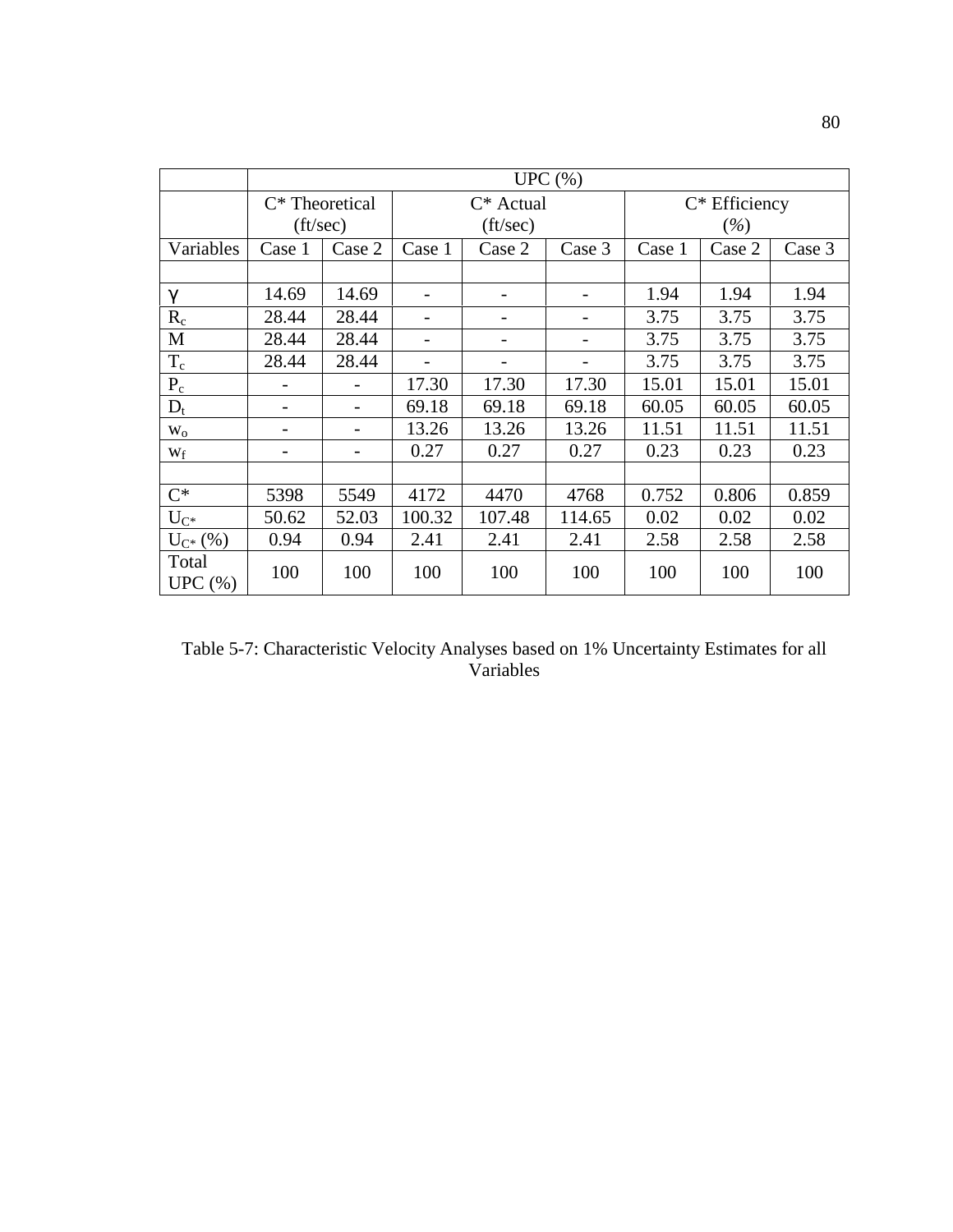|                 |                   | UPC $(\% )$ |                          |                          |        |        |                  |        |  |
|-----------------|-------------------|-------------|--------------------------|--------------------------|--------|--------|------------------|--------|--|
|                 | $C^*$ Theoretical |             |                          | $C^*$ Actual             |        |        | $C^*$ Efficiency |        |  |
|                 | $({\rm ft/sec})$  |             |                          | $({\rm ft/sec})$         |        |        | $(\%)$           |        |  |
| Variables       | Case 1            | Case 2      | Case 1                   | Case 2                   | Case 3 | Case 1 | Case 2           | Case 3 |  |
|                 |                   |             |                          |                          |        |        |                  |        |  |
| $\gamma$        | 14.69             | 14.69       | $\qquad \qquad -$        | $\overline{\phantom{a}}$ |        | 1.94   | 1.94             | 1.94   |  |
| $R_c$           | 28.44             | 28.44       |                          |                          |        | 3.75   | 3.75             | 3.75   |  |
| M               | 28.44             | 28.44       | $\overline{\phantom{0}}$ | $\qquad \qquad$          | -      | 3.75   | 3.75             | 3.75   |  |
| $T_c$           | 28.44             | 28.44       |                          | $\overline{\phantom{0}}$ |        | 3.75   | 3.75             | 3.75   |  |
| $P_c$           |                   |             | 17.30                    | 17.30                    | 17.30  | 15.01  | 15.01            | 15.01  |  |
| $D_t$           |                   |             | 69.18                    | 69.18                    | 69.18  | 60.05  | 60.05            | 60.05  |  |
| $W_0$           |                   |             | 13.26                    | 13.26                    | 13.26  | 11.51  | 11.51            | 11.51  |  |
| $W_f$           |                   |             | 0.27                     | 0.27                     | 0.27   | 0.23   | 0.23             | 0.23   |  |
|                 |                   |             |                          |                          |        |        |                  |        |  |
| $C^*$           | 5398              | 5549        | 4172                     | 4470                     | 4768   | 0.752  | 0.806            | 0.859  |  |
| $U_{C^*}$       | 50.62             | 52.03       | 100.32                   | 107.48                   | 114.65 | 0.02   | 0.02             | 0.02   |  |
| $U_{C^*}(% )$   | 0.94              | 0.94        | 2.41                     | 2.41                     | 2.41   | 2.58   | 2.58             | 2.58   |  |
| Total<br>UPC(%) | 100               | 100         | 100                      | 100                      | 100    | 100    | 100              | 100    |  |

Table 5-7: Characteristic Velocity Analyses based on 1% Uncertainty Estimates for all Variables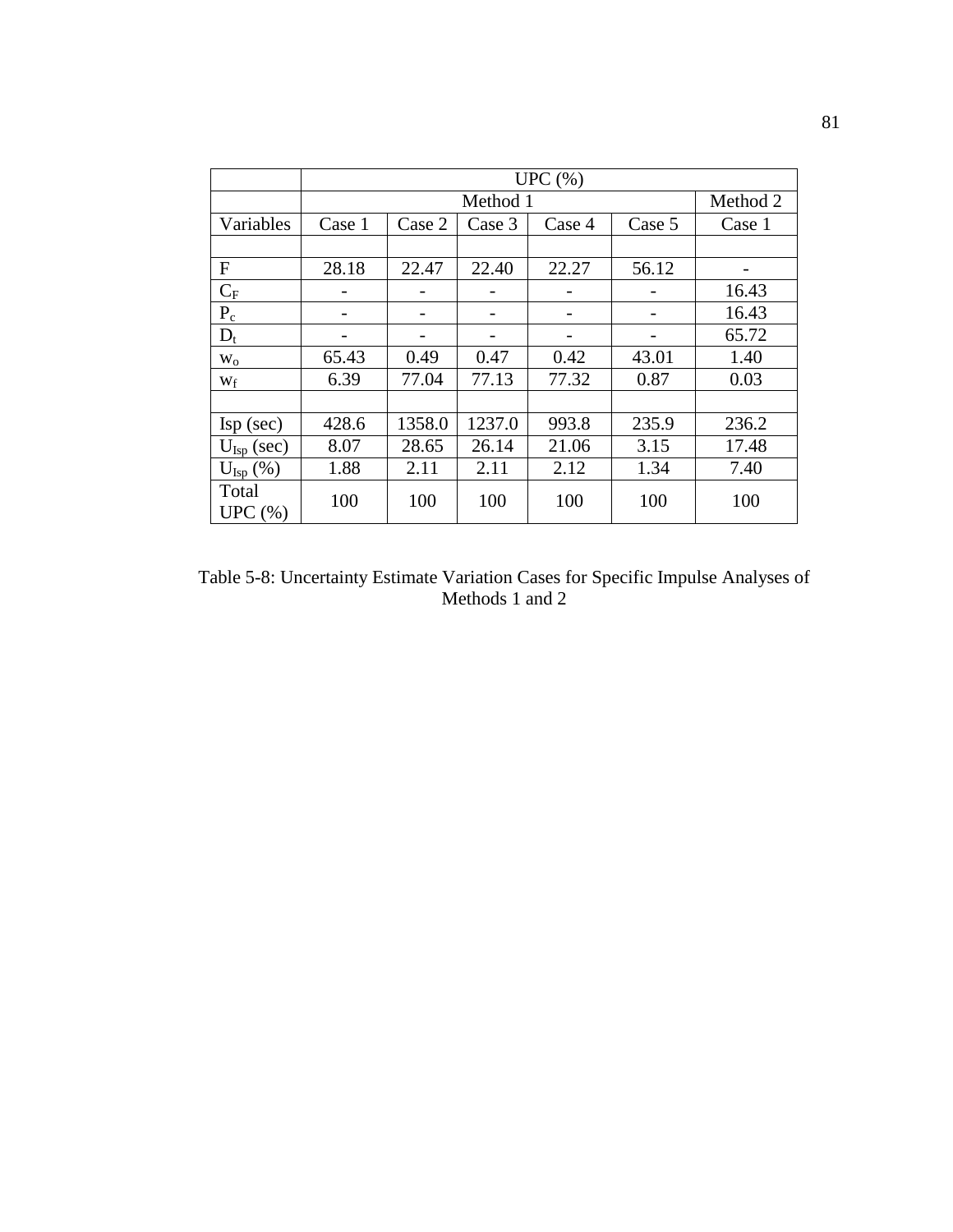|                          |        | UPC $(\% )$ |          |        |        |          |  |  |  |
|--------------------------|--------|-------------|----------|--------|--------|----------|--|--|--|
|                          |        |             | Method 1 |        |        | Method 2 |  |  |  |
| Variables                | Case 1 | Case 2      | Case 3   | Case 4 | Case 5 | Case 1   |  |  |  |
|                          |        |             |          |        |        |          |  |  |  |
| F                        | 28.18  | 22.47       | 22.40    | 22.27  | 56.12  |          |  |  |  |
| $C_F$                    |        |             |          |        |        | 16.43    |  |  |  |
| $P_c$                    |        |             |          |        |        | 16.43    |  |  |  |
| $D_t$                    |        |             |          |        |        | 65.72    |  |  |  |
| $W_0$                    | 65.43  | 0.49        | 0.47     | 0.42   | 43.01  | 1.40     |  |  |  |
| Wf                       | 6.39   | 77.04       | 77.13    | 77.32  | 0.87   | 0.03     |  |  |  |
|                          |        |             |          |        |        |          |  |  |  |
| $\text{Isp}(\text{sec})$ | 428.6  | 1358.0      | 1237.0   | 993.8  | 235.9  | 236.2    |  |  |  |
| $U_{\text{Isp}}$ (sec)   | 8.07   | 28.65       | 26.14    | 21.06  | 3.15   | 17.48    |  |  |  |
| $U_{\text{Isp}}(\%)$     | 1.88   | 2.11        | 2.11     | 2.12   | 1.34   | 7.40     |  |  |  |
| Total<br>UPC $(\% )$     | 100    | 100         | 100      | 100    | 100    | 100      |  |  |  |

Table 5-8: Uncertainty Estimate Variation Cases for Specific Impulse Analyses of Methods 1 and 2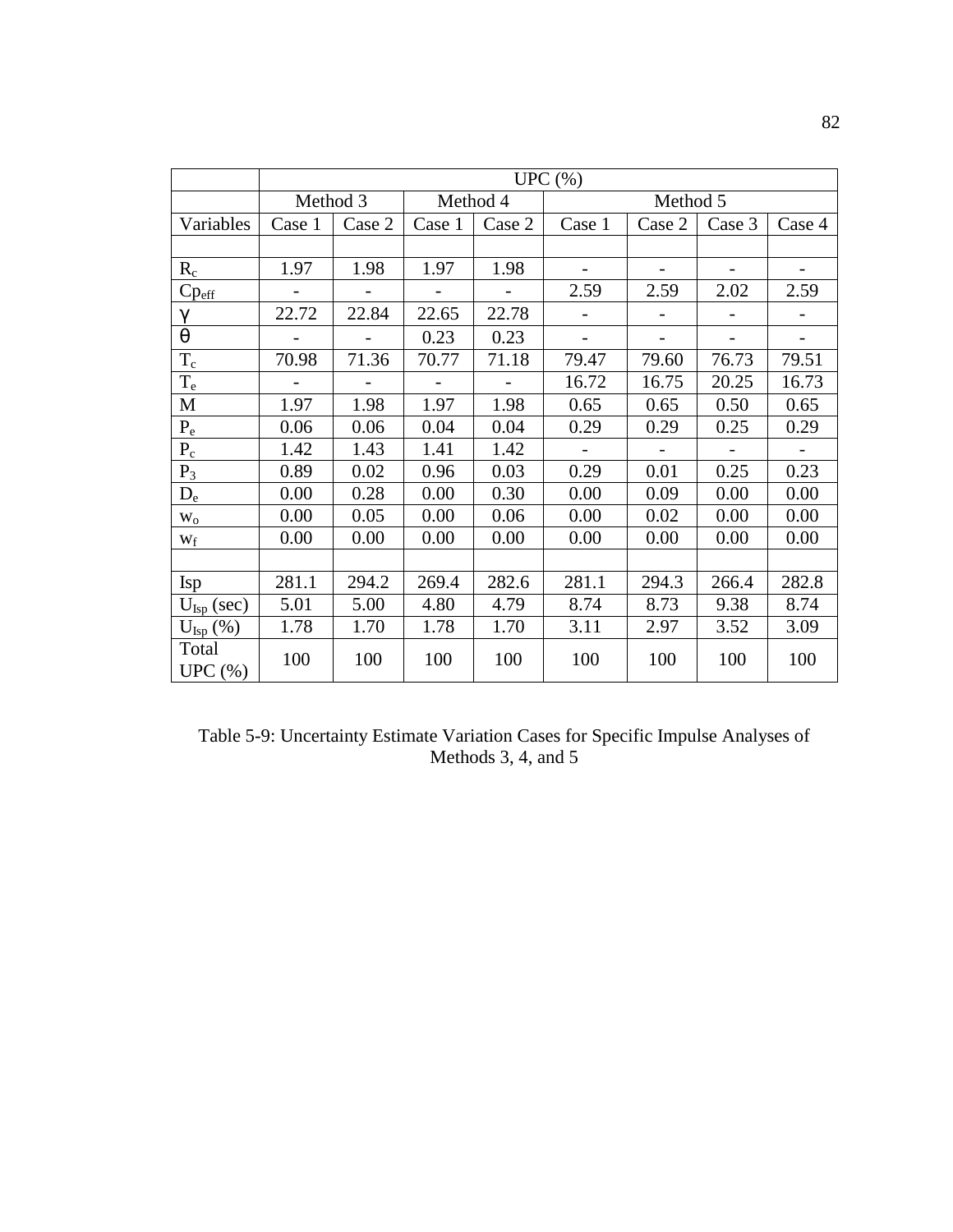|                        |          | UPC(%)       |                          |          |                          |                |                |                |  |
|------------------------|----------|--------------|--------------------------|----------|--------------------------|----------------|----------------|----------------|--|
|                        | Method 3 |              |                          | Method 4 |                          | Method 5       |                |                |  |
| Variables              | Case 1   | Case 2       | Case 1                   | Case 2   | Case 1                   | Case 2         | Case 3         | Case 4         |  |
|                        |          |              |                          |          |                          |                |                |                |  |
| $R_c$                  | 1.97     | 1.98         | 1.97                     | 1.98     |                          |                |                |                |  |
| $Cp_{\underline{eff}}$ |          |              | $\overline{\phantom{a}}$ |          | 2.59                     | 2.59           | 2.02           | 2.59           |  |
| $\gamma$               | 22.72    | 22.84        | 22.65                    | 22.78    |                          |                |                |                |  |
| $\theta$               |          |              | 0.23                     | 0.23     | $\overline{\phantom{a}}$ | $\overline{a}$ | $\overline{a}$ | $\blacksquare$ |  |
| $T_c$                  | 70.98    | 71.36        | 70.77                    | 71.18    | 79.47                    | 79.60          | 76.73          | 79.51          |  |
| $T_e$                  |          | $\mathbf{r}$ | $\overline{a}$           |          | 16.72                    | 16.75          | 20.25          | 16.73          |  |
| M                      | 1.97     | 1.98         | 1.97                     | 1.98     | 0.65                     | 0.65           | 0.50           | 0.65           |  |
| $P_e$                  | 0.06     | 0.06         | 0.04                     | 0.04     | 0.29                     | 0.29           | 0.25           | 0.29           |  |
| $P_c$                  | 1.42     | 1.43         | 1.41                     | 1.42     | $\sim$                   |                |                |                |  |
| $P_3$                  | 0.89     | 0.02         | 0.96                     | 0.03     | 0.29                     | 0.01           | 0.25           | 0.23           |  |
| $D_e$                  | 0.00     | 0.28         | 0.00                     | 0.30     | 0.00                     | 0.09           | 0.00           | 0.00           |  |
| $W_0$                  | 0.00     | 0.05         | 0.00                     | 0.06     | 0.00                     | 0.02           | 0.00           | 0.00           |  |
| Wf                     | 0.00     | 0.00         | 0.00                     | 0.00     | 0.00                     | 0.00           | 0.00           | 0.00           |  |
|                        |          |              |                          |          |                          |                |                |                |  |
| Isp                    | 281.1    | 294.2        | 269.4                    | 282.6    | 281.1                    | 294.3          | 266.4          | 282.8          |  |
| $U_{\text{Isp}}$ (sec) | 5.01     | 5.00         | 4.80                     | 4.79     | 8.74                     | 8.73           | 9.38           | 8.74           |  |
| $U_{\text{Isp}}(\%)$   | 1.78     | 1.70         | 1.78                     | 1.70     | 3.11                     | 2.97           | 3.52           | 3.09           |  |
| Total<br>UPC(%)        | 100      | 100          | 100                      | 100      | 100                      | 100            | 100            | 100            |  |

Table 5-9: Uncertainty Estimate Variation Cases for Specific Impulse Analyses of Methods 3, 4, and 5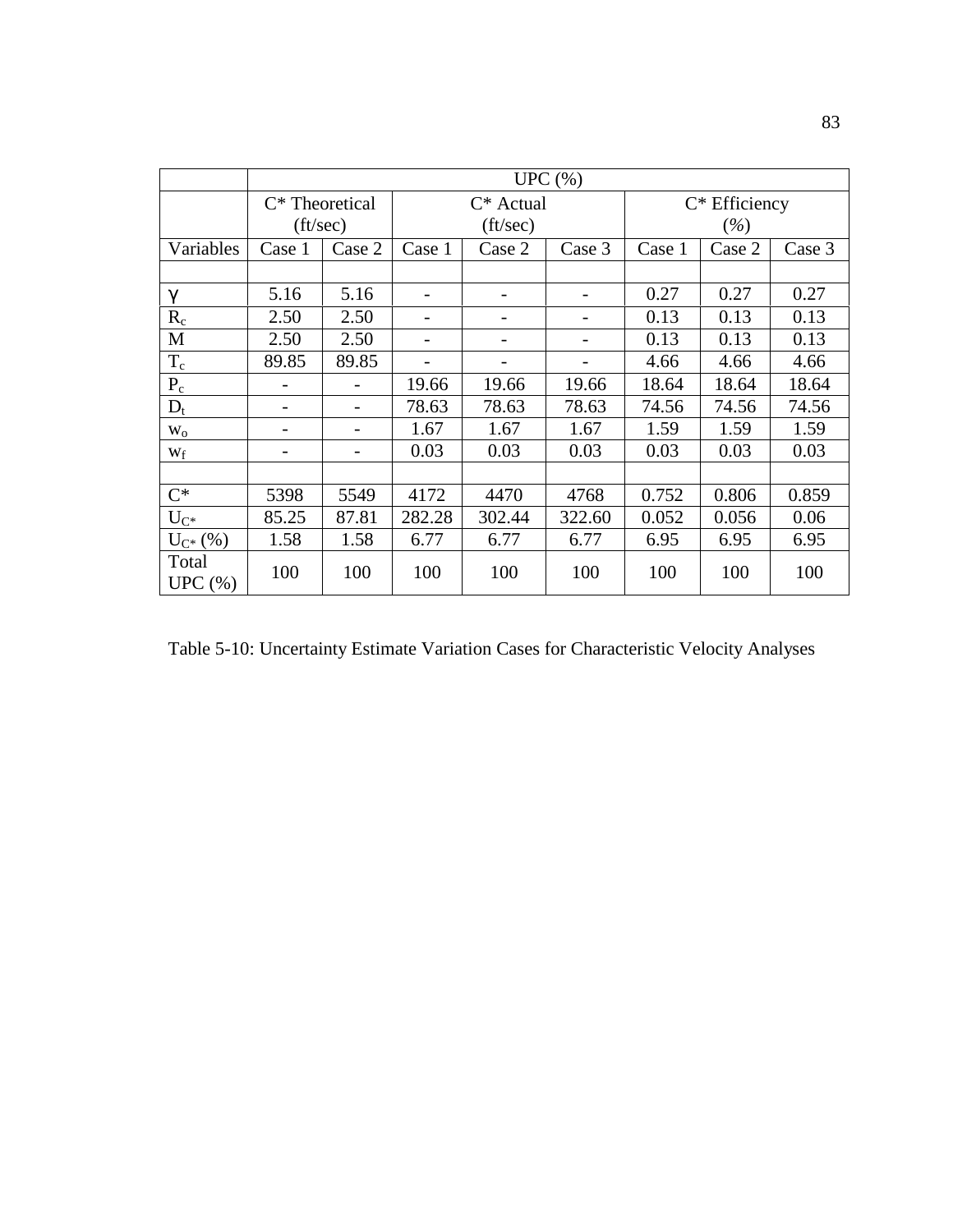|                      |                   | UPC $(\% )$ |                          |                          |                |        |                  |        |  |
|----------------------|-------------------|-------------|--------------------------|--------------------------|----------------|--------|------------------|--------|--|
|                      | $C^*$ Theoretical |             |                          | $C^*$ Actual             |                |        | $C^*$ Efficiency |        |  |
|                      | $({\rm ft/sec})$  |             |                          | $({\rm ft/sec})$         |                |        | $(\%)$           |        |  |
| Variables            | Case 1            | Case 2      | Case 1                   | Case 2                   | Case 3         | Case 1 | Case 2           | Case 3 |  |
|                      |                   |             |                          |                          |                |        |                  |        |  |
| $\gamma$             | 5.16              | 5.16        | $\overline{\phantom{0}}$ | $\overline{\phantom{a}}$ |                | 0.27   | 0.27             | 0.27   |  |
| $R_c$                | 2.50              | 2.50        |                          |                          |                | 0.13   | 0.13             | 0.13   |  |
| M                    | 2.50              | 2.50        | $\qquad \qquad$          | $\qquad \qquad$          | $\overline{a}$ | 0.13   | 0.13             | 0.13   |  |
| $T_c$                | 89.85             | 89.85       |                          | $\overline{\phantom{a}}$ |                | 4.66   | 4.66             | 4.66   |  |
| $P_c$                |                   |             | 19.66                    | 19.66                    | 19.66          | 18.64  | 18.64            | 18.64  |  |
| $D_t$                |                   |             | 78.63                    | 78.63                    | 78.63          | 74.56  | 74.56            | 74.56  |  |
| $W_0$                |                   |             | 1.67                     | 1.67                     | 1.67           | 1.59   | 1.59             | 1.59   |  |
| $W_f$                |                   |             | 0.03                     | 0.03                     | 0.03           | 0.03   | 0.03             | 0.03   |  |
|                      |                   |             |                          |                          |                |        |                  |        |  |
| $C^*$                | 5398              | 5549        | 4172                     | 4470                     | 4768           | 0.752  | 0.806            | 0.859  |  |
| $U_{C^*}$            | 85.25             | 87.81       | 282.28                   | 302.44                   | 322.60         | 0.052  | 0.056            | 0.06   |  |
| $U_{C^*}(% )$        | 1.58              | 1.58        | 6.77                     | 6.77                     | 6.77           | 6.95   | 6.95             | 6.95   |  |
| Total<br>UPC $(\% )$ | 100               | 100         | 100                      | 100                      | 100            | 100    | 100              | 100    |  |

Table 5-10: Uncertainty Estimate Variation Cases for Characteristic Velocity Analyses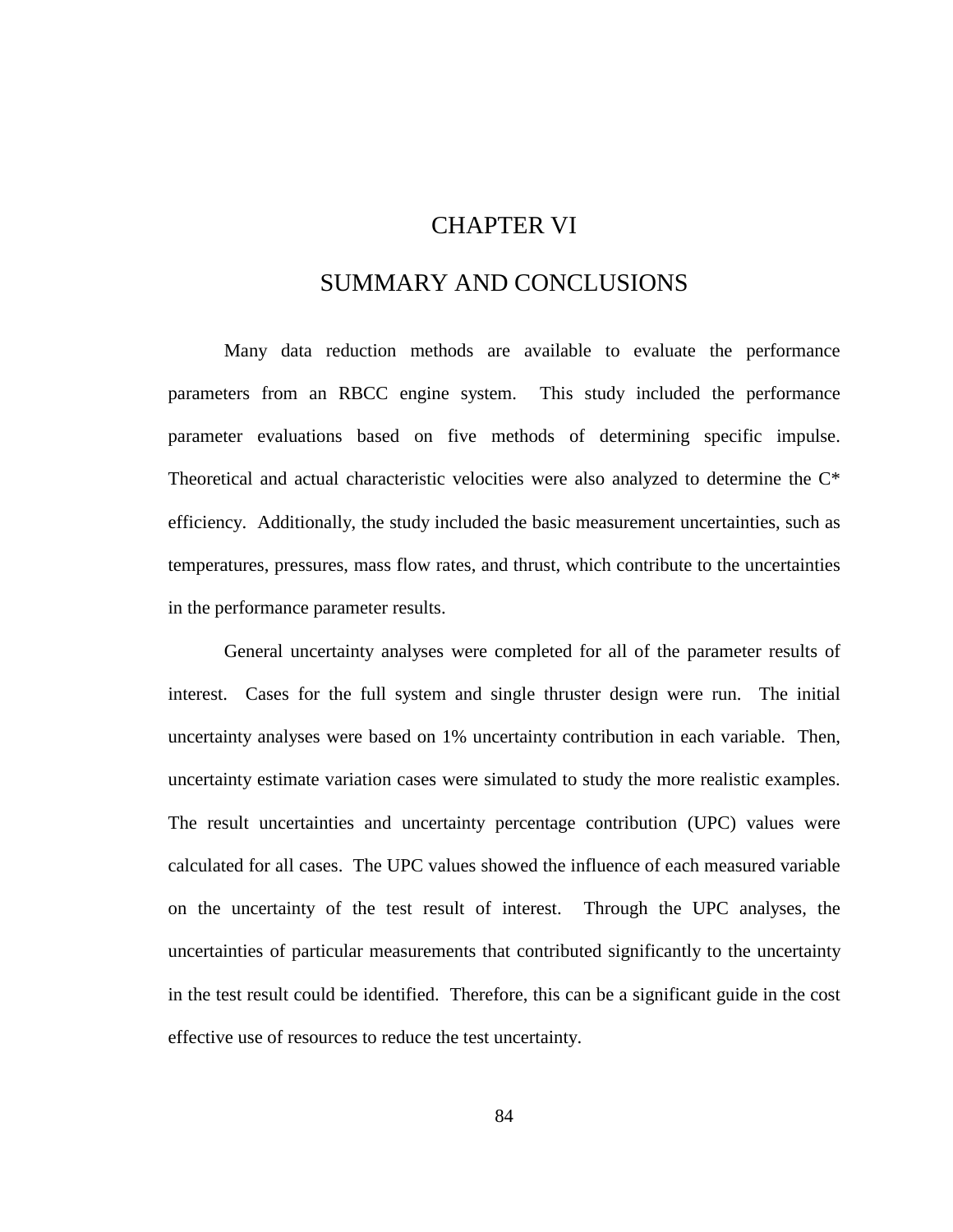## CHAPTER VI

## SUMMARY AND CONCLUSIONS

Many data reduction methods are available to evaluate the performance parameters from an RBCC engine system. This study included the performance parameter evaluations based on five methods of determining specific impulse. Theoretical and actual characteristic velocities were also analyzed to determine the C\* efficiency. Additionally, the study included the basic measurement uncertainties, such as temperatures, pressures, mass flow rates, and thrust, which contribute to the uncertainties in the performance parameter results.

General uncertainty analyses were completed for all of the parameter results of interest. Cases for the full system and single thruster design were run. The initial uncertainty analyses were based on 1% uncertainty contribution in each variable. Then, uncertainty estimate variation cases were simulated to study the more realistic examples. The result uncertainties and uncertainty percentage contribution (UPC) values were calculated for all cases. The UPC values showed the influence of each measured variable on the uncertainty of the test result of interest. Through the UPC analyses, the uncertainties of particular measurements that contributed significantly to the uncertainty in the test result could be identified. Therefore, this can be a significant guide in the cost effective use of resources to reduce the test uncertainty.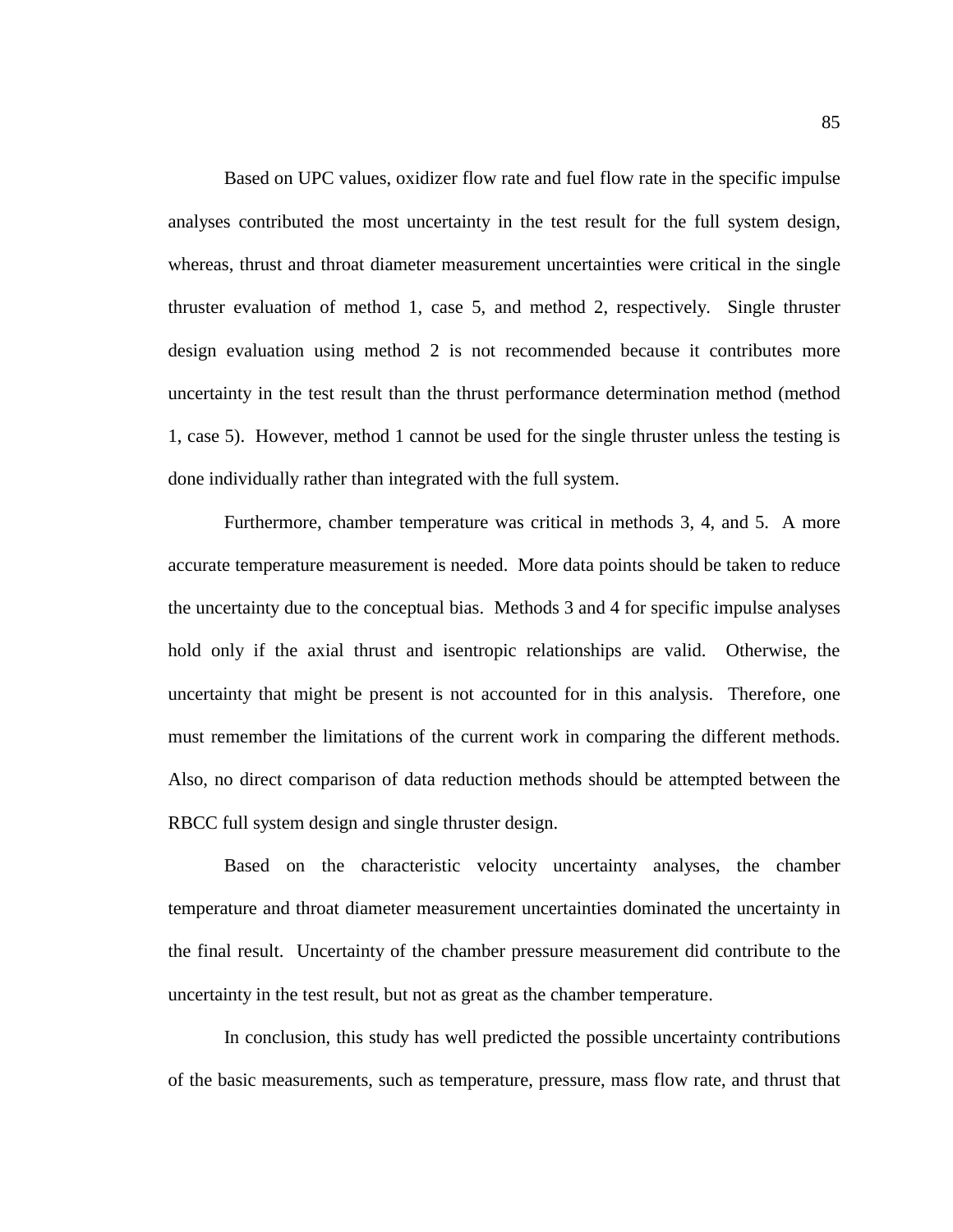Based on UPC values, oxidizer flow rate and fuel flow rate in the specific impulse analyses contributed the most uncertainty in the test result for the full system design, whereas, thrust and throat diameter measurement uncertainties were critical in the single thruster evaluation of method 1, case 5, and method 2, respectively. Single thruster design evaluation using method 2 is not recommended because it contributes more uncertainty in the test result than the thrust performance determination method (method 1, case 5). However, method 1 cannot be used for the single thruster unless the testing is done individually rather than integrated with the full system.

Furthermore, chamber temperature was critical in methods 3, 4, and 5. A more accurate temperature measurement is needed. More data points should be taken to reduce the uncertainty due to the conceptual bias. Methods 3 and 4 for specific impulse analyses hold only if the axial thrust and isentropic relationships are valid. Otherwise, the uncertainty that might be present is not accounted for in this analysis. Therefore, one must remember the limitations of the current work in comparing the different methods. Also, no direct comparison of data reduction methods should be attempted between the RBCC full system design and single thruster design.

Based on the characteristic velocity uncertainty analyses, the chamber temperature and throat diameter measurement uncertainties dominated the uncertainty in the final result. Uncertainty of the chamber pressure measurement did contribute to the uncertainty in the test result, but not as great as the chamber temperature.

In conclusion, this study has well predicted the possible uncertainty contributions of the basic measurements, such as temperature, pressure, mass flow rate, and thrust that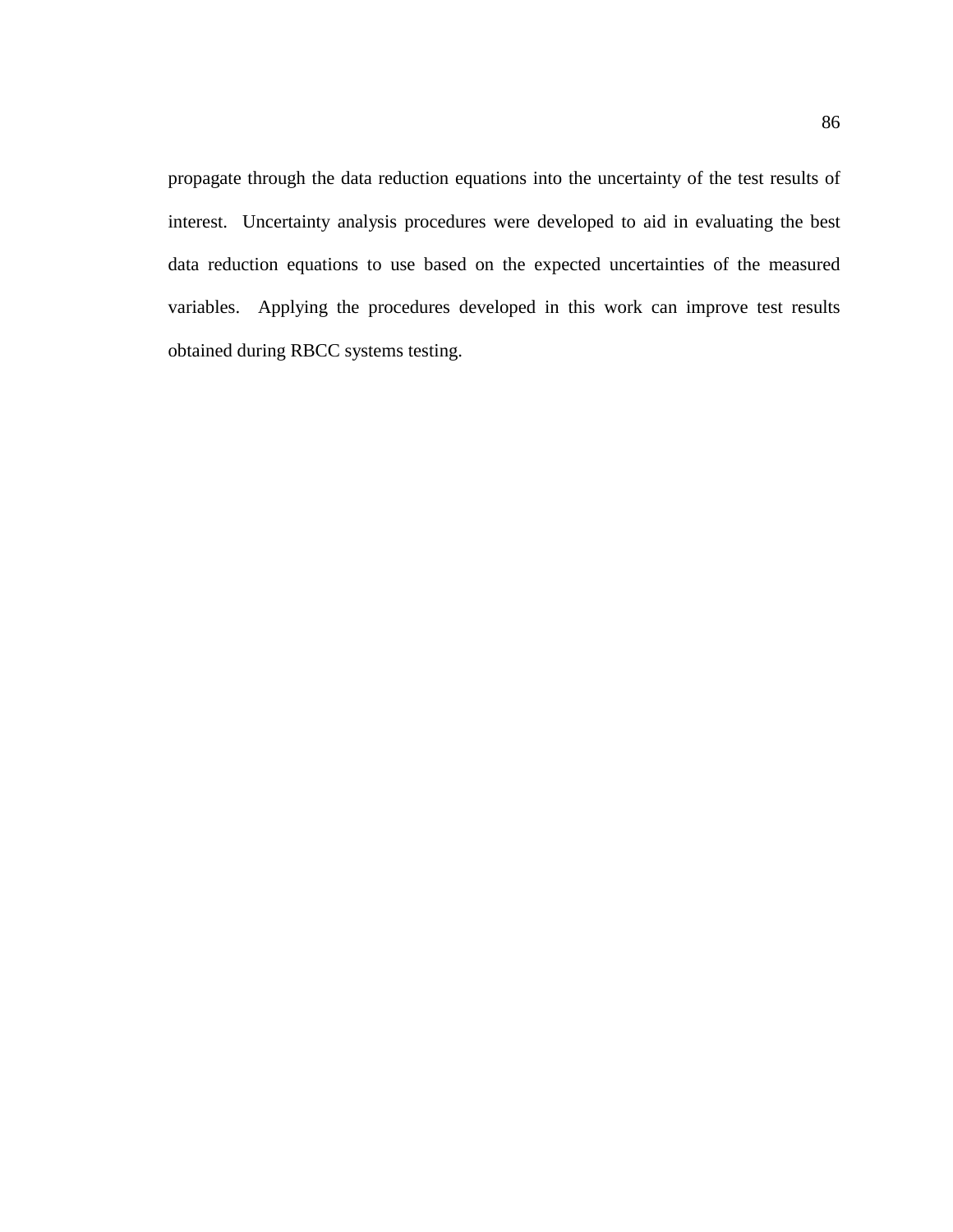propagate through the data reduction equations into the uncertainty of the test results of interest. Uncertainty analysis procedures were developed to aid in evaluating the best data reduction equations to use based on the expected uncertainties of the measured variables. Applying the procedures developed in this work can improve test results obtained during RBCC systems testing.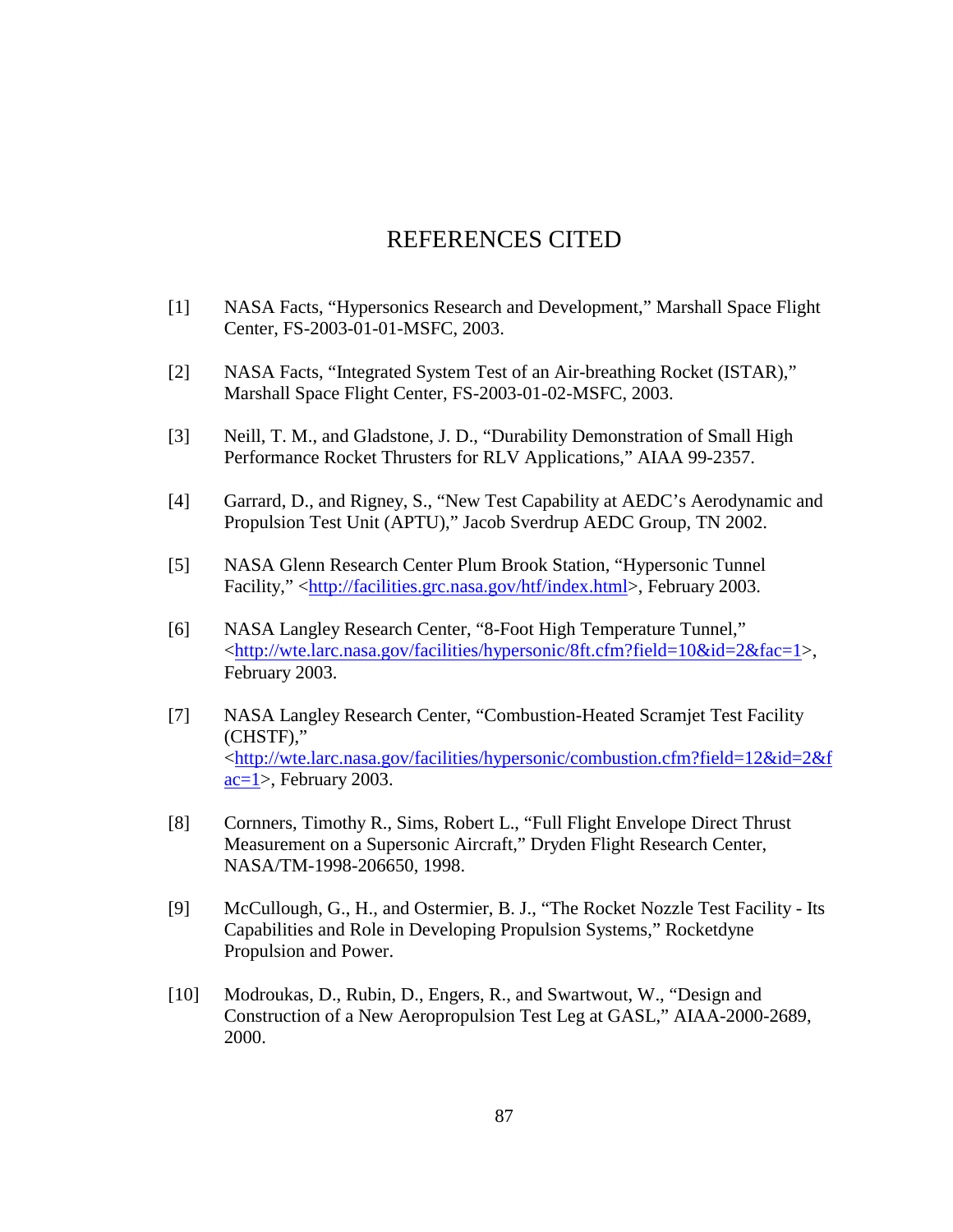# REFERENCES CITED

- [1] NASA Facts, "Hypersonics Research and Development," Marshall Space Flight Center, FS-2003-01-01-MSFC, 2003.
- [2] NASA Facts, "Integrated System Test of an Air-breathing Rocket (ISTAR)," Marshall Space Flight Center, FS-2003-01-02-MSFC, 2003.
- [3] Neill, T. M., and Gladstone, J. D., "Durability Demonstration of Small High Performance Rocket Thrusters for RLV Applications," AIAA 99-2357.
- [4] Garrard, D., and Rigney, S., "New Test Capability at AEDC's Aerodynamic and Propulsion Test Unit (APTU)," Jacob Sverdrup AEDC Group, TN 2002.
- [5] NASA Glenn Research Center Plum Brook Station, "Hypersonic Tunnel Facility," <http://facilities.grc.nasa.gov/htf/index.html>, February 2003.
- [6] NASA Langley Research Center, "8-Foot High Temperature Tunnel," <http://wte.larc.nasa.gov/facilities/hypersonic/8ft.cfm?field=10&id=2&fac=1>, February 2003.
- [7] NASA Langley Research Center, "Combustion-Heated Scramjet Test Facility (CHSTF)," <http://wte.larc.nasa.gov/facilities/hypersonic/combustion.cfm?field=12&id=2&f ac=1>, February 2003.
- [8] Cornners, Timothy R., Sims, Robert L., "Full Flight Envelope Direct Thrust Measurement on a Supersonic Aircraft," Dryden Flight Research Center, NASA/TM-1998-206650, 1998.
- [9] McCullough, G., H., and Ostermier, B. J., "The Rocket Nozzle Test Facility Its Capabilities and Role in Developing Propulsion Systems," Rocketdyne Propulsion and Power.
- [10] Modroukas, D., Rubin, D., Engers, R., and Swartwout, W., "Design and Construction of a New Aeropropulsion Test Leg at GASL," AIAA-2000-2689, 2000.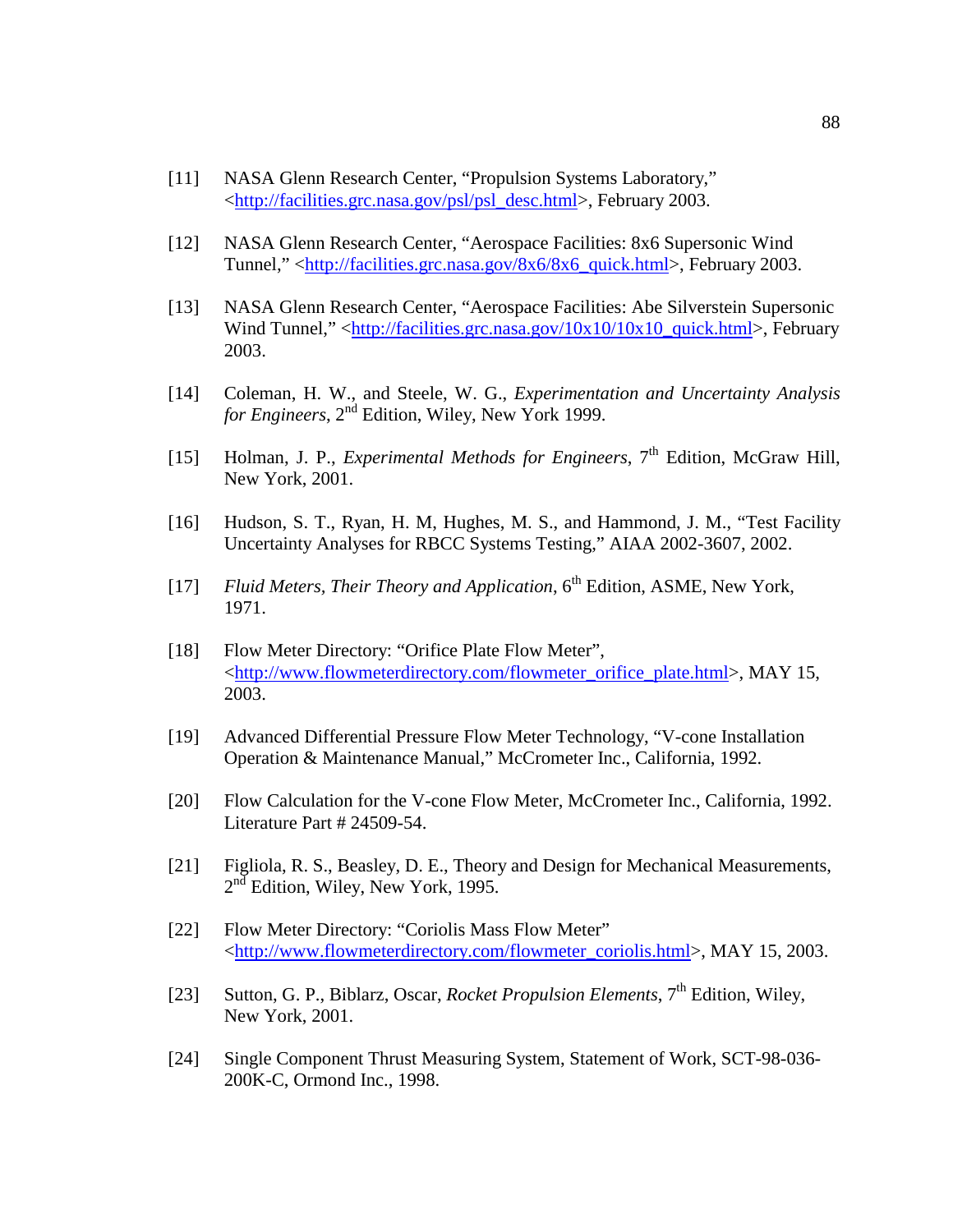- [11] NASA Glenn Research Center, "Propulsion Systems Laboratory," <http://facilities.grc.nasa.gov/psl/psl\_desc.html>, February 2003.
- [12] NASA Glenn Research Center, "Aerospace Facilities: 8x6 Supersonic Wind Tunnel," <http://facilities.grc.nasa.gov/8x6/8x6\_quick.html>, February 2003.
- [13] NASA Glenn Research Center, "Aerospace Facilities: Abe Silverstein Supersonic Wind Tunnel," <http://facilities.grc.nasa.gov/10x10/10x10\_quick.html>, February 2003.
- [14] Coleman, H. W., and Steele, W. G., *Experimentation and Uncertainty Analysis*  For *Engineers*,  $2<sup>nd</sup>$  Edition, Wiley, New York 1999.
- [15] Holman, J. P., *Experimental Methods for Engineers*, 7<sup>th</sup> Edition, McGraw Hill, New York, 2001.
- [16] Hudson, S. T., Ryan, H. M, Hughes, M. S., and Hammond, J. M., "Test Facility Uncertainty Analyses for RBCC Systems Testing," AIAA 2002-3607, 2002.
- [17] *Fluid Meters, Their Theory and Application*, 6<sup>th</sup> Edition, ASME, New York, 1971.
- [18] Flow Meter Directory: "Orifice Plate Flow Meter", <http://www.flowmeterdirectory.com/flowmeter\_orifice\_plate.html>, MAY 15, 2003.
- [19] Advanced Differential Pressure Flow Meter Technology, "V-cone Installation Operation & Maintenance Manual," McCrometer Inc., California, 1992.
- [20] Flow Calculation for the V-cone Flow Meter, McCrometer Inc., California, 1992. Literature Part # 24509-54.
- [21] Figliola, R. S., Beasley, D. E., Theory and Design for Mechanical Measurements,  $2<sup>nd</sup>$  Edition, Wiley, New York, 1995.
- [22] Flow Meter Directory: "Coriolis Mass Flow Meter" <http://www.flowmeterdirectory.com/flowmeter\_coriolis.html>, MAY 15, 2003.
- [23] Sutton, G. P., Biblarz, Oscar, *Rocket Propulsion Elements*, 7<sup>th</sup> Edition, Wiley, New York, 2001.
- [24] Single Component Thrust Measuring System, Statement of Work, SCT-98-036- 200K-C, Ormond Inc., 1998.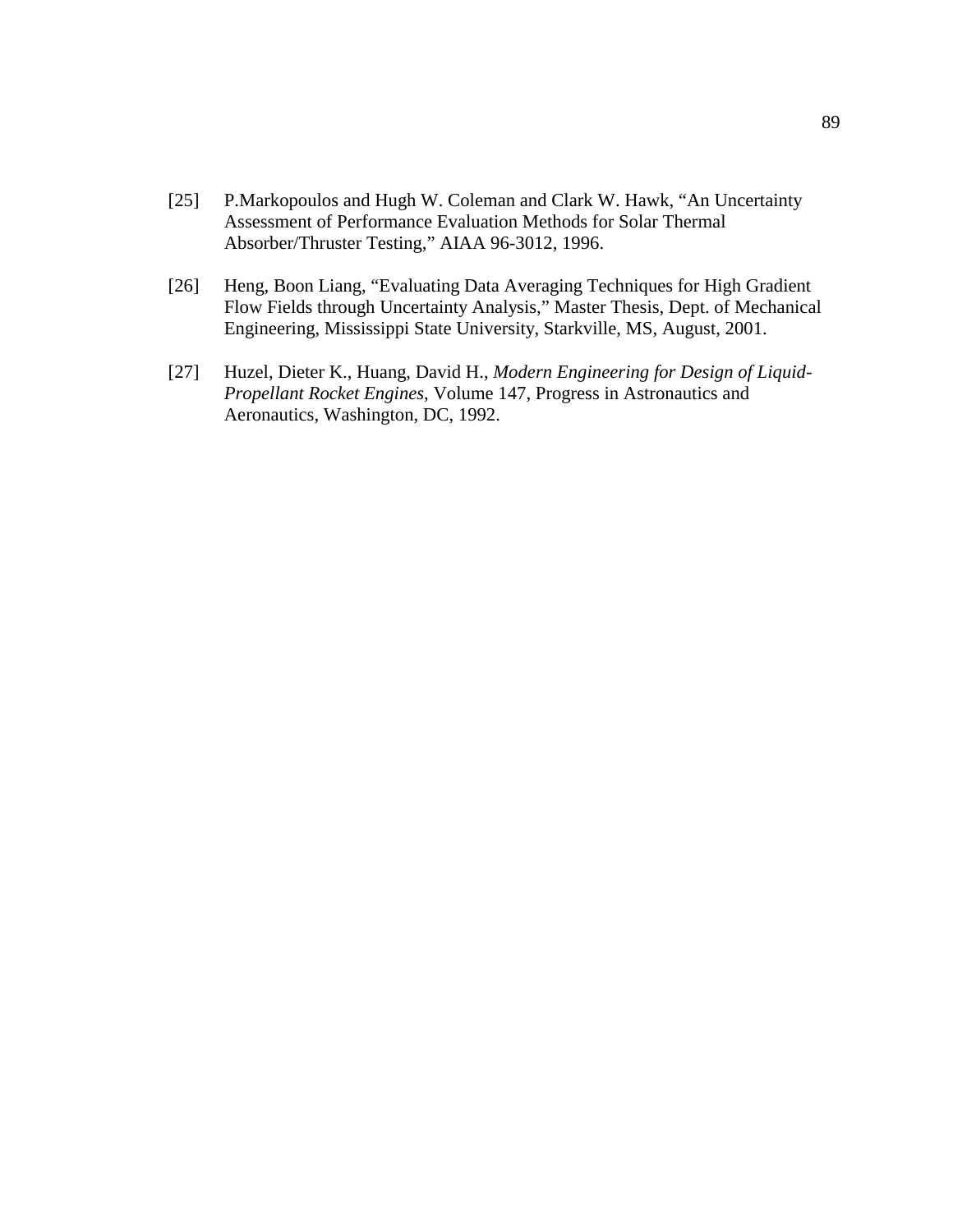- [25] P.Markopoulos and Hugh W. Coleman and Clark W. Hawk, "An Uncertainty" Assessment of Performance Evaluation Methods for Solar Thermal Absorber/Thruster Testing," AIAA 96-3012, 1996.
- [26] Heng, Boon Liang, "Evaluating Data Averaging Techniques for High Gradient Flow Fields through Uncertainty Analysis," Master Thesis, Dept. of Mechanical Engineering, Mississippi State University, Starkville, MS, August, 2001.
- [27] Huzel, Dieter K., Huang, David H., *Modern Engineering for Design of Liquid-Propellant Rocket Engines*, Volume 147, Progress in Astronautics and Aeronautics, Washington, DC, 1992.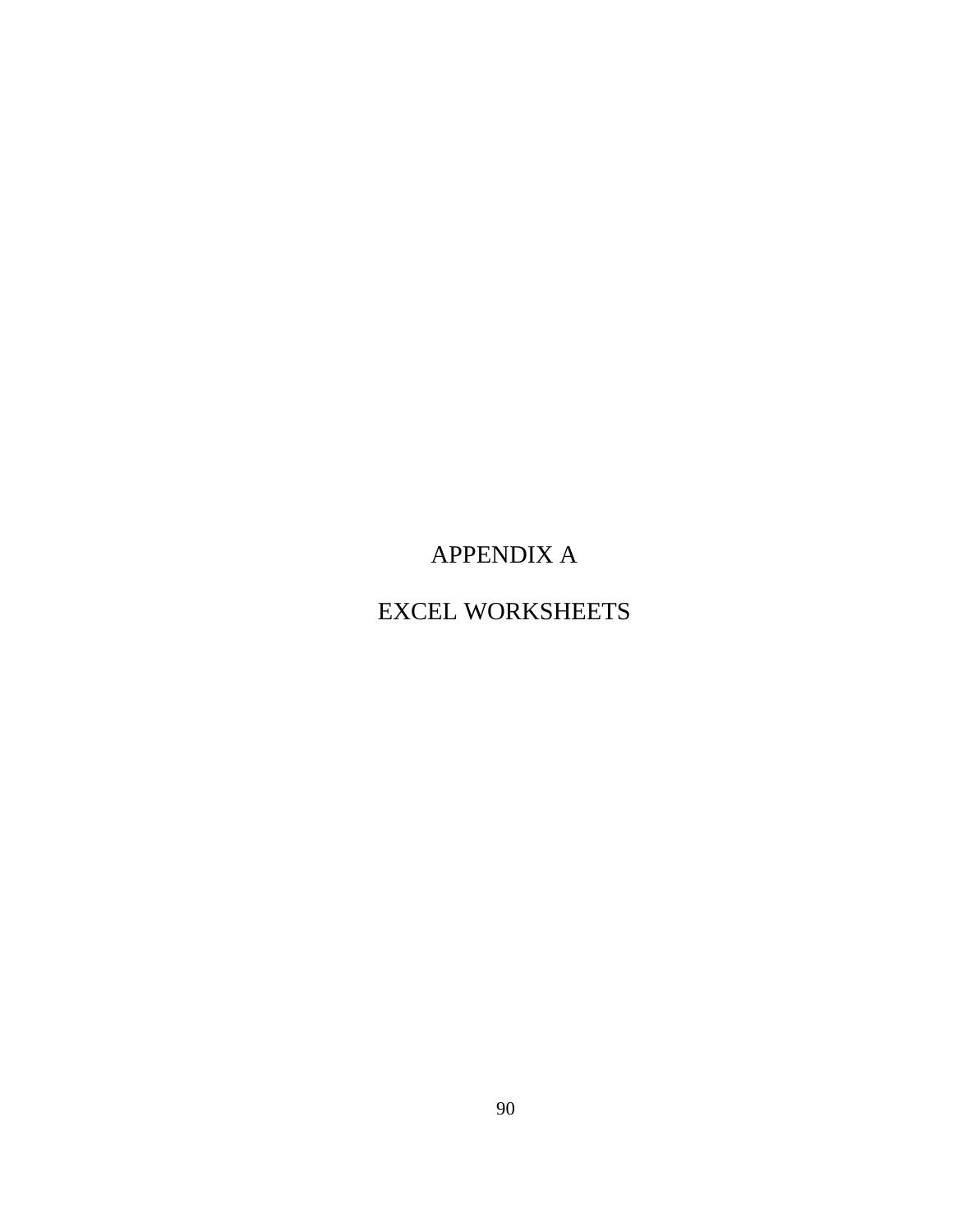APPENDIX A

EXCEL WORKSHEETS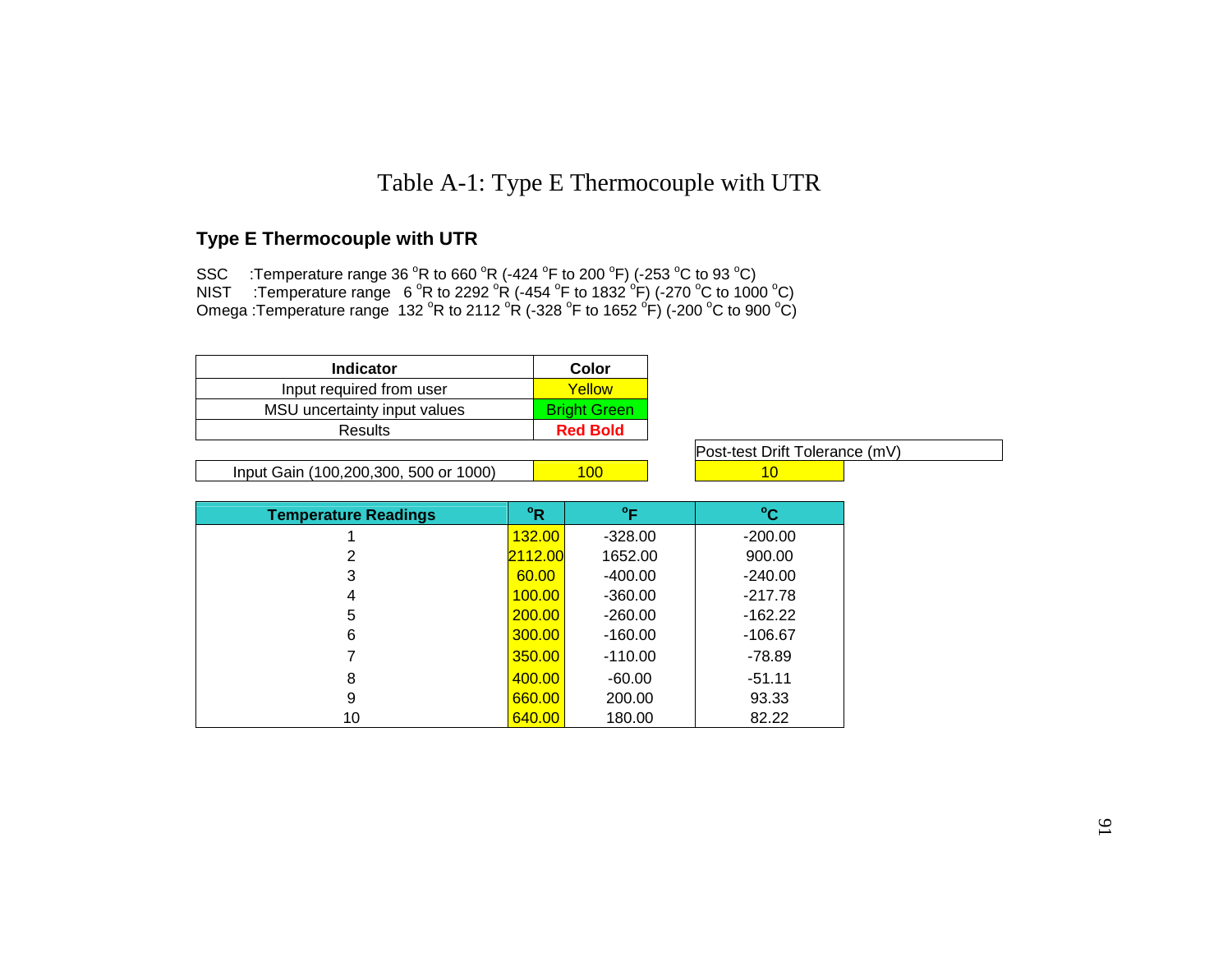# Table A-1: Type E Thermocouple with UTR

## **Type E Thermocouple with UTR**

SSC  $\;$  :Temperature range 36  $\rm{^o}R$  to 660  $\rm{^o}R$  (-424  $\rm{^o}F$  to 200  $\rm{^o}F$ ) (-253  $\rm{^o}C$  to 93  $\rm{^o}C)$ NIST  $\cdot$ :Temperature range 6  $\mathrm{^o}$ R to 2292  $\mathrm{^o}$ R (-454  $\mathrm{^o}$ F to 1832  $\mathrm{^o}$ F) (-270  $\mathrm{^o}$ C to 1000  $\mathrm{^o}$ C) Omega :Temperature range  $\,$  132  $\,^{\circ}$ R to 2112  $^{\circ}$ R (-328  $^{\circ}$ F to 1652  $^{\circ}$ F) (-200  $^{\circ}$ C to 900  $^{\circ}$ C)  $\,$ 

| <b>Indicator</b>             | Color               |
|------------------------------|---------------------|
| Input required from user     | Yellow              |
| MSU uncertainty input values | <b>Bright Green</b> |
| Results                      | <b>Red Bold</b>     |

Input Gain (100,200,300, 500 or 1000) 100 10

Post-test Drift Tolerance (mV)

| <b>Temperature Readings</b> | °R      | °F        | $^{\circ}$ C |
|-----------------------------|---------|-----------|--------------|
|                             | 132.00  | $-328.00$ | $-200.00$    |
| 2                           | 2112.00 | 1652.00   | 900.00       |
| 3                           | 60.00   | $-400.00$ | $-240.00$    |
| 4                           | 100.00  | $-360.00$ | $-217.78$    |
| 5                           | 200,00  | $-260.00$ | $-162.22$    |
| 6                           | 300.00  | $-160.00$ | -106.67      |
|                             | 350.00  | $-110.00$ | $-78.89$     |
| 8                           | 400.00  | $-60.00$  | $-51.11$     |
| 9                           | 660.00  | 200.00    | 93.33        |
| 10                          | 640.00  | 180.00    | 82.22        |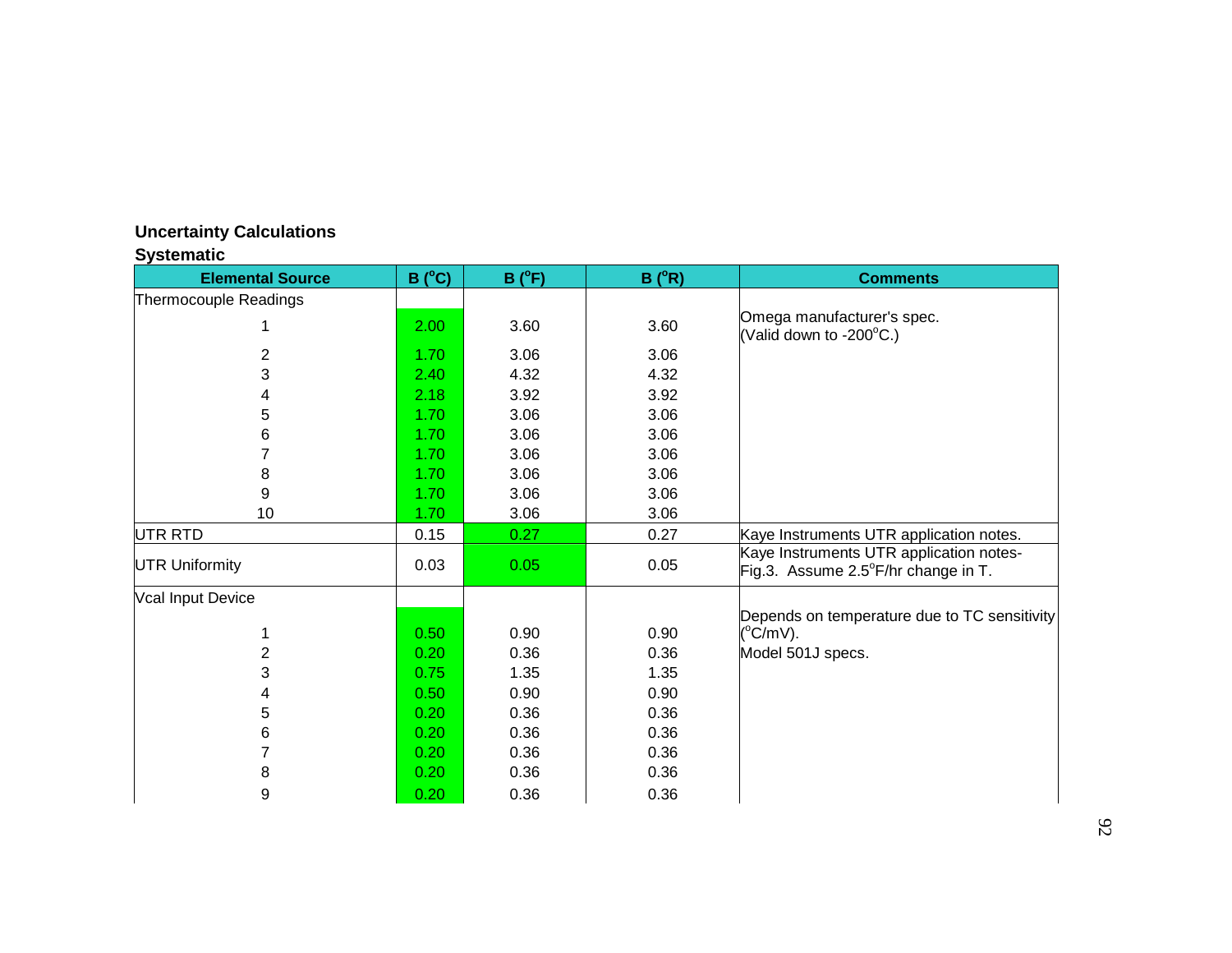## **Uncertainty Calculations**

## **Systematic**

| <b>Elemental Source</b> | $B(^{\circ}C)$ | $B(^{\circ}F)$ | $B(^oR)$ | <b>Comments</b>                                                                |
|-------------------------|----------------|----------------|----------|--------------------------------------------------------------------------------|
| Thermocouple Readings   |                |                |          |                                                                                |
|                         | 2.00           | 3.60           | 3.60     | Omega manufacturer's spec.<br>(Valid down to -200 $\mathrm{^{\circ}C}$ .)      |
| 2                       | 1.70           | 3.06           | 3.06     |                                                                                |
| 3                       | 2.40           | 4.32           | 4.32     |                                                                                |
| 4                       | 2.18           | 3.92           | 3.92     |                                                                                |
| 5                       | 1.70           | 3.06           | 3.06     |                                                                                |
| 6                       | 1.70           | 3.06           | 3.06     |                                                                                |
|                         | 1.70           | 3.06           | 3.06     |                                                                                |
| 8                       | 1.70           | 3.06           | 3.06     |                                                                                |
| 9                       | 1.70           | 3.06           | 3.06     |                                                                                |
| 10                      | 1.70           | 3.06           | 3.06     |                                                                                |
| UTR RTD                 | 0.15           | 0.27           | 0.27     | Kaye Instruments UTR application notes.                                        |
| <b>UTR Uniformity</b>   | 0.03           | 0.05           | 0.05     | Kaye Instruments UTR application notes-<br>Fig.3. Assume 2.5°F/hr change in T. |
| Vcal Input Device       |                |                |          |                                                                                |
|                         | 0.50           | 0.90           | 0.90     | Depends on temperature due to TC sensitivity<br>$(^{\circ}C/mV)$ .             |
| $\overline{2}$          | 0.20           | 0.36           | 0.36     | Model 501J specs.                                                              |
| 3                       | 0.75           | 1.35           | 1.35     |                                                                                |
| 4                       | 0.50           | 0.90           | 0.90     |                                                                                |
| 5                       | 0.20           | 0.36           | 0.36     |                                                                                |
| 6                       | 0.20           | 0.36           | 0.36     |                                                                                |
| 7                       | 0.20           | 0.36           | 0.36     |                                                                                |
| 8                       | 0.20           | 0.36           | 0.36     |                                                                                |
| 9                       | 0.20           | 0.36           | 0.36     |                                                                                |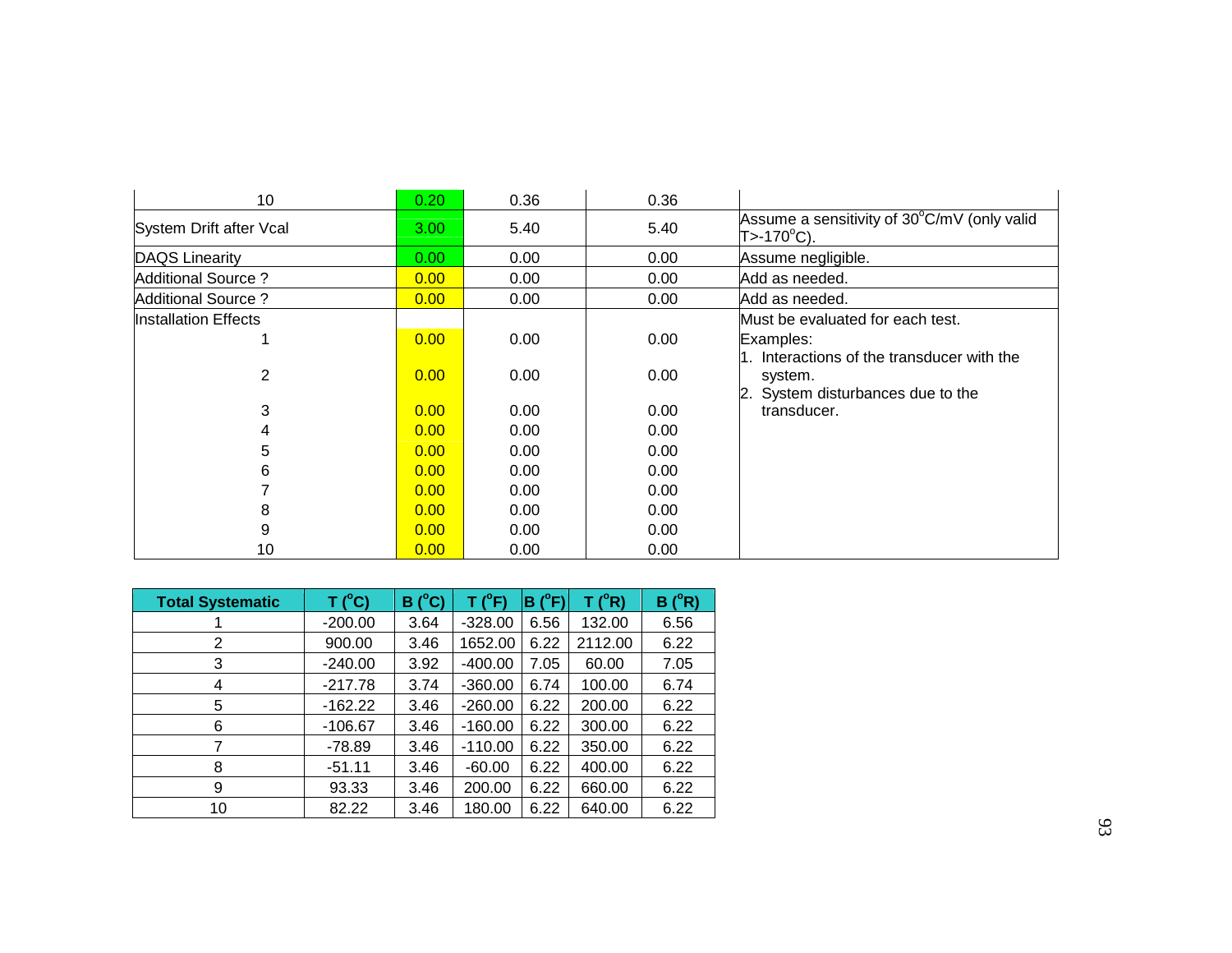| 10                          | 0.20 | 0.36 | 0.36 |                                                           |
|-----------------------------|------|------|------|-----------------------------------------------------------|
| System Drift after Vcal     | 3.00 | 5.40 | 5.40 | Assume a sensitivity of 30°C/mV (only valid<br>T>-170°C). |
| <b>DAQS Linearity</b>       | 0.00 | 0.00 | 0.00 | Assume negligible.                                        |
| Additional Source?          | 0.00 | 0.00 | 0.00 | Add as needed.                                            |
| <b>Additional Source?</b>   | 0.00 | 0.00 | 0.00 | Add as needed.                                            |
| <b>Installation Effects</b> |      |      |      | Must be evaluated for each test.                          |
|                             | 0.00 | 0.00 | 0.00 | Examples:<br>1. Interactions of the transducer with the   |
| 2                           | 0.00 | 0.00 | 0.00 | system.<br>2. System disturbances due to the              |
| 3                           | 0.00 | 0.00 | 0.00 | transducer.                                               |
| 4                           | 0.00 | 0.00 | 0.00 |                                                           |
| 5                           | 0.00 | 0.00 | 0.00 |                                                           |
| 6                           | 0.00 | 0.00 | 0.00 |                                                           |
|                             | 0.00 | 0.00 | 0.00 |                                                           |
| 8                           | 0.00 | 0.00 | 0.00 |                                                           |
| 9                           | 0.00 | 0.00 | 0.00 |                                                           |
| 10                          | 0.00 | 0.00 | 0.00 |                                                           |

| <b>Total Systematic</b> | T (°C)    | $(^{\circ}C)$<br>B | T (°F)    | $(^{\circ}F)$<br>в | T (°R)  | $(^{\circ}R)$<br>в |
|-------------------------|-----------|--------------------|-----------|--------------------|---------|--------------------|
|                         | $-200.00$ | 3.64               | $-328.00$ | 6.56               | 132.00  | 6.56               |
| 2                       | 900.00    | 3.46               | 1652.00   | 6.22               | 2112.00 | 6.22               |
| 3                       | $-240.00$ | 3.92               | $-400.00$ | 7.05               | 60.00   | 7.05               |
| 4                       | $-217.78$ | 3.74               | $-360.00$ | 6.74               | 100.00  | 6.74               |
| 5                       | $-162.22$ | 3.46               | $-260.00$ | 6.22               | 200.00  | 6.22               |
| 6                       | $-106.67$ | 3.46               | $-160.00$ | 6.22               | 300.00  | 6.22               |
|                         | $-78.89$  | 3.46               | $-110.00$ | 6.22               | 350.00  | 6.22               |
| 8                       | $-51.11$  | 3.46               | $-60.00$  | 6.22               | 400.00  | 6.22               |
| 9                       | 93.33     | 3.46               | 200.00    | 6.22               | 660.00  | 6.22               |
| 10                      | 82.22     | 3.46               | 180.00    | 6.22               | 640.00  | 6.22               |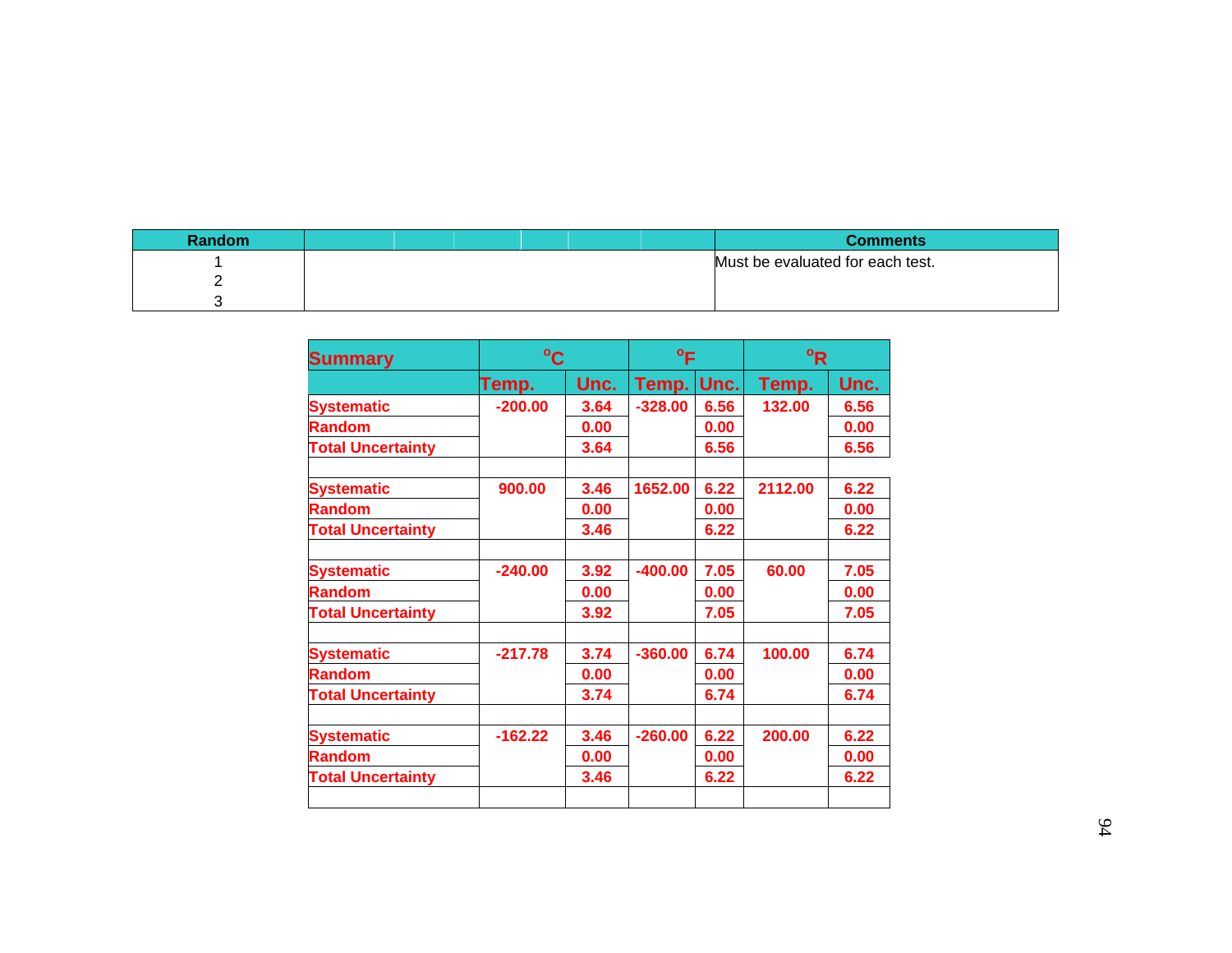| Random | <b>Comments</b>                  |
|--------|----------------------------------|
|        | Must be evaluated for each test. |
| -      |                                  |
|        |                                  |

| <b>Summary</b>           |           | $^{\circ}$ C |            | $^{\circ}$ F |         | <sup>o</sup> R |  |
|--------------------------|-----------|--------------|------------|--------------|---------|----------------|--|
|                          | Temp.     | Unc.         | Temp. Unc. |              | Temp.   | Unc.           |  |
| <b>Systematic</b>        | $-200.00$ | 3.64         | $-328.00$  | 6.56         | 132.00  | 6.56           |  |
| <b>Random</b>            |           | 0.00         |            | 0.00         |         | 0.00           |  |
| <b>Total Uncertainty</b> |           | 3.64         |            | 6.56         |         | 6.56           |  |
| <b>Systematic</b>        | 900.00    | 3.46         | 1652.00    | 6.22         | 2112.00 | 6.22           |  |
| <b>Random</b>            |           | 0.00         |            | 0.00         |         | 0.00           |  |
| <b>Total Uncertainty</b> |           | 3.46         |            | 6.22         |         | 6.22           |  |
| <b>Systematic</b>        | $-240.00$ | 3.92         | $-400.00$  | 7.05         | 60.00   | 7.05           |  |
| <b>Random</b>            |           | 0.00         |            | 0.00         |         | 0.00           |  |
| <b>Total Uncertainty</b> |           | 3.92         |            | 7.05         |         | 7.05           |  |
| <b>Systematic</b>        | $-217.78$ | 3.74         | $-360.00$  | 6.74         | 100.00  | 6.74           |  |
| <b>Random</b>            |           | 0.00         |            | 0.00         |         | 0.00           |  |
| <b>Total Uncertainty</b> |           | 3.74         |            | 6.74         |         | 6.74           |  |
| <b>Systematic</b>        | $-162.22$ | 3.46         | $-260.00$  | 6.22         | 200.00  | 6.22           |  |
| <b>Random</b>            |           | 0.00         |            | 0.00         |         | 0.00           |  |
| <b>Total Uncertainty</b> |           | 3.46         |            | 6.22         |         | 6.22           |  |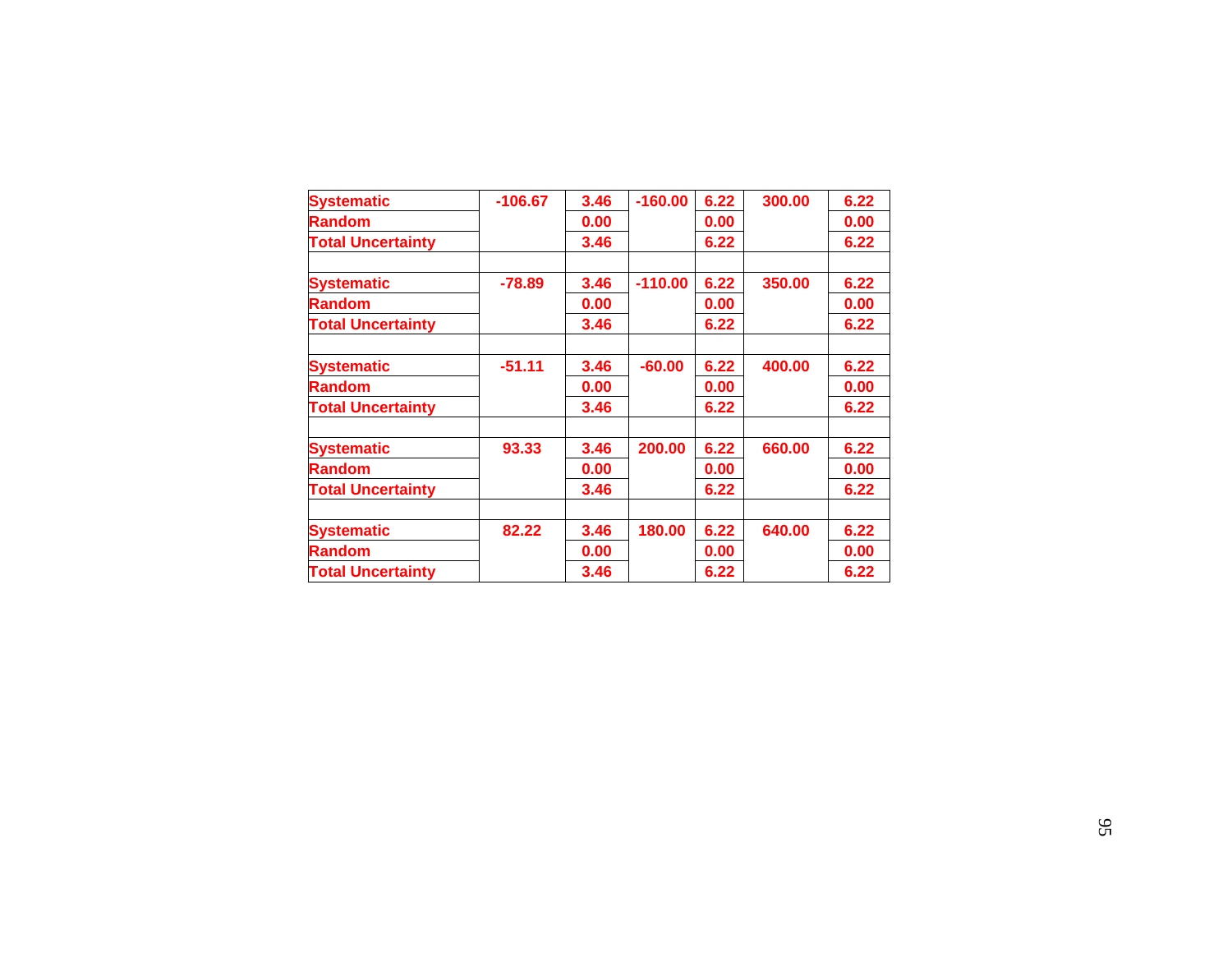| <b>Systematic</b>        | $-106.67$ | 3.46 | $-160.00$ | 6.22 | 300.00 | 6.22 |
|--------------------------|-----------|------|-----------|------|--------|------|
| <b>Random</b>            |           | 0.00 |           | 0.00 |        | 0.00 |
| <b>Total Uncertainty</b> |           | 3.46 |           | 6.22 |        | 6.22 |
| <b>Systematic</b>        | $-78.89$  | 3.46 | $-110.00$ | 6.22 | 350.00 | 6.22 |
| <b>Random</b>            |           | 0.00 |           | 0.00 |        | 0.00 |
| <b>Total Uncertainty</b> |           | 3.46 |           | 6.22 |        | 6.22 |
|                          |           |      |           |      |        |      |
| <b>Systematic</b>        | $-51.11$  | 3.46 | $-60.00$  | 6.22 | 400.00 | 6.22 |
| <b>Random</b>            |           | 0.00 |           | 0.00 |        | 0.00 |
| <b>Total Uncertainty</b> |           | 3.46 |           | 6.22 |        | 6.22 |
| <b>Systematic</b>        | 93.33     | 3.46 | 200.00    | 6.22 | 660.00 | 6.22 |
| <b>Random</b>            |           | 0.00 |           | 0.00 |        | 0.00 |
| <b>Total Uncertainty</b> |           | 3.46 |           | 6.22 |        | 6.22 |
|                          |           |      |           |      |        |      |
| <b>Systematic</b>        | 82.22     | 3.46 | 180.00    | 6.22 | 640.00 | 6.22 |
| <b>Random</b>            |           | 0.00 |           | 0.00 |        | 0.00 |
| <b>Total Uncertainty</b> |           | 3.46 |           | 6.22 |        | 6.22 |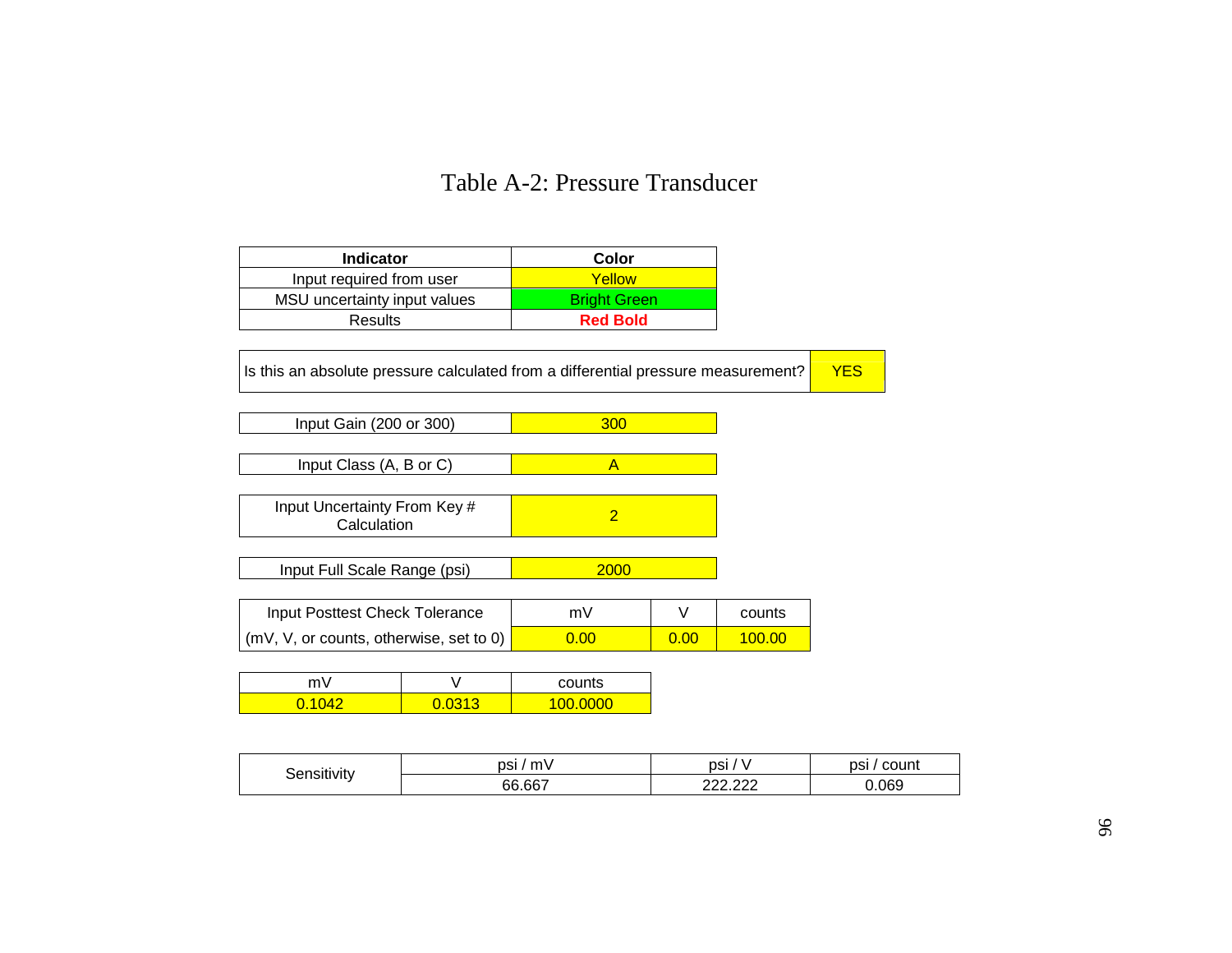## Table A-2: Pressure Transducer

| <b>Indicator</b>             | Color               |
|------------------------------|---------------------|
| Input required from user     | Yellow              |
| MSU uncertainty input values | <b>Bright Green</b> |
| <b>Results</b>               | <b>Red Bold</b>     |

Is this an absolute pressure calculated from a differential pressure measurement?  $\sqrt{FS}$ 

**Input Gain (200 or 300)** 300

Input Class  $(A, B \text{ or } C)$   $A$ 

Input Uncertainty From Key # Certainty From Key # 2 2

Input Full Scale Range (psi) 2000

| Input Posttest Check Tolerance                  | mV             |      | counts |
|-------------------------------------------------|----------------|------|--------|
| $\vert$ (mV, V, or counts, otherwise, set to 0) | $0.00^{\circ}$ | 0.00 | 100.00 |

| m١ | counts     |  |
|----|------------|--|
|    | റററ<br>100 |  |

| .       | DSI,<br>m | psi                | psi<br>count |
|---------|-----------|--------------------|--------------|
| 11VII V | 66.667    | מממ מממ<br>------- | 0.069        |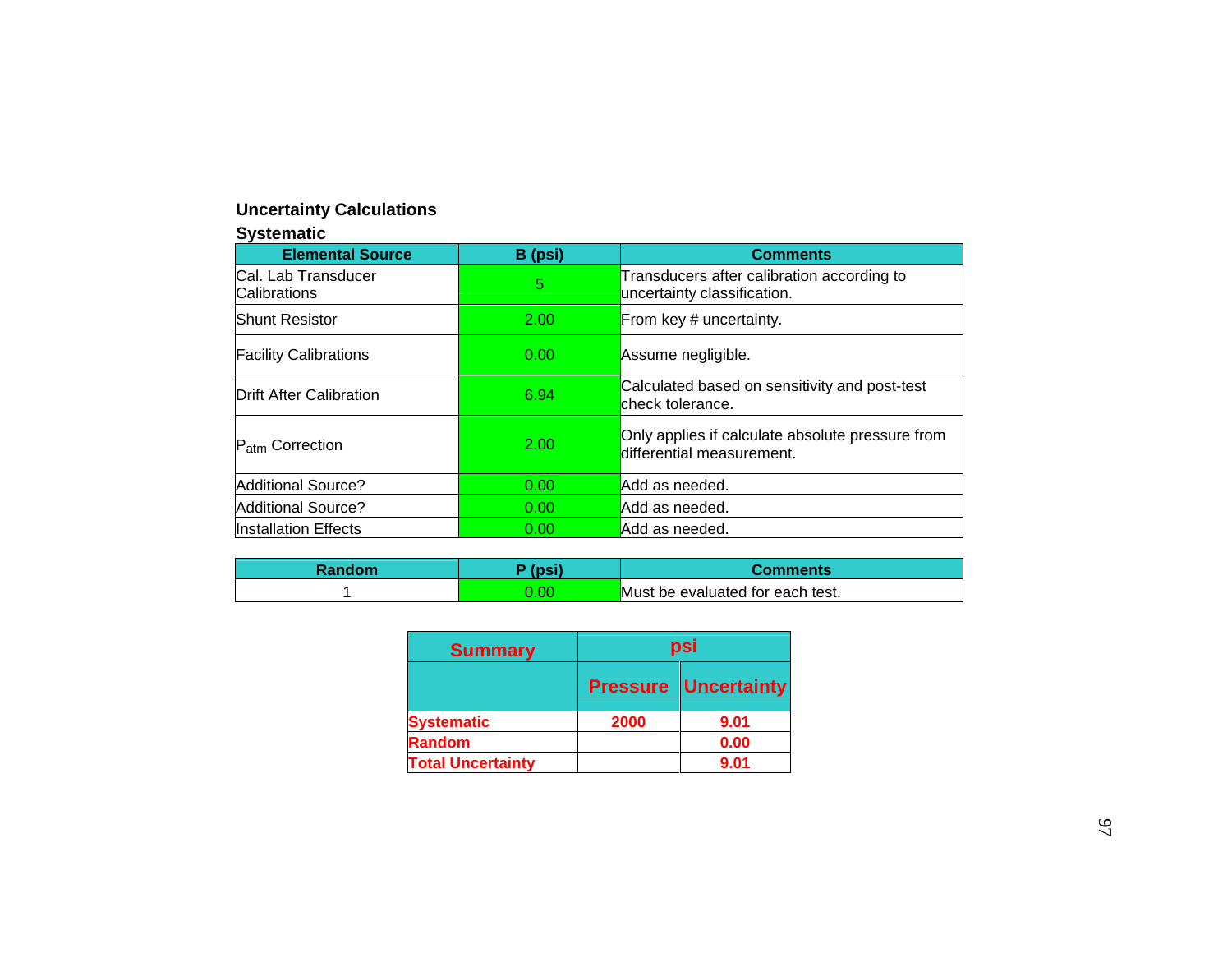#### **Uncertainty Calculations**

#### **Systematic**

| <b>Elemental Source</b>             | B (psi)           | <b>Comments</b>                                                               |
|-------------------------------------|-------------------|-------------------------------------------------------------------------------|
| Cal. Lab Transducer<br>Calibrations | 5                 | Transducers after calibration according to<br>uncertainty classification.     |
| <b>Shunt Resistor</b>               | 2.00              | From key # uncertainty.                                                       |
| <b>Facility Calibrations</b>        | 0.00              | Assume negligible.                                                            |
| <b>Drift After Calibration</b>      | 6.94              | Calculated based on sensitivity and post-test<br>check tolerance.             |
| P <sub>atm</sub> Correction         | 2.00              | Only applies if calculate absolute pressure from<br>differential measurement. |
| <b>Additional Source?</b>           | 0.00              | Add as needed.                                                                |
| <b>Additional Source?</b>           | 0.00 <sub>1</sub> | Add as needed.                                                                |
| <b>Installation Effects</b>         | 0.00              | Add as needed.                                                                |

| Random | $T$ neil        | Comments                         |
|--------|-----------------|----------------------------------|
|        | $\overline{00}$ | Must be evaluated for each test. |

| <b>Summary</b>           | psi             |                    |  |  |
|--------------------------|-----------------|--------------------|--|--|
|                          | <b>Pressure</b> | <b>Uncertainty</b> |  |  |
| <b>Systematic</b>        | 2000            | 9.01               |  |  |
| <b>Random</b>            |                 | 0.00               |  |  |
| <b>Total Uncertainty</b> |                 | 9.01               |  |  |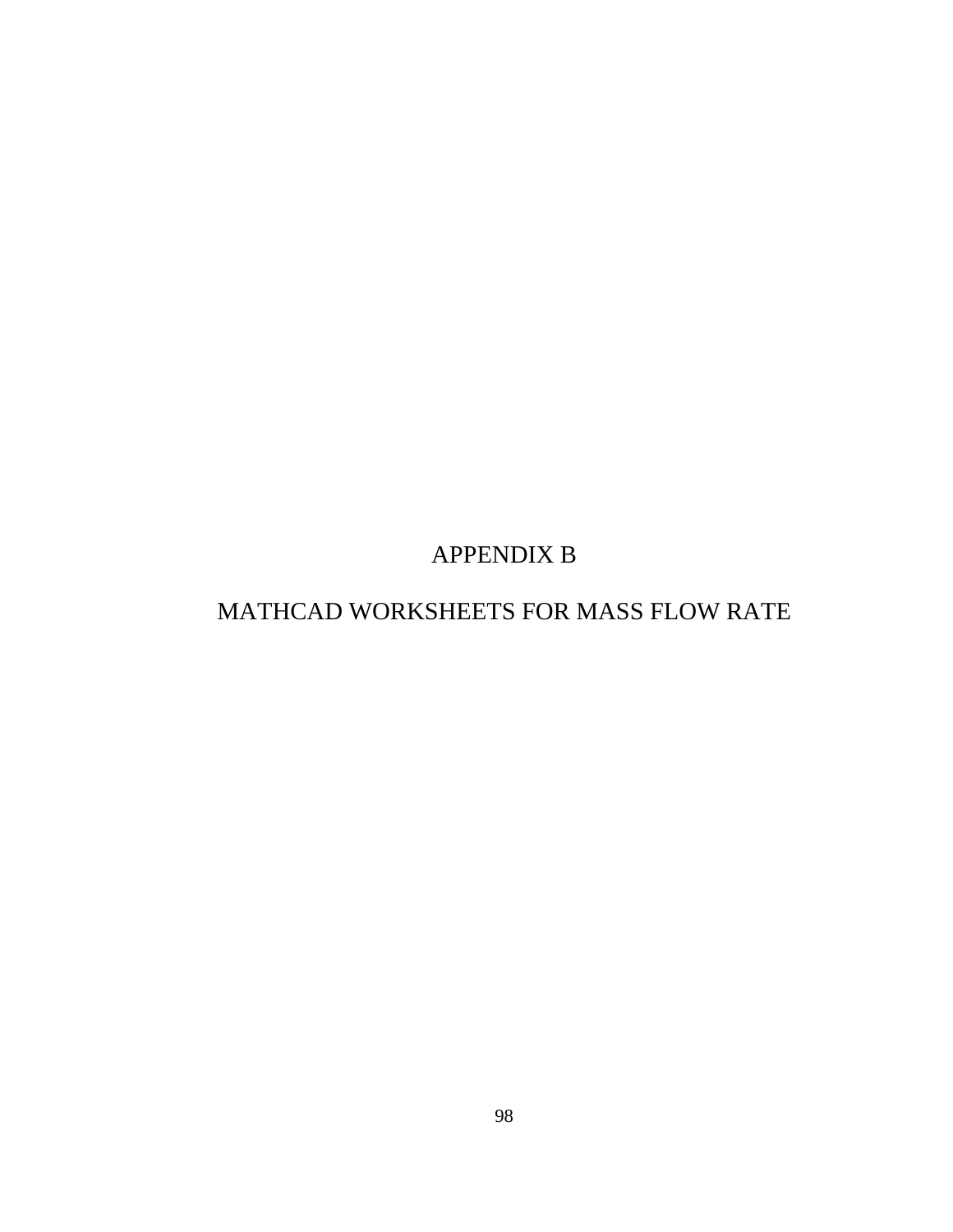APPENDIX B

## MATHCAD WORKSHEETS FOR MASS FLOW RATE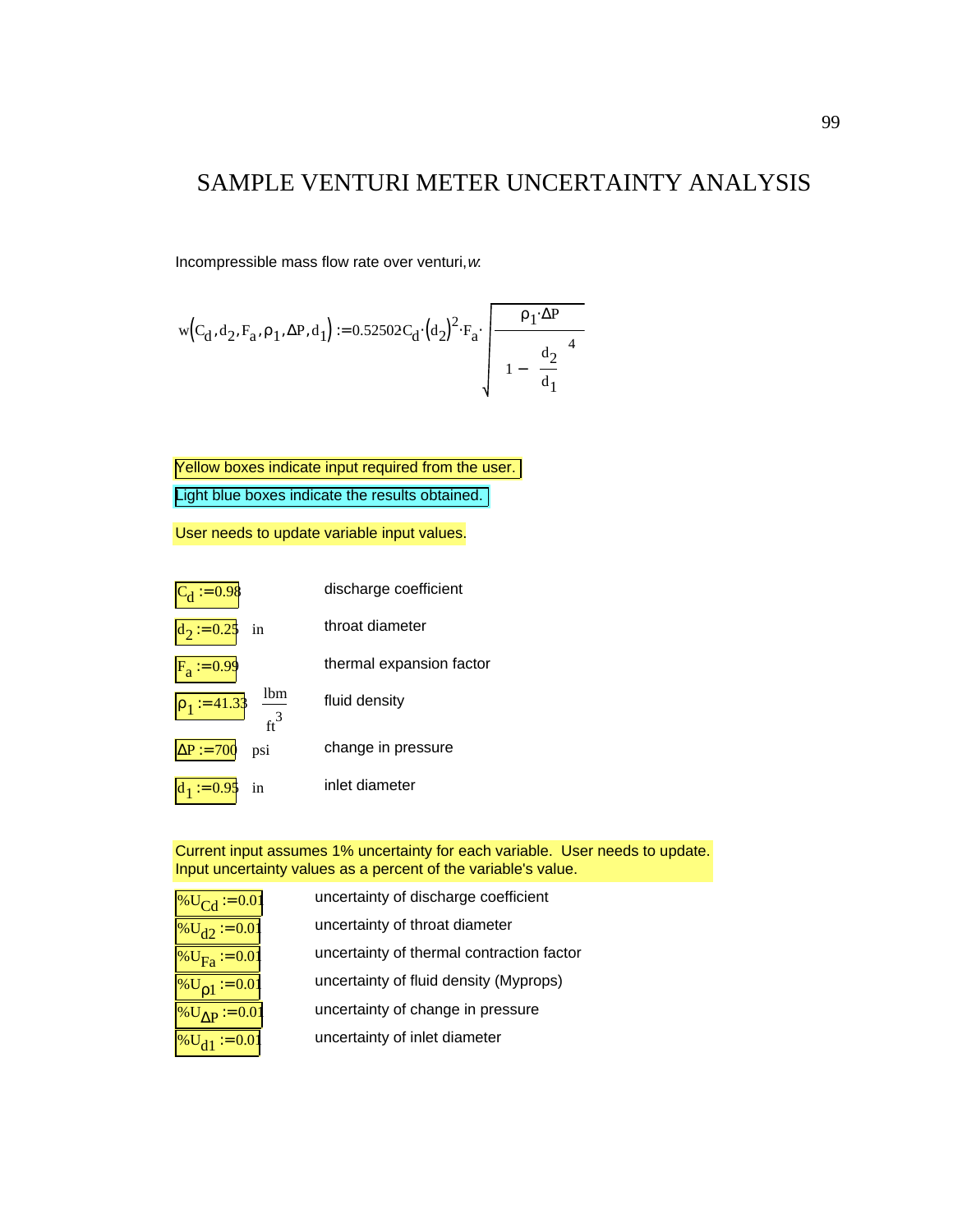### SAMPLE VENTURI METER UNCERTAINTY ANALYSIS

Incompressible mass flow rate over venturi, *w*:

$$
w\Big(C_d, d_2, F_a, \rho_1, \Delta P, d_1\Big) := 0.52502 C_d \cdot \Big(d_2\Big)^2 \cdot F_a \cdot \sqrt{\left[\begin{array}{c} \rho_1 \cdot \Delta P \\ \hline 1 - \left(\begin{array}{c} d_2 \\ \hline d_1 \end{array}\right)^4 \right]} \right]}
$$

Yellow boxes indicate input required from the user.

Light blue boxes indicate the results obtained.

User needs to update variable input values.



Current input assumes 1% uncertainty for each variable. User needs to update. Input uncertainty values as a percent of the variable's value.

| % $U_{Cd}$ = 0.01          | uncertainty of discharge coefficient      |
|----------------------------|-------------------------------------------|
| $\%U_{d2} := 0.01$         | uncertainty of throat diameter            |
| $\%U_{\text{F}_2} := 0.01$ | uncertainty of thermal contraction factor |
| % $U_{01}$ = 0.01          | uncertainty of fluid density (Myprops)    |
| % $U_{\Lambda P}$ := 0.01  | uncertainty of change in pressure         |
| $\%U_{d1} := 0.01$         | uncertainty of inlet diameter             |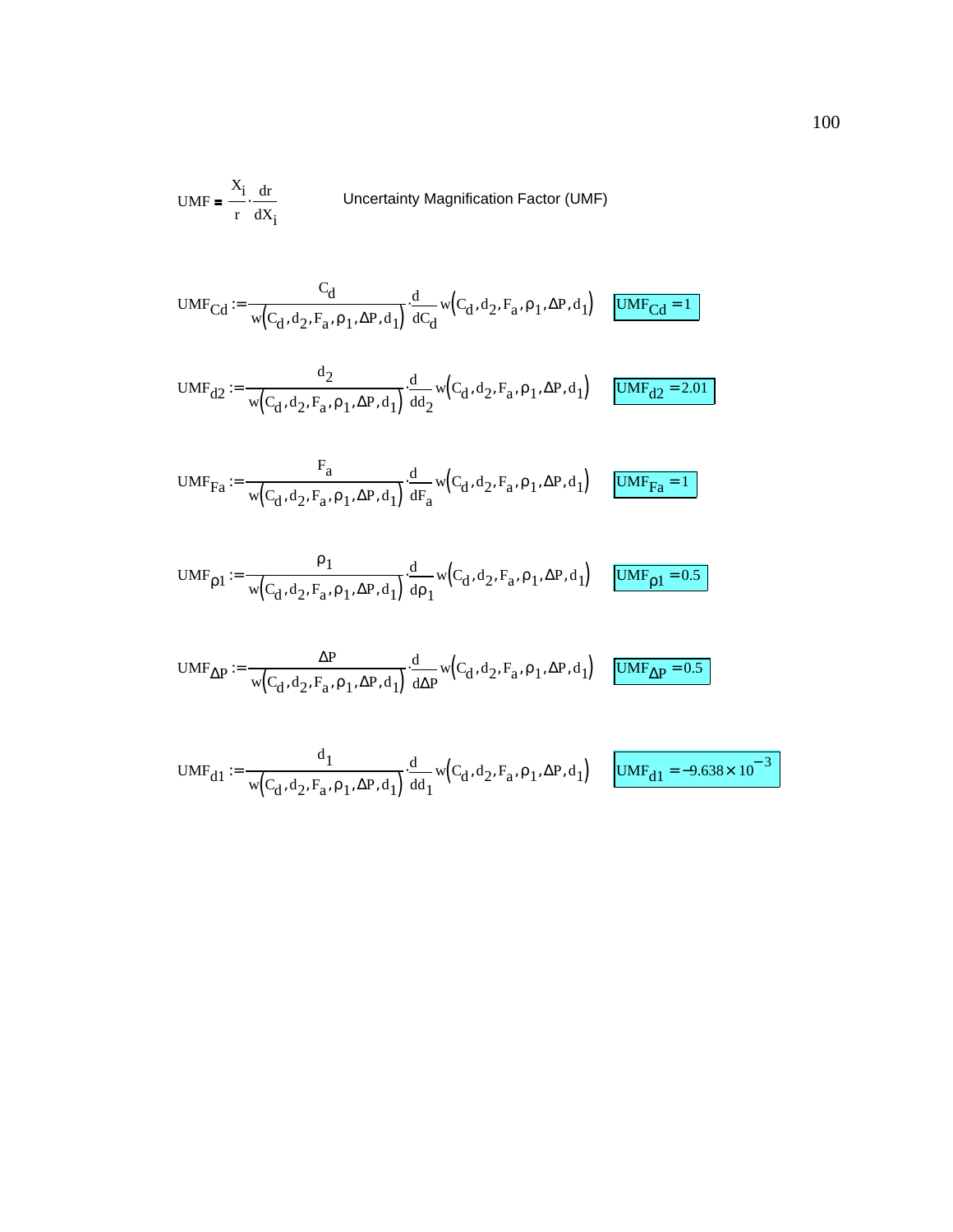$$
UMF = \frac{X_i}{r} \cdot \frac{dr}{dX_i}
$$
 Uncertainty Magnification Factor (UMF)

$$
\text{UMF}_{Cd} := \frac{C_d}{w(C_d, d_2, F_a, \rho_1, \Delta P, d_1)} \cdot \frac{d}{dC_d} w(C_d, d_2, F_a, \rho_1, \Delta P, d_1) \quad \boxed{\text{UMF}_{Cd} = 1}
$$

$$
UMF_{d2} := \frac{d_2}{w(C_d, d_2, F_a, \rho_1, \Delta P, d_1)} \cdot \frac{d}{dd_2} w(C_d, d_2, F_a, \rho_1, \Delta P, d_1)
$$
  $UMF_{d2} = 2.01$ 

$$
\text{UMF}_{Fa} := \frac{F_a}{w\left(C_d, d_2, F_a, \rho_1, \Delta P, d_1\right)} \cdot \frac{d}{dF_a} w\left(C_d, d_2, F_a, \rho_1, \Delta P, d_1\right) \quad \boxed{\text{UMF}_{Fa} = 1}
$$

$$
\text{UMF}_{\rho1} := \frac{\rho_1}{\mathsf{w}\Big(C_d,d_2,F_a,\rho_1,\Delta P,d_1\Big)}\cdot\frac{\mathrm{d}}{\mathrm{d}\rho_1}\mathsf{w}\Big(C_d,d_2,F_a,\rho_1,\Delta P,d_1\Big) \quad \frac{\text{UMF}_{\rho1} = 0.5}{\text{UMF}_{\rho1} = 0.5}
$$

$$
\text{UMF}_{\Delta P} := \frac{\Delta P}{w\Big( C_d, d_2, F_a, \rho_1, \Delta P, d_1\Big)} \cdot \frac{d}{d\Delta P} w\Big( C_d, d_2, F_a, \rho_1, \Delta P, d_1\Big) \quad \boxed{\text{UMF}_{\Delta P} = 0.5}
$$

$$
\text{UMF}_{d1} := \frac{\text{d}_1}{\text{w}\left(C_d, \text{d}_2, \text{F}_a, \rho_1, \Delta \text{P}, \text{d}_1\right)} \cdot \frac{\text{d}}{\text{d} \text{d}_1} \text{w}\left(C_d, \text{d}_2, \text{F}_a, \rho_1, \Delta \text{P}, \text{d}_1\right) \quad \boxed{\text{UMF}_{d1} = -9.638 \times 10^{-3}}
$$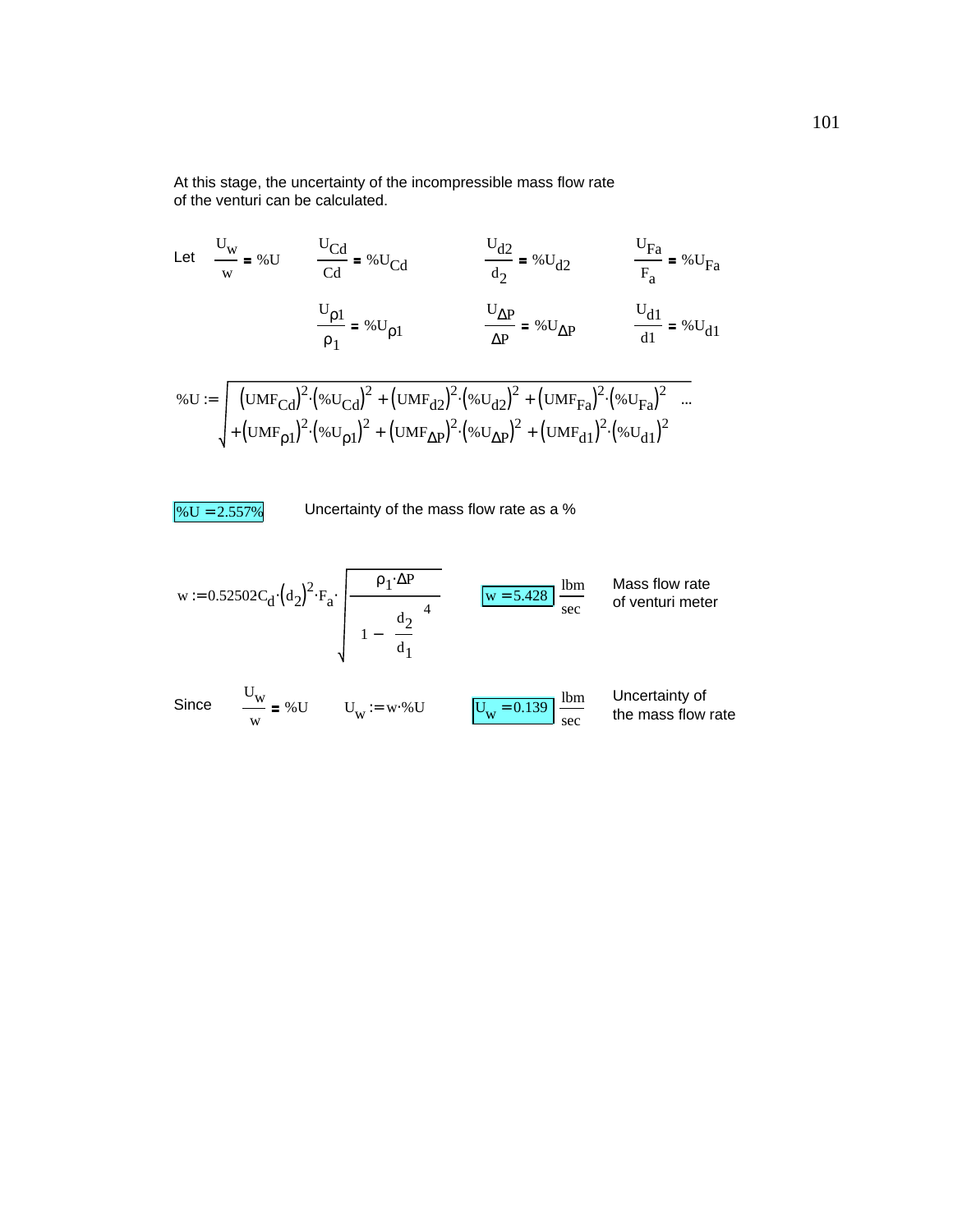At this stage, the uncertainty of the incompressible mass flow rate of the venturi can be calculated.

Let 
$$
\frac{U_{w}}{w} = %U
$$
  $\frac{U_{Cd}}{Cd} = %U_{Cd}$   $\frac{U_{d2}}{d_{2}} = %U_{d2}$   $\frac{U_{Fa}}{F_{a}} = %U_{Fa}$   

$$
\frac{U_{p1}}{\rho_{1}} = %U_{p1}
$$

$$
%U := \sqrt{\frac{(UMF_{Cd})^{2} (%U_{Cd})^{2} + (UMF_{d2})^{2} (%U_{d2})^{2} + (UMF_{Fa})^{2} (%U_{Fa})^{2}}{4!}} = %U_{d1}
$$

$$
%U := \sqrt{\frac{(UMF_{Cd})^{2} (%U_{Cd})^{2} + (UMF_{d2})^{2} (%U_{d2})^{2} + (UMF_{fa})^{2} (%U_{fa})^{2}}{4!}} = \sqrt{\frac{(UMF_{G1})^{2} (%U_{d2})^{2} + (UMF_{da})^{2} (%U_{da})^{2}}{4!}} = \sqrt{\frac{(UMF_{c1})^{2} (%U_{c1})^{2} + (UMF_{d2})^{2} (%U_{d2})^{2} + (UMF_{da})^{2} (%U_{da})^{2}}{4!}}
$$

$$
\% U = 2.557\%
$$

Uncertainty of the mass flow rate as a %

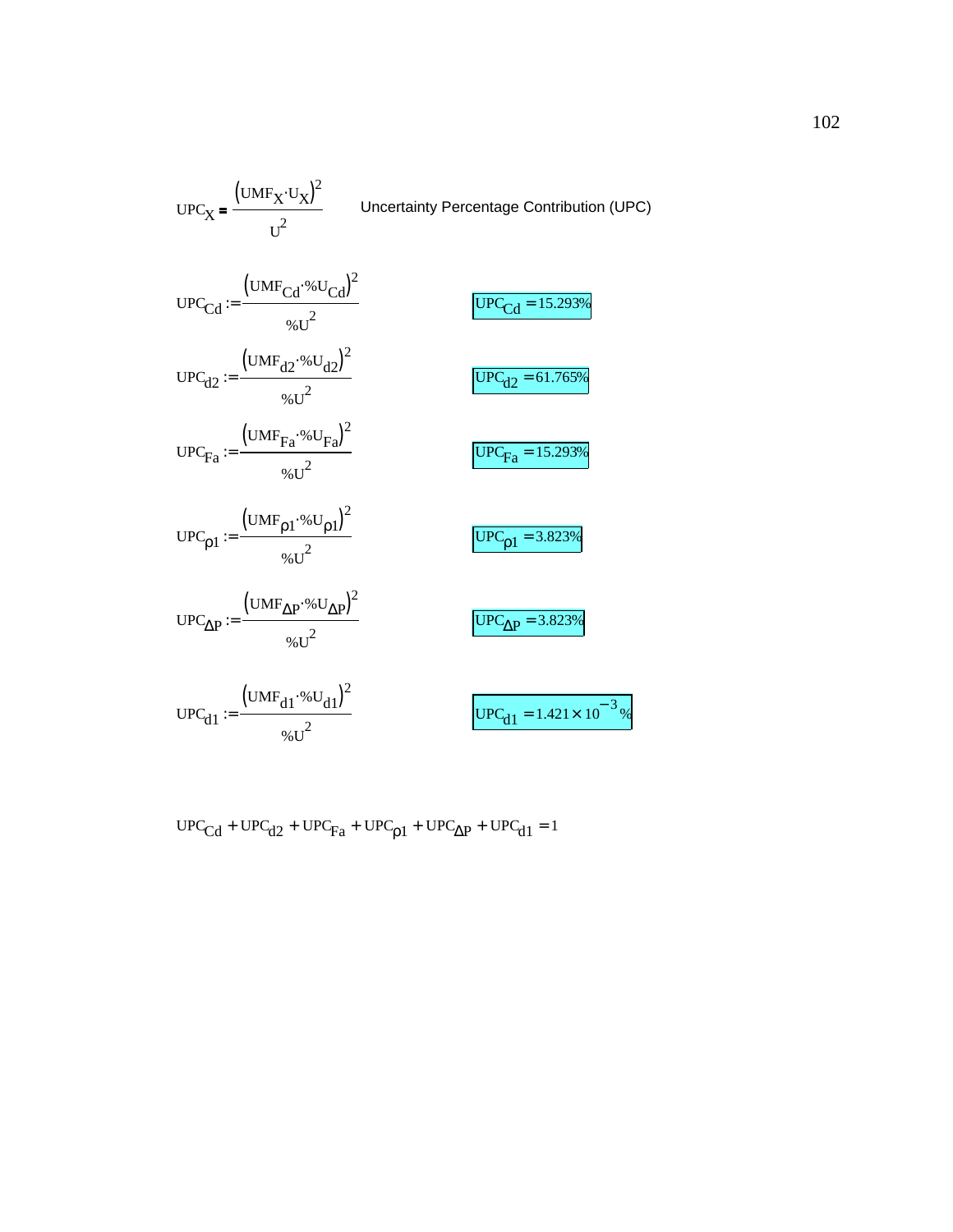$$
UPC_X = \frac{(UMF_X \cdot U_X)^2}{U^2}
$$
Uncertainty Percentage Contribution (UPC)  
\n
$$
UPC_{Cd} := \frac{(UMF_{Cd} \cdot %U_{Cd})^2}{%U^2}
$$
  
\n
$$
UPC_{d2} := \frac{(UMF_{d2} \cdot %U_{d2})^2}{%U^2}
$$
  
\n
$$
UPC_{Fa} := \frac{(UMF_{Fa} \cdot %U_{Fa})^2}{%U^2}
$$
  
\n
$$
UPC_{Fa} := \frac{(UMF_{p1} \cdot %U_{p1})^2}{%U^2}
$$
  
\n
$$
UPC_{p1} := \frac{(UMF_{p1} \cdot %U_{p1})^2}{%U^2}
$$
  
\n
$$
UPC_{\Delta P} := \frac{(UMF_{\Delta P} \cdot %U_{\Delta P})^2}{%U^2}
$$
  
\n
$$
UPC_{d1} = 3.823%
$$
  
\n
$$
UPC_{d1} := \frac{(UMF_{d1} \cdot %U_{d1})^2}{%U^2}
$$
  
\n
$$
UPC_{d1} = 1.421 \times 10^{-3}
$$

$$
UPC_{\text{Cd}} + UPC_{\text{d2}} + UPC_{\text{Fa}} + UPC_{\text{p1}} + UPC_{\Delta P} + UPC_{\text{d1}} = 1
$$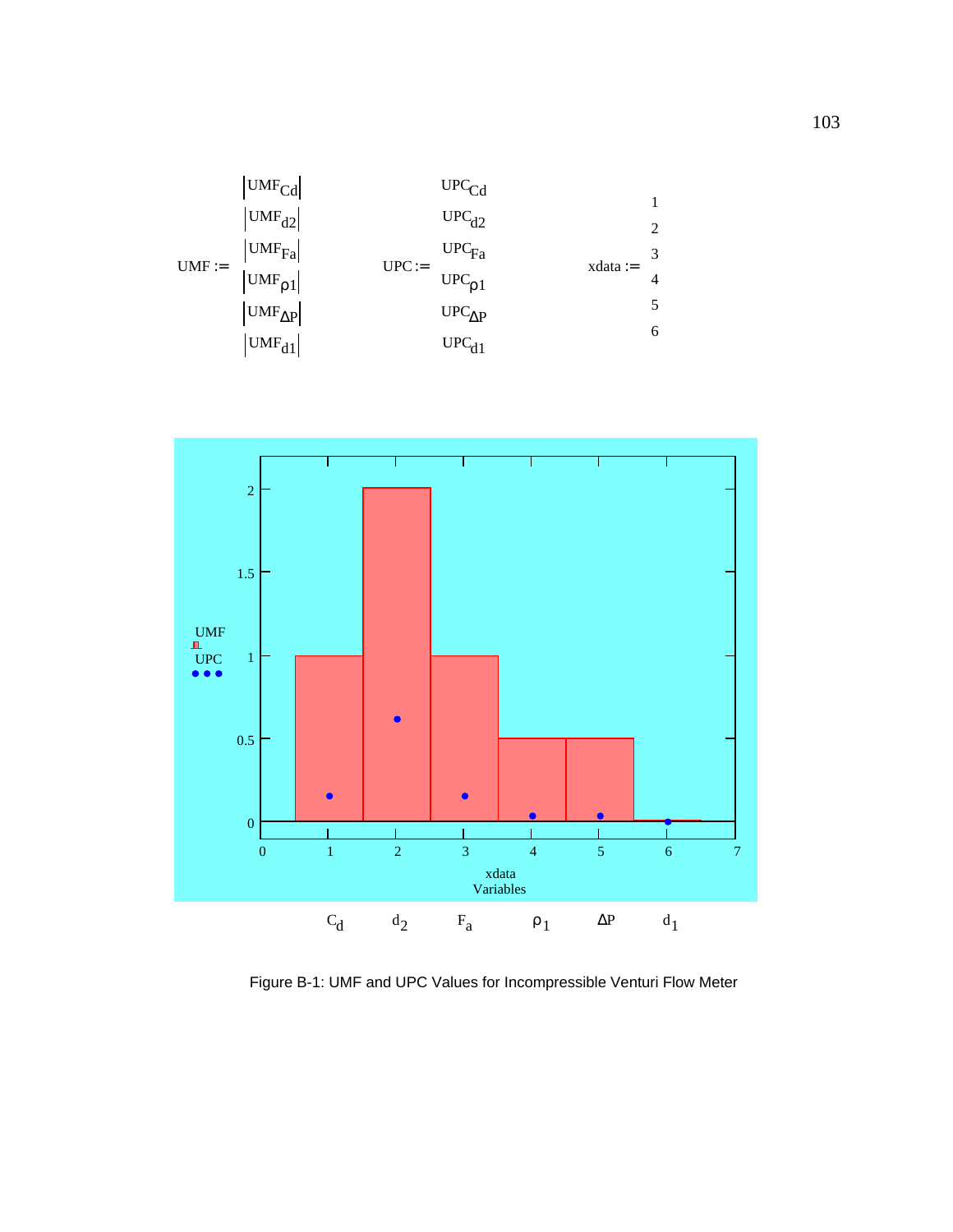



Figure B-1: UMF and UPC Values for Incompressible Venturi Flow Meter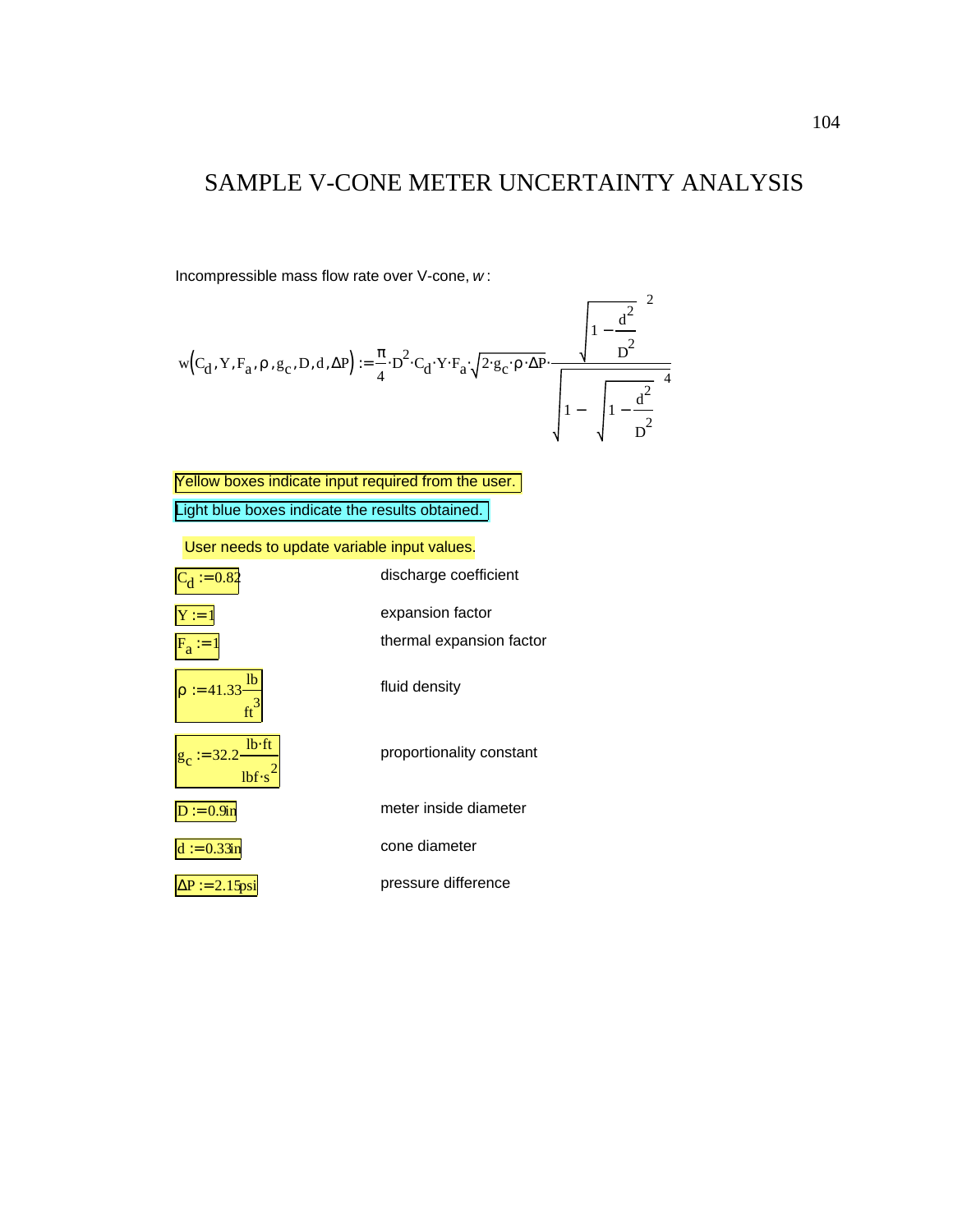### SAMPLE V-CONE METER UNCERTAINTY ANALYSIS

Incompressible mass flow rate over V-cone, *w* :

$$
w(C_d, Y, F_a, \rho, g_c, D, d, \Delta P) := \frac{\pi}{4} \cdot D^2 \cdot C_d \cdot Y \cdot F_a \cdot \sqrt{2 \cdot g_c \cdot \rho \cdot \Delta P} \cdot \frac{\left( \sqrt{1 - \frac{d^2}{D^2}} \right)^2}{\sqrt{1 - \left( \sqrt{1 - \frac{d^2}{D^2}} \right)^4}}
$$

Light blue boxes indicate the results obtained. Yellow boxes indicate input required from the user.

User needs to update variable input values.

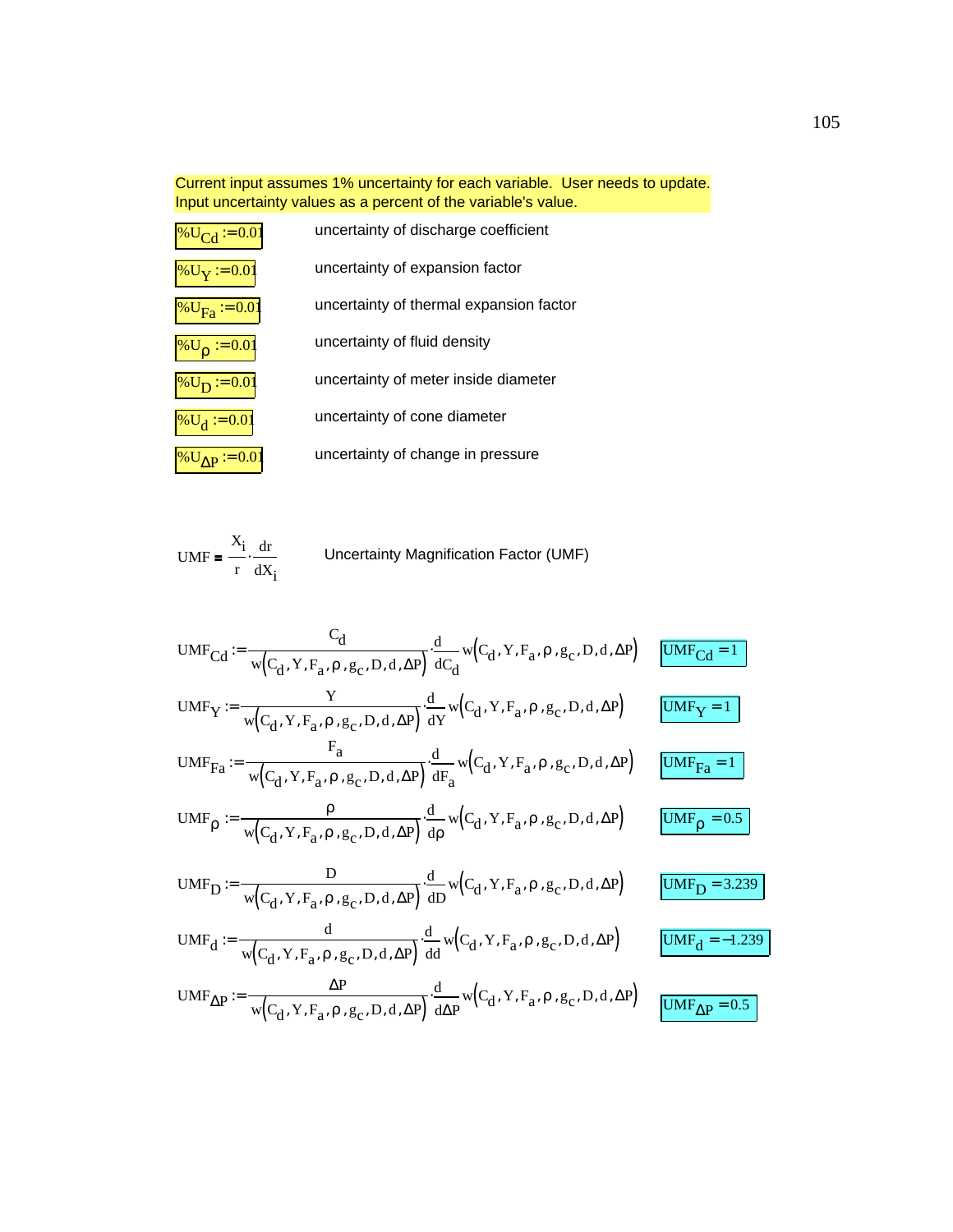Current input assumes 1% uncertainty for each variable. User needs to update. Input uncertainty values as a percent of the variable's value.

| $\%$ U <sub>Cd</sub> := 0.01   | uncertainty of discharge coefficient    |
|--------------------------------|-----------------------------------------|
| $\%$ U <sub>Y</sub> := 0.01    | uncertainty of expansion factor         |
| % $U_{\text{Fa}}$ := 0.01      | uncertainty of thermal expansion factor |
| $\%$ U <sub>0</sub> := 0.01    | uncertainty of fluid density            |
| % $U_D := 0.01$                | uncertainty of meter inside diameter    |
| % $U_d := 0.01$                | uncertainty of cone diameter            |
| $\sqrt{\frac{9}{1}}$ MD = 0.01 | uncertainty of change in pressure       |

$$
UMF = \frac{X_i}{r} \cdot \frac{dr}{dX_i}
$$
 Uncertainty Magnification Factor (UMF)

UMF<sub>Cd</sub> :=

\n
$$
\frac{C_d}{w(C_d, Y, F_a, \rho, g_c, D, d, \Delta P)} \cdot \frac{d}{dC_d} w(C_d, Y, F_a, \rho, g_c, D, d, \Delta P)
$$
\nUMF<sub>Y</sub> :=

\n
$$
\frac{Y}{w(C_d, Y, F_a, \rho, g_c, D, d, \Delta P)} \cdot \frac{d}{dY} w(C_d, Y, F_a, \rho, g_c, D, d, \Delta P)
$$
\nUMF<sub>FA</sub> :=

\n
$$
\frac{V}{w(C_d, Y, F_a, \rho, g_c, D, d, \Delta P)} \cdot \frac{d}{dF_a} w(C_d, Y, F_a, \rho, g_c, D, d, \Delta P)
$$
\nUMF<sub>FA</sub> = 1

\nUMF<sub>Q</sub> :=

\n
$$
\frac{\rho}{w(C_d, Y, F_a, \rho, g_c, D, d, \Delta P)} \cdot \frac{d}{dP} w(C_d, Y, F_a, \rho, g_c, D, d, \Delta P)
$$
\nUMF<sub>D</sub> = 0.5

\nUMF<sub>D</sub> :=

\n
$$
\frac{D}{w(C_d, Y, F_a, \rho, g_c, D, d, \Delta P)} \cdot \frac{d}{dD} w(C_d, Y, F_a, \rho, g_c, D, d, \Delta P)
$$
\nUMF<sub>d</sub> = 3.239

\nUMF<sub>d</sub> :=

\n
$$
\frac{d}{w(C_d, Y, F_a, \rho, g_c, D, d, \Delta P)} \cdot \frac{d}{dQ} w(C_d, Y, F_a, \rho, g_c, D, d, \Delta P)
$$
\nUMF<sub>AB</sub> = -1.239

\nUMF<sub>AB</sub> :=

\n
$$
\frac{\Delta P}{w(C_d, Y, F_a, \rho, g_c, D, d, \Delta P)} \cdot \frac{d}{dQ} w(C_d, Y, F_a, \rho, g_c, D, d, \Delta P)
$$
\nUMF<sub>AB</sub> = 0.5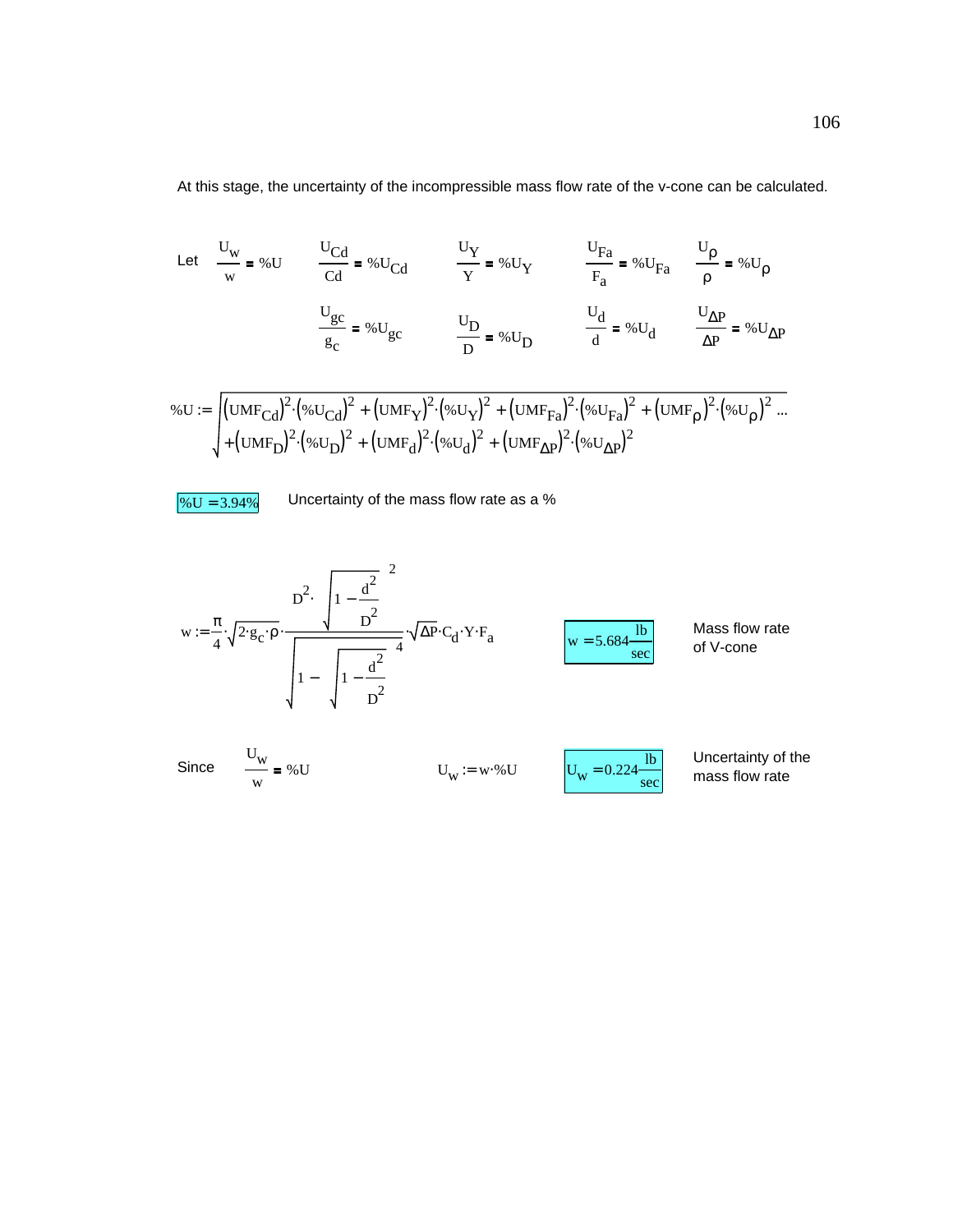At this stage, the uncertainty of the incompressible mass flow rate of the v-cone can be calculated.

Let 
$$
\frac{U_W}{w} = %U
$$
  $\frac{U_{Cd}}{Cd} = %U_{Cd}$   $\frac{U_Y}{Y} = %U_Y$   $\frac{U_{Fa}}{F_a} = %U_{Fa}$   $\frac{U_p}{\rho} = %U_p$   

$$
\frac{U_{gc}}{g_c} = %U_{gc}
$$
  $\frac{U_D}{D} = %U_D$   $\frac{U_d}{d} = %U_d$   $\frac{U_{\Delta P}}{\Delta P} = %U_{\Delta P}$   

$$
%U := \left[ (UMF_{Cd})^2 \cdot (%U_{Cd})^2 + (UMF_Y)^2 \cdot (%U_Y)^2 + (UMF_{Fa})^2 \cdot (%U_{Fa})^2 + (UMF_p)^2 \cdot (%U_p)^2 \right].
$$

$$
\% \mathbf{U} := \int (\mathbf{U}\mathbf{M} \mathbf{F}_{\mathbf{C}d})^2 \cdot (\mathcal{W} \mathbf{U}_{\mathbf{C}d})^2 + (\mathbf{U}\mathbf{M} \mathbf{F}_{\mathbf{Y}})^2 \cdot (\mathcal{W} \mathbf{U}_{\mathbf{Y}})^2 + (\mathbf{U}\mathbf{M} \mathbf{F}_{\mathbf{F}a})^2 \cdot (\mathcal{W} \mathbf{U}_{\mathbf{F}a})^2 + (\mathbf{U}\mathbf{M} \mathbf{F}_{\mathbf{p}})^2 \cdot (\mathcal{W} \mathbf{U}_{\mathbf{p}})^2.
$$
  
+ 
$$
(\mathbf{U}\mathbf{M} \mathbf{F}_{\mathbf{D}})^2 \cdot (\mathcal{W} \mathbf{U}_{\mathbf{D}})^2 + (\mathbf{U}\mathbf{M} \mathbf{F}_{\mathbf{d}})^2 \cdot (\mathcal{W} \mathbf{U}_{\mathbf{d}})^2 + (\mathbf{U}\mathbf{M} \mathbf{F}_{\mathbf{A}\mathbf{P}})^2 \cdot (\mathcal{W} \mathbf{U}_{\mathbf{A}\mathbf{P}})^2.
$$



w

 $\sqrt{$60 = 3.94\%}$  Uncertainty of the mass flow rate as a %

$$
w := \frac{\pi}{4} \cdot \sqrt{2 \cdot g_C \cdot \rho} \cdot \frac{D^2 \cdot \left(\sqrt{1 - \frac{d^2}{D^2}}\right)^2}{\sqrt{1 - \left(\sqrt{1 - \frac{d^2}{D^2}}\right)^4}} \cdot \sqrt{\Delta P} \cdot C_d \cdot Y \cdot F_a
$$
\n
$$
W = 5.684 \frac{lb}{sec}
$$
\n
$$
W = 5.684 \frac{lb}{sec}
$$
\n
$$
W = 5.684 \frac{lb}{sec}
$$
\n
$$
W = 5.684 \frac{lb}{sec}
$$
\n
$$
W = 5.684 \frac{lb}{sec}
$$
\n
$$
W = 5.684 \frac{lb}{sec}
$$
\n
$$
W = 5.684 \frac{lb}{sec}
$$
\n
$$
W = 5.684 \frac{lb}{sec}
$$
\n
$$
W = 5.684 \frac{lb}{sec}
$$
\n
$$
W = 5.684 \frac{lb}{sec}
$$
\n
$$
W = 5.684 \frac{lb}{sec}
$$
\n
$$
W = 5.684 \frac{lb}{sec}
$$
\n
$$
W = 5.684 \frac{lb}{sec}
$$
\n
$$
W = 5.684 \frac{lb}{sec}
$$
\n
$$
W = 5.684 \frac{lb}{sec}
$$
\n
$$
W = 5.684 \frac{lb}{sec}
$$
\n
$$
W = 5.684 \frac{lb}{sec}
$$
\n
$$
W = 5.684 \frac{lb}{sec}
$$
\n
$$
W = 5.684 \frac{lb}{sec}
$$
\n
$$
W = 5.684 \frac{lb}{sec}
$$
\n
$$
W = 5.684 \frac{lb}{sec}
$$
\n
$$
W = 5.684 \frac{lb}{sec}
$$
\n
$$
W = 5.684 \frac{lb}{sec}
$$
\n
$$
W = 5.684 \frac{lb}{sec}
$$
\n
$$
W = 5.684 \frac{lb}{sec}
$$
\n
$$
W = 5.684 \frac{lb}{sec}
$$
\n
$$
W = 5.684 \frac{lb}{sec}
$$
\n $$ 

sec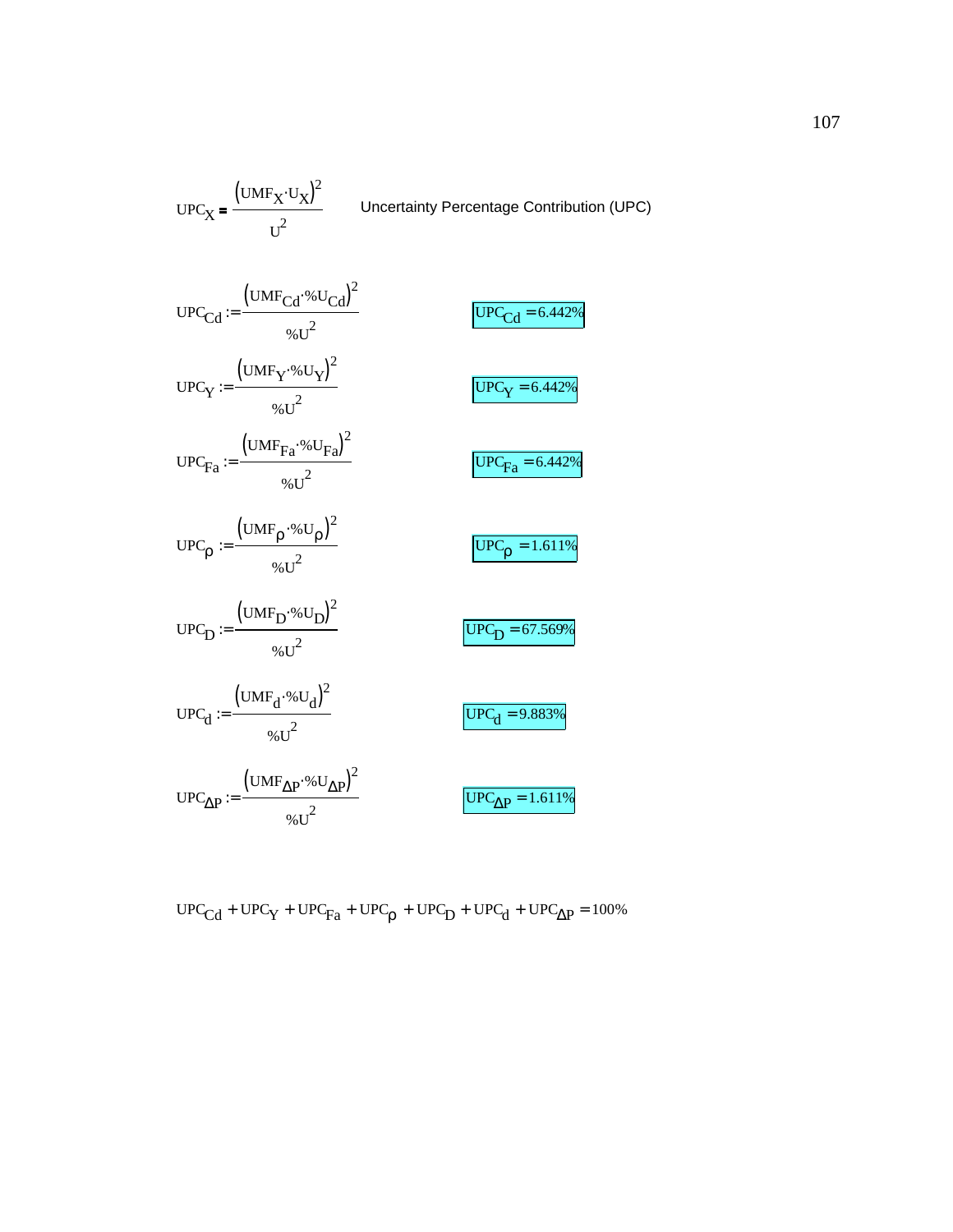UPC<sub>X</sub> = 
$$
\frac{(UMF_{Cd} \cdot \text{A } U)}{U^2}
$$
 Uncertainty Percentage Contribution (UPC)  
\nUPC<sub>Cd</sub> :=  $\frac{(UMF_{Cd} \cdot \text{A } U_{Cd})^2}{\text{A } U^2}$   
\nUPC<sub>Y</sub> :=  $\frac{(UMF_Y \cdot \text{A } U_Y)^2}{\text{A } U^2}$   
\nUPC<sub>Fa</sub> :=  $\frac{(UMF_{Fa} \cdot \text{A } U_{Fa})^2}{\text{A } U^2}$   
\nUPC<sub>Fa</sub> :=  $\frac{(UMF_P \cdot \text{A } U_{Pa})^2}{\text{A } U^2}$   
\nUPC<sub>p</sub> :=  $\frac{(UMF_P \cdot \text{A } U_p)^2}{\text{A } U^2}$   
\nUPC<sub>p</sub> =  $\frac{(UMF_P \cdot \text{A } U_p)^2}{\text{A } U^2}$   
\nUPC<sub>1</sub> =  $\frac{(UMF_{1} \cdot \text{A } U_d)^2}{\text{A } U^2}$   
\nUPC<sub>d</sub> =  $\frac{(UMF_{d} \cdot \text{A } U_d)^2}{\text{A } U^2}$   
\nUPC<sub>d</sub> = 9.883%  
\nUPC<sub>ΔP</sub> :=  $\frac{(UMF_{ΔP} \cdot \text{A } U_{ΔP})^2}{\text{A } U^2}$   
\nUPC<sub>ΔP</sub> = 1.611%

 $\big(\text{UMF}_\text{X} \!\cdot\! \text{U}_\text{X}\!\big)^{\!2}$ 

$$
\text{UPC}_{Cd} + \text{UPC}_{Y} + \text{UPC}_{Fa} + \text{UPC}_{p} + \text{UPC}_{D} + \text{UPC}_{d} + \text{UPC}_{\Delta P} = 100\%
$$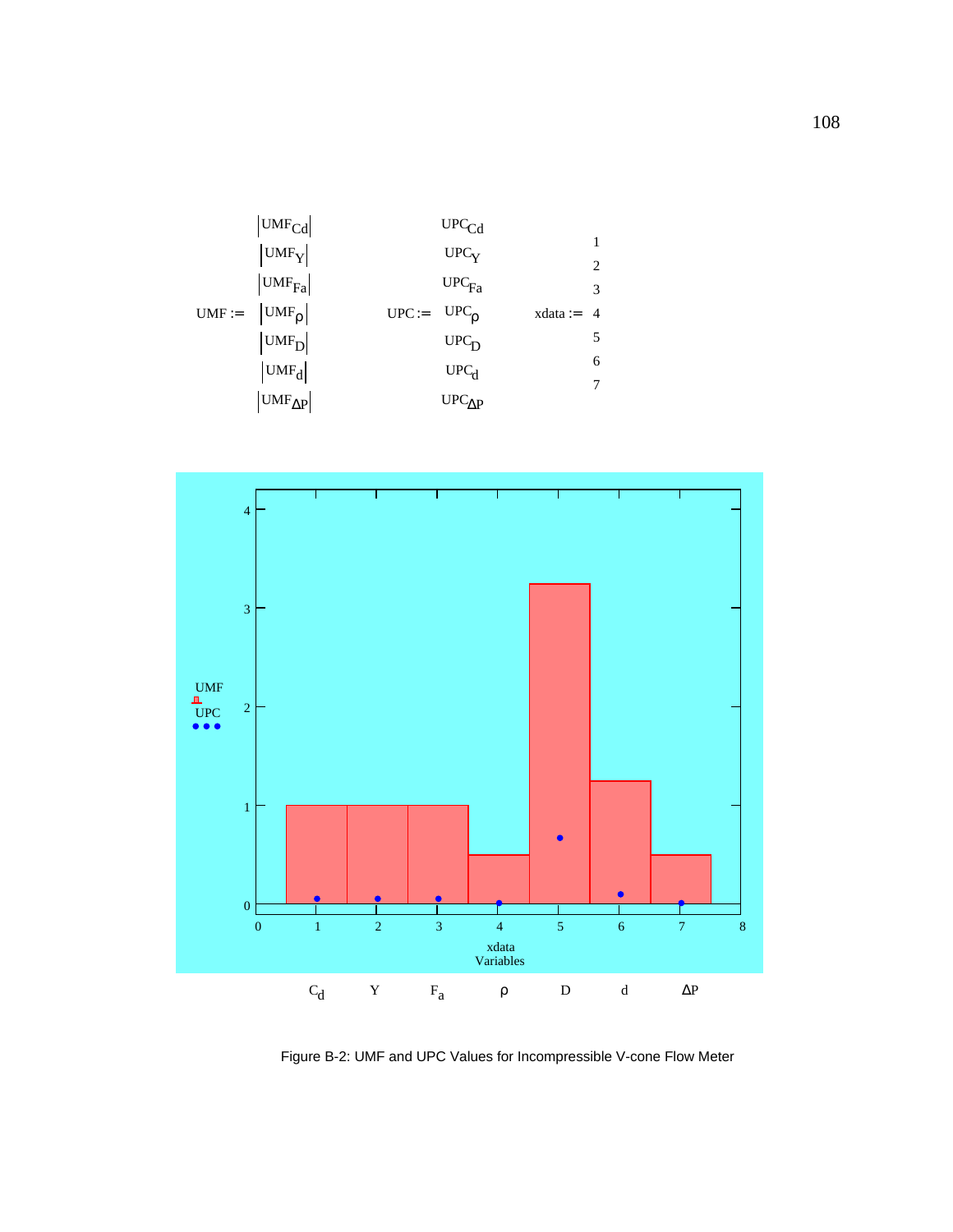



Figure B-2: UMF and UPC Values for Incompressible V-cone Flow Meter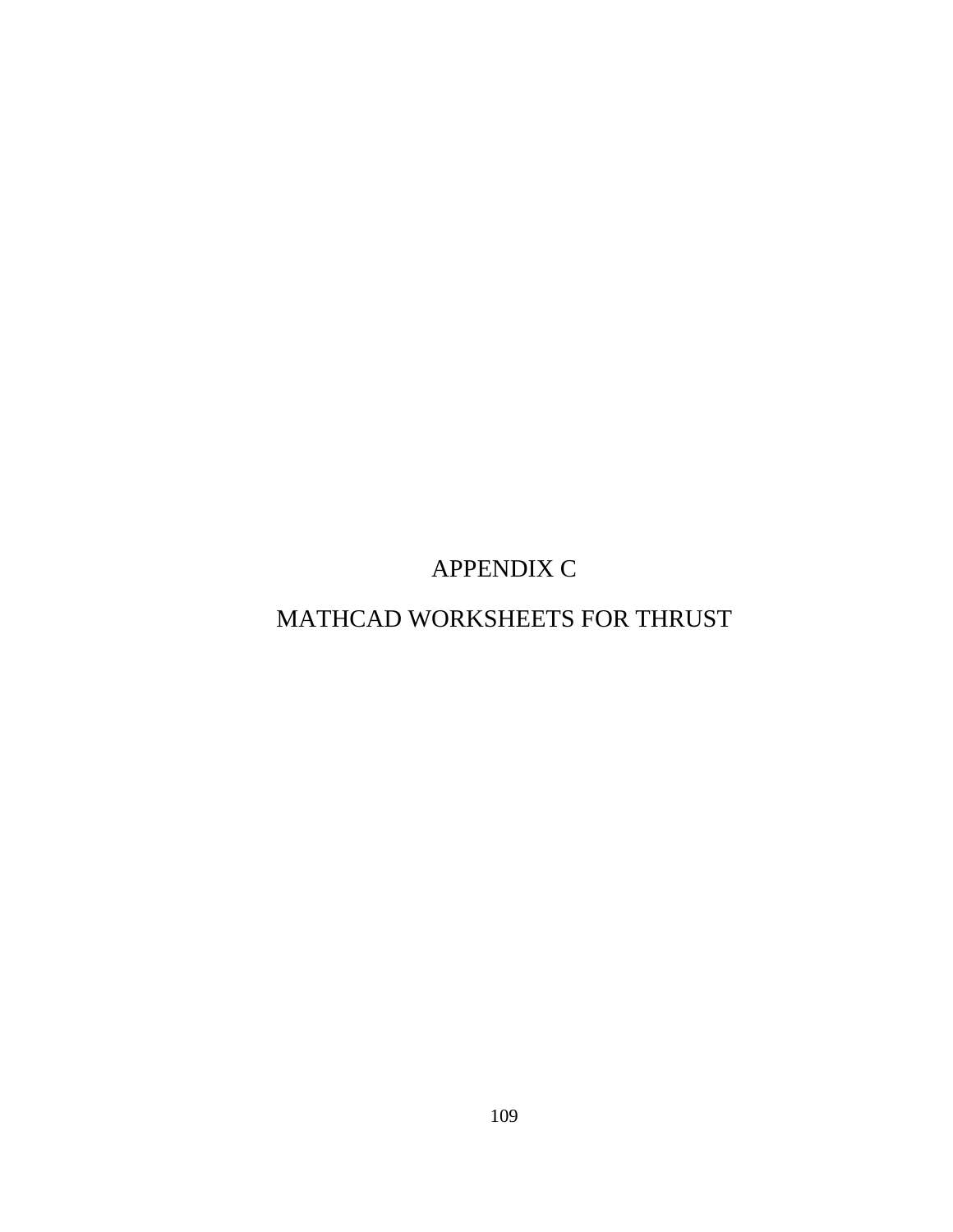APPENDIX C

# MATHCAD WORKSHEETS FOR THRUST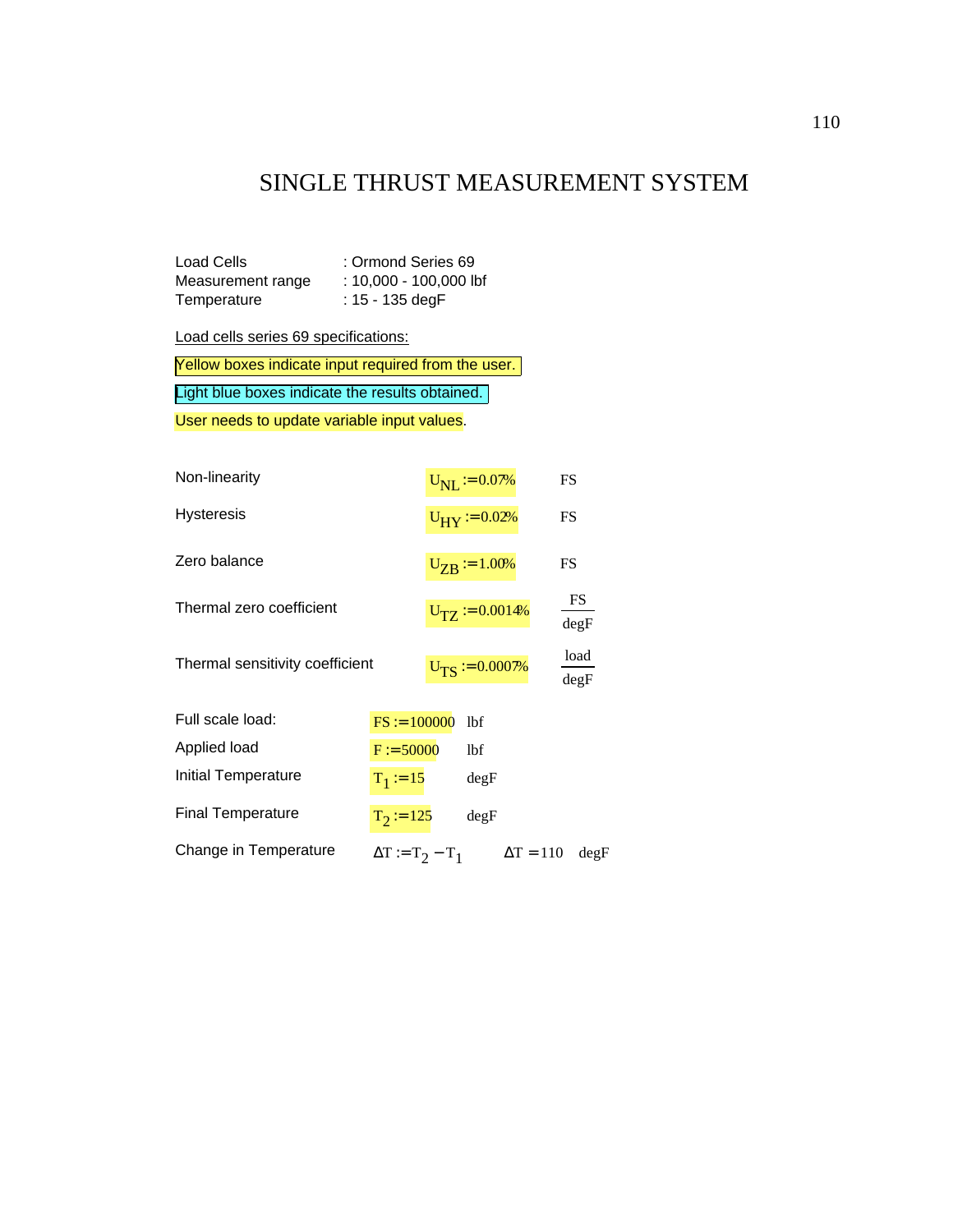## SINGLE THRUST MEASUREMENT SYSTEM

| <b>Load Cells</b> | : Ormond Series 69       |
|-------------------|--------------------------|
| Measurement range | $: 10,000 - 100,000$ lbf |
| Temperature       | : $15 - 135$ degF        |

Load cells series 69 specifications:

Yellow boxes indicate input required from the user.

Light blue boxes indicate the results obtained.

User needs to update variable input values.

| Non-linearity                   |                         | $U_{\rm NL} := 0.07\%$ |                             |                  | FS           |
|---------------------------------|-------------------------|------------------------|-----------------------------|------------------|--------------|
| Hysteresis                      |                         |                        | $U_{\text{HY}} := 0.02\%$   |                  | FS           |
| Zero balance                    |                         |                        | $U_{\text{ZB}} = 1.00\%$    |                  | FS           |
| Thermal zero coefficient        |                         |                        | $U_{\text{TZ}} := 0.0014\%$ |                  | FS<br>degF   |
| Thermal sensitivity coefficient |                         |                        | $U_{TS} := 0.0007\%$        |                  | load<br>degF |
| Full scale load:                | $FS := 100000$          |                        | 1bf                         |                  |              |
| Applied load                    | $F := 50000$            |                        | 1bf                         |                  |              |
| Initial Temperature             | $T_1 := 15$             |                        | degF                        |                  |              |
| <b>Final Temperature</b>        | $T_2 = 125$             |                        | degF                        |                  |              |
| Change in Temperature           | $\Delta T := T_2 - T_1$ |                        |                             | $\Delta T = 110$ | degF         |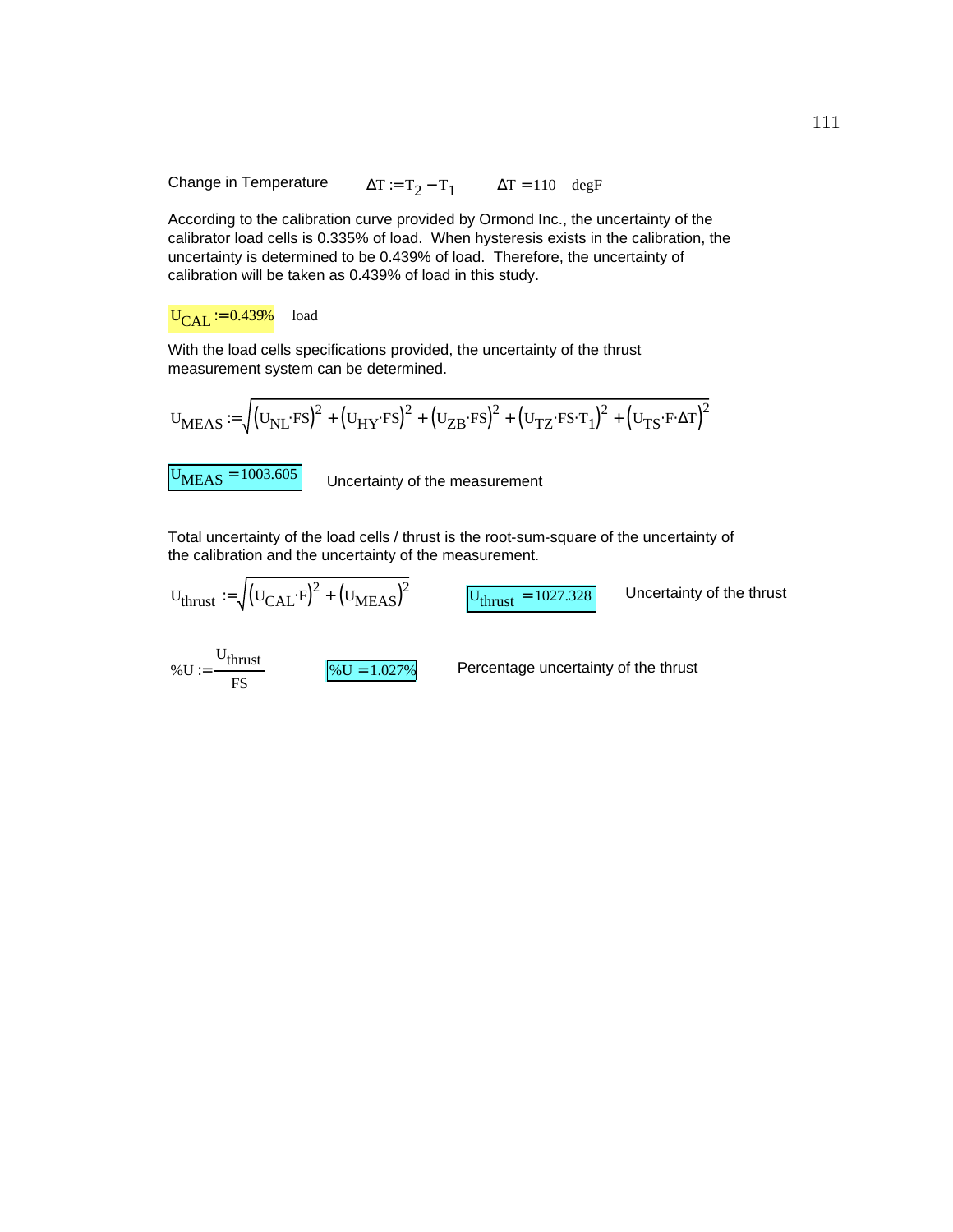Change in Temperature  $\Delta T := T_2 - T_1$   $\Delta T = 110$  degF

According to the calibration curve provided by Ormond Inc., the uncertainty of the calibrator load cells is 0.335% of load. When hysteresis exists in the calibration, the uncertainty is determined to be 0.439% of load. Therefore, the uncertainty of calibration will be taken as 0.439% of load in this study.

#### $U_{\text{CAI}} := 0.439\%$  load

With the load cells specifications provided, the uncertainty of the thrust measurement system can be determined.

$$
\mathbf{U}_{MEAS} := \sqrt{\left(\mathbf{U}_{NL} \cdot \mathbf{F} \mathbf{S}\right)^2 + \left(\mathbf{U}_{HY} \cdot \mathbf{F} \mathbf{S}\right)^2 + \left(\mathbf{U}_{TZ} \cdot \mathbf{F} \mathbf{S} \cdot \mathbf{T}_1\right)^2 + \left(\mathbf{U}_{TS} \cdot \mathbf{F} \cdot \Delta \mathbf{T}\right)^2}
$$

 $\text{U}_{\text{MEAS}} = 1003.605$  Uncertainty of the measurement

Total uncertainty of the load cells / thrust is the root-sum-square of the uncertainty of the calibration and the uncertainty of the measurement.

$$
U_{\text{thrust}} := \sqrt{(U_{\text{CAL}} \cdot F)^{2} + (U_{\text{MEAS}})^{2}}
$$
  
 
$$
U_{\text{thrust}} = 1027.328
$$
  
 Uncertainty of the thrust  
 
$$
\% U := \frac{U_{\text{thrust}}}{F S}
$$
  
Percentage uncertainty of the thrust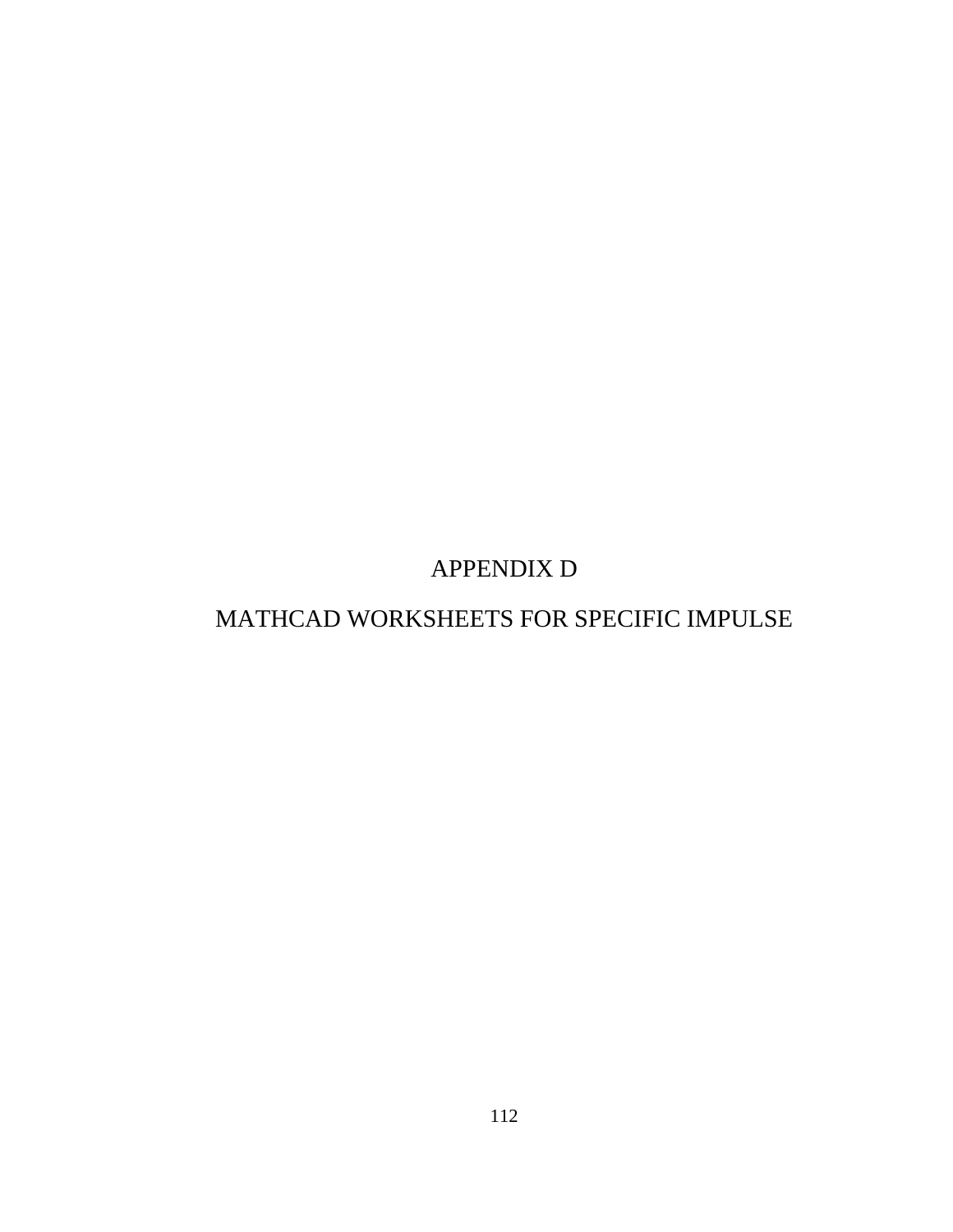APPENDIX D

# MATHCAD WORKSHEETS FOR SPECIFIC IMPULSE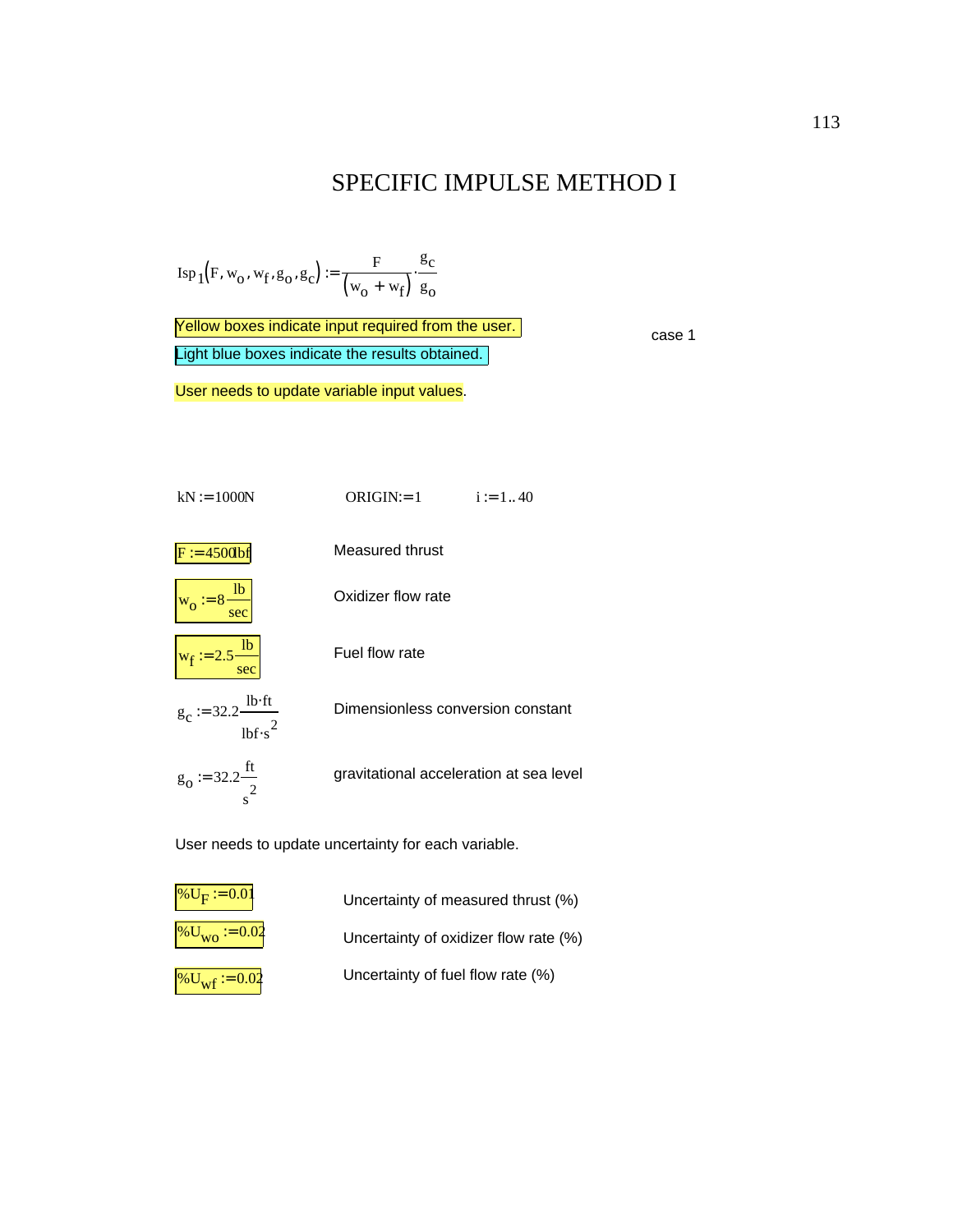#### SPECIFIC IMPULSE METHOD I

$$
\operatorname{Isp}_1(F, w_o, w_f, g_o, g_c) := \frac{F}{(w_o + w_f)} \cdot \frac{g_c}{g_o}
$$

Light blue boxes indicate the results obtained. Yellow boxes indicate input required from the user.<br>
case 1

User needs to update variable input values.



User needs to update uncertainty for each variable.



 $\sqrt[6]{\text{U}}_{\text{WO}} := 0.02$  Uncertainty of oxidizer flow rate (%)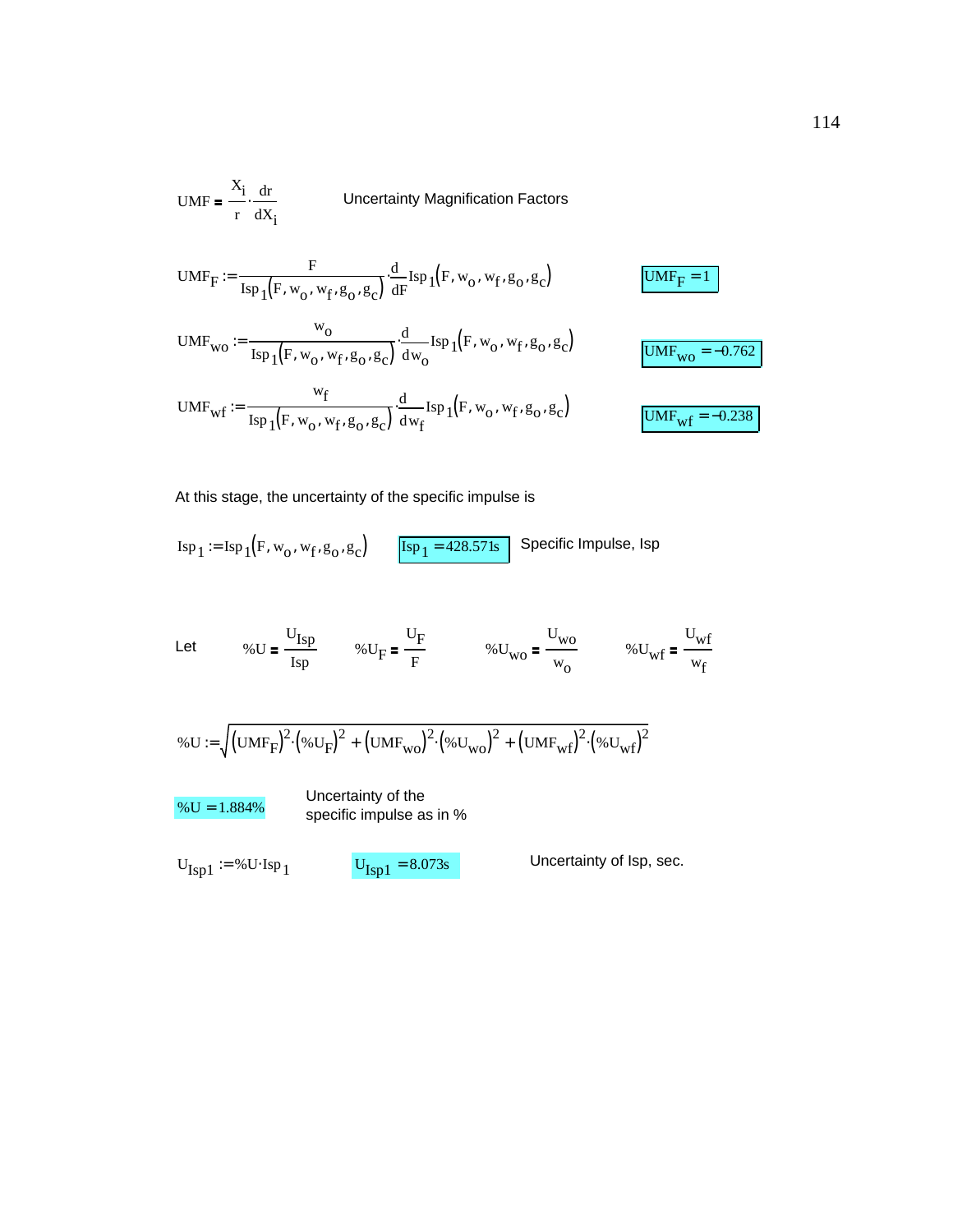UMF = 
$$
\frac{X_i}{r} \cdot \frac{dr}{dX_i}
$$

\nUncertainty Magnification Factors

\nUMF<sub>F</sub> :=  $\frac{F}{\text{Isp}_1(F, w_0, w_f, g_0, g_c)} \cdot \frac{d}{dF} \text{Isp}_1(F, w_0, w_f, g_0, g_c)$ 

\nUMF<sub>wo</sub> :=  $\frac{w_0}{\text{Isp}_1(F, w_0, w_f, g_0, g_c)} \cdot \frac{d}{dw_0} \text{Isp}_1(F, w_0, w_f, g_0, g_c)$ 

\nUMF<sub>wo</sub> = -0.762

\nUMF<sub>wf</sub> :=  $\frac{w_f}{\text{Isp}_1(F, w_0, w_f, g_0, g_c)} \cdot \frac{d}{dw_f} \text{Isp}_1(F, w_0, w_f, g_0, g_c)$ 

\nUMF<sub>wf</sub> = -0.238

At this stage, the uncertainty of the specific impulse is

$$
Isp_1 := Isp_1(F, w_0, w_f, g_0, g_c)
$$
 
$$
Isp_1 = 428.571s
$$
 Specific Impulse, Isp

Let 
$$
\% U = \frac{U_{\text{Isp}}}{\text{Isp}}
$$
  $\% U_F = \frac{U_F}{F}$   $\% U_{\text{wo}} = \frac{U_{\text{wo}}}{W_0}$   $\% U_{\text{wf}} = \frac{U_{\text{wf}}}{W_f}$ 

$$
\% \mathrm{U} := \sqrt{ \left( \mathrm{UMF}_{F} \right)^{2} \cdot \left( \% \mathrm{U}_{F} \right)^{2} + \left( \mathrm{UMF}_{wo} \right)^{2} \cdot \left( \% \mathrm{U}_{wo} \right)^{2} + \left( \mathrm{UMF}_{wf} \right)^{2} \cdot \left( \% \mathrm{U}_{wf} \right)^{2} }
$$

 $\sqrt[6]{8}$  Uncertainty of the<br>specific impulse as specific impulse as in %

$$
U_{Isp1} := \% U \cdot \operatorname{Isp}_1
$$

$$
U_{\text{Isn1}} = 8.073s
$$

 $U_{\text{Lsp1}} = %U \cdot \text{Lsp1}$   $U_{\text{Lsp1}} = 8.073s$  Uncertainty of Isp, sec.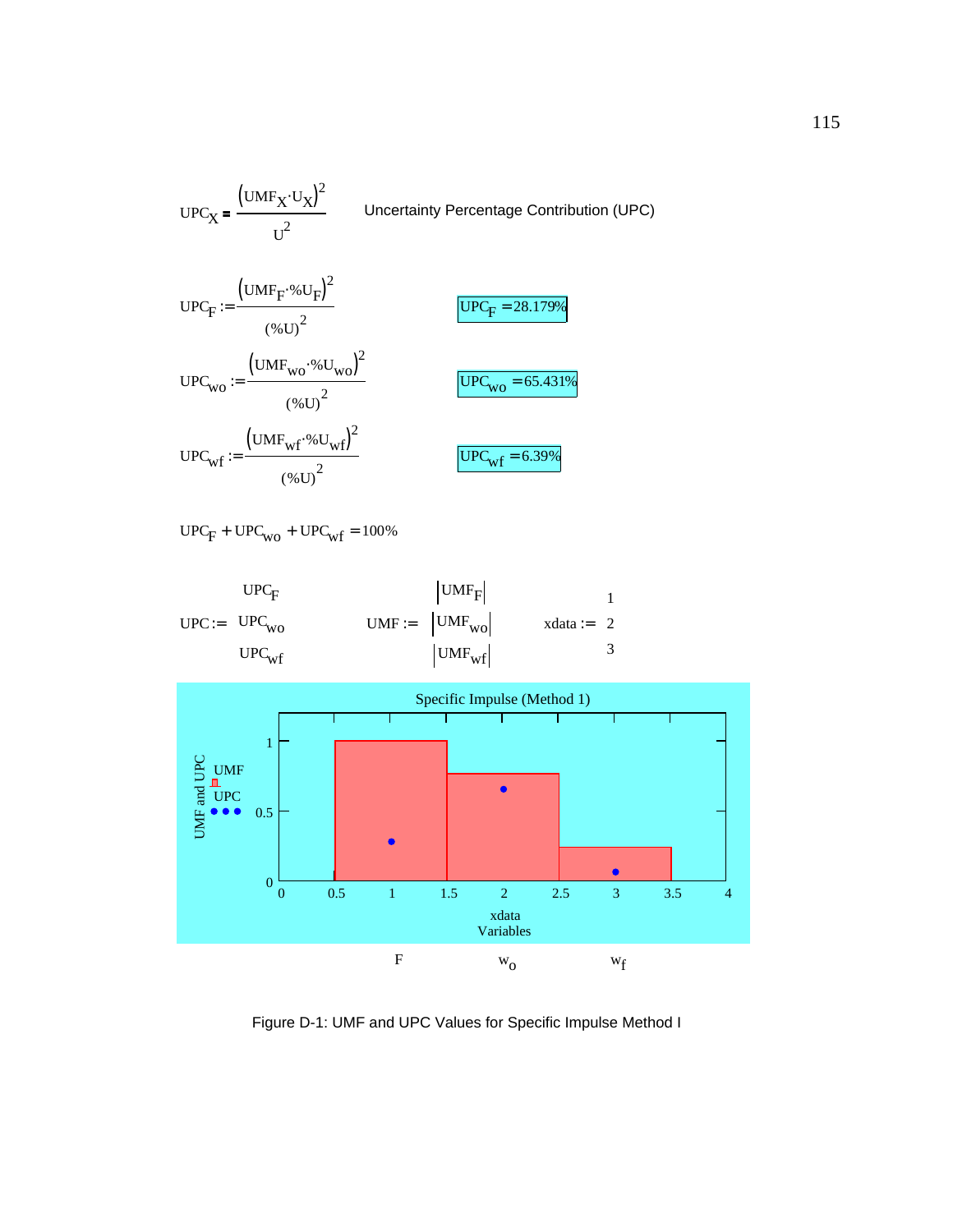

 $UPC<sub>F</sub> + UPC<sub>wo</sub> + UPC<sub>wf</sub> = 100%$ 

$$
\text{UPC} := \left( \begin{array}{c} \text{UPC}_{\text{F}} \\ \text{UPC}_{\text{wo}} \\ \text{UPC}_{\text{wf}} \end{array} \right) \qquad \text{UMF} := \left( \begin{array}{c} \text{UMF}_{\text{F}} \\ \text{UMF}_{\text{wo}} \\ \text{UMF}_{\text{wf}} \end{array} \right) \qquad \text{xdata} := \left( \begin{array}{c} 1 \\ 2 \\ 3 \end{array} \right)
$$



Figure D-1: UMF and UPC Values for Specific Impulse Method I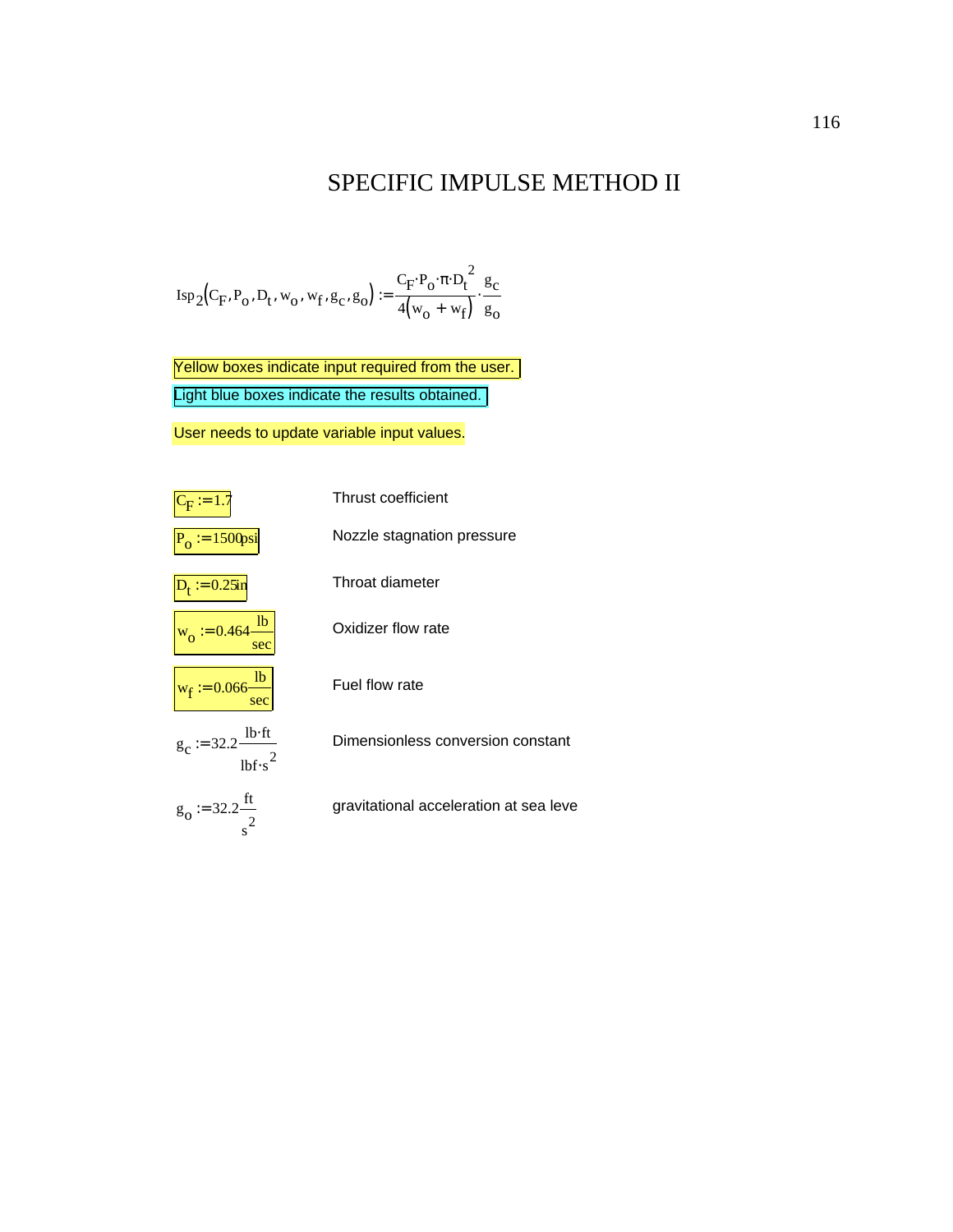#### SPECIFIC IMPULSE METHOD II

$$
\text{Isp}_2(C_F, P_o, D_t, w_o, w_f, g_c, g_o) := \frac{C_F \cdot P_o \cdot \pi \cdot D_t^2}{4(w_o + w_f)} \cdot \frac{g_c}{g_o}
$$

Light blue boxes indicate the results obtained. Yellow boxes indicate input required from the user.

User needs to update variable input values.

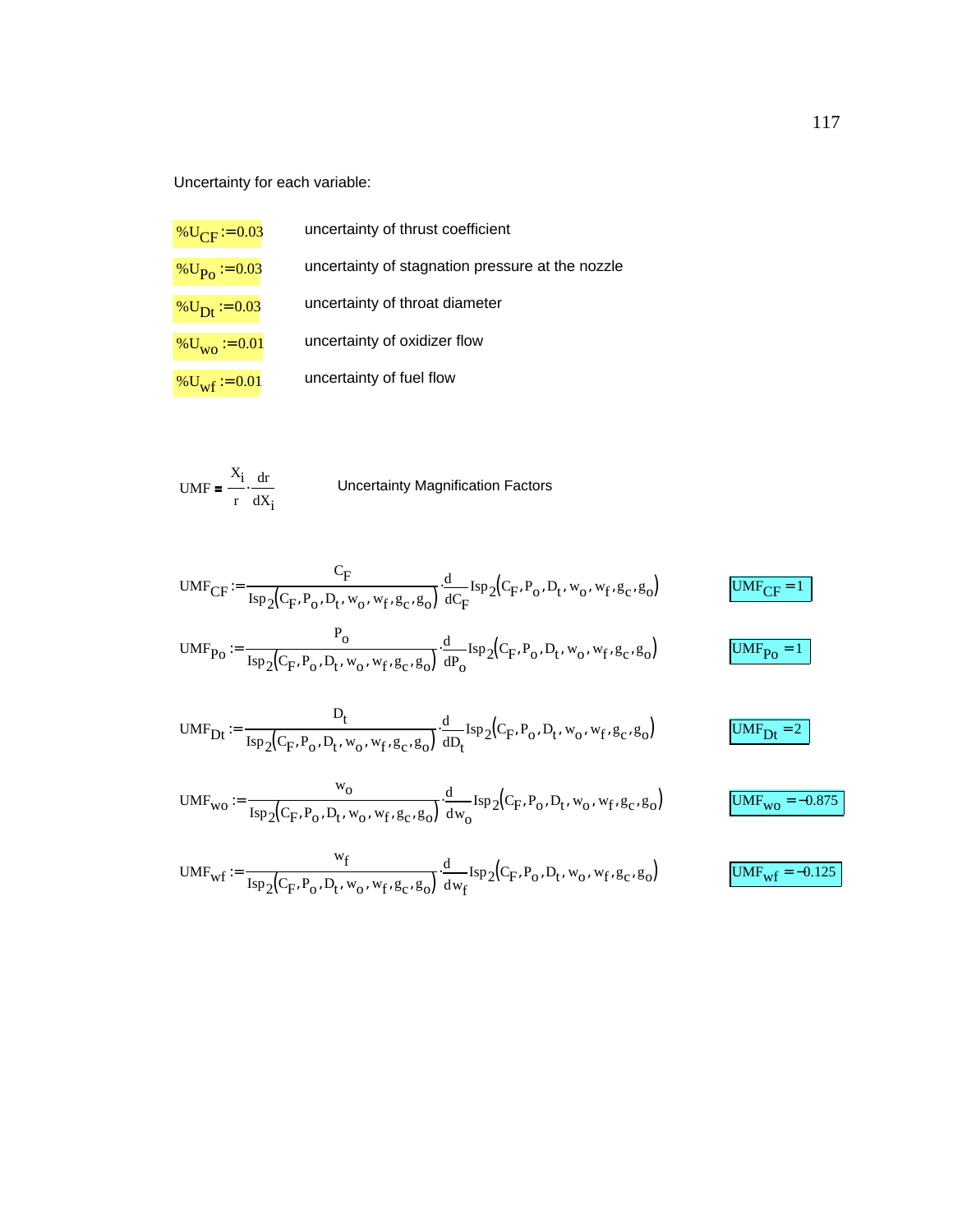Uncertainty for each variable:

| % $U_{\text{CF}}$ = 0.03     | uncertainty of thrust coefficient                |
|------------------------------|--------------------------------------------------|
| % $U_{PQ} := 0.03$           | uncertainty of stagnation pressure at the nozzle |
| % $U_{Dt} := 0.03$           | uncertainty of throat diameter                   |
| $\%$ U <sub>wo</sub> := 0.01 | uncertainty of oxidizer flow                     |
| % $U_{\text{wf}}$ := 0.01    | uncertainty of fuel flow                         |

$$
UMF = \frac{X_i}{r} \cdot \frac{dr}{dX_i}
$$
 Uncertainty Magnification Factors

$$
UMF_{CF} := \frac{C_F}{\mathrm{Isp}_2(C_F, P_o, D_t, w_o, w_f, g_c, g_o)} \cdot \frac{d}{dC_F} \mathrm{Isp}_2(C_F, P_o, D_t, w_o, w_f, g_c, g_o)
$$

$$
UMF_{Po} := \frac{P_o}{\text{Isp}_2(C_F, P_o, D_t, w_o, w_f, g_c, g_o)} \cdot \frac{d}{dP_o} \text{Isp}_2(C_F, P_o, D_t, w_o, w_f, g_c, g_o)
$$

$$
UMF_{Dt} := \frac{D_t}{\mathrm{Isp}_2(C_F, P_o, D_t, w_o, w_f, g_c, g_o)} \cdot \frac{d}{dD_t} \mathrm{Isp}_2(C_F, P_o, D_t, w_o, w_f, g_c, g_o)
$$

$$
UMF_{wo} := \frac{w_0}{\text{Isp}_2(C_F, P_0, D_t, w_0, w_f, g_c, g_0)} \cdot \frac{d}{dw_0} \text{Isp}_2(C_F, P_0, D_t, w_0, w_f, g_c, g_0)
$$

$$
UMF_{wf} := \frac{w_f}{\text{Isp}_2(C_F, P_o, D_t, w_o, w_f, g_c, g_o)} \cdot \frac{d}{dw_f} \text{Isp}_2(C_F, P_o, D_t, w_o, w_f, g_c, g_o)
$$

 $UMF_{Po} = 1$ 

 $UMF_{Dt} = 2$ 

 $UMF_{wf} = -0.125$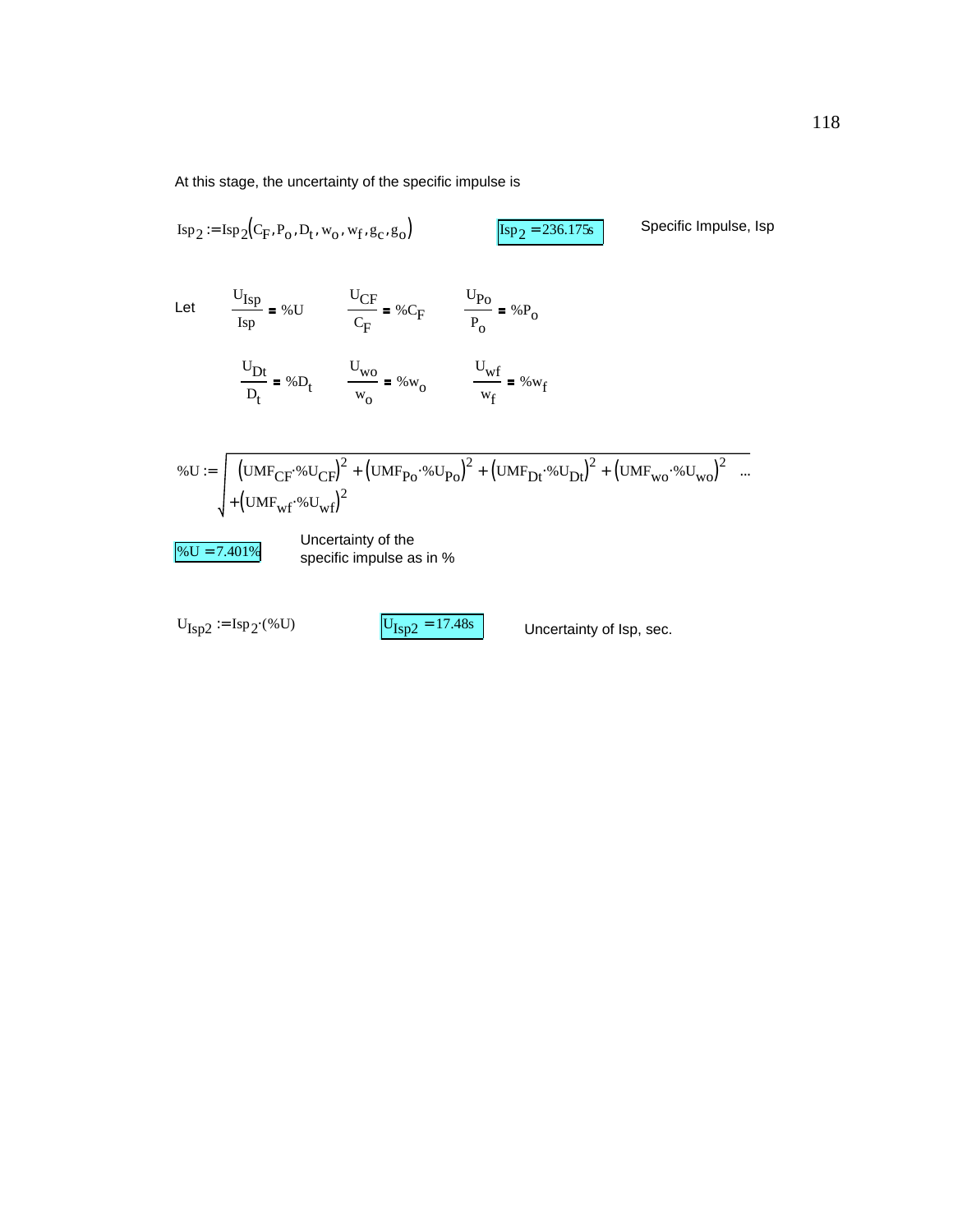At this stage, the uncertainty of the specific impulse is

$$
Isp_2 := Isp_2(C_F, P_o, D_t, w_o, w_f, g_c, g_o)
$$
  
\n
$$
Isp_2 = 236.175s
$$
  
\n
$$
Isp_2 = 236.175s
$$
  
\n
$$
Isp_2 = 236.175s
$$
  
\n
$$
Isp_2 = 236.175s
$$
  
\n
$$
Isp_2 = 236.175s
$$
  
\n
$$
Isp_2 = 236.175s
$$
  
\n
$$
Isp_2 = 236.175s
$$
  
\n
$$
Isp_2 = 236.175s
$$
  
\n
$$
Isp_2 = 236.175s
$$
  
\n
$$
Isp_2 = 236.175s
$$
  
\n
$$
Isp_2 = 236.175s
$$
  
\n
$$
Isp_2 = 236.175s
$$
  
\n
$$
Isp_2 = 236.175s
$$
  
\n
$$
Isp_2 = 236.175s
$$
  
\n
$$
Isp_2 = 236.175s
$$
  
\n
$$
Isp_2 = 236.175s
$$
  
\n
$$
Isp_2 = 236.175s
$$
  
\n
$$
Isp_2 = 236.175s
$$
  
\n
$$
Isp_2 = 236.175s
$$
  
\n
$$
Isp_2 = 236.175s
$$
  
\n
$$
Isp_2 = 236.175s
$$
  
\n
$$
Isp_2 = 236.175s
$$
  
\n
$$
Isp_2 = 236.175s
$$
  
\n
$$
Isp_2 = 236.175s
$$
  
\n
$$
Isp_2 = 236.175s
$$
  
\n
$$
Isp_2 = 236.175s
$$
  
\n
$$
Isp_2 = 236.175s
$$
  
\n
$$
Isp_2 = 236.175s
$$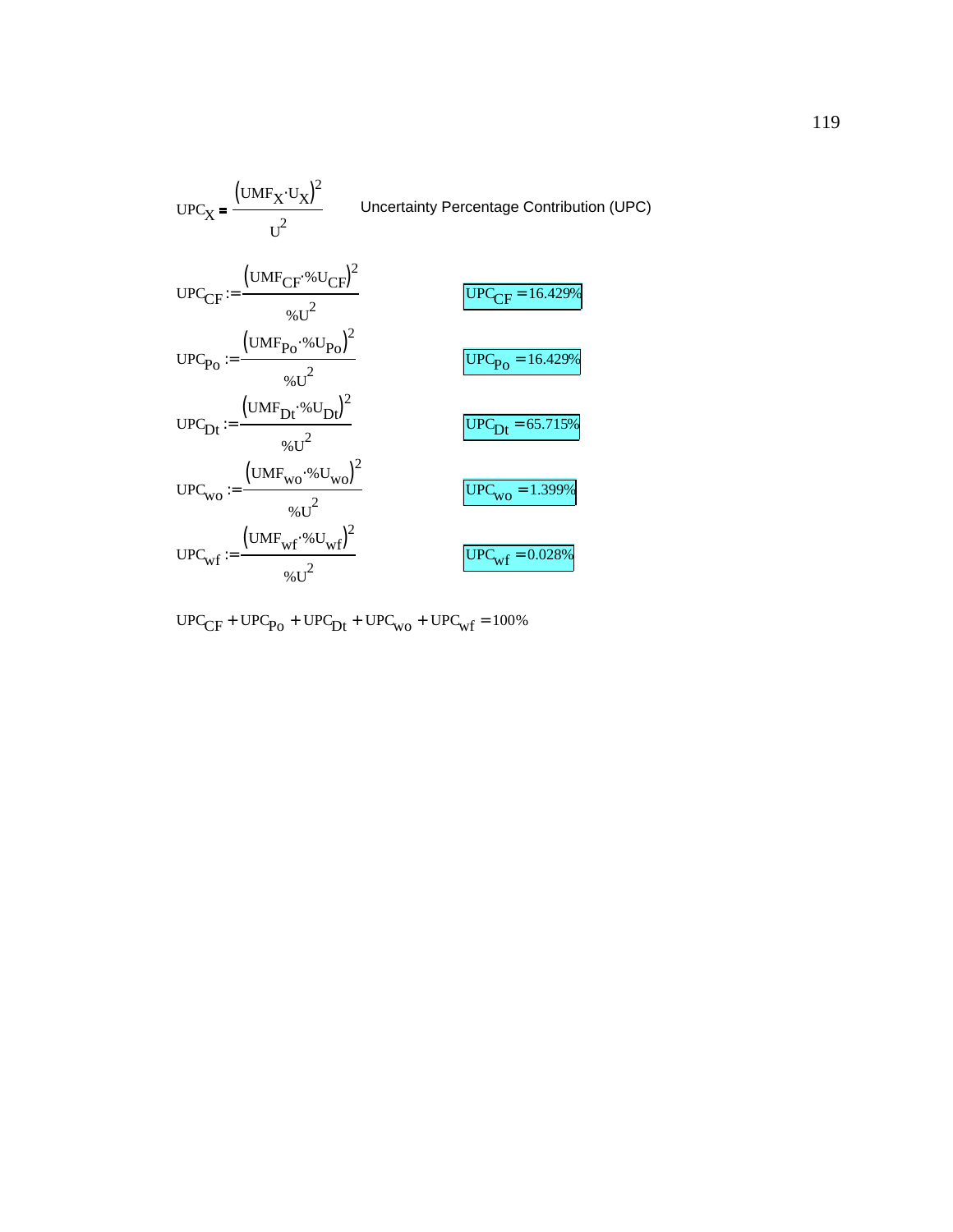UPCX UMFX UX ( ) <sup>⋅</sup> <sup>2</sup> U2 Uncertainty Percentage Contribution (UPC) UPCCF UMFCF %UCF ( ) <sup>⋅</sup> <sup>2</sup> %U2 := UPCCF = 16.429% UPCPo UMFPo %UPo ( ) <sup>⋅</sup> <sup>2</sup> %U2 := UPCPo = 16.429% UPCDt UMFDt %UDt ( ) <sup>⋅</sup> <sup>2</sup> %U2 := UPCDt = 65.715% UPCwo UMFwo %Uwo ( ) <sup>⋅</sup> <sup>2</sup> %U2 := UPCwo = 1.399% UPCwf UMFwf %Uwf ( ) <sup>⋅</sup> <sup>2</sup> %U2 := UPCwf = 0.028%

$$
UPC_{CF} + UPC_{Po} + UPC_{Dt} + UPC_{wo} + UPC_{wf} = 100\%
$$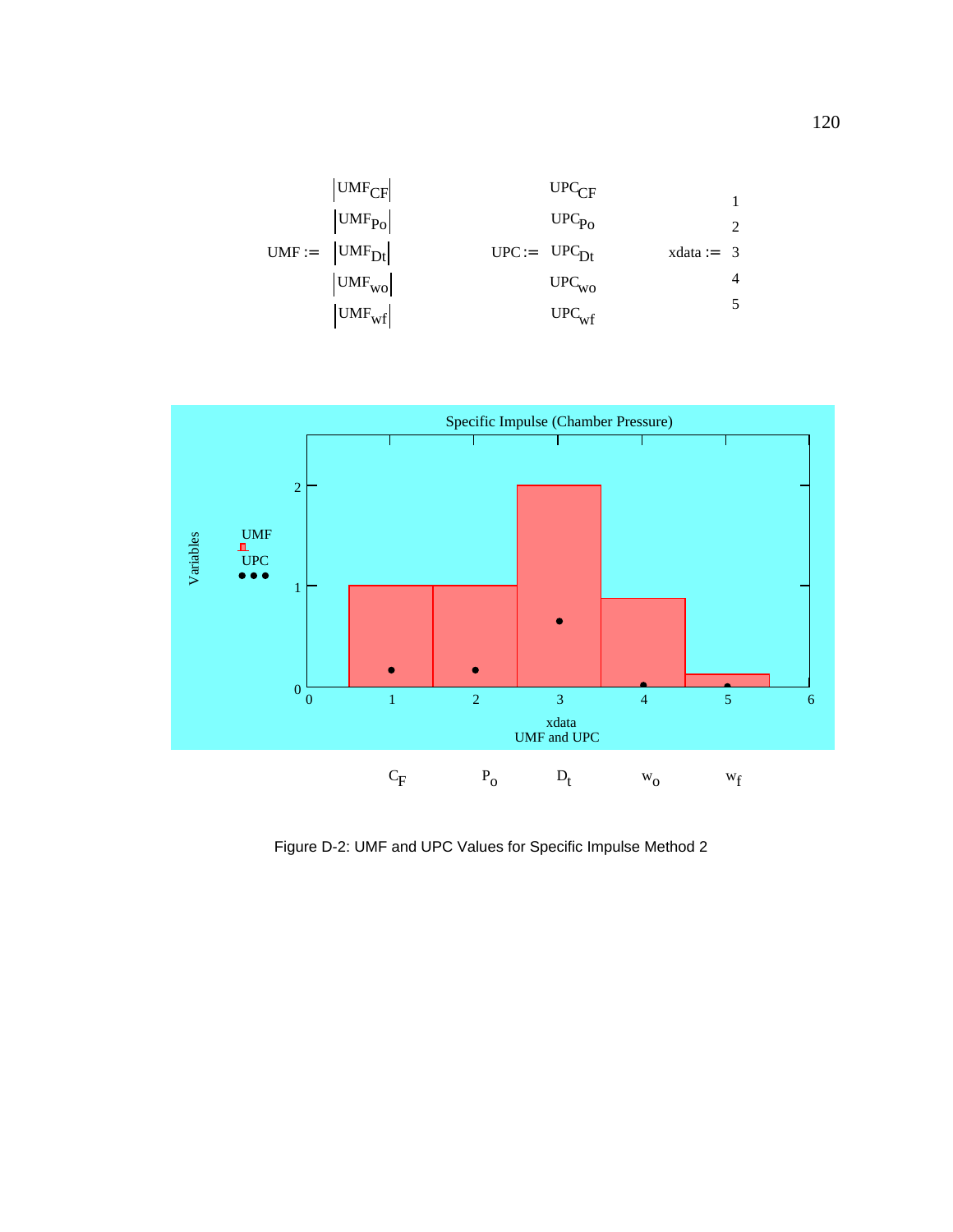



Figure D-2: UMF and UPC Values for Specific Impulse Method 2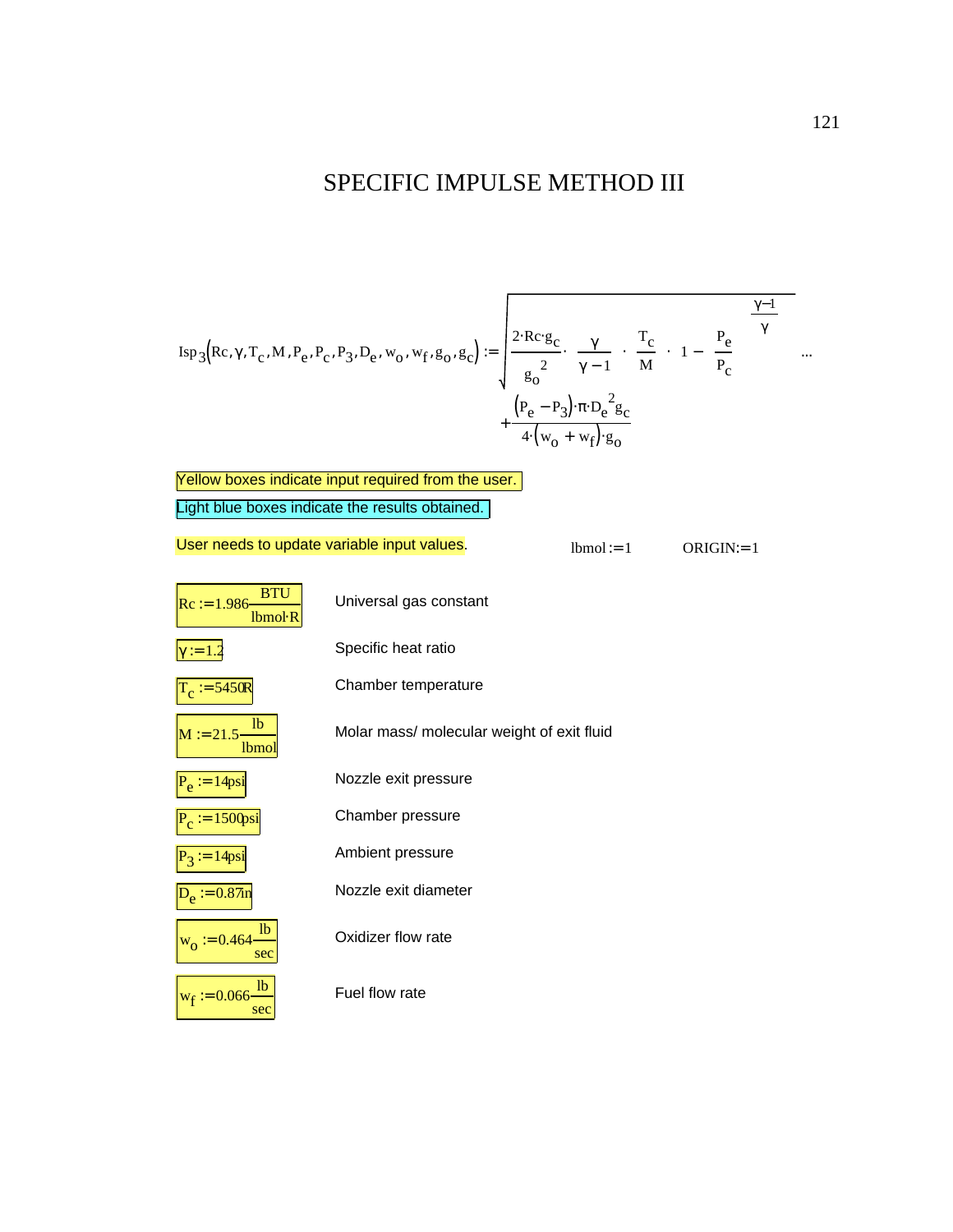## SPECIFIC IMPULSE METHOD III

$$
Isp_{3}(Rc, \gamma, T_{c}, M, P_{e}, P_{c}, P_{3}, D_{e}, w_{o}, w_{f}, g_{o}, g_{c}) := \sqrt{\frac{2 \cdot Rc \cdot g_{c}}{g_{o}^{2}} \cdot \left(\frac{\gamma}{\gamma - 1}\right) \left(\frac{T_{c}}{M}\right)} \left[1 - \left(\frac{P_{e}}{P_{c}}\right)^{\frac{\gamma - 1}{\gamma}}\right] \dots + \frac{\left(P_{e} - P_{3}\right) \cdot \pi \cdot D_{e}^{2} g_{c}}{4 \cdot \left(w_{o} + w_{f}\right) \cdot g_{o}}
$$

| Yellow boxes indicate input required from the user. |                                            |              |              |
|-----------------------------------------------------|--------------------------------------------|--------------|--------------|
| Light blue boxes indicate the results obtained.     |                                            |              |              |
| User needs to update variable input values.         |                                            | $lbmel := 1$ | $ORIGIN = 1$ |
| <b>BTU</b><br>$Rc := 1.986$<br>Ibmol <sub>R</sub>   | Universal gas constant                     |              |              |
| $\gamma := 1.2$                                     | Specific heat ratio                        |              |              |
| $T_c := 5450R$                                      | Chamber temperature                        |              |              |
| 1 <sub>b</sub><br>$M := 21.5 -$<br>lbmol            | Molar mass/ molecular weight of exit fluid |              |              |
| $P_e = 14$ psi                                      | Nozzle exit pressure                       |              |              |
| $:= 1500$ psi                                       | Chamber pressure                           |              |              |
| $P_3 := 14$ psi                                     | Ambient pressure                           |              |              |
| $D_e := 0.87$ in                                    | Nozzle exit diameter                       |              |              |
| lb<br>$w_0 = 0.464$<br>sec                          | Oxidizer flow rate                         |              |              |
| lb<br>$w_f := 0.066$<br>sec                         | Fuel flow rate                             |              |              |

 $\overline{\phantom{0}}$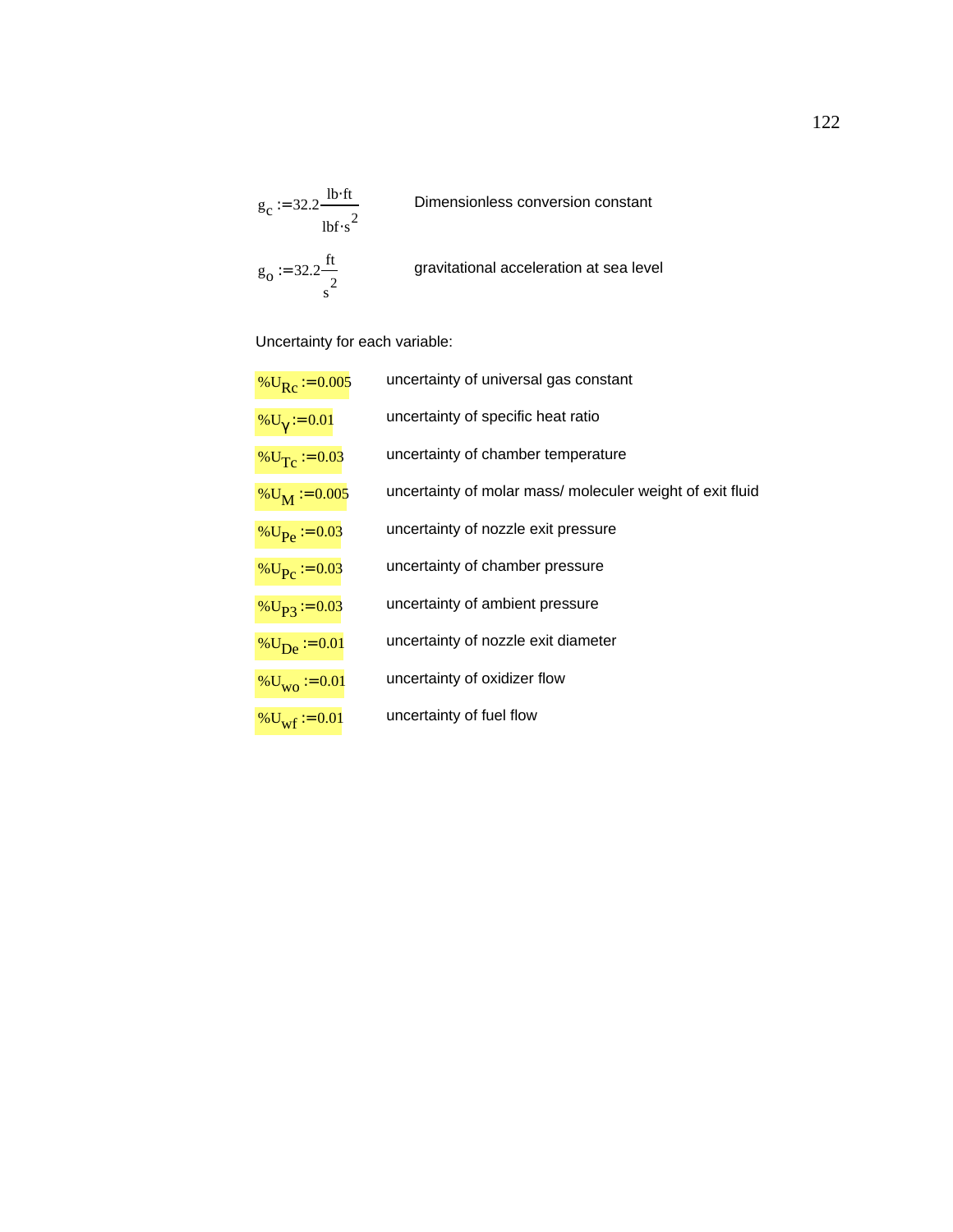$$
g_c := 32.2 \frac{\text{lb·ft}}{\text{lbf·s}^2}
$$
 Dimensionless conversion constant  
 $g_o := 32.2 \frac{\text{ft}}{\text{s}^2}$  gravitational acceleration at sea level

Uncertainty for each variable:

| % $U_{\rm Rc}$ = 0.005                        | uncertainty of universal gas constant                     |
|-----------------------------------------------|-----------------------------------------------------------|
| $\%$ U <sub><math>\gamma</math></sub> := 0.01 | uncertainty of specific heat ratio                        |
| % $U_T$ = 0.03                                | uncertainty of chamber temperature                        |
| $\%$ U <sub>M</sub> := 0.005                  | uncertainty of molar mass/ moleculer weight of exit fluid |
| % $U_{\text{Pe}} := 0.03$                     | uncertainty of nozzle exit pressure                       |
| % $U_{\text{P}_\text{C}} := 0.03$             | uncertainty of chamber pressure                           |
| % $U_{\text{P3}}$ = 0.03                      | uncertainty of ambient pressure                           |
| % $U_{\rm De}$ = 0.01                         | uncertainty of nozzle exit diameter                       |
| $\%$ U <sub>WO</sub> := 0.01                  | uncertainty of oxidizer flow                              |
| % $U_{\text{wf}}$ := 0.01                     | uncertainty of fuel flow                                  |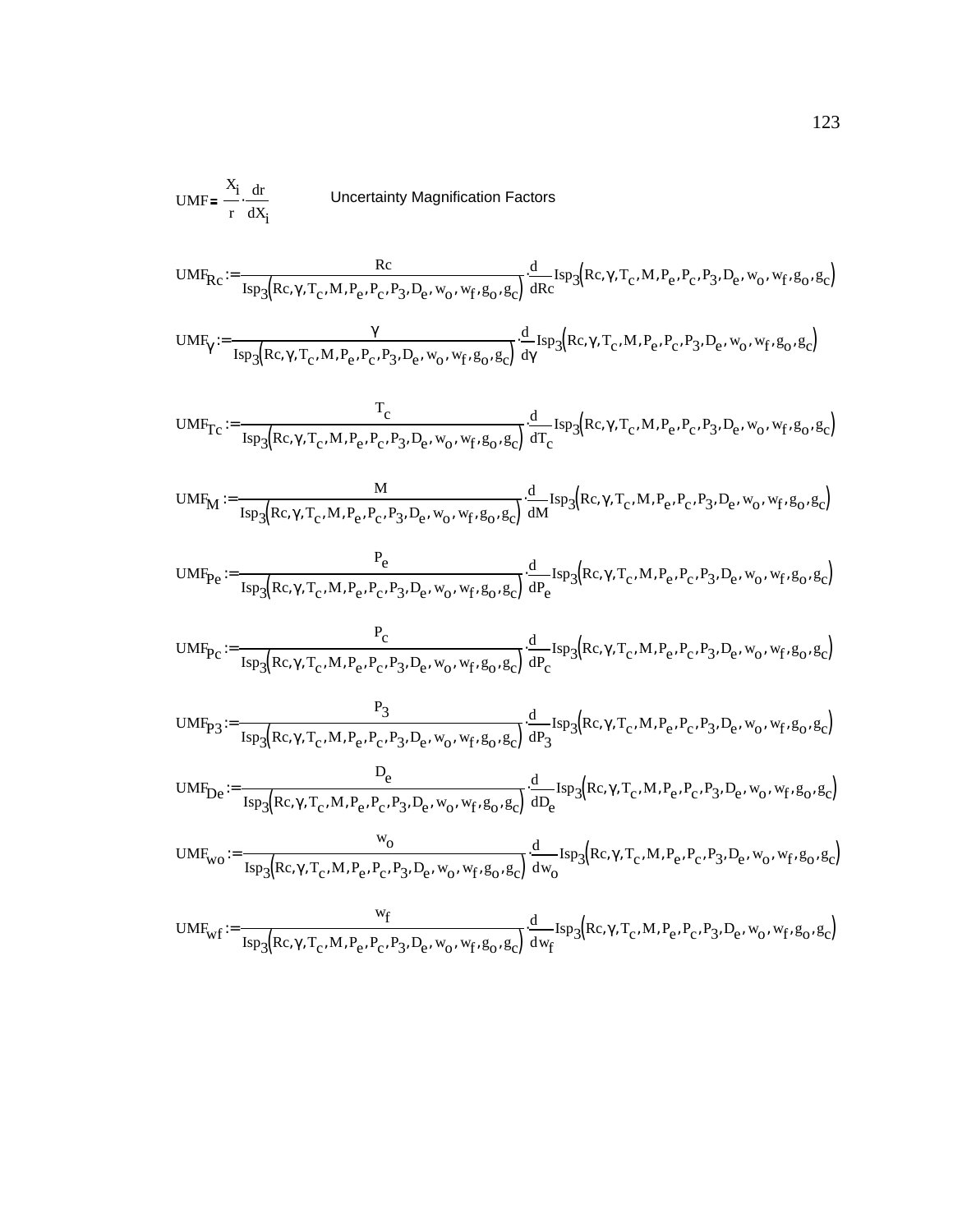UNF<sub>Rc</sub> := 
$$
\frac{R_c}{I_s \cdot dX_i}
$$

\nUncertainty Magnification Factors

\nUMF<sub>Rc</sub> :=  $\frac{Rc}{I_{sp_3}(Rc, \gamma, T_c, M, P_e, P_c, P_3, D_e, w_0, w_f, g_0, g_c)} \cdot \frac{d}{dRc} I_{sp_3}(Rc, \gamma, T_c, M, P_e, P_c, P_3, D_e, w_0, w_f, g_0, g_c)$ 

\nUMF<sub>T</sub> :=  $\frac{\gamma}{I_{sp_3}(Rc, \gamma, T_c, M, P_e, P_c, P_3, D_e, w_0, w_f, g_0, g_c)} \cdot \frac{d}{dY} I_{sp_3}(Rc, \gamma, T_c, M, P_e, P_c, P_3, D_e, w_0, w_f, g_0, g_c)$ 

\nUMF<sub>TC</sub> :=  $\frac{T_c}{I_{sp_3}(Rc, \gamma, T_c, M, P_e, P_c, P_3, D_e, w_0, w_f, g_0, g_c)} \cdot \frac{d}{dT_c} I_{sp_3}(Rc, \gamma, T_c, M, P_e, P_c, P_3, D_e, w_0, w_f, g_0, g_c)$ 

\nUMF<sub>M</sub> :=  $\frac{M}{I_{sp_3}(Rc, \gamma, T_c, M, P_e, P_c, P_3, D_e, w_0, w_f, g_0, g_c)} \cdot \frac{d}{dM} I_{sp_3}(Rc, \gamma, T_c, M, P_e, P_c, P_3, D_e, w_0, w_f, g_0, g_c)$ 

\nUMF<sub>P<sub>e</sub></sub> :=  $\frac{P_c}{I_{sp_3}(Rc, \gamma, T_c, M, P_e, P_c, P_3, D_e, w_0, w_f, g_0, g_c)} \cdot \frac{d}{dP_e} I_{sp_3}(Rc, \gamma, T_c, M, P_e, P_c, P_3, D_e, w_0, w_f, g_0, g_c)$ 

\nUMF<sub>P<sub>C</sub></sub> :=  $\frac{P_c}{I_{sp_3}(Rc, \gamma, T_c, M, P_e, P_c, P_3, D_e, w_0, w_f, g_0, g_c)} \cdot \frac{d}{dP_e} I_{sp_3}(Rc, \gamma, T_c, M, P_e, P_c, P_$ 

$$
UMF_{Pc} := \frac{P_c}{\text{Isp}_3(\text{Re}, \gamma, T_c, M, P_e, P_c, P_3, D_e, w_0, w_f, g_0, g_c)} \cdot \frac{d}{dP_c} \text{Isp}_3(\text{Re}, \gamma, T_c, M, P_e, P_c, P_3, D_e, w_0, w_f, g_0, g_c)
$$

$$
UMF_{P3} := \frac{P_3}{\text{Isp}_3(\text{Rc}, \gamma, T_c, M, P_e, P_c, P_3, D_e, w_0, w_f, g_0, g_c)} \cdot \frac{d}{dP_3} \text{Isp}_3(\text{Rc}, \gamma, T_c, M, P_e, P_c, P_3, D_e, w_0, w_f, g_0, g_c)
$$

$$
UMF_{De} := \frac{D_e}{\text{Isp}_3(\text{Re}, \gamma, T_c, M, P_e, P_c, P_3, D_e, w_0, w_f, g_0, g_c)} \cdot \frac{d}{dD_e} \text{Isp}_3(\text{Re}, \gamma, T_c, M, P_e, P_c, P_3, D_e, w_0, w_f, g_0, g_c)
$$

$$
UMF_{wo} := \frac{w_0}{\text{Isp}_3(\text{Rc}, \gamma, T_c, M, P_e, P_c, P_3, D_e, w_0, w_f, g_0, g_c)} \cdot \frac{d}{dw_0} \text{Isp}_3(\text{Rc}, \gamma, T_c, M, P_e, P_c, P_3, D_e, w_0, w_f, g_0, g_c)
$$

$$
\text{UMF}_{\text{wf}} := \frac{\text{w}_{\text{f}}}{\text{Isp}_{3}\left(\text{Re}, \gamma, \text{T}_{\text{c}}, \text{M}, \text{P}_{\text{e}}, \text{P}_{\text{c}}, \text{P}_{3}, \text{D}_{\text{e}}, \text{w}_{\text{0}}, \text{w}_{\text{f}}, \text{g}_{\text{O}}, \text{g}_{\text{c}}\right)} \cdot \frac{\text{d}}{\text{d}\text{w}_{\text{f}}}\text{Isp}_{3}\left(\text{Re}, \gamma, \text{T}_{\text{c}}, \text{M}, \text{P}_{\text{e}}, \text{P}_{\text{c}}, \text{P}_{3}, \text{D}_{\text{e}}, \text{w}_{\text{O}}, \text{w}_{\text{f}}, \text{g}_{\text{O}}, \text{g}_{\text{c}}\right)}
$$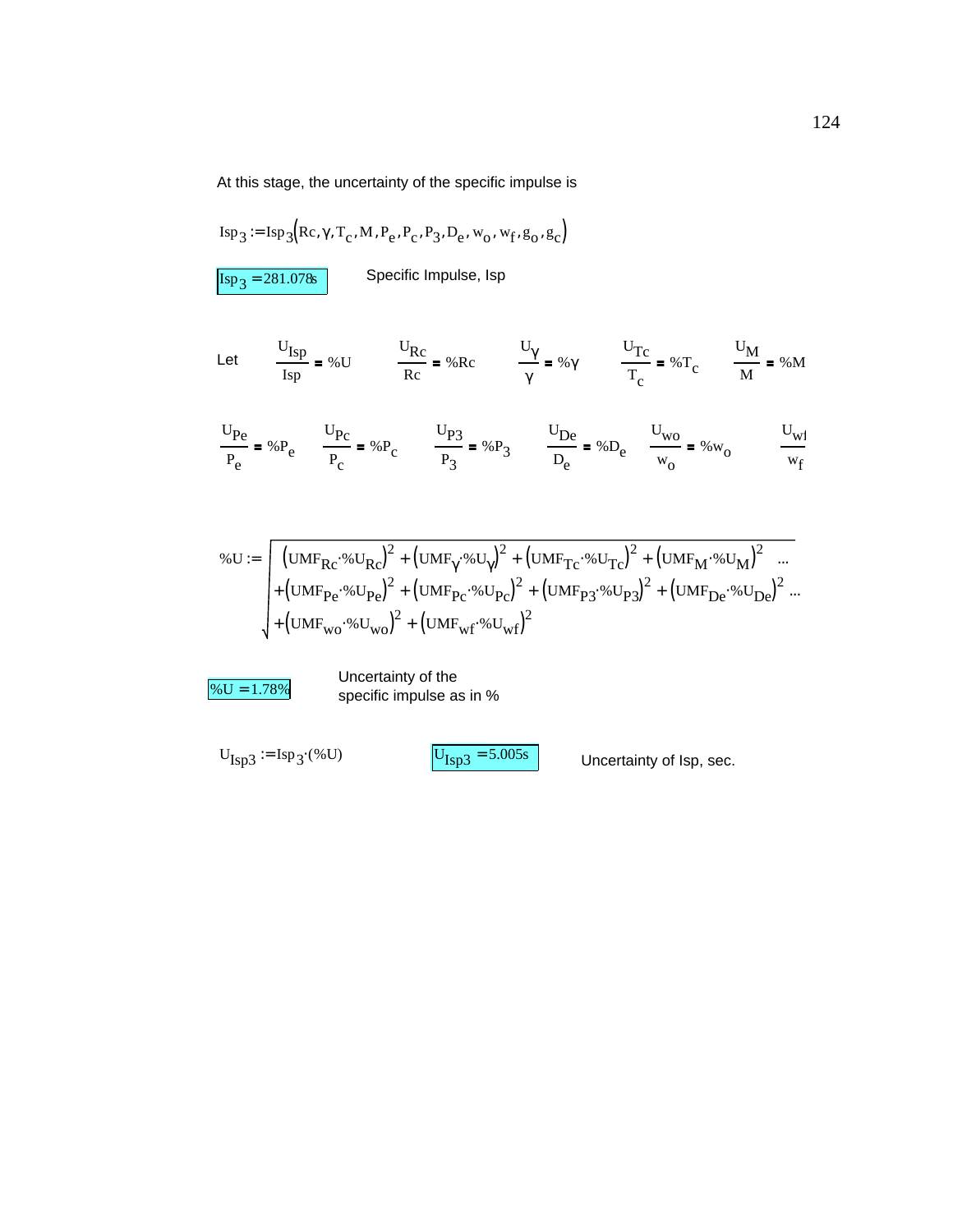At this stage, the uncertainty of the specific impulse is

$$
Isp_3 := Isp_3(Rc, \gamma, T_c, M, P_e, P_c, P_3, D_e, w_0, w_f, g_0, g_c)
$$

 $\boxed{\text{Isp}_3 = 281.078\text{s}}$  Specific Impulse, Isp

Let 
$$
\frac{U_{\text{Isp}}}{I_{\text{sp}}} = \% U
$$
  $\frac{U_{\text{Rc}}}{I_{\text{Rc}}} = \% R_{\text{C}}$   $\frac{U_{\gamma}}{\gamma} = \% \gamma$   $\frac{U_{\text{Tc}}}{T_{\text{c}}} = \% T_{\text{c}}$   $\frac{U_{\text{M}}}{M} = \% M$ 

$$
\frac{U_{\text{Pe}}}{P_{\text{e}}} = \%P_{\text{e}} \qquad \frac{U_{\text{P}}}{P_{\text{c}}} = \%P_{\text{c}} \qquad \frac{U_{\text{P}}}{P_{\text{3}}} = \%P_{\text{3}} \qquad \frac{U_{\text{De}}}{D_{\text{e}}} = \%D_{\text{e}} \qquad \frac{U_{\text{wo}}}{W_{\text{0}}} = \%W_{\text{0}} \qquad \frac{U_{\text{wi}}}{W_{\text{f}}}
$$

$$
\% \mathbf{U} := \sqrt{\left[ \left( \mathbf{U} \mathbf{M} \mathbf{F}_{\mathbf{R} \mathbf{C}} \cdot \mathbf{W} \mathbf{U}_{\mathbf{R} \mathbf{C}} \right)^2 + \left( \mathbf{U} \mathbf{M} \mathbf{F}_{\gamma} \cdot \mathbf{W} \mathbf{U}_{\gamma} \right)^2 + \left( \mathbf{U} \mathbf{M} \mathbf{F}_{\mathbf{T} \mathbf{C}} \cdot \mathbf{W} \mathbf{U}_{\mathbf{T} \mathbf{C}} \right)^2 + \left( \mathbf{U} \mathbf{M} \mathbf{F}_{\mathbf{M}} \cdot \mathbf{W} \mathbf{U}_{\mathbf{M}} \right)^2 \right] \dots} + \left( \mathbf{U} \mathbf{M} \mathbf{F}_{\mathbf{P} \mathbf{C}} \cdot \mathbf{W} \mathbf{U}_{\mathbf{P} \mathbf{C}} \right)^2 + \left( \mathbf{U} \mathbf{M} \mathbf{F}_{\mathbf{P} \mathbf{C}} \cdot \mathbf{W} \mathbf{U}_{\mathbf{P} \mathbf{C}} \right)^2 + \left( \mathbf{U} \mathbf{M} \mathbf{F}_{\mathbf{P} \mathbf{S}} \cdot \mathbf{W} \mathbf{U}_{\mathbf{P} \mathbf{3}} \right)^2 + \left( \mathbf{U} \mathbf{M} \mathbf{F}_{\mathbf{D} \mathbf{C}} \cdot \mathbf{W} \mathbf{U}_{\mathbf{D} \mathbf{C}} \right)^2 \dots + \left( \mathbf{U} \mathbf{M} \mathbf{F}_{\mathbf{W} \mathbf{O}} \cdot \mathbf{W} \mathbf{U}_{\mathbf{W} \mathbf{O}} \right)^2 + \left( \mathbf{U} \mathbf{M} \mathbf{F}_{\mathbf{W} \mathbf{O}} \cdot \mathbf{W} \mathbf{U}_{\mathbf{W} \mathbf{C}} \right)^2
$$

 $\frac{96 \text{U} = 1.78\%}{\text{specific impulse}}$ specific impulse as in %

 $U_{\text{Isp3}} := \text{Isp}_3 \cdot ( \text{W} U )$   $U_{\text{Isp3}} = 5.005 \text{s}$  Uncertainty of lsp, sec.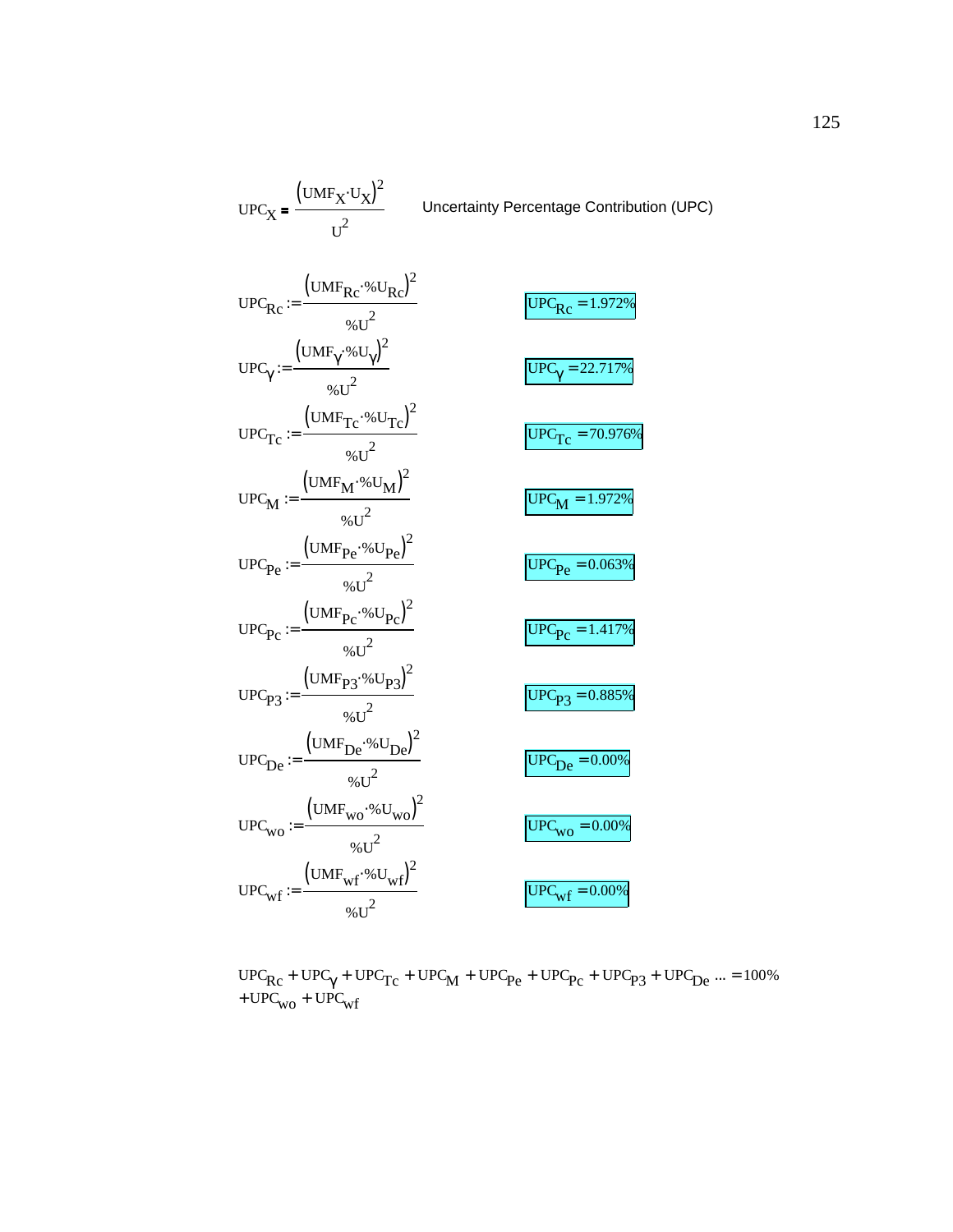| $UPC_X = \frac{(UMF_X \cdot U_X)^2}{U^2}$                                                                                                      | Uncertainty Percentage Contribution (UPC) |
|------------------------------------------------------------------------------------------------------------------------------------------------|-------------------------------------------|
| $UPC_{RC} := \frac{(UMF_{RC} \cdot \% U_{RC})}{\omega_{CUT}^2}$                                                                                | $\overline{UPC_{Rc}} = 1.972\%$           |
| $\text{UPC}_{\gamma} := \frac{\left(\text{UMF}_{\gamma} \cdot \% \text{U}_{\gamma}\right)^{2}}{ \left  \frac{\text{W}}{\text{W}} \right ^{2}}$ | $\overline{UPC_{\gamma}}$ = 22.717%       |
| $\text{UPC}_{\text{Tc}} := \frac{\left(\text{UMF}_{\text{Tc}} \cdot \% \text{U}_{\text{Tc}}\right)^2}{\omega_{6 \text{H}}^2}$                  | $\overline{UPC_{Tc}} = 70.976\%$          |
| $UPC_{M} := \frac{(UMF_{M} \cdot \% U_{M})^{2}}{Q \times T^{2}}$                                                                               | $UPCM = 1.972%$                           |
| $UPC_{Pe} := \frac{(UMF_{Pe} \cdot \% U_{Pe})^2}{2}$                                                                                           | $UPC_{\text{Pe}} = 0.063\%$               |
| $UPC_{\text{PC}} := \frac{(UMF_{\text{PC}} \cdot \% U_{\text{PC}})^2}{96.11^2}$                                                                | $UPC_{PC} = 1.417\%$                      |
| $UPC_{P3} := \frac{(UMF_{P3} \cdot \% U_{P3})^2}{96.11^2}$                                                                                     | $UPC_{P3} = 0.885\%$                      |
| $UPCDe := \frac{(UMFDe %UDe)2}{\sqrt{2}}$                                                                                                      | $UPC_{De} = 0.00\%$                       |
| $UPC_{\text{WO}} := \frac{(UMF_{\text{WO}} \cdot \% U_{\text{WO}})^2}{96.11^2}$                                                                | $UPC_{WO} = 0.00\%$                       |
| $UPC_{wf} := \frac{(UMF_{wf} \cdot 6U_{wf})^2}{96.17^2}$                                                                                       | $\overline{UPC_{wf}} = 0.00\%$            |

 $\text{UPC}_{\text{Rc}}$  +  $\text{UPC}_{\gamma}$  +  $\text{UPC}_{\text{Tc}}$  +  $\text{UPC}_{\text{M}}$  +  $\text{UPC}_{\text{Pe}}$  +  $\text{UPC}_{\text{Pc}}$  +  $\text{UPC}_{\text{P3}}$  +  $\text{UPC}_{\text{De}}$ +  $UPC_{WO}$  +  $UPC_{wf}$  $... = 100\%$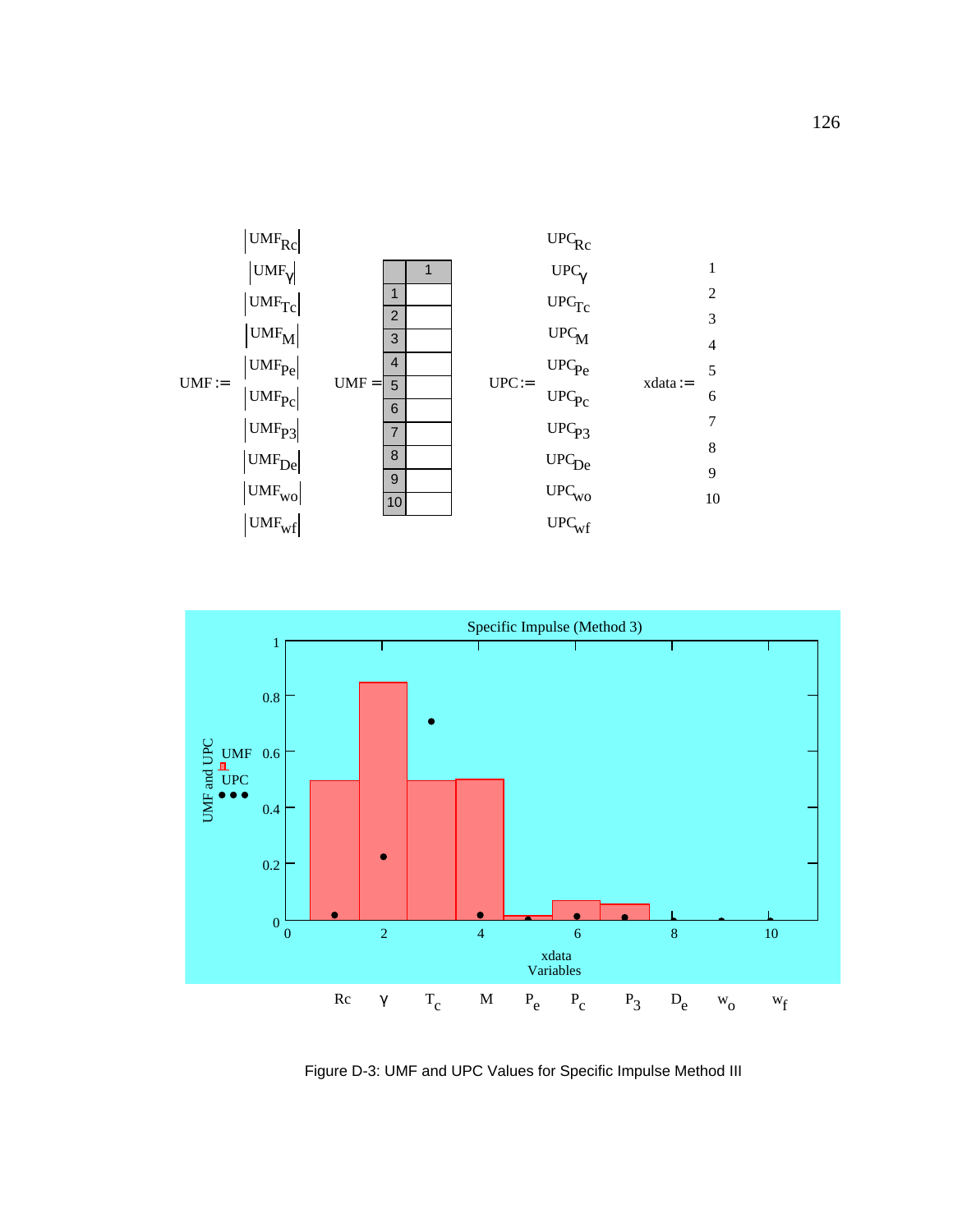



Figure D-3: UMF and UPC Values for Specific Impulse Method III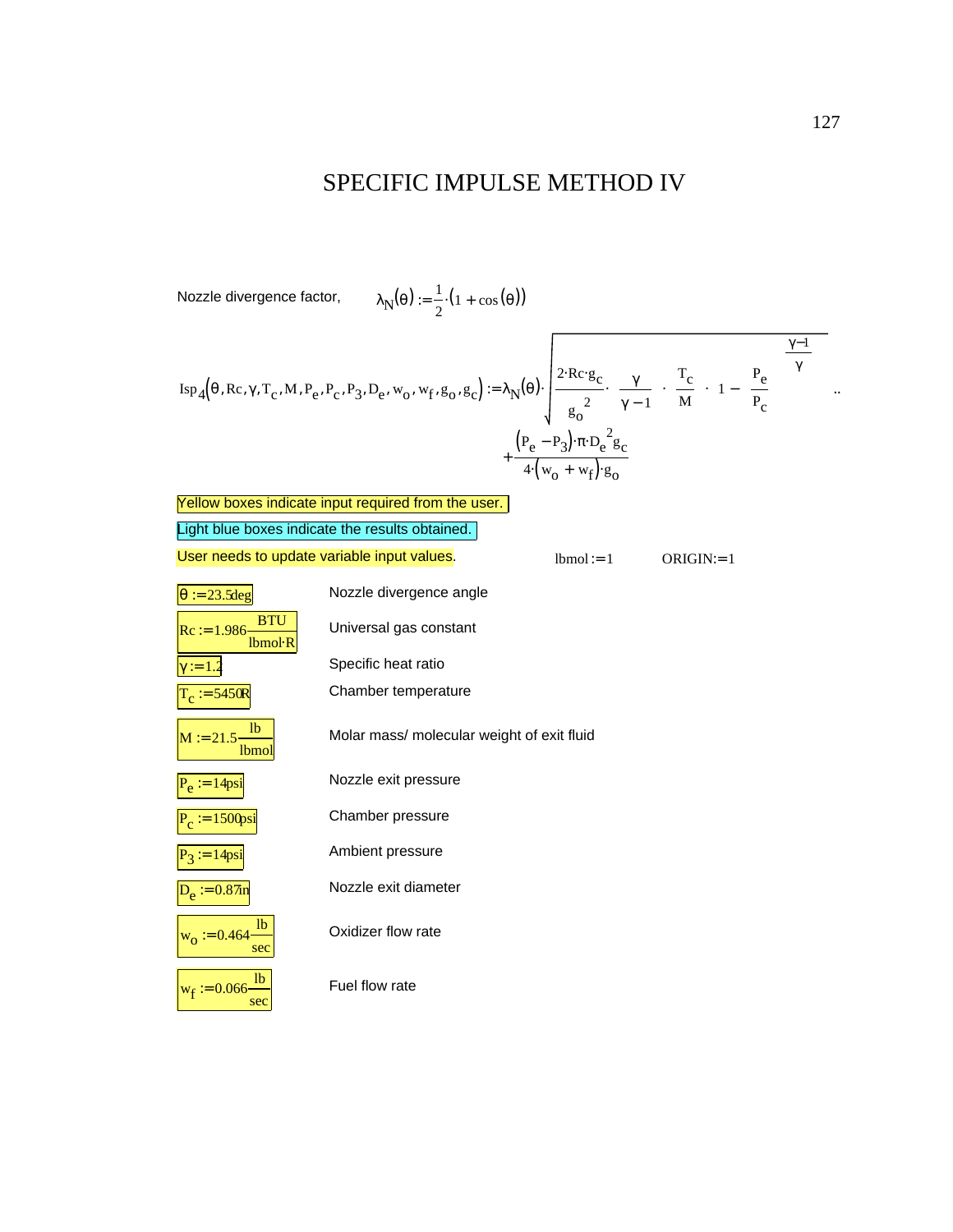#### SPECIFIC IMPULSE METHOD IV

 $\lambda_{\mathbf{N}}(\mathbf{\theta}) := \frac{1}{2}$ Nozzle divergence factor,  $\lambda_{\mathbf{N}}(\theta) := \frac{1}{2} \cdot (1 + \cos(\theta))$ 

$$
Isp_{4}(\theta, Re, \gamma, T_c, M, P_e, P_c, P_3, D_e, w_o, w_f, g_o, g_c) := \lambda_{N}(\theta) \cdot \sqrt{\frac{2 \cdot Re \cdot g_c}{g_o^{2}} \left(\frac{\gamma}{\gamma - 1}\right) \left(\frac{T_c}{M}\right)} \left[1 - \left(\frac{P_e}{P_c}\right)^{\frac{\gamma - 1}{\gamma}}\right] \cdot \frac{\left(\frac{\gamma - 1}{\gamma}\right)}{\left(\frac{P_e}{\gamma}\right)^{\gamma}} \right] \cdot \frac{\left(\frac{\gamma}{\gamma}\right)^{\gamma}}{\left(\frac{\gamma}{\gamma}\right)^{\gamma}}
$$

|                                                 | Yellow boxes indicate input required from the user. |              |              |
|-------------------------------------------------|-----------------------------------------------------|--------------|--------------|
| Light blue boxes indicate the results obtained. |                                                     |              |              |
| User needs to update variable input values.     |                                                     | $lbmol := 1$ | $ORIGIN = 1$ |
| $\theta$ := 23.5 deg                            | Nozzle divergence angle                             |              |              |
| <b>BTU</b><br>$Rc := 1.986$<br>Ibmol R          | Universal gas constant                              |              |              |
| $:= 1.2$                                        | Specific heat ratio                                 |              |              |
| $C_c := 5450R$                                  | Chamber temperature                                 |              |              |
| 1 <sub>b</sub><br>$M := 21.5$<br><b>lbmol</b>   | Molar mass/ molecular weight of exit fluid          |              |              |
| $P_e := 14$ psi                                 | Nozzle exit pressure                                |              |              |
| $\overline{P}_c := 1500 \text{psi}$             | Chamber pressure                                    |              |              |
| $P_3 := 14$ psi                                 | Ambient pressure                                    |              |              |
| $D_e := 0.87$ in                                | Nozzle exit diameter                                |              |              |
| <sup>1</sup><br>$w_0 = 0.464$<br>sec            | Oxidizer flow rate                                  |              |              |
| 1 <sub>b</sub><br>$w_f := 0.066$<br>sec         | Fuel flow rate                                      |              |              |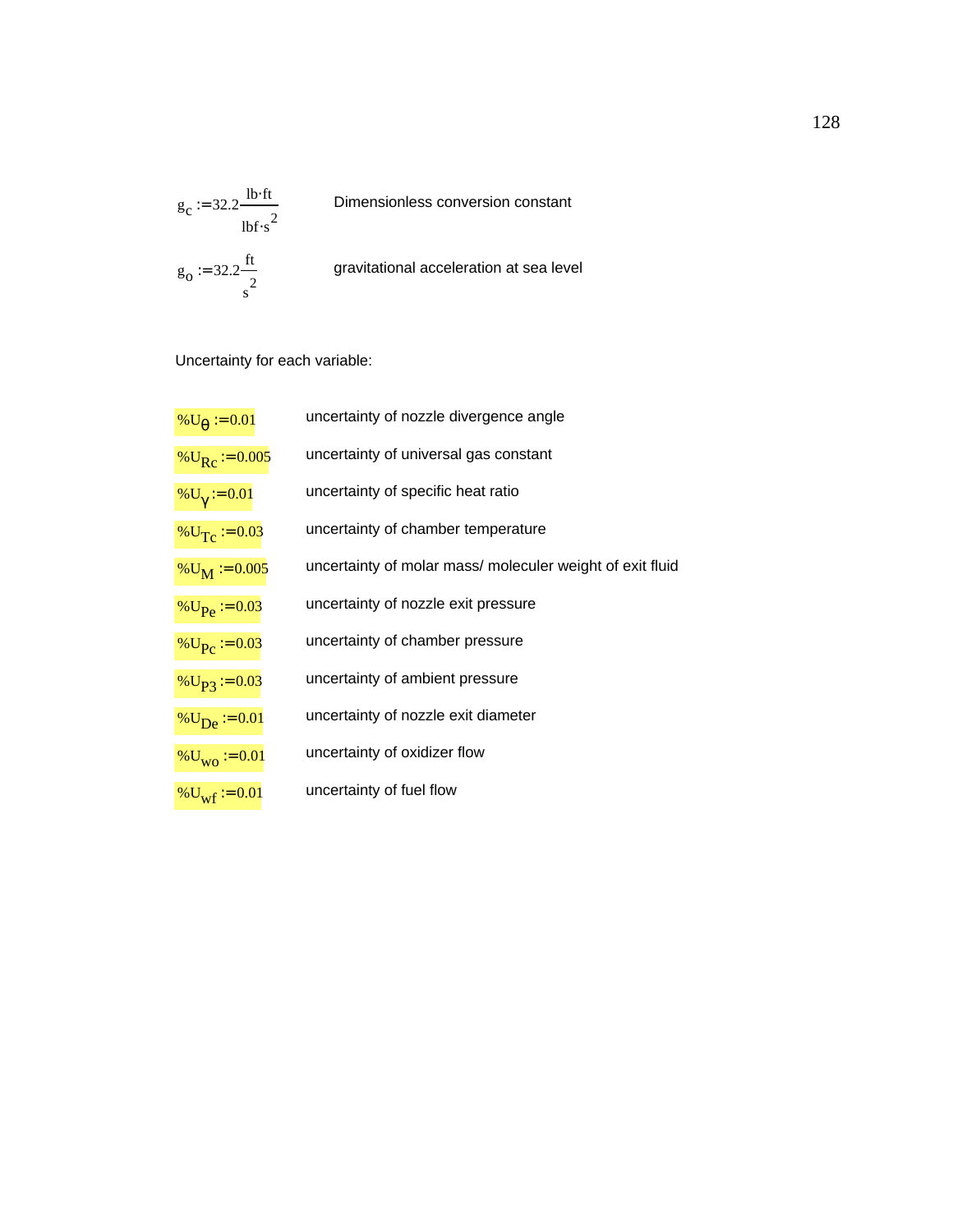

Uncertainty for each variable:

| % $U_{\theta} := 0.01$       | uncertainty of nozzle divergence angle                   |
|------------------------------|----------------------------------------------------------|
| % $U_{\text{Rc}}$ = 0.005    | uncertainty of universal gas constant                    |
| $\%U_{\gamma} := 0.01$       | uncertainty of specific heat ratio                       |
| % $U_T$ = 0.03               | uncertainty of chamber temperature                       |
| $\%U_M := 0.005$             | uncertainty of molar mass/moleculer weight of exit fluid |
| % $U_{\text{Pe}}$ = 0.03     | uncertainty of nozzle exit pressure                      |
| % $U_{\text{P}c}$ = 0.03     | uncertainty of chamber pressure                          |
| $\%$ U <sub>P3</sub> := 0.03 | uncertainty of ambient pressure                          |
| $\%U_{\text{De}} := 0.01$    | uncertainty of nozzle exit diameter                      |
| $\%$ U <sub>WO</sub> := 0.01 | uncertainty of oxidizer flow                             |
| % $U_{\text{wf}}$ = 0.01     | uncertainty of fuel flow                                 |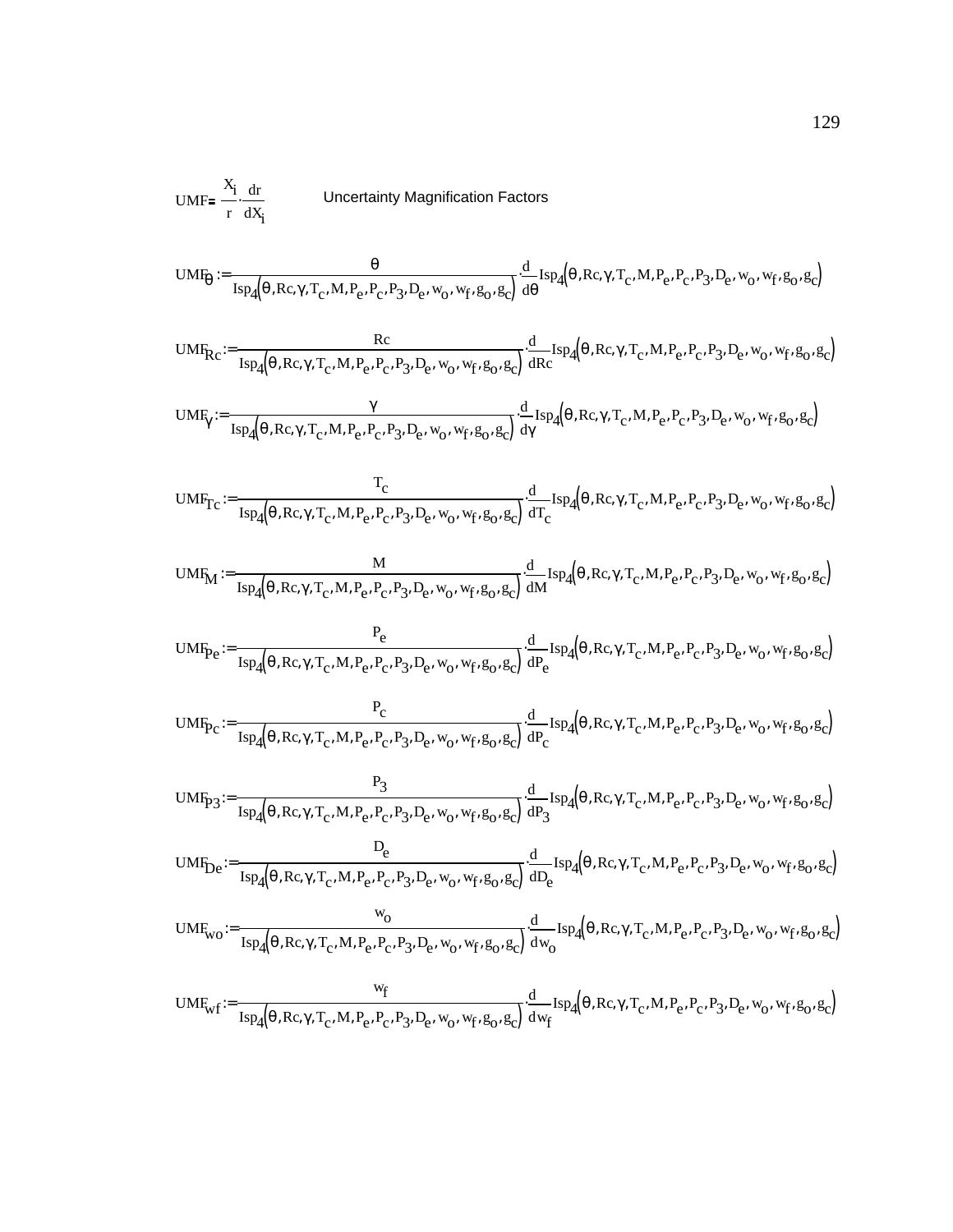UMF<sub>p</sub> = 
$$
\frac{x_1}{r}
$$
 dF  
\nUncoertainty Magnification Factors  
\nUMF<sub>0</sub> :=  $\frac{\theta}{\text{Isp}_4(\theta, \text{Re}, \gamma, T_c, M, P_c, P_c, P_3, D_c, w_0, w_f, g_0, g_c))}$   
\nd<sub>1</sub> s<sub>P</sub>4 $(\theta, \text{Re}, \gamma, T_c, M, P_c, P_c, P_3, D_c, w_0, w_f, g_0, g_c)$   
\nUMF<sub>R</sub> :=  $\frac{Rc}{\text{Isp}_4(\theta, \text{Re}, \gamma, T_c, M, P_c, P_c, P_3, D_c, w_0, w_f, g_0, g_c))}$   
\nd<sub>1</sub> s<sub>P</sub>4 $(\theta, \text{Re}, \gamma, T_c, M, P_c, P_c, P_3, D_c, w_0, w_f, g_0, g_c)$   
\n $\frac{\gamma}{\text{Isp}_4(\theta, \text{Re}, \gamma, T_c, M, P_c, P_c, P_3, D_c, w_0, w_f, g_0, g_c)}$   
\n $\frac{\gamma}{\text{Isp}_4(\theta, \text{Re}, \gamma, T_c, M, P_c, P_c, P_3, D_c, w_0, w_f, g_0, g_c)} = \frac{d}{d\gamma} \text{Isp}_4(\theta, \text{Re}, \gamma, T_c, M, P_c, P_c, P_3, D_c, w_0, w_f, g_0, g_c)$   
\n $\text{UMF}_{Tc} := \frac{T_c}{\text{Isp}_4(\theta, \text{Re}, \gamma, T_c, M, P_c, P_c, P_3, D_c, w_0, w_f, g_0, g_c)} \frac{d}{d\tau} \text{Isp}_4(\theta, \text{Re}, \gamma, T_c, M, P_c, P_c, P_3, D_c, w_0, w_f, g_0, g_c)$   
\n $\text{UMF}_{Tc} := \frac{R}{\text{Isp}_4(\theta, \text{Re}, \gamma, T_c, M, P_c, P_c, P_3, D_c, w_0, w_f, g_0, g_c)} \frac{d}{d\tau} \text{Isp}_4(\theta, \text{Re}, \gamma, T_c, M, P_c, P_c, P_3, D_c, w_0, w_f, g_0, g_c)$   
\n $\text{UM$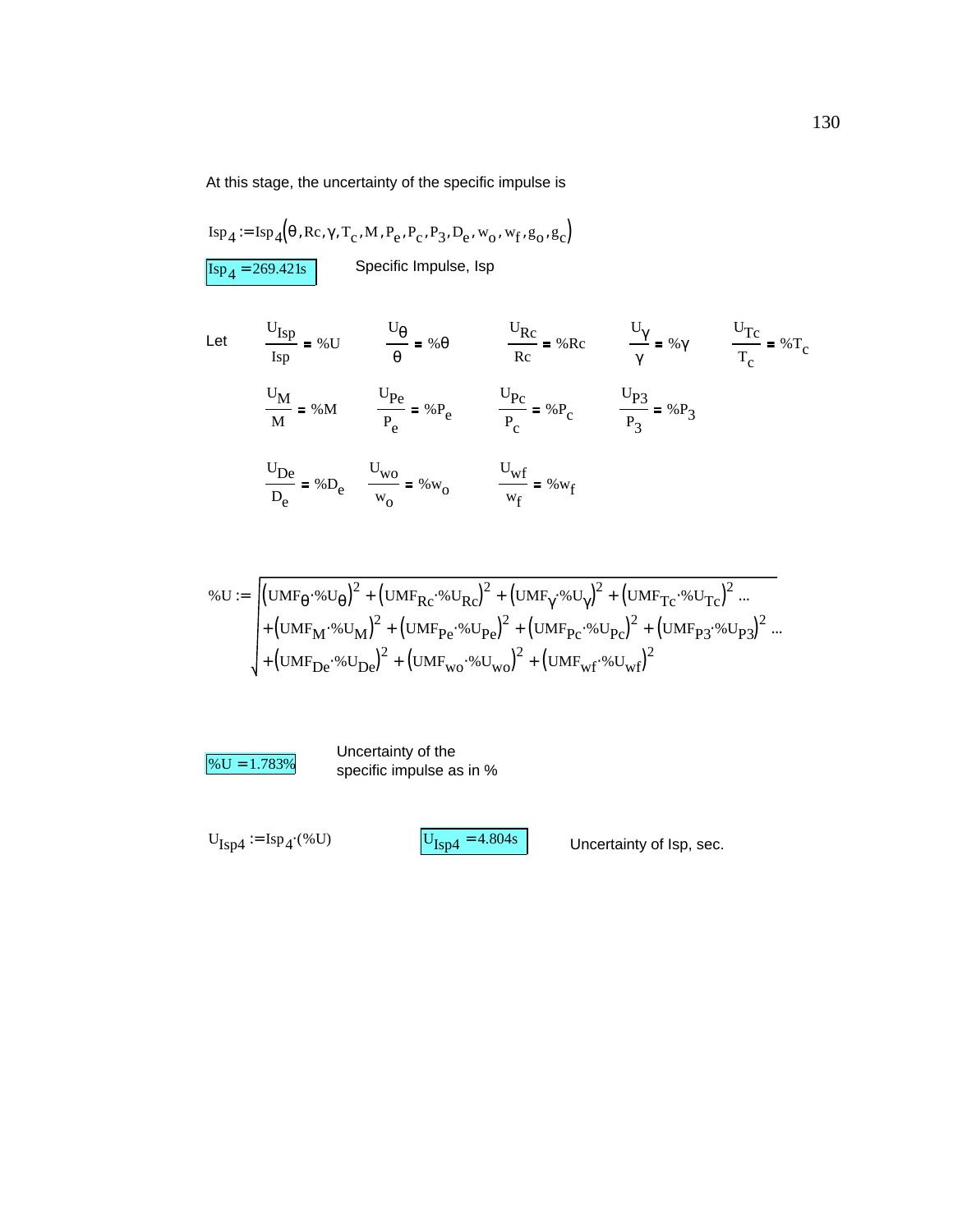At this stage, the uncertainty of the specific impulse is

$$
Isp_4 := Isp_4(\theta, Re, \gamma, T_c, M, P_e, P_c, P_3, D_e, w_0, w_f, g_0, g_c)
$$
  

$$
Isp_4 = 269.421s
$$
 Specific Impulse, Isp

Let 
$$
\frac{U_{Isp}}{Isp} = \% U
$$
  $\frac{U_{\theta}}{\theta} = \% \theta$   $\frac{U_{Rc}}{Rc} = \% R c$   $\frac{U_{\gamma}}{\gamma} = \% \gamma$   $\frac{U_{Tc}}{T_c} = \% T_c$   
 $\frac{U_M}{M} = \% M$   $\frac{U_{Pe}}{P_e} = \% P_e$   $\frac{U_{Pc}}{P_c} = \% P_c$   $\frac{U_{P3}}{P_3} = \% P_3$   
 $\frac{U_{De}}{D_e} = \% D_e$   $\frac{U_{wo}}{W_0} = \% W_0$   $\frac{U_{wf}}{W_f} = \% W_f$ 

$$
\% \mathbf{U} := \begin{cases} \left( \mathbf{U} \mathbf{M} \mathbf{F}_{\theta} \cdot \mathbf{W} \mathbf{U}_{\theta} \right)^{2} + \left( \mathbf{U} \mathbf{M} \mathbf{F}_{\mathbf{R} \mathbf{C}} \cdot \mathbf{W} \mathbf{U}_{\mathbf{R} \mathbf{C}} \right)^{2} + \left( \mathbf{U} \mathbf{M} \mathbf{F}_{\gamma} \cdot \mathbf{W} \mathbf{U}_{\gamma} \right)^{2} + \left( \mathbf{U} \mathbf{M} \mathbf{F}_{\gamma} \mathbf{C} \cdot \mathbf{W} \mathbf{U}_{\gamma} \right)^{2} \dots \\ + \left( \mathbf{U} \mathbf{M} \mathbf{F}_{\mathbf{M}} \cdot \mathbf{W} \mathbf{U}_{\mathbf{M}} \right)^{2} + \left( \mathbf{U} \mathbf{M} \mathbf{F}_{\mathbf{P} \mathbf{C}} \cdot \mathbf{W} \mathbf{U}_{\mathbf{P} \mathbf{C}} \right)^{2} + \left( \mathbf{U} \mathbf{M} \mathbf{F}_{\mathbf{P} \mathbf{C}} \cdot \mathbf{W} \mathbf{U}_{\mathbf{P} \mathbf{C}} \right)^{2} + \left( \mathbf{U} \mathbf{M} \mathbf{F}_{\mathbf{P} \mathbf{C}} \cdot \mathbf{W} \mathbf{U}_{\mathbf{P} \mathbf{C}} \right)^{2} + \left( \mathbf{U} \mathbf{M} \mathbf{F}_{\mathbf{D} \mathbf{C}} \cdot \mathbf{W} \mathbf{U}_{\mathbf{D} \mathbf{C}} \right)^{2} + \left( \mathbf{U} \mathbf{M} \mathbf{F}_{\mathbf{W} \mathbf{C}} \cdot \mathbf{W} \mathbf{U}_{\mathbf{W} \mathbf{C}} \right)^{2} + \left( \mathbf{U} \mathbf{M} \mathbf{F}_{\mathbf{W} \mathbf{C}} \cdot \mathbf{W} \mathbf{U}_{\mathbf{W} \mathbf{C}} \right)^{2} \end{cases}
$$

 $% U = 1.783\%$  Uncertainty of the specific impulse as specific impulse as in %

$$
U_{\text{Isp4}} := \text{Isp}_4(%U)
$$

 $\text{U}_{\text{Isp4}} = \text{Isp}_4 \cdot (\% \text{U})$   $\qquad \qquad \text{U}_{\text{Isp4}} = 4.804 \text{s}$  Uncertainty of Isp, sec.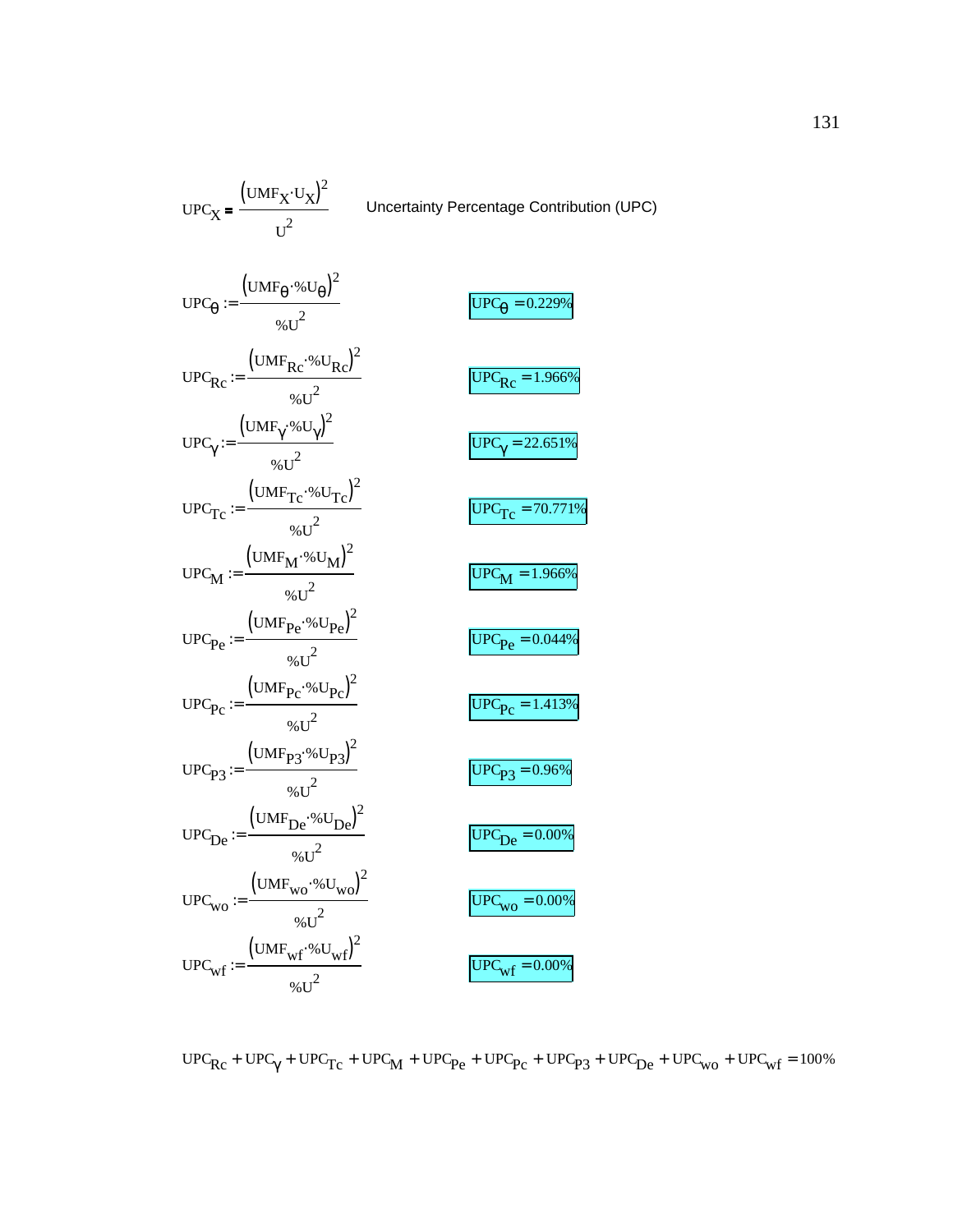$$
UPC_X = \frac{(UMF_X \cdot U_X)^2}{U^2}
$$
Uncertainty Percentage Contribution (UPC)  
\n
$$
UPC_{\theta} := \frac{(UMF_{\theta} \cdot %U_{\theta})^2}{%U^2}
$$
  
\n
$$
UPC_{\theta} := \frac{(UMF_{Rc} \cdot %U_{Rc})^2}{%U^2}
$$
  
\n
$$
UPC_{\theta} = \frac{(UMF_{\theta} \cdot %U_{\theta})^2}{%U^2}
$$
  
\n
$$
UPC_{\theta} = \frac{(UMF_{\theta} \cdot %U_{\theta})^2}{%U^2}
$$
  
\n
$$
UPC_{\theta} = \frac{(UMF_{\theta} \cdot %U_{\theta})^2}{%U^2}
$$
  
\n
$$
UPC_{\theta} = \frac{(UMF_{M} \cdot %U_{M})^2}{%U^2}
$$
  
\n
$$
UPC_{\theta} = \frac{(UMF_{M} \cdot %U_{\theta})^2}{%U^2}
$$
  
\n
$$
UPC_{\theta} = \frac{(UMF_{\theta} \cdot %U_{\theta})^2}{%U^2}
$$
  
\n
$$
UPC_{\theta} = \frac{(UMF_{\theta} \cdot %U_{\theta})^2}{%U^2}
$$
  
\n
$$
UPC_{\theta} = \frac{(UMF_{\theta} \cdot %U_{\theta})^2}{%U^2}
$$
  
\n
$$
UPC_{\theta} = \frac{(UMF_{\theta} \cdot %U_{\theta})^2}{%U^2}
$$
  
\n
$$
UPC_{\theta} = \frac{(UMF_{\theta} \cdot %U_{\theta})^2}{%U^2}
$$
  
\n
$$
UPC_{\theta} = \frac{(UMF_{\theta} \cdot %U_{\theta})^2}{%U^2}
$$
  
\n
$$
UPC_{\theta} = \frac{(UMF_{\theta} \cdot %U_{\theta})^2}{%U^2}
$$
  
\n
$$
UPC_{\theta} = \frac{(UMF_{\theta} \cdot %U_{\theta})^2}{%U^2}
$$
  
\n
$$
UPC_{\theta} = \frac{(UMF_{\theta} \cdot %U_{\theta})^2}{%U^2}
$$
  
\n
$$
UPC_{\theta} = \frac{(UMF_{\theta} \cdot %U_{\theta})^2}{%U^2}
$$
<

 $\text{UPC}_{\text{Rc}} + \text{UPC}_{\gamma} + \text{UPC}_{\text{TC}} + \text{UPC}_{\text{M}} + \text{UPC}_{\text{Pe}} + \text{UPC}_{\text{Pc}} + \text{UPC}_{\text{P3}} + \text{UPC}_{\text{De}} + \text{UPC}_{\text{wo}} + \text{UPC}_{\text{wf}} = 100\%$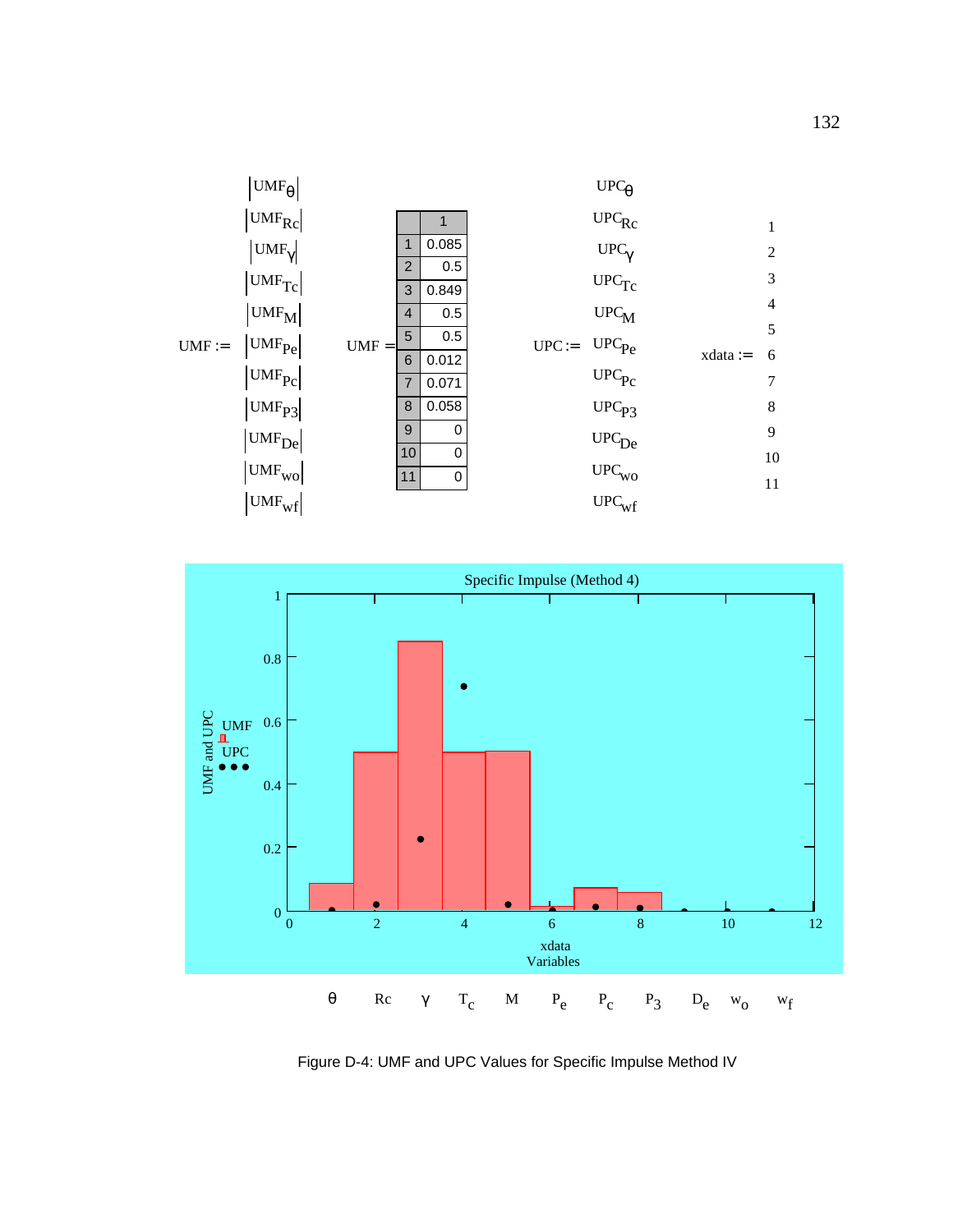



Figure D-4: UMF and UPC Values for Specific Impulse Method IV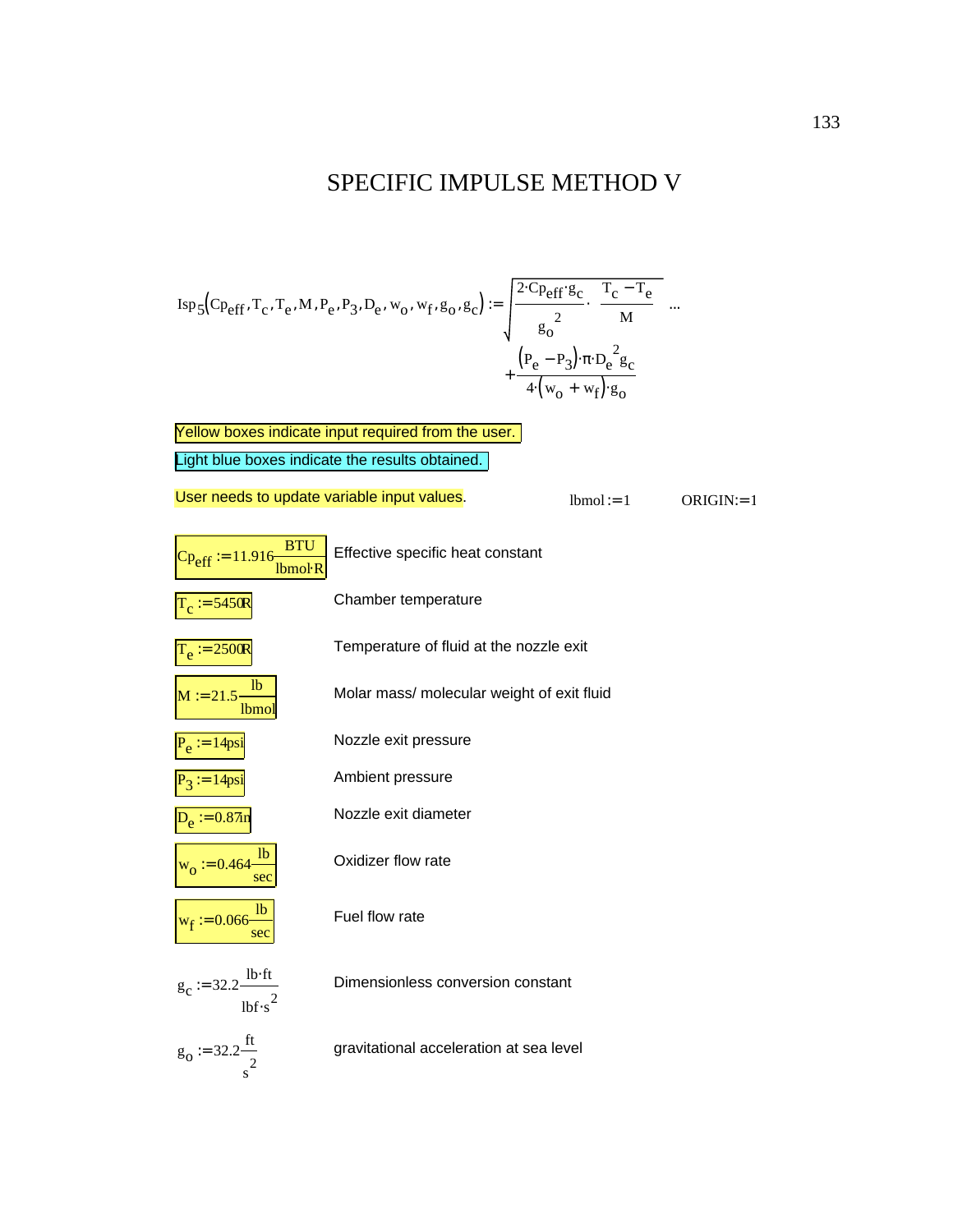## SPECIFIC IMPULSE METHOD V

Isp5 Cpeff Tc , Te , ,M Pe , P3 , De , wo , wf , go , gc ( ) , 2 Cpeff ⋅ gc ⋅ go 2 Tc Te − M <sup>⋅</sup> Pe P3 ( ) − ⋅π De 2 gc ⋅ 4 wo wf ⋅( ) <sup>+</sup> go <sup>⋅</sup> <sup>+</sup> := ...

Light blue boxes indicate the results obtained. Yellow boxes indicate input required from the user.

User needs to update variable input values.<br> $l_{\text{b}} = 1$  ORIGIN:= 1

| <b>BTU</b><br>$Cp_{eff} := 11.916-$<br>Ibmol <sub>R</sub> | Effective specific heat constant           |
|-----------------------------------------------------------|--------------------------------------------|
| $T_c = 5450R$                                             | Chamber temperature                        |
| $T_e = 2500R$                                             | Temperature of fluid at the nozzle exit    |
| lb<br>$M := 21.5$<br>lbmo.                                | Molar mass/ molecular weight of exit fluid |
| $P_e := 14$ psi                                           | Nozzle exit pressure                       |
| $P_3 = 14$ psi                                            | Ambient pressure                           |
| $D_e := 0.87$ in                                          | Nozzle exit diameter                       |
| 1 <sub>b</sub><br>$w_0 := 0.464$<br>sec                   | Oxidizer flow rate                         |
| $w_f := 0.066 \frac{lb}{ }$<br>sec                        | Fuel flow rate                             |
| $g_c := 32.2 \frac{\text{lb·ft}}{}$<br>$1b$ f·s           | Dimensionless conversion constant          |
| $g_0 := 32.2 \frac{ft}{2}$                                | gravitational acceleration at sea level    |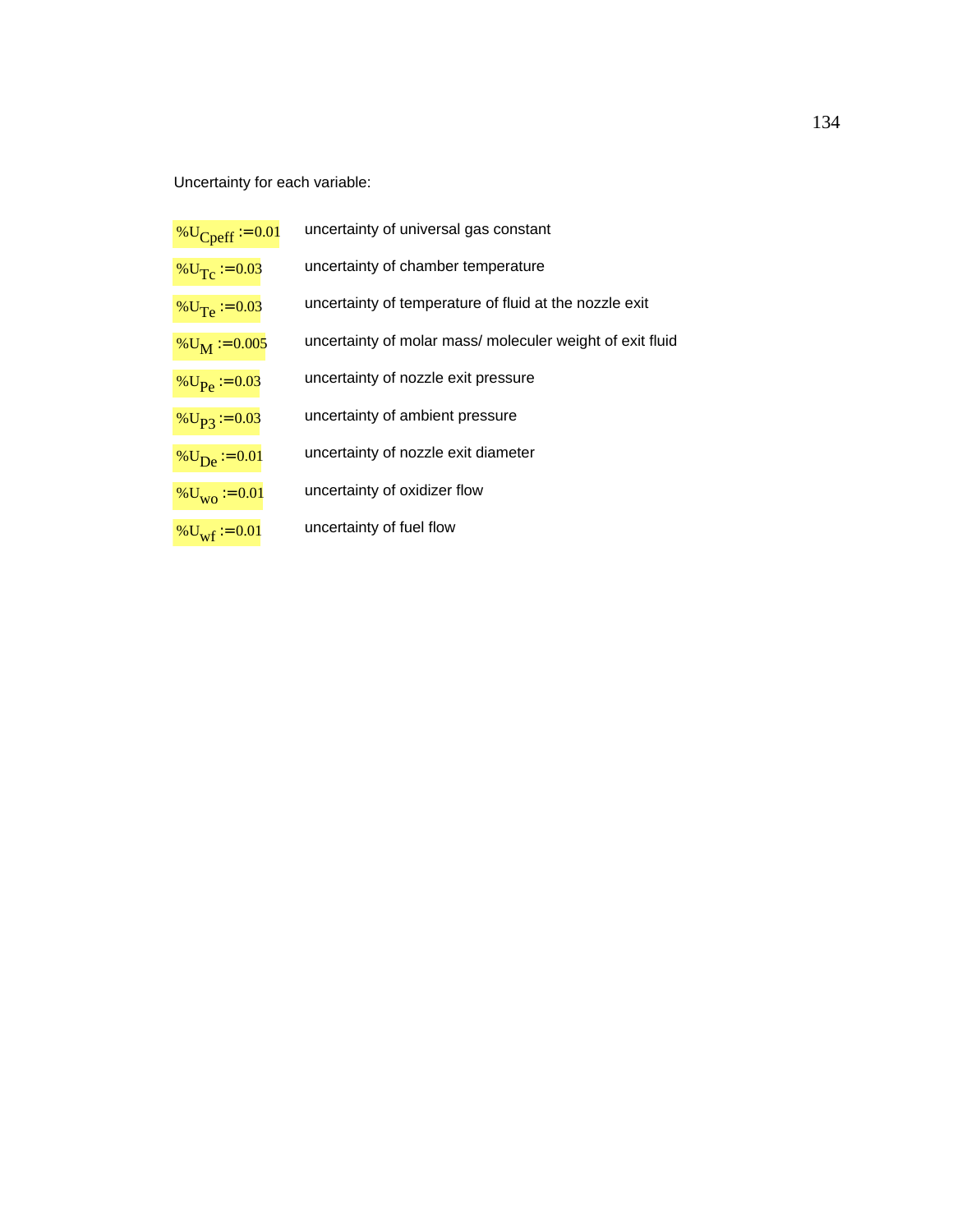Uncertainty for each variable:

| % $U_{Cperf} = 0.01$         | uncertainty of universal gas constant                     |
|------------------------------|-----------------------------------------------------------|
| % $U_T$ = 0.03               | uncertainty of chamber temperature                        |
| % $U_{Te} := 0.03$           | uncertainty of temperature of fluid at the nozzle exit    |
| $\%$ U <sub>M</sub> := 0.005 | uncertainty of molar mass/ moleculer weight of exit fluid |
| % $U_{\text{Pe}}$ = 0.03     | uncertainty of nozzle exit pressure                       |
| $\%$ U <sub>P3</sub> := 0.03 | uncertainty of ambient pressure                           |
| % $U_{\rm De} = 0.01$        | uncertainty of nozzle exit diameter                       |
| $\%U_{\text{WO}} := 0.01$    | uncertainty of oxidizer flow                              |
| % $U_{\text{wf}}$ = 0.01     | uncertainty of fuel flow                                  |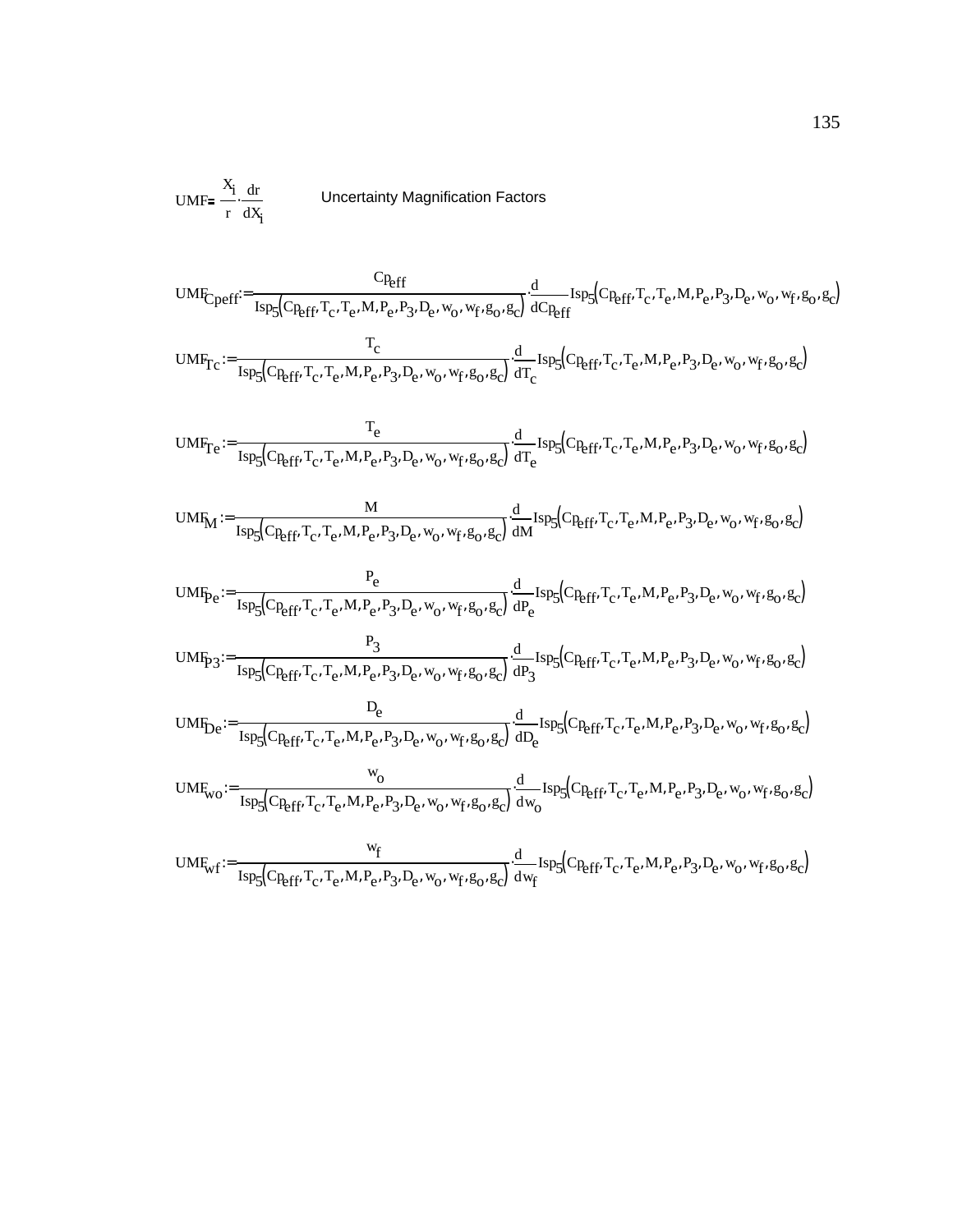$UMF = \frac{X_i}{X}$ r dr dXi **bumble Uncertainty Magnification Factors** 

$$
UMF_{Cperf} = \frac{C_{Reff}}{I_{SP5}(C_{Reff}, T_c, T_e, M, P_e, P_3, D_e, w_0, w_f, g_0, g_c)} \frac{d}{dC_{Reff}} I_{SP5}(C_{Reff}, T_c, T_e, M, P_e, P_3, D_e, w_0, w_f, g_0, g_c)
$$
\n
$$
UMF_{Tc} := \frac{T_c}{I_{SP5}(C_{Reff}, T_c, T_e, M, P_e, P_3, D_e, w_0, w_f, g_0, g_c)} \frac{d}{dT_c} I_{SP5}(C_{Reff}, T_c, T_e, M, P_e, P_3, D_e, w_0, w_f, g_0, g_c)
$$
\n
$$
UMF_{Tc} := \frac{T_e}{I_{SP5}(C_{Reff}, T_c, T_e, M, P_e, P_3, D_e, w_0, w_f, g_0, g_c)} \frac{d}{dT_c} I_{SP5}(C_{Reff}, T_c, T_e, M, P_e, P_3, D_e, w_0, w_f, g_0, g_c)
$$
\n
$$
UMF_{M} := \frac{M}{I_{SP5}(C_{Reff}, T_c, T_e, M, P_e, P_3, D_e, w_0, w_f, g_0, g_c)} \frac{d}{dM} I_{SP5}(C_{Reff}, T_c, T_e, M, P_e, P_3, D_e, w_0, w_f, g_0, g_c)
$$
\n
$$
UMF_{Pc} := \frac{P_e}{I_{SP5}(C_{Reff}, T_c, T_e, M, P_e, P_3, D_e, w_0, w_f, g_0, g_c)} \frac{d}{dP_e} I_{SP5}(C_{Reff}, T_c, T_e, M, P_e, P_3, D_e, w_0, w_f, g_0, g_c)
$$
\n
$$
UMF_{P3} := \frac{P_3}{I_{SP5}(C_{Reff}, T_c, T_e, M, P_e, P_3, D_e, w_0, w_f, g_0, g_c)} \frac{d}{dP_3} I_{SP5}(C_{Reff}, T_c, T_e, M, P_e, P_3, D_e, w_0, w_f, g_0, g_c)
$$
\n
$$
UMF_{Wc} := \frac{D_e}{I_{SP5}(C_{Reff}, T_c, T_e, M, P_e, P_3, D_e, w_0, w_f, g_0, g_c)} \frac{d}{dW_1} I
$$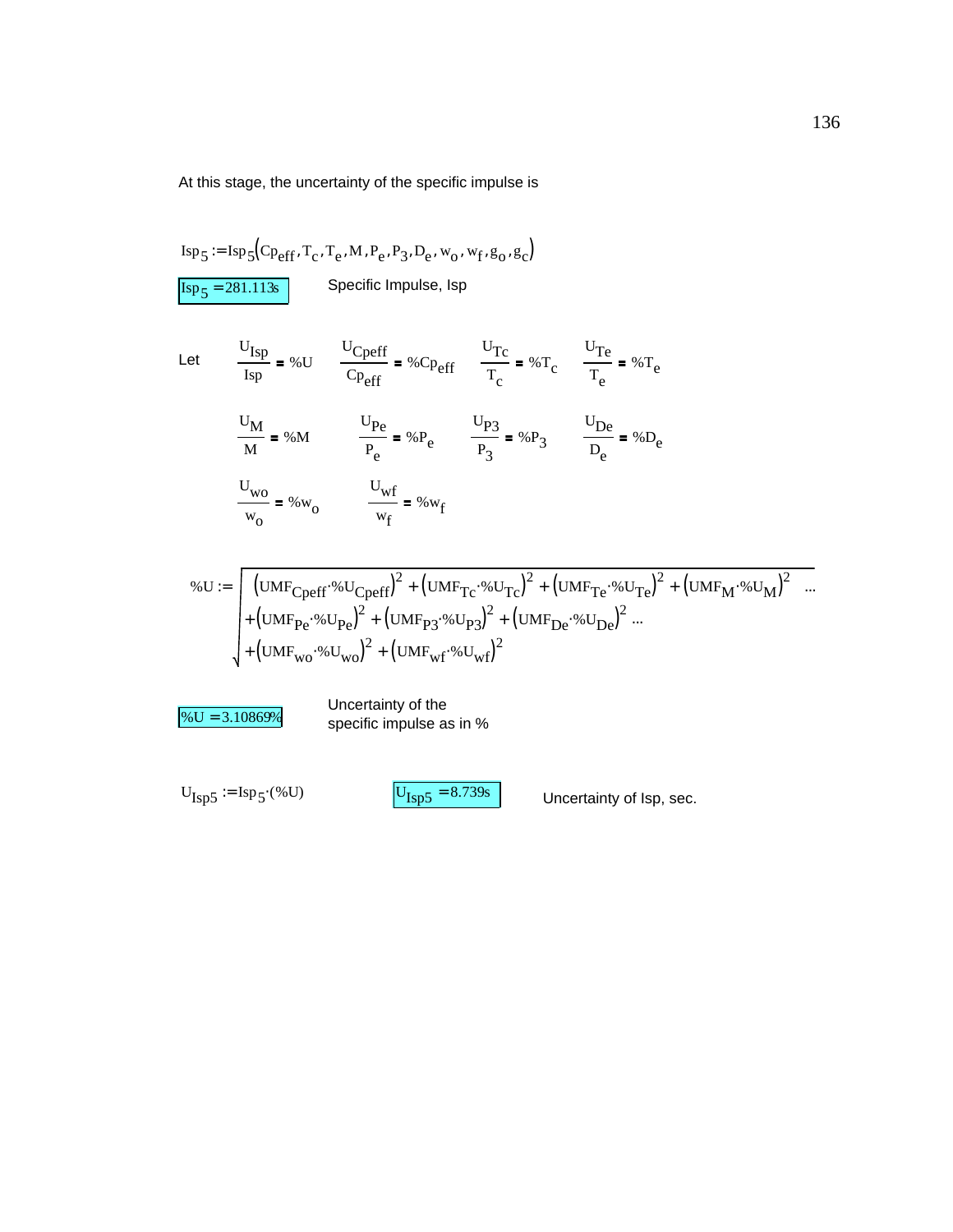At this stage, the uncertainty of the specific impulse is

$$
Isp_5 := Isp_5(Cp_{eff}, T_c, T_e, M, P_e, P_3, D_e, w_o, w_f, g_o, g_c)
$$
  
\n
$$
Isp_5 = 281.113s
$$
 Specific Impulse, lsp  
\n
$$
Let
$$
  
\n
$$
\frac{U_{Isp}}{Isp} = %U
$$
  
\n
$$
\frac{U_{Cperff}}{Cp_{eff}} = %Cp_{eff}
$$
  
\n
$$
\frac{U_{Tc}}{T_c} = %T_c
$$
  
\n
$$
\frac{U_{Te}}{T_e} = %T_e
$$
  
\n
$$
\frac{U_M}{M} = %M
$$
  
\n
$$
\frac{U_{Pe}}{P_e} = %P_e
$$
  
\n
$$
\frac{U_{P3}}{P_g} = %P_3
$$
  
\n
$$
\frac{U_{De}}{D_e} = %D_e
$$
  
\n
$$
\frac{U_{wo}}{w_o} = %w_o
$$
  
\n
$$
\frac{U_{wf}}{w_f} = %w_f
$$

$$
\% \mathbf{U} := \left[ \left( \mathbf{UMF}_{\mathbf{Cperff}} \, \% \mathbf{U}_{\mathbf{Cperff}} \right)^2 + \left( \mathbf{UMF}_{\mathbf{Tc}} \, \% \mathbf{U}_{\mathbf{Tc}} \right)^2 + \left( \mathbf{UMF}_{\mathbf{Te}} \, \% \mathbf{U}_{\mathbf{Te}} \right)^2 + \left( \mathbf{UMF}_{\mathbf{M}} \, \% \mathbf{U}_{\mathbf{M}} \right)^2 \right] \dots + \left( \mathbf{UMF}_{\mathbf{Pe}} \, \% \mathbf{U}_{\mathbf{Pe}} \right)^2 + \left( \mathbf{UMF}_{\mathbf{P2}} \, \% \mathbf{U}_{\mathbf{P3}} \right)^2 + \left( \mathbf{UMF}_{\mathbf{De}} \, \% \mathbf{U}_{\mathbf{De}} \right)^2 \dots + \left( \mathbf{UMF}_{\mathbf{Wc}} \, \% \mathbf{U}_{\mathbf{W0}} \right)^2 + \left( \mathbf{UMF}_{\mathbf{Wf}} \, \% \mathbf{U}_{\mathbf{Wf}} \right)^2
$$

 $\%$ U = 3.10869%<br>
specific impulse as in %

 $U_{\text{Isp5}} = \text{Isp}_5( %U)$   $U_{\text{Isp5}} = 8.739s$  Uncertainty of lsp, sec.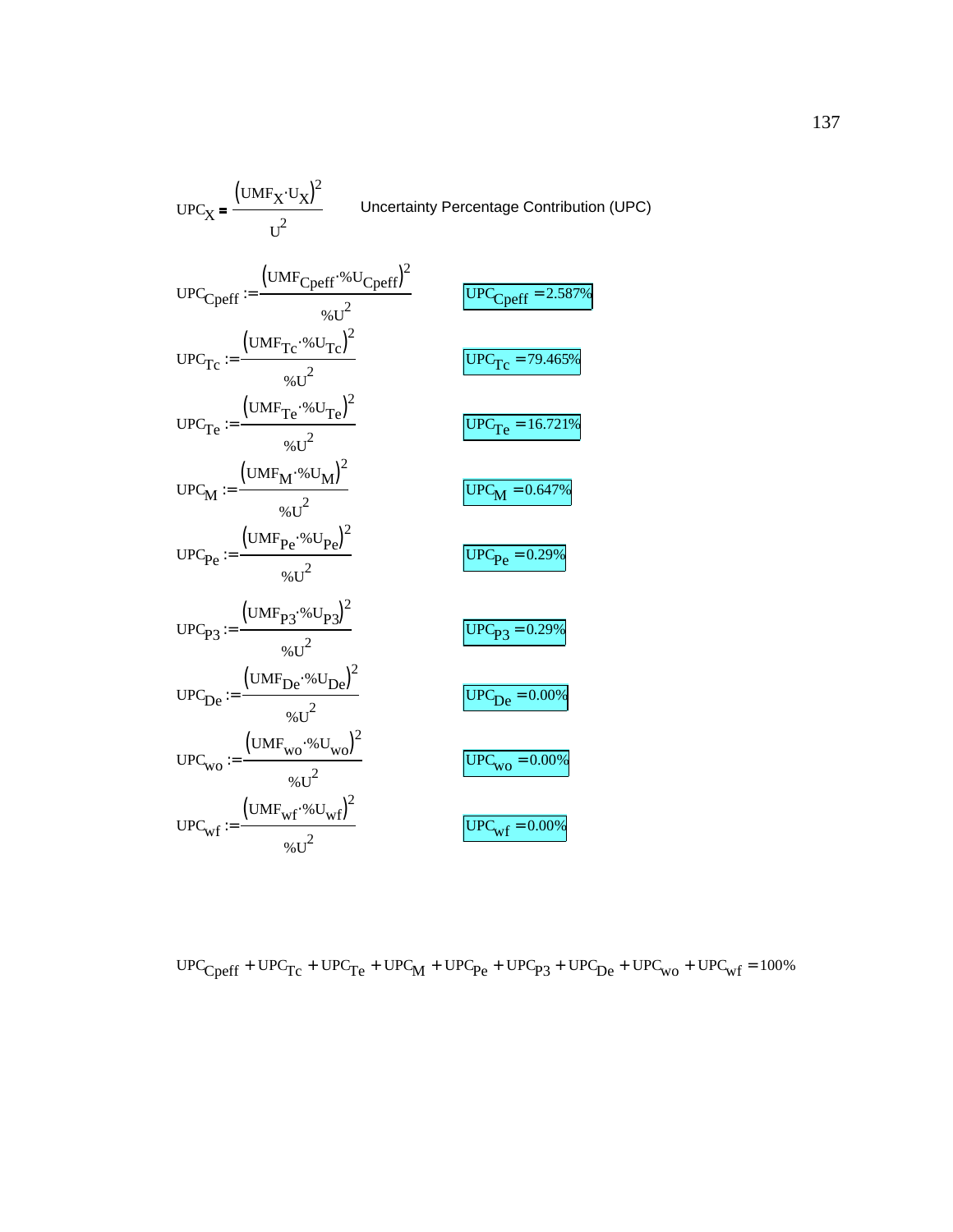$$
UPC_X = \frac{(UMF_X \cdot U_X)^2}{U^2}
$$
Uncertainty Percentage Contribution (UPC)  
\n
$$
UPC_{Cperf} := \frac{(UMF_{Cperf} \cdot %U_{Cperf})^2}{%U^2}
$$
  
\n
$$
UPC_{Tc} := \frac{(UMF_{Tc} \cdot %U_{Tc})^2}{%U^2}
$$
  
\n
$$
UPC_{Tc} := \frac{(UMF_{Tc} \cdot %U_{Tc})^2}{%U^2}
$$
  
\n
$$
UPC_{Tc} = \frac{(UMF_{Tc} \cdot %U_{Tc})^2}{%U^2}
$$
  
\n
$$
UPC_{M} := \frac{(UMF_{M} \cdot %U_{M})^2}{%U^2}
$$
  
\n
$$
UPC_{Pc} := \frac{(UMF_{Pc} \cdot %U_{Pc})^2}{%U^2}
$$
  
\n
$$
UPC_{Pc} := \frac{(UMF_{Pc} \cdot %U_{Pc})^2}{%U^2}
$$
  
\n
$$
UPC_{Pc} = \frac{(UMF_{Dc} \cdot %U_{Pc})^2}{%U^2}
$$
  
\n
$$
UPC_{Dc} = \frac{(UMF_{Vc} \cdot %U_{Vc})^2}{%U^2}
$$
  
\n
$$
UPC_{Wc} := \frac{(UMF_{Wc} \cdot %U_{Wc})^2}{%U^2}
$$
  
\n
$$
UPC_{Wc} = \frac{(UMF_{Wc} \cdot %U_{Wc})^2}{%U^2}
$$
  
\n
$$
UPC_{Wf} = \frac{(UMF_{Wf} \cdot %U_{Wf})^2}{%U^2}
$$
  
\n
$$
UPC_{Wf} = \frac{(UPC_{Wc} = 0.00\%)}{%U^2}
$$
  
\n
$$
UPC_{Wf} = \frac{(UPC_{Wf} = 0.00\%)}{%U^2}
$$

 $\text{UPC}_{\text{Cperf}} + \text{UPC}_{\text{TC}} + \text{UPC}_{\text{Te}} + \text{UPC}_{\text{M}} + \text{UPC}_{\text{Pe}} + \text{UPC}_{\text{P3}} + \text{UPC}_{\text{De}} + \text{UPC}_{\text{wo}} + \text{UPC}_{\text{wf}} = 100\%$